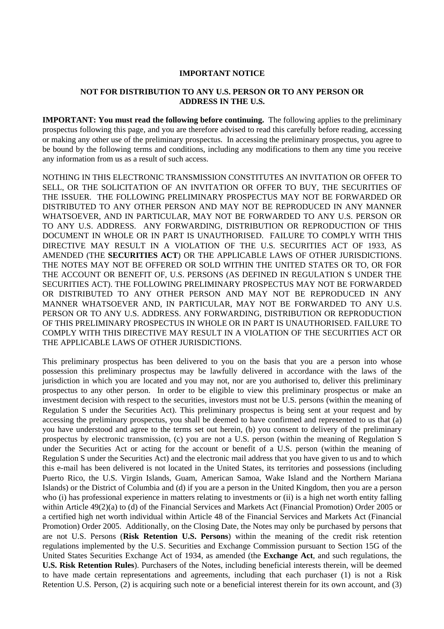## **IMPORTANT NOTICE**

## **NOT FOR DISTRIBUTION TO ANY U.S. PERSON OR TO ANY PERSON OR ADDRESS IN THE U.S.**

**IMPORTANT: You must read the following before continuing.** The following applies to the preliminary prospectus following this page, and you are therefore advised to read this carefully before reading, accessing or making any other use of the preliminary prospectus. In accessing the preliminary prospectus, you agree to be bound by the following terms and conditions, including any modifications to them any time you receive any information from us as a result of such access.

NOTHING IN THIS ELECTRONIC TRANSMISSION CONSTITUTES AN INVITATION OR OFFER TO SELL, OR THE SOLICITATION OF AN INVITATION OR OFFER TO BUY, THE SECURITIES OF THE ISSUER. THE FOLLOWING PRELIMINARY PROSPECTUS MAY NOT BE FORWARDED OR DISTRIBUTED TO ANY OTHER PERSON AND MAY NOT BE REPRODUCED IN ANY MANNER WHATSOEVER, AND IN PARTICULAR, MAY NOT BE FORWARDED TO ANY U.S. PERSON OR TO ANY U.S. ADDRESS. ANY FORWARDING, DISTRIBUTION OR REPRODUCTION OF THIS DOCUMENT IN WHOLE OR IN PART IS UNAUTHORISED. FAILURE TO COMPLY WITH THIS DIRECTIVE MAY RESULT IN A VIOLATION OF THE U.S. SECURITIES ACT OF 1933, AS AMENDED (THE **SECURITIES ACT**) OR THE APPLICABLE LAWS OF OTHER JURISDICTIONS. THE NOTES MAY NOT BE OFFERED OR SOLD WITHIN THE UNITED STATES OR TO, OR FOR THE ACCOUNT OR BENEFIT OF, U.S. PERSONS (AS DEFINED IN REGULATION S UNDER THE SECURITIES ACT). THE FOLLOWING PRELIMINARY PROSPECTUS MAY NOT BE FORWARDED OR DISTRIBUTED TO ANY OTHER PERSON AND MAY NOT BE REPRODUCED IN ANY MANNER WHATSOEVER AND, IN PARTICULAR, MAY NOT BE FORWARDED TO ANY U.S. PERSON OR TO ANY U.S. ADDRESS. ANY FORWARDING, DISTRIBUTION OR REPRODUCTION OF THIS PRELIMINARY PROSPECTUS IN WHOLE OR IN PART IS UNAUTHORISED. FAILURE TO COMPLY WITH THIS DIRECTIVE MAY RESULT IN A VIOLATION OF THE SECURITIES ACT OR THE APPLICABLE LAWS OF OTHER JURISDICTIONS.

This preliminary prospectus has been delivered to you on the basis that you are a person into whose possession this preliminary prospectus may be lawfully delivered in accordance with the laws of the jurisdiction in which you are located and you may not, nor are you authorised to, deliver this preliminary prospectus to any other person. In order to be eligible to view this preliminary prospectus or make an investment decision with respect to the securities, investors must not be U.S. persons (within the meaning of Regulation S under the Securities Act). This preliminary prospectus is being sent at your request and by accessing the preliminary prospectus, you shall be deemed to have confirmed and represented to us that (a) you have understood and agree to the terms set out herein, (b) you consent to delivery of the preliminary prospectus by electronic transmission, (c) you are not a U.S. person (within the meaning of Regulation S under the Securities Act or acting for the account or benefit of a U.S. person (within the meaning of Regulation S under the Securities Act) and the electronic mail address that you have given to us and to which this e-mail has been delivered is not located in the United States, its territories and possessions (including Puerto Rico, the U.S. Virgin Islands, Guam, American Samoa, Wake Island and the Northern Mariana Islands) or the District of Columbia and (d) if you are a person in the United Kingdom, then you are a person who (i) has professional experience in matters relating to investments or (ii) is a high net worth entity falling within Article 49(2)(a) to (d) of the Financial Services and Markets Act (Financial Promotion) Order 2005 or a certified high net worth individual within Article 48 of the Financial Services and Markets Act (Financial Promotion) Order 2005. Additionally, on the Closing Date, the Notes may only be purchased by persons that are not U.S. Persons (**Risk Retention U.S. Persons**) within the meaning of the credit risk retention regulations implemented by the U.S. Securities and Exchange Commission pursuant to Section 15G of the United States Securities Exchange Act of 1934, as amended (the **Exchange Act**, and such regulations, the **U.S. Risk Retention Rules**). Purchasers of the Notes, including beneficial interests therein, will be deemed to have made certain representations and agreements, including that each purchaser (1) is not a Risk Retention U.S. Person, (2) is acquiring such note or a beneficial interest therein for its own account, and (3)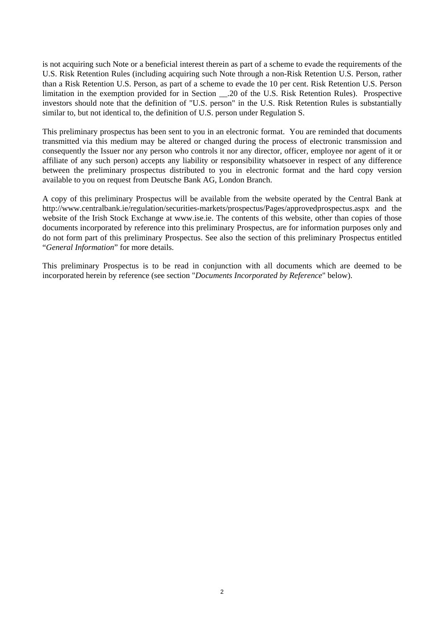is not acquiring such Note or a beneficial interest therein as part of a scheme to evade the requirements of the U.S. Risk Retention Rules (including acquiring such Note through a non-Risk Retention U.S. Person, rather than a Risk Retention U.S. Person, as part of a scheme to evade the 10 per cent. Risk Retention U.S. Person limitation in the exemption provided for in Section \_\_.20 of the U.S. Risk Retention Rules). Prospective investors should note that the definition of "U.S. person" in the U.S. Risk Retention Rules is substantially similar to, but not identical to, the definition of U.S. person under Regulation S.

This preliminary prospectus has been sent to you in an electronic format. You are reminded that documents transmitted via this medium may be altered or changed during the process of electronic transmission and consequently the Issuer nor any person who controls it nor any director, officer, employee nor agent of it or affiliate of any such person) accepts any liability or responsibility whatsoever in respect of any difference between the preliminary prospectus distributed to you in electronic format and the hard copy version available to you on request from Deutsche Bank AG, London Branch.

A copy of this preliminary Prospectus will be available from the website operated by the Central Bank at http://www.centralbank.ie/regulation/securities-markets/prospectus/Pages/approvedprospectus.aspx and the website of the Irish Stock Exchange at www.ise.ie. The contents of this website, other than copies of those documents incorporated by reference into this preliminary Prospectus, are for information purposes only and do not form part of this preliminary Prospectus. See also the section of this preliminary Prospectus entitled "*General Information*" for more details.

This preliminary Prospectus is to be read in conjunction with all documents which are deemed to be incorporated herein by reference (see section "*Documents Incorporated by Reference*" below).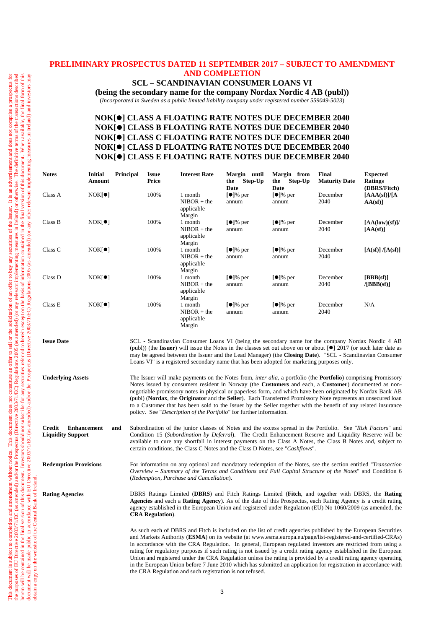## **PRELIMINARY PROSPECTUS DATED 11 SEPTEMBER 2017 – SUBJECT TO AMENDMENT AND COMPLETION**

## **SCL** *–* **SCANDINAVIAN CONSUMER LOANS VI**

**(being the secondary name for the company Nordax Nordic 4 AB (publ))** (*Incorporated in Sweden as a public limited liability company under registered number 559049-5023*)

## **NOK[] CLASS A FLOATING RATE NOTES DUE DECEMBER 2040 NOK[] CLASS B FLOATING RATE NOTES DUE DECEMBER 2040 NOK[] CLASS C FLOATING RATE NOTES DUE DECEMBER 2040 NOK[] CLASS D FLOATING RATE NOTES DUE DECEMBER 2040 NOK[] CLASS E FLOATING RATE NOTES DUE DECEMBER 2040**

| <b>Notes</b> | <b>Initial</b><br>Amount | Principal | <b>Issue</b><br>Price | <b>Interest Rate</b>                             | Margin<br>until<br>Step-Up<br>the<br>Date | Margin from<br>Step-Up<br>the<br>Date  | <b>Final</b><br><b>Maturity Date</b> | <b>Expected</b><br><b>Ratings</b><br>(DBRS/Fitch) |
|--------------|--------------------------|-----------|-----------------------|--------------------------------------------------|-------------------------------------------|----------------------------------------|--------------------------------------|---------------------------------------------------|
| Class A      | $NOK[\bullet]$           |           | 100%                  | 1 month<br>$NIBOR + the$<br>applicable<br>Margin | $\lceil \bullet \rceil$ % per<br>annum    | $[•]$ % per<br>annum                   | December<br>2040                     | [AAA(sf)]/[A]<br>$AA(sf)$ ]                       |
| Class B      | $NOK[\bullet]$           |           | 100%                  | 1 month<br>$NIBOR + the$<br>applicable<br>Margin | $\lceil \bullet \rceil$ % per<br>annum    | $\lceil \bullet \rceil$ % per<br>annum | December<br>2040                     | [AA(logw)(sf)]/<br>[AA(sf)]                       |
| Class C      | $NOK[\bullet]$           |           | 100%                  | 1 month<br>$NIBOR + the$<br>applicable<br>Margin | $\lceil \bullet \rceil$ % per<br>annum    | $[•]%$ per<br>annum                    | December<br>2040                     | [A(sf)] / [A(sf)]                                 |
| Class D      | $NOK[\bullet]$           |           | 100%                  | 1 month<br>$NIBOR + the$<br>applicable<br>Margin | $\lceil \bullet \rceil$ % per<br>annum    | $\lceil \bullet \rceil$ % per<br>annum | December<br>2040                     | [BBB(sf)]<br>$\sqrt{\text{BBB}(\text{sf})}$       |
| Class E      | $NOK[\bullet]$           |           | 100%                  | 1 month<br>$NIBOR + the$<br>applicable<br>Margin | $\lceil \bullet \rceil$ % per<br>annum    | $[•]%$ per<br>annum                    | December<br>2040                     | N/A                                               |

**Issue Date** SCL - Scandinavian Consumer Loans VI (being the secondary name for the company Nordax Nordic 4 AB (publ)) (the **Issuer**) will issue the Notes in the classes set out above on or about  $\lceil \cdot \cdot \cdot \rceil$  2017 (or such later date as may be agreed between the Issuer and the Lead Manager) (the **Closing Date**). "SCL - Scandinavian Consumer Loans VI" is a registered secondary name that has been adopted for marketing purposes only.

**Underlying Assets** The Issuer will make payments on the Notes from, *inter alia*, a portfolio (the **Portfolio**) comprising Promissory Notes issued by consumers resident in Norway (the **Customers** and each, a **Customer**) documented as nonnegotiable promissory notes in physical or paperless form, and which have been originated by Nordax Bank AB (publ) (**Nordax**, the **Originator** and the **Seller**). Each Transferred Promissory Note represents an unsecured loan to a Customer that has been sold to the Issuer by the Seller together with the benefit of any related insurance policy. See "*Description of the Portfolio*" for further information.

**Credit Enhancement and Liquidity Support** Subordination of the junior classes of Notes and the excess spread in the Portfolio. See "*Risk Factors*" and Condition 15 (*Subordination by Deferral*). The Credit Enhancement Reserve and Liquidity Reserve will be available to cure any shortfall in interest payments on the Class A Notes, the Class B Notes and, subject to certain conditions, the Class C Notes and the Class D Notes, see "*Cashflows*".

obtain a copy on the website of the Central Bank of Ireland.

**Redemption Provisions** For information on any optional and mandatory redemption of the Notes, see the section entitled "*Transaction Overview – Summary of the Terms and Conditions and Full Capital Structure of the Notes*" and Condition 6 (*Redemption, Purchase and Cancellation*).

**Rating Agencies** DBRS Ratings Limited (**DBRS**) and Fitch Ratings Limited (**Fitch**, and together with DBRS, the **Rating Agencies** and each a **Rating Agency**). As of the date of this Prospectus, each Rating Agency is a credit rating agency established in the European Union and registered under Regulation (EU) No 1060/2009 (as amended, the **CRA Regulation**).

> As such each of DBRS and Fitch is included on the list of credit agencies published by the European Securities and Markets Authority (**ESMA**) on its website (at www.esma.europa.eu/page/list-registered-and-certified-CRAs) in accordance with the CRA Regulation. In general, European regulated investors are restricted from using a rating for regulatory purposes if such rating is not issued by a credit rating agency established in the European Union and registered under the CRA Regulation unless the rating is provided by a credit rating agency operating in the European Union before 7 June 2010 which has submitted an application for registration in accordance with the CRA Regulation and such registration is not refused.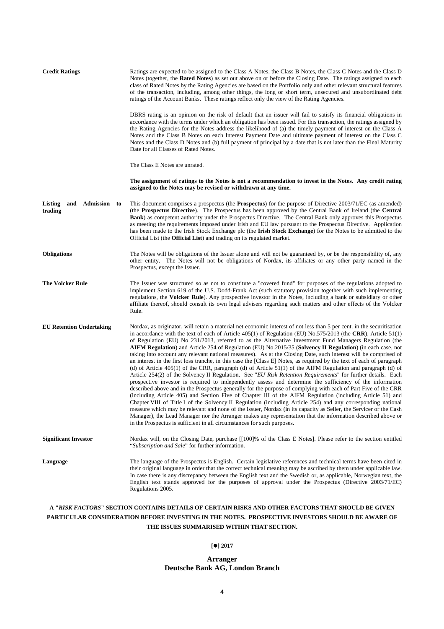| <b>Credit Ratings</b>                            | Ratings are expected to be assigned to the Class A Notes, the Class B Notes, the Class C Notes and the Class D<br>Notes (together, the Rated Notes) as set out above on or before the Closing Date. The ratings assigned to each<br>class of Rated Notes by the Rating Agencies are based on the Portfolio only and other relevant structural features<br>of the transaction, including, among other things, the long or short term, unsecured and unsubordinated debt<br>ratings of the Account Banks. These ratings reflect only the view of the Rating Agencies.                                                                                                                                                                                                                                                                                                                                                                                                                                                                                                                                                                                                                                                                                                                                                                                                                                                                                                                                                                                                                                                                                                                                                                           |
|--------------------------------------------------|-----------------------------------------------------------------------------------------------------------------------------------------------------------------------------------------------------------------------------------------------------------------------------------------------------------------------------------------------------------------------------------------------------------------------------------------------------------------------------------------------------------------------------------------------------------------------------------------------------------------------------------------------------------------------------------------------------------------------------------------------------------------------------------------------------------------------------------------------------------------------------------------------------------------------------------------------------------------------------------------------------------------------------------------------------------------------------------------------------------------------------------------------------------------------------------------------------------------------------------------------------------------------------------------------------------------------------------------------------------------------------------------------------------------------------------------------------------------------------------------------------------------------------------------------------------------------------------------------------------------------------------------------------------------------------------------------------------------------------------------------|
|                                                  | DBRS rating is an opinion on the risk of default that an issuer will fail to satisfy its financial obligations in<br>accordance with the terms under which an obligation has been issued. For this transaction, the ratings assigned by<br>the Rating Agencies for the Notes address the likelihood of (a) the timely payment of interest on the Class A<br>Notes and the Class B Notes on each Interest Payment Date and ultimate payment of interest on the Class C<br>Notes and the Class D Notes and (b) full payment of principal by a date that is not later than the Final Maturity<br>Date for all Classes of Rated Notes.                                                                                                                                                                                                                                                                                                                                                                                                                                                                                                                                                                                                                                                                                                                                                                                                                                                                                                                                                                                                                                                                                                            |
|                                                  | The Class E Notes are unrated.                                                                                                                                                                                                                                                                                                                                                                                                                                                                                                                                                                                                                                                                                                                                                                                                                                                                                                                                                                                                                                                                                                                                                                                                                                                                                                                                                                                                                                                                                                                                                                                                                                                                                                                |
|                                                  | The assignment of ratings to the Notes is not a recommendation to invest in the Notes. Any credit rating<br>assigned to the Notes may be revised or withdrawn at any time.                                                                                                                                                                                                                                                                                                                                                                                                                                                                                                                                                                                                                                                                                                                                                                                                                                                                                                                                                                                                                                                                                                                                                                                                                                                                                                                                                                                                                                                                                                                                                                    |
| <b>Listing</b><br>and Admission<br>to<br>trading | This document comprises a prospectus (the <b>Prospectus</b> ) for the purpose of Directive 2003/71/EC (as amended)<br>(the Prospectus Directive). The Prospectus has been approved by the Central Bank of Ireland (the Central<br><b>Bank</b> ) as competent authority under the Prospectus Directive. The Central Bank only approves this Prospectus<br>as meeting the requirements imposed under Irish and EU law pursuant to the Prospectus Directive. Application<br>has been made to the Irish Stock Exchange plc (the <b>Irish Stock Exchange</b> ) for the Notes to be admitted to the<br>Official List (the <b>Official List</b> ) and trading on its regulated market.                                                                                                                                                                                                                                                                                                                                                                                                                                                                                                                                                                                                                                                                                                                                                                                                                                                                                                                                                                                                                                                               |
| <b>Obligations</b>                               | The Notes will be obligations of the Issuer alone and will not be guaranteed by, or be the responsibility of, any<br>other entity. The Notes will not be obligations of Nordax, its affiliates or any other party named in the<br>Prospectus, except the Issuer.                                                                                                                                                                                                                                                                                                                                                                                                                                                                                                                                                                                                                                                                                                                                                                                                                                                                                                                                                                                                                                                                                                                                                                                                                                                                                                                                                                                                                                                                              |
| <b>The Volcker Rule</b>                          | The Issuer was structured so as not to constitute a "covered fund" for purposes of the regulations adopted to<br>implement Section 619 of the U.S. Dodd-Frank Act (such statutory provision together with such implementing<br>regulations, the <b>Volcker Rule</b> ). Any prospective investor in the Notes, including a bank or subsidiary or other<br>affiliate thereof, should consult its own legal advisers regarding such matters and other effects of the Volcker<br>Rule.                                                                                                                                                                                                                                                                                                                                                                                                                                                                                                                                                                                                                                                                                                                                                                                                                                                                                                                                                                                                                                                                                                                                                                                                                                                            |
| <b>EU Retention Undertaking</b>                  | Nordax, as originator, will retain a material net economic interest of not less than 5 per cent. in the securitisation<br>in accordance with the text of each of Article 405(1) of Regulation (EU) No.575/2013 (the CRR), Article 51(1)<br>of Regulation (EU) No 231/2013, referred to as the Alternative Investment Fund Managers Regulation (the<br><b>AIFM Regulation</b> ) and Article 254 of Regulation (EU) No.2015/35 ( <b>Solvency II Regulation</b> ) (in each case, not<br>taking into account any relevant national measures). As at the Closing Date, such interest will be comprised of<br>an interest in the first loss tranche, in this case the [Class E] Notes, as required by the text of each of paragraph<br>(d) of Article $405(1)$ of the CRR, paragraph (d) of Article $51(1)$ of the AIFM Regulation and paragraph (d) of<br>Article 254(2) of the Solvency II Regulation. See "EU Risk Retention Requirements" for further details. Each<br>prospective investor is required to independently assess and determine the sufficiency of the information<br>described above and in the Prospectus generally for the purpose of complying with each of Part Five of the CRR<br>(including Article 405) and Section Five of Chapter III of the AIFM Regulation (including Article 51) and<br>Chapter VIII of Title I of the Solvency II Regulation (including Article 254) and any corresponding national<br>measure which may be relevant and none of the Issuer, Nordax (in its capacity as Seller, the Servicer or the Cash<br>Manager), the Lead Manager nor the Arranger makes any representation that the information described above or<br>in the Prospectus is sufficient in all circumstances for such purposes. |
| <b>Significant Investor</b>                      | Nordax will, on the Closing Date, purchase [[100]% of the Class E Notes]. Please refer to the section entitled<br>"Subscription and Sale" for further information.                                                                                                                                                                                                                                                                                                                                                                                                                                                                                                                                                                                                                                                                                                                                                                                                                                                                                                                                                                                                                                                                                                                                                                                                                                                                                                                                                                                                                                                                                                                                                                            |
| Language                                         | The language of the Prospectus is English. Certain legislative references and technical terms have been cited in<br>their original language in order that the correct technical meaning may be ascribed by them under applicable law.<br>In case there is any discrepancy between the English text and the Swedish or, as applicable, Norwegian text, the<br>English text stands approved for the purposes of approval under the Prospectus (Directive 2003/71/EC)<br>Regulations 2005.                                                                                                                                                                                                                                                                                                                                                                                                                                                                                                                                                                                                                                                                                                                                                                                                                                                                                                                                                                                                                                                                                                                                                                                                                                                       |

## **A "***RISK FACTORS***" SECTION CONTAINS DETAILS OF CERTAIN RISKS AND OTHER FACTORS THAT SHOULD BE GIVEN PARTICULAR CONSIDERATION BEFORE INVESTING IN THE NOTES. PROSPECTIVE INVESTORS SHOULD BE AWARE OF THE ISSUES SUMMARISED WITHIN THAT SECTION.**

#### **[] 2017**

#### **Arranger Deutsche Bank AG, London Branch**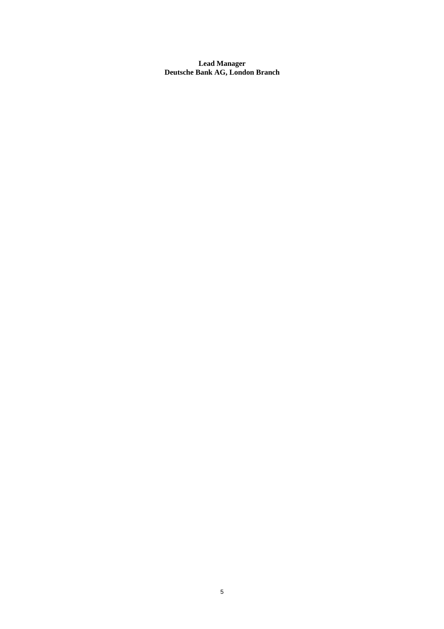**Lead Manager Deutsche Bank AG, London Branch**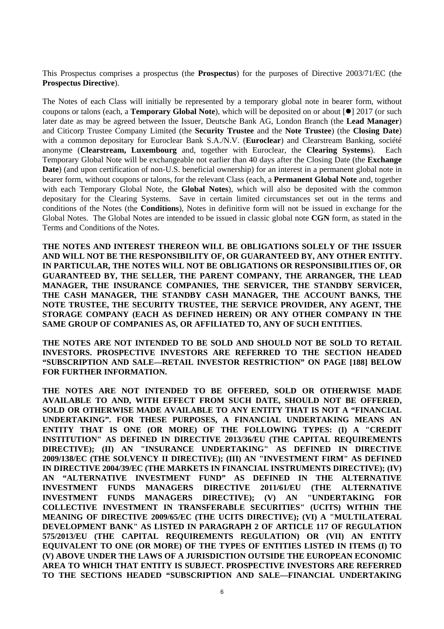This Prospectus comprises a prospectus (the **Prospectus**) for the purposes of Directive 2003/71/EC (the **Prospectus Directive**).

The Notes of each Class will initially be represented by a temporary global note in bearer form, without coupons or talons (each, a **Temporary Global Note**), which will be deposited on or about [ $\bullet$ ] 2017 (or such later date as may be agreed between the Issuer, Deutsche Bank AG, London Branch (the **Lead Manager**) and Citicorp Trustee Company Limited (the **Security Trustee** and the **Note Trustee**) (the **Closing Date**) with a common depositary for Euroclear Bank S.A./N.V. (**Euroclear**) and Clearstream Banking, société anonyme (**Clearstream, Luxembourg** and, together with Euroclear, the **Clearing Systems**). Each Temporary Global Note will be exchangeable not earlier than 40 days after the Closing Date (the **Exchange Date**) (and upon certification of non-U.S. beneficial ownership) for an interest in a permanent global note in bearer form, without coupons or talons, for the relevant Class (each, a **Permanent Global Note** and, together with each Temporary Global Note, the **Global Notes**), which will also be deposited with the common depositary for the Clearing Systems. Save in certain limited circumstances set out in the terms and conditions of the Notes (the **Conditions**), Notes in definitive form will not be issued in exchange for the Global Notes. The Global Notes are intended to be issued in classic global note **CGN** form, as stated in the Terms and Conditions of the Notes.

**THE NOTES AND INTEREST THEREON WILL BE OBLIGATIONS SOLELY OF THE ISSUER AND WILL NOT BE THE RESPONSIBILITY OF, OR GUARANTEED BY, ANY OTHER ENTITY. IN PARTICULAR, THE NOTES WILL NOT BE OBLIGATIONS OR RESPONSIBILITIES OF, OR GUARANTEED BY, THE SELLER, THE PARENT COMPANY, THE ARRANGER, THE LEAD MANAGER, THE INSURANCE COMPANIES, THE SERVICER, THE STANDBY SERVICER, THE CASH MANAGER, THE STANDBY CASH MANAGER, THE ACCOUNT BANKS, THE NOTE TRUSTEE, THE SECURITY TRUSTEE, THE SERVICE PROVIDER, ANY AGENT, THE STORAGE COMPANY (EACH AS DEFINED HEREIN) OR ANY OTHER COMPANY IN THE SAME GROUP OF COMPANIES AS, OR AFFILIATED TO, ANY OF SUCH ENTITIES.** 

**THE NOTES ARE NOT INTENDED TO BE SOLD AND SHOULD NOT BE SOLD TO RETAIL INVESTORS. PROSPECTIVE INVESTORS ARE REFERRED TO THE SECTION HEADED "SUBSCRIPTION AND SALE—RETAIL INVESTOR RESTRICTION" ON PAGE [188] BELOW FOR FURTHER INFORMATION.** 

**THE NOTES ARE NOT INTENDED TO BE OFFERED, SOLD OR OTHERWISE MADE AVAILABLE TO AND, WITH EFFECT FROM SUCH DATE, SHOULD NOT BE OFFERED, SOLD OR OTHERWISE MADE AVAILABLE TO ANY ENTITY THAT IS NOT A "FINANCIAL UNDERTAKING". FOR THESE PURPOSES, A FINANCIAL UNDERTAKING MEANS AN ENTITY THAT IS ONE (OR MORE) OF THE FOLLOWING TYPES: (I) A "CREDIT INSTITUTION" AS DEFINED IN DIRECTIVE 2013/36/EU (THE CAPITAL REQUIREMENTS DIRECTIVE); (II) AN "INSURANCE UNDERTAKING" AS DEFINED IN DIRECTIVE 2009/138/EC (THE SOLVENCY II DIRECTIVE); (III) AN "INVESTMENT FIRM" AS DEFINED IN DIRECTIVE 2004/39/EC (THE MARKETS IN FINANCIAL INSTRUMENTS DIRECTIVE); (IV) AN "ALTERNATIVE INVESTMENT FUND" AS DEFINED IN THE ALTERNATIVE INVESTMENT FUNDS MANAGERS DIRECTIVE 2011/61/EU (THE ALTERNATIVE INVESTMENT FUNDS MANAGERS DIRECTIVE); (V) AN "UNDERTAKING FOR COLLECTIVE INVESTMENT IN TRANSFERABLE SECURITIES" (UCITS) WITHIN THE MEANING OF DIRECTIVE 2009/65/EC (THE UCITS DIRECTIVE); (VI) A "MULTILATERAL DEVELOPMENT BANK" AS LISTED IN PARAGRAPH 2 OF ARTICLE 117 OF REGULATION 575/2013/EU (THE CAPITAL REQUIREMENTS REGULATION) OR (VII) AN ENTITY EQUIVALENT TO ONE (OR MORE) OF THE TYPES OF ENTITIES LISTED IN ITEMS (I) TO (V) ABOVE UNDER THE LAWS OF A JURISDICTION OUTSIDE THE EUROPEAN ECONOMIC AREA TO WHICH THAT ENTITY IS SUBJECT. PROSPECTIVE INVESTORS ARE REFERRED TO THE SECTIONS HEADED "SUBSCRIPTION AND SALE—FINANCIAL UNDERTAKING**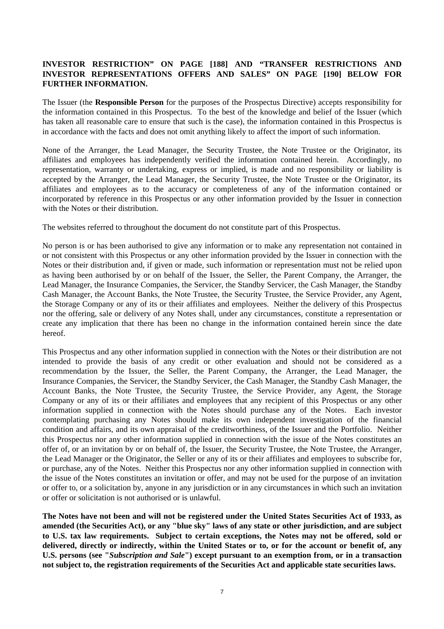## **INVESTOR RESTRICTION" ON PAGE [188] AND "TRANSFER RESTRICTIONS AND INVESTOR REPRESENTATIONS OFFERS AND SALES" ON PAGE [190] BELOW FOR FURTHER INFORMATION.**

The Issuer (the **Responsible Person** for the purposes of the Prospectus Directive) accepts responsibility for the information contained in this Prospectus. To the best of the knowledge and belief of the Issuer (which has taken all reasonable care to ensure that such is the case), the information contained in this Prospectus is in accordance with the facts and does not omit anything likely to affect the import of such information.

None of the Arranger, the Lead Manager, the Security Trustee, the Note Trustee or the Originator, its affiliates and employees has independently verified the information contained herein. Accordingly, no representation, warranty or undertaking, express or implied, is made and no responsibility or liability is accepted by the Arranger, the Lead Manager, the Security Trustee, the Note Trustee or the Originator, its affiliates and employees as to the accuracy or completeness of any of the information contained or incorporated by reference in this Prospectus or any other information provided by the Issuer in connection with the Notes or their distribution.

The websites referred to throughout the document do not constitute part of this Prospectus.

No person is or has been authorised to give any information or to make any representation not contained in or not consistent with this Prospectus or any other information provided by the Issuer in connection with the Notes or their distribution and, if given or made, such information or representation must not be relied upon as having been authorised by or on behalf of the Issuer, the Seller, the Parent Company, the Arranger, the Lead Manager, the Insurance Companies, the Servicer, the Standby Servicer, the Cash Manager, the Standby Cash Manager, the Account Banks, the Note Trustee, the Security Trustee, the Service Provider, any Agent, the Storage Company or any of its or their affiliates and employees. Neither the delivery of this Prospectus nor the offering, sale or delivery of any Notes shall, under any circumstances, constitute a representation or create any implication that there has been no change in the information contained herein since the date hereof.

This Prospectus and any other information supplied in connection with the Notes or their distribution are not intended to provide the basis of any credit or other evaluation and should not be considered as a recommendation by the Issuer, the Seller, the Parent Company, the Arranger, the Lead Manager, the Insurance Companies, the Servicer, the Standby Servicer, the Cash Manager, the Standby Cash Manager, the Account Banks, the Note Trustee, the Security Trustee, the Service Provider, any Agent, the Storage Company or any of its or their affiliates and employees that any recipient of this Prospectus or any other information supplied in connection with the Notes should purchase any of the Notes. Each investor contemplating purchasing any Notes should make its own independent investigation of the financial condition and affairs, and its own appraisal of the creditworthiness, of the Issuer and the Portfolio. Neither this Prospectus nor any other information supplied in connection with the issue of the Notes constitutes an offer of, or an invitation by or on behalf of, the Issuer, the Security Trustee, the Note Trustee, the Arranger, the Lead Manager or the Originator, the Seller or any of its or their affiliates and employees to subscribe for, or purchase, any of the Notes. Neither this Prospectus nor any other information supplied in connection with the issue of the Notes constitutes an invitation or offer, and may not be used for the purpose of an invitation or offer to, or a solicitation by, anyone in any jurisdiction or in any circumstances in which such an invitation or offer or solicitation is not authorised or is unlawful.

**The Notes have not been and will not be registered under the United States Securities Act of 1933, as amended (the Securities Act), or any "blue sky" laws of any state or other jurisdiction, and are subject to U.S. tax law requirements. Subject to certain exceptions, the Notes may not be offered, sold or delivered, directly or indirectly, within the United States or to, or for the account or benefit of, any U.S. persons (see "***Subscription and Sale***") except pursuant to an exemption from, or in a transaction not subject to, the registration requirements of the Securities Act and applicable state securities laws.**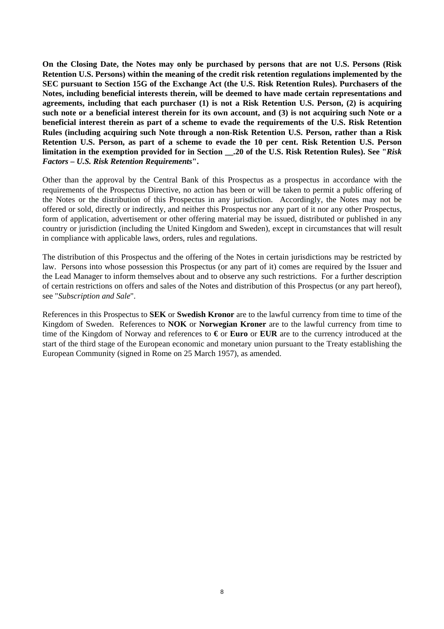**On the Closing Date, the Notes may only be purchased by persons that are not U.S. Persons (Risk Retention U.S. Persons) within the meaning of the credit risk retention regulations implemented by the SEC pursuant to Section 15G of the Exchange Act (the U.S. Risk Retention Rules). Purchasers of the Notes, including beneficial interests therein, will be deemed to have made certain representations and agreements, including that each purchaser (1) is not a Risk Retention U.S. Person, (2) is acquiring such note or a beneficial interest therein for its own account, and (3) is not acquiring such Note or a beneficial interest therein as part of a scheme to evade the requirements of the U.S. Risk Retention Rules (including acquiring such Note through a non-Risk Retention U.S. Person, rather than a Risk Retention U.S. Person, as part of a scheme to evade the 10 per cent. Risk Retention U.S. Person limitation in the exemption provided for in Section \_\_.20 of the U.S. Risk Retention Rules). See "***Risk Factors – U.S. Risk Retention Requirements***".** 

Other than the approval by the Central Bank of this Prospectus as a prospectus in accordance with the requirements of the Prospectus Directive, no action has been or will be taken to permit a public offering of the Notes or the distribution of this Prospectus in any jurisdiction. Accordingly, the Notes may not be offered or sold, directly or indirectly, and neither this Prospectus nor any part of it nor any other Prospectus, form of application, advertisement or other offering material may be issued, distributed or published in any country or jurisdiction (including the United Kingdom and Sweden), except in circumstances that will result in compliance with applicable laws, orders, rules and regulations.

The distribution of this Prospectus and the offering of the Notes in certain jurisdictions may be restricted by law. Persons into whose possession this Prospectus (or any part of it) comes are required by the Issuer and the Lead Manager to inform themselves about and to observe any such restrictions. For a further description of certain restrictions on offers and sales of the Notes and distribution of this Prospectus (or any part hereof), see "*Subscription and Sale*".

References in this Prospectus to **SEK** or **Swedish Kronor** are to the lawful currency from time to time of the Kingdom of Sweden. References to **NOK** or **Norwegian Kroner** are to the lawful currency from time to time of the Kingdom of Norway and references to **€** or **Euro** or **EUR** are to the currency introduced at the start of the third stage of the European economic and monetary union pursuant to the Treaty establishing the European Community (signed in Rome on 25 March 1957), as amended.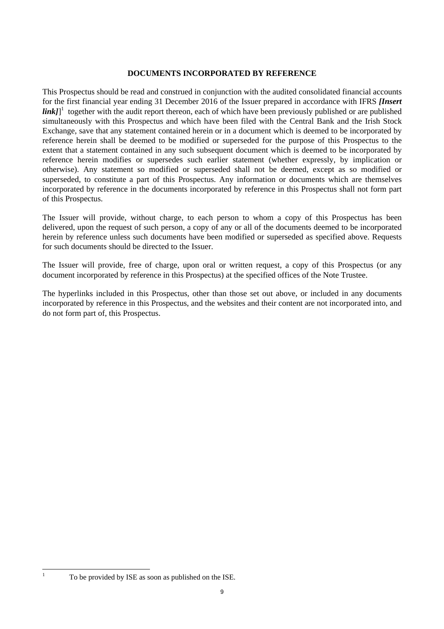## **DOCUMENTS INCORPORATED BY REFERENCE**

This Prospectus should be read and construed in conjunction with the audited consolidated financial accounts for the first financial year ending 31 December 2016 of the Issuer prepared in accordance with IFRS *[Insert link*]<sup>1</sup> together with the audit report thereon, each of which have been previously published or are published simultaneously with this Prospectus and which have been filed with the Central Bank and the Irish Stock Exchange, save that any statement contained herein or in a document which is deemed to be incorporated by reference herein shall be deemed to be modified or superseded for the purpose of this Prospectus to the extent that a statement contained in any such subsequent document which is deemed to be incorporated by reference herein modifies or supersedes such earlier statement (whether expressly, by implication or otherwise). Any statement so modified or superseded shall not be deemed, except as so modified or superseded, to constitute a part of this Prospectus. Any information or documents which are themselves incorporated by reference in the documents incorporated by reference in this Prospectus shall not form part of this Prospectus.

The Issuer will provide, without charge, to each person to whom a copy of this Prospectus has been delivered, upon the request of such person, a copy of any or all of the documents deemed to be incorporated herein by reference unless such documents have been modified or superseded as specified above. Requests for such documents should be directed to the Issuer.

The Issuer will provide, free of charge, upon oral or written request, a copy of this Prospectus (or any document incorporated by reference in this Prospectus) at the specified offices of the Note Trustee.

The hyperlinks included in this Prospectus, other than those set out above, or included in any documents incorporated by reference in this Prospectus, and the websites and their content are not incorporated into, and do not form part of, this Prospectus.

|<br>|<br>|

To be provided by ISE as soon as published on the ISE.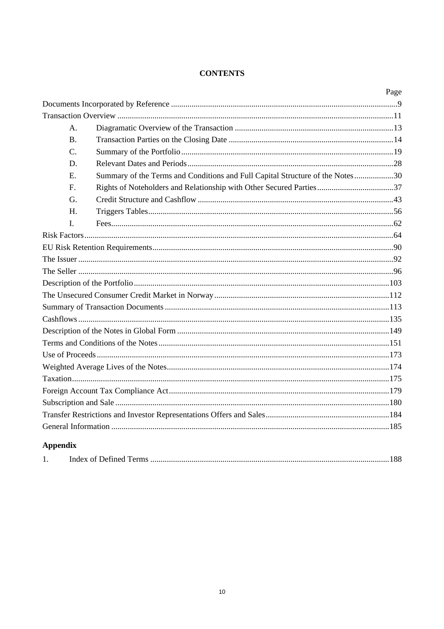## **CONTENTS**

|                 |                                                                               | Page |
|-----------------|-------------------------------------------------------------------------------|------|
|                 |                                                                               |      |
|                 |                                                                               |      |
| $\mathsf{A}$ .  |                                                                               |      |
| <b>B.</b>       |                                                                               |      |
| C.              |                                                                               |      |
| D.              |                                                                               |      |
| Ε.              | Summary of the Terms and Conditions and Full Capital Structure of the Notes30 |      |
| $\mathbf{F}$ .  | Rights of Noteholders and Relationship with Other Secured Parties37           |      |
| G.              |                                                                               |      |
| Н.              |                                                                               |      |
| $\mathbf{I}$ .  |                                                                               |      |
|                 |                                                                               |      |
|                 |                                                                               |      |
|                 |                                                                               |      |
|                 |                                                                               |      |
|                 |                                                                               |      |
|                 |                                                                               |      |
|                 |                                                                               |      |
|                 |                                                                               |      |
|                 |                                                                               |      |
|                 |                                                                               |      |
|                 |                                                                               |      |
|                 |                                                                               |      |
|                 |                                                                               |      |
|                 |                                                                               |      |
|                 |                                                                               |      |
|                 |                                                                               |      |
|                 |                                                                               |      |
| <b>Appendix</b> |                                                                               |      |

| . . | $\Omega$ |  |
|-----|----------|--|
|     |          |  |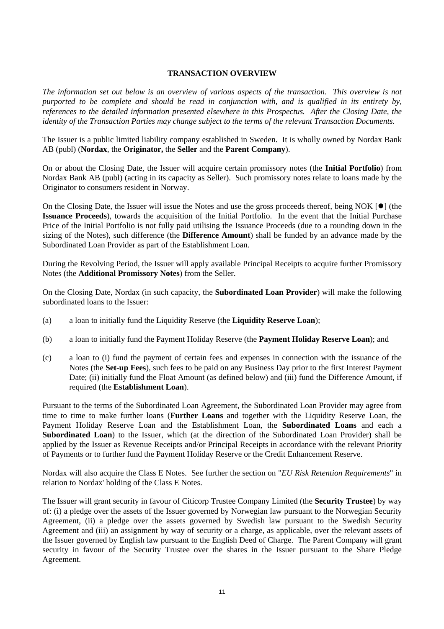## **TRANSACTION OVERVIEW**

*The information set out below is an overview of various aspects of the transaction. This overview is not purported to be complete and should be read in conjunction with, and is qualified in its entirety by, references to the detailed information presented elsewhere in this Prospectus. After the Closing Date, the identity of the Transaction Parties may change subject to the terms of the relevant Transaction Documents.* 

The Issuer is a public limited liability company established in Sweden. It is wholly owned by Nordax Bank AB (publ) (**Nordax**, the **Originator,** the **Seller** and the **Parent Company**).

On or about the Closing Date, the Issuer will acquire certain promissory notes (the **Initial Portfolio**) from Nordax Bank AB (publ) (acting in its capacity as Seller). Such promissory notes relate to loans made by the Originator to consumers resident in Norway.

On the Closing Date, the Issuer will issue the Notes and use the gross proceeds thereof, being NOK  $[\bullet]$  (the **Issuance Proceeds**), towards the acquisition of the Initial Portfolio. In the event that the Initial Purchase Price of the Initial Portfolio is not fully paid utilising the Issuance Proceeds (due to a rounding down in the sizing of the Notes), such difference (the **Difference Amount**) shall be funded by an advance made by the Subordinated Loan Provider as part of the Establishment Loan.

During the Revolving Period, the Issuer will apply available Principal Receipts to acquire further Promissory Notes (the **Additional Promissory Notes**) from the Seller.

On the Closing Date, Nordax (in such capacity, the **Subordinated Loan Provider**) will make the following subordinated loans to the Issuer:

- (a) a loan to initially fund the Liquidity Reserve (the **Liquidity Reserve Loan**);
- (b) a loan to initially fund the Payment Holiday Reserve (the **Payment Holiday Reserve Loan**); and
- (c) a loan to (i) fund the payment of certain fees and expenses in connection with the issuance of the Notes (the **Set-up Fees**), such fees to be paid on any Business Day prior to the first Interest Payment Date; (ii) initially fund the Float Amount (as defined below) and (iii) fund the Difference Amount, if required (the **Establishment Loan**).

Pursuant to the terms of the Subordinated Loan Agreement, the Subordinated Loan Provider may agree from time to time to make further loans (**Further Loans** and together with the Liquidity Reserve Loan, the Payment Holiday Reserve Loan and the Establishment Loan, the **Subordinated Loans** and each a **Subordinated Loan**) to the Issuer, which (at the direction of the Subordinated Loan Provider) shall be applied by the Issuer as Revenue Receipts and/or Principal Receipts in accordance with the relevant Priority of Payments or to further fund the Payment Holiday Reserve or the Credit Enhancement Reserve.

Nordax will also acquire the Class E Notes. See further the section on "*EU Risk Retention Requirements*" in relation to Nordax' holding of the Class E Notes.

The Issuer will grant security in favour of Citicorp Trustee Company Limited (the **Security Trustee**) by way of: (i) a pledge over the assets of the Issuer governed by Norwegian law pursuant to the Norwegian Security Agreement, (ii) a pledge over the assets governed by Swedish law pursuant to the Swedish Security Agreement and (iii) an assignment by way of security or a charge, as applicable, over the relevant assets of the Issuer governed by English law pursuant to the English Deed of Charge. The Parent Company will grant security in favour of the Security Trustee over the shares in the Issuer pursuant to the Share Pledge Agreement.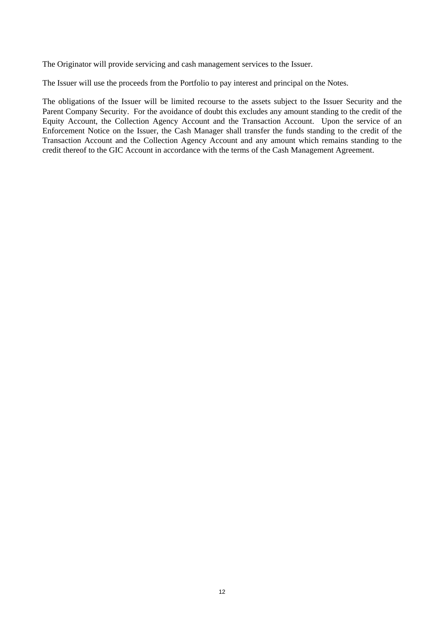The Originator will provide servicing and cash management services to the Issuer.

The Issuer will use the proceeds from the Portfolio to pay interest and principal on the Notes.

The obligations of the Issuer will be limited recourse to the assets subject to the Issuer Security and the Parent Company Security. For the avoidance of doubt this excludes any amount standing to the credit of the Equity Account, the Collection Agency Account and the Transaction Account. Upon the service of an Enforcement Notice on the Issuer, the Cash Manager shall transfer the funds standing to the credit of the Transaction Account and the Collection Agency Account and any amount which remains standing to the credit thereof to the GIC Account in accordance with the terms of the Cash Management Agreement.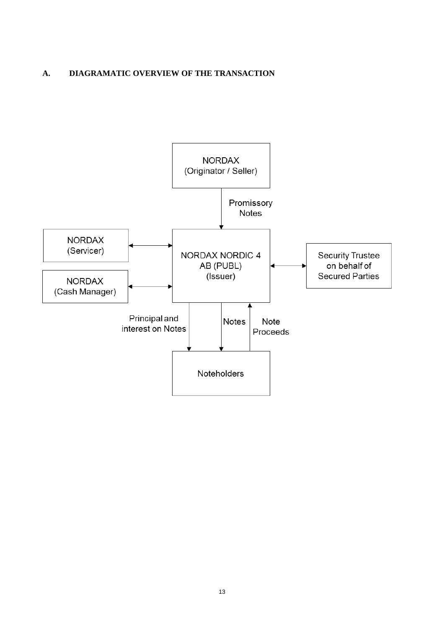## **A. DIAGRAMATIC OVERVIEW OF THE TRANSACTION**

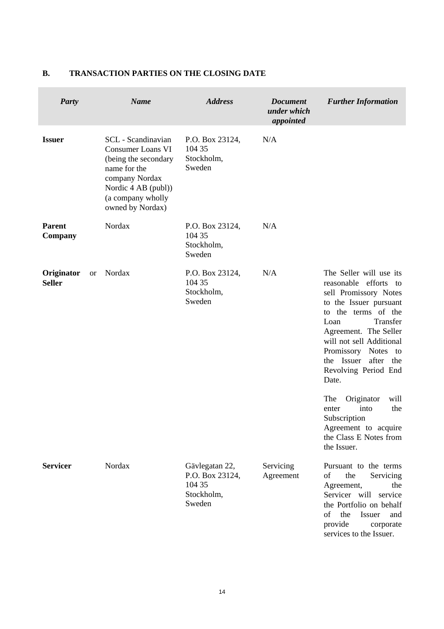| <b>Party</b>                |           | <b>Name</b>                                                                                                                                                              | <b>Address</b>                                                      | <b>Document</b><br>under which<br>appointed | <b>Further Information</b>                                                                                                                                                                                                                                                                                                                                        |
|-----------------------------|-----------|--------------------------------------------------------------------------------------------------------------------------------------------------------------------------|---------------------------------------------------------------------|---------------------------------------------|-------------------------------------------------------------------------------------------------------------------------------------------------------------------------------------------------------------------------------------------------------------------------------------------------------------------------------------------------------------------|
| <b>Issuer</b>               |           | SCL - Scandinavian<br><b>Consumer Loans VI</b><br>(being the secondary<br>name for the<br>company Nordax<br>Nordic 4 AB (publ))<br>(a company wholly<br>owned by Nordax) | P.O. Box 23124,<br>104 35<br>Stockholm,<br>Sweden                   | N/A                                         |                                                                                                                                                                                                                                                                                                                                                                   |
| <b>Parent</b><br>Company    |           | Nordax                                                                                                                                                                   | P.O. Box 23124,<br>104 35<br>Stockholm,<br>Sweden                   | N/A                                         |                                                                                                                                                                                                                                                                                                                                                                   |
| Originator<br><b>Seller</b> | <b>or</b> | Nordax                                                                                                                                                                   | P.O. Box 23124,<br>104 35<br>Stockholm,<br>Sweden                   | N/A                                         | The Seller will use its<br>reasonable efforts<br>to<br>sell Promissory Notes<br>to the Issuer pursuant<br>to the terms of the<br>Transfer<br>Loan<br>Agreement. The Seller<br>will not sell Additional<br>Promissory Notes<br>to<br>the Issuer after<br>the<br>Revolving Period End<br>Date.<br>The<br>Originator<br>will<br>into<br>the<br>enter<br>Subscription |
|                             |           |                                                                                                                                                                          |                                                                     |                                             | Agreement to acquire<br>the Class E Notes from<br>the Issuer.                                                                                                                                                                                                                                                                                                     |
| <b>Servicer</b>             |           | Nordax                                                                                                                                                                   | Gävlegatan 22,<br>P.O. Box 23124,<br>104 35<br>Stockholm,<br>Sweden | Servicing<br>Agreement                      | Pursuant to the terms<br>the<br>of<br>Servicing<br>Agreement,<br>the<br>Servicer will service<br>the Portfolio on behalf<br>of<br>the<br>Issuer<br>and<br>provide<br>corporate<br>services to the Issuer.                                                                                                                                                         |

# **B. TRANSACTION PARTIES ON THE CLOSING DATE**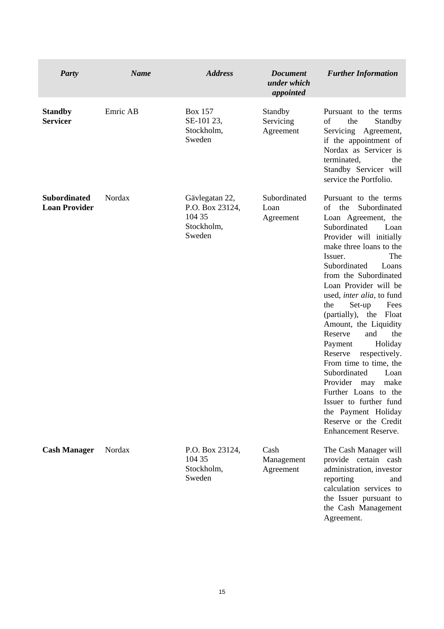| <b>Party</b>                                | <b>Name</b> | <b>Address</b>                                                      | <b>Document</b><br>under which<br>appointed | <b>Further Information</b>                                                                                                                                                                                                                                                                                                                                                                                                                                                                                                                                                                                                                                        |
|---------------------------------------------|-------------|---------------------------------------------------------------------|---------------------------------------------|-------------------------------------------------------------------------------------------------------------------------------------------------------------------------------------------------------------------------------------------------------------------------------------------------------------------------------------------------------------------------------------------------------------------------------------------------------------------------------------------------------------------------------------------------------------------------------------------------------------------------------------------------------------------|
| <b>Standby</b><br><b>Servicer</b>           | Emric AB    | <b>Box 157</b><br>SE-101 23,<br>Stockholm,<br>Sweden                | Standby<br>Servicing<br>Agreement           | Pursuant to the terms<br>of<br>the<br>Standby<br>Servicing<br>Agreement,<br>if the appointment of<br>Nordax as Servicer is<br>terminated,<br>the<br>Standby Servicer will<br>service the Portfolio.                                                                                                                                                                                                                                                                                                                                                                                                                                                               |
| <b>Subordinated</b><br><b>Loan Provider</b> | Nordax      | Gävlegatan 22,<br>P.O. Box 23124,<br>104 35<br>Stockholm,<br>Sweden | Subordinated<br>Loan<br>Agreement           | Pursuant to the terms<br>Subordinated<br>the<br>οf<br>Loan Agreement, the<br>Subordinated<br>Loan<br>Provider will initially<br>make three loans to the<br>Issuer.<br>The<br>Subordinated<br>Loans<br>from the Subordinated<br>Loan Provider will be<br>used, <i>inter alia</i> , to fund<br>the<br>Set-up<br>Fees<br>(partially), the<br>Float<br>Amount, the Liquidity<br>Reserve<br>and<br>the<br>Holiday<br>Payment<br>Reserve<br>respectively.<br>From time to time, the<br>Subordinated<br>Loan<br>Provider<br>make<br>may<br>Further Loans to the<br>Issuer to further fund<br>the Payment Holiday<br>Reserve or the Credit<br><b>Enhancement Reserve.</b> |
| <b>Cash Manager</b>                         | Nordax      | P.O. Box 23124,<br>104 35<br>Stockholm,<br>Sweden                   | Cash<br>Management<br>Agreement             | The Cash Manager will<br>provide certain cash<br>administration, investor<br>reporting<br>and<br>calculation services to<br>the Issuer pursuant to<br>the Cash Management<br>Agreement.                                                                                                                                                                                                                                                                                                                                                                                                                                                                           |

 $\overline{\phantom{a}}$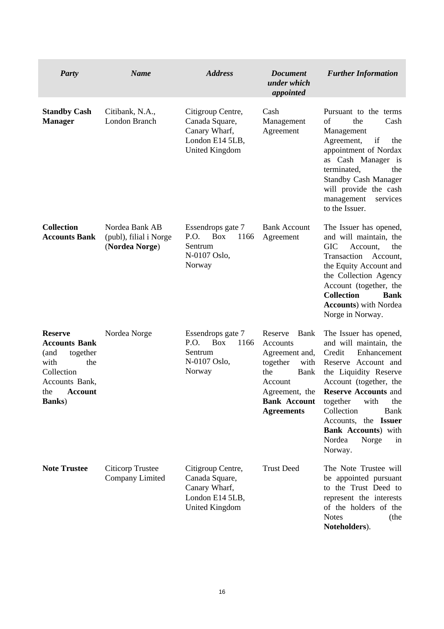| <b>Party</b>                                                                                                                                         | <b>Name</b>                                                | <b>Address</b>                                                                                   | <b>Document</b><br>under which<br>appointed                                                                                                                      | <b>Further Information</b>                                                                                                                                                                                                                                                                                                            |
|------------------------------------------------------------------------------------------------------------------------------------------------------|------------------------------------------------------------|--------------------------------------------------------------------------------------------------|------------------------------------------------------------------------------------------------------------------------------------------------------------------|---------------------------------------------------------------------------------------------------------------------------------------------------------------------------------------------------------------------------------------------------------------------------------------------------------------------------------------|
| <b>Standby Cash</b><br><b>Manager</b>                                                                                                                | Citibank, N.A.,<br>London Branch                           | Citigroup Centre,<br>Canada Square,<br>Canary Wharf,<br>London E14 5LB,<br><b>United Kingdom</b> | Cash<br>Management<br>Agreement                                                                                                                                  | Pursuant to the terms<br>the<br>of<br>Cash<br>Management<br>Agreement,<br>if<br>the<br>appointment of Nordax<br>as Cash Manager is<br>the<br>terminated,<br><b>Standby Cash Manager</b><br>will provide the cash<br>management<br>services<br>to the Issuer.                                                                          |
| <b>Collection</b><br><b>Accounts Bank</b>                                                                                                            | Nordea Bank AB<br>(publ), filial i Norge<br>(Nordea Norge) | Essendrops gate 7<br>P.O.<br><b>Box</b><br>1166<br>Sentrum<br>N-0107 Oslo,<br>Norway             | <b>Bank Account</b><br>Agreement                                                                                                                                 | The Issuer has opened,<br>and will maintain, the<br><b>GIC</b><br>Account,<br>the<br>Transaction<br>Account,<br>the Equity Account and<br>the Collection Agency<br>Account (together, the<br><b>Collection</b><br><b>Bank</b><br><b>Accounts</b> ) with Nordea<br>Norge in Norway.                                                    |
| <b>Reserve</b><br><b>Accounts Bank</b><br>(and<br>together<br>with<br>the<br>Collection<br>Accounts Bank,<br><b>Account</b><br>the<br><b>Banks</b> ) | Nordea Norge                                               | Essendrops gate 7<br>P.O.<br><b>Box</b><br>1166<br>Sentrum<br>N-0107 Oslo,<br>Norway             | Reserve<br>Bank<br>Accounts<br>Agreement and,<br>together<br>with<br><b>Bank</b><br>the<br>Account<br>Agreement, the<br><b>Bank Account</b><br><b>Agreements</b> | The Issuer has opened,<br>and will maintain, the<br>Credit<br>Enhancement<br>Reserve Account and<br>the Liquidity Reserve<br>Account (together, the<br><b>Reserve Accounts and</b><br>together<br>with<br>the<br>Collection<br><b>Bank</b><br>Accounts, the Issuer<br><b>Bank Accounts</b> ) with<br>Nordea<br>Norge<br>in<br>Norway. |
| <b>Note Trustee</b>                                                                                                                                  | Citicorp Trustee<br>Company Limited                        | Citigroup Centre,<br>Canada Square,<br>Canary Wharf,<br>London E14 5LB,<br><b>United Kingdom</b> | <b>Trust Deed</b>                                                                                                                                                | The Note Trustee will<br>be appointed pursuant<br>to the Trust Deed to<br>represent the interests<br>of the holders of the<br><b>Notes</b><br>(the<br>Noteholders).                                                                                                                                                                   |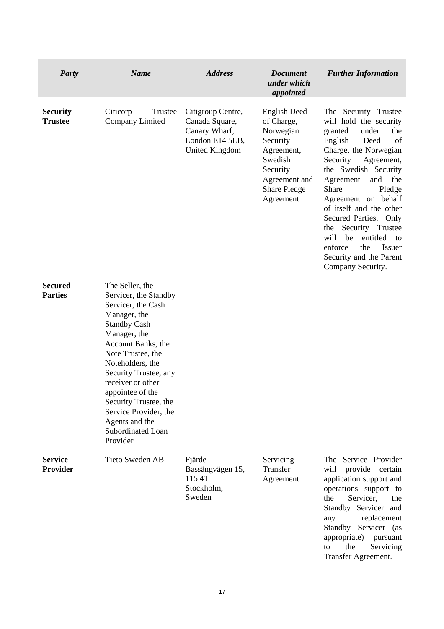| <b>Party</b>                      | <b>Name</b>                                                                                                                                                                                                                                                                                                                                                 | <b>Address</b>                                                                                   | <b>Document</b><br>under which<br>appointed                                                                                                   | <b>Further Information</b>                                                                                                                                                                                                                                                                                                                                                                                                                    |
|-----------------------------------|-------------------------------------------------------------------------------------------------------------------------------------------------------------------------------------------------------------------------------------------------------------------------------------------------------------------------------------------------------------|--------------------------------------------------------------------------------------------------|-----------------------------------------------------------------------------------------------------------------------------------------------|-----------------------------------------------------------------------------------------------------------------------------------------------------------------------------------------------------------------------------------------------------------------------------------------------------------------------------------------------------------------------------------------------------------------------------------------------|
| <b>Security</b><br><b>Trustee</b> | Citicorp<br>Trustee<br>Company Limited                                                                                                                                                                                                                                                                                                                      | Citigroup Centre,<br>Canada Square,<br>Canary Wharf,<br>London E14 5LB,<br><b>United Kingdom</b> | English Deed<br>of Charge,<br>Norwegian<br>Security<br>Agreement,<br>Swedish<br>Security<br>Agreement and<br><b>Share Pledge</b><br>Agreement | The Security Trustee<br>will hold the security<br>under<br>granted<br>the<br>English<br>Deed<br>of<br>Charge, the Norwegian<br>Security<br>Agreement,<br>the Swedish Security<br>and<br>Agreement<br>the<br>Share<br>Pledge<br>Agreement on behalf<br>of itself and the other<br>Secured Parties. Only<br>Security Trustee<br>the<br>will<br>be<br>entitled<br>to<br>enforce<br>the<br>Issuer<br>Security and the Parent<br>Company Security. |
| <b>Secured</b><br><b>Parties</b>  | The Seller, the<br>Servicer, the Standby<br>Servicer, the Cash<br>Manager, the<br><b>Standby Cash</b><br>Manager, the<br>Account Banks, the<br>Note Trustee, the<br>Noteholders, the<br>Security Trustee, any<br>receiver or other<br>appointee of the<br>Security Trustee, the<br>Service Provider, the<br>Agents and the<br>Subordinated Loan<br>Provider |                                                                                                  |                                                                                                                                               |                                                                                                                                                                                                                                                                                                                                                                                                                                               |
| <b>Service</b><br><b>Provider</b> | Tieto Sweden AB                                                                                                                                                                                                                                                                                                                                             | Fjärde<br>Bassängvägen 15,<br>115 41<br>Stockholm,<br>Sweden                                     | Servicing<br>Transfer<br>Agreement                                                                                                            | The Service Provider<br>will<br>provide certain<br>application support and<br>operations support to<br>Servicer,<br>the<br>the<br>Standby Servicer and<br>replacement<br>any<br>Standby Servicer (as<br>appropriate)<br>pursuant<br>the<br>to<br>Servicing<br>Transfer Agreement.                                                                                                                                                             |

 $\sim$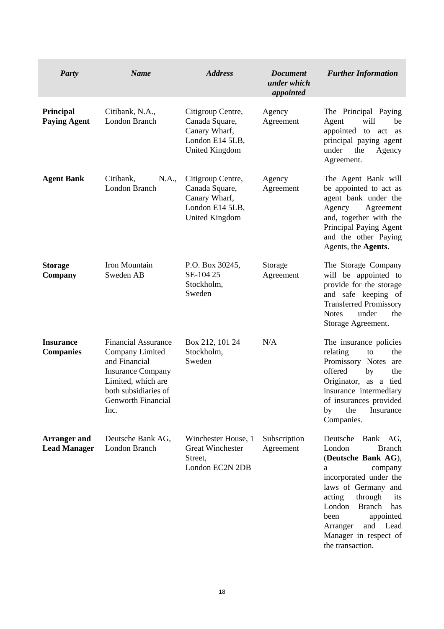| <b>Party</b>                               | <b>Name</b>                                                                                                                                                            | <b>Address</b>                                                                                   | <b>Document</b><br>under which<br>appointed | <b>Further Information</b>                                                                                                                                                                                                                                                                                     |
|--------------------------------------------|------------------------------------------------------------------------------------------------------------------------------------------------------------------------|--------------------------------------------------------------------------------------------------|---------------------------------------------|----------------------------------------------------------------------------------------------------------------------------------------------------------------------------------------------------------------------------------------------------------------------------------------------------------------|
| <b>Principal</b><br><b>Paying Agent</b>    | Citibank, N.A.,<br>London Branch                                                                                                                                       | Citigroup Centre,<br>Canada Square,<br>Canary Wharf,<br>London E14 5LB,<br><b>United Kingdom</b> | Agency<br>Agreement                         | The Principal Paying<br>will<br>Agent<br>be<br>appointed<br>to<br>act<br>as<br>principal paying agent<br>under<br>the<br>Agency<br>Agreement.                                                                                                                                                                  |
| <b>Agent Bank</b>                          | Citibank,<br>N.A.,<br>London Branch                                                                                                                                    | Citigroup Centre,<br>Canada Square,<br>Canary Wharf,<br>London E14 5LB,<br><b>United Kingdom</b> | Agency<br>Agreement                         | The Agent Bank will<br>be appointed to act as<br>agent bank under the<br>Agency<br>Agreement<br>and, together with the<br>Principal Paying Agent<br>and the other Paying<br>Agents, the Agents.                                                                                                                |
| <b>Storage</b><br>Company                  | Iron Mountain<br>Sweden AB                                                                                                                                             | P.O. Box 30245,<br>SE-104 25<br>Stockholm,<br>Sweden                                             | Storage<br>Agreement                        | The Storage Company<br>will be appointed to<br>provide for the storage<br>and safe keeping of<br><b>Transferred Promissory</b><br>under<br>the<br><b>Notes</b><br>Storage Agreement.                                                                                                                           |
| <b>Insurance</b><br><b>Companies</b>       | <b>Financial Assurance</b><br>Company Limited<br>and Financial<br><b>Insurance Company</b><br>Limited, which are<br>both subsidiaries of<br>Genworth Financial<br>Inc. | Box 212, 101 24<br>Stockholm,<br>Sweden                                                          | N/A                                         | The insurance policies<br>relating<br>the<br>to<br>Promissory<br><b>Notes</b><br>are<br>offered<br>by<br>the<br>Originator, as a<br>tied<br>insurance intermediary<br>of insurances provided<br>the<br>Insurance<br>by<br>Companies.                                                                           |
| <b>Arranger and</b><br><b>Lead Manager</b> | Deutsche Bank AG,<br>London Branch                                                                                                                                     | Winchester House, 1<br><b>Great Winchester</b><br>Street,<br>London EC2N 2DB                     | Subscription<br>Agreement                   | Deutsche Bank AG,<br>London<br><b>Branch</b><br>(Deutsche Bank AG),<br>a<br>company<br>incorporated under the<br>laws of Germany and<br>acting<br>through<br>its<br>London<br><b>Branch</b><br>$\,\mathrm{has}\,$<br>been<br>appointed<br>and<br>Lead<br>Arranger<br>Manager in respect of<br>the transaction. |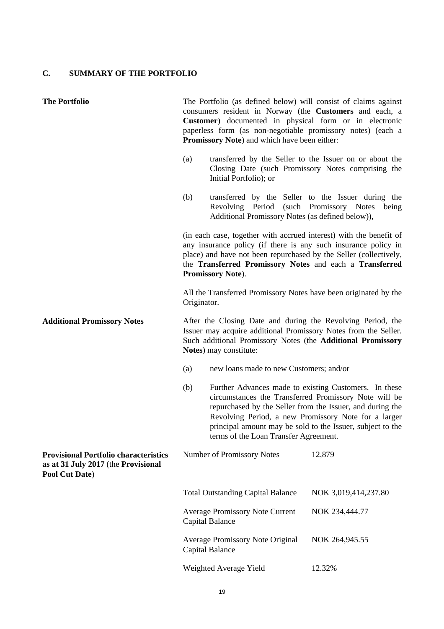# **C. SUMMARY OF THE PORTFOLIO**

| <b>The Portfolio</b>                                                                                  | The Portfolio (as defined below) will consist of claims against<br>consumers resident in Norway (the Customers and each, a<br>Customer) documented in physical form or in electronic<br>paperless form (as non-negotiable promissory notes) (each a<br>Promissory Note) and which have been either: |                                                                                                                                                                                                                                                                                                                                            |                      |  |
|-------------------------------------------------------------------------------------------------------|-----------------------------------------------------------------------------------------------------------------------------------------------------------------------------------------------------------------------------------------------------------------------------------------------------|--------------------------------------------------------------------------------------------------------------------------------------------------------------------------------------------------------------------------------------------------------------------------------------------------------------------------------------------|----------------------|--|
|                                                                                                       | (a)                                                                                                                                                                                                                                                                                                 | transferred by the Seller to the Issuer on or about the<br>Closing Date (such Promissory Notes comprising the<br>Initial Portfolio); or                                                                                                                                                                                                    |                      |  |
|                                                                                                       | (b)                                                                                                                                                                                                                                                                                                 | transferred by the Seller to the Issuer during the<br>Revolving Period (such Promissory Notes<br>Additional Promissory Notes (as defined below)),                                                                                                                                                                                          | being                |  |
|                                                                                                       |                                                                                                                                                                                                                                                                                                     | (in each case, together with accrued interest) with the benefit of<br>any insurance policy (if there is any such insurance policy in<br>place) and have not been repurchased by the Seller (collectively,<br>the Transferred Promissory Notes and each a Transferred<br>Promissory Note).                                                  |                      |  |
|                                                                                                       | Originator.                                                                                                                                                                                                                                                                                         | All the Transferred Promissory Notes have been originated by the                                                                                                                                                                                                                                                                           |                      |  |
| <b>Additional Promissory Notes</b>                                                                    | After the Closing Date and during the Revolving Period, the<br>Issuer may acquire additional Promissory Notes from the Seller.<br>Such additional Promissory Notes (the Additional Promissory<br>Notes) may constitute:                                                                             |                                                                                                                                                                                                                                                                                                                                            |                      |  |
|                                                                                                       | (a)                                                                                                                                                                                                                                                                                                 | new loans made to new Customers; and/or                                                                                                                                                                                                                                                                                                    |                      |  |
|                                                                                                       | (b)                                                                                                                                                                                                                                                                                                 | Further Advances made to existing Customers. In these<br>circumstances the Transferred Promissory Note will be<br>repurchased by the Seller from the Issuer, and during the<br>Revolving Period, a new Promissory Note for a larger<br>principal amount may be sold to the Issuer, subject to the<br>terms of the Loan Transfer Agreement. |                      |  |
| <b>Provisional Portfolio characteristics</b><br>as at 31 July 2017 (the Provisional<br>Pool Cut Date) |                                                                                                                                                                                                                                                                                                     | Number of Promissory Notes                                                                                                                                                                                                                                                                                                                 | 12,879               |  |
|                                                                                                       |                                                                                                                                                                                                                                                                                                     | <b>Total Outstanding Capital Balance</b>                                                                                                                                                                                                                                                                                                   | NOK 3,019,414,237.80 |  |
|                                                                                                       |                                                                                                                                                                                                                                                                                                     | <b>Average Promissory Note Current</b><br>Capital Balance                                                                                                                                                                                                                                                                                  | NOK 234,444.77       |  |
|                                                                                                       |                                                                                                                                                                                                                                                                                                     | <b>Average Promissory Note Original</b><br>Capital Balance                                                                                                                                                                                                                                                                                 | NOK 264,945.55       |  |
|                                                                                                       |                                                                                                                                                                                                                                                                                                     | Weighted Average Yield                                                                                                                                                                                                                                                                                                                     | 12.32%               |  |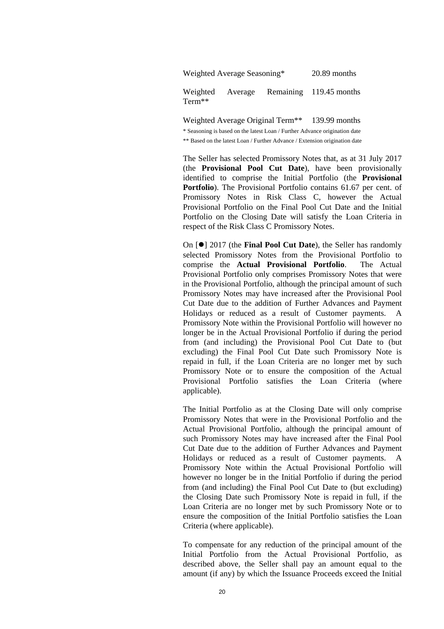Weighted Average Remaining 119.45 months Term\*\*

> Weighted Average Original Term<sup>\*\*</sup> 139.99 months \* Seasoning is based on the latest Loan / Further Advance origination date \*\* Based on the latest Loan / Further Advance / Extension origination date

 The Seller has selected Promissory Notes that, as at 31 July 2017 (the **Provisional Pool Cut Date**), have been provisionally identified to comprise the Initial Portfolio (the **Provisional Portfolio**). The Provisional Portfolio contains 61.67 per cent. of Promissory Notes in Risk Class C, however the Actual Provisional Portfolio on the Final Pool Cut Date and the Initial Portfolio on the Closing Date will satisfy the Loan Criteria in respect of the Risk Class C Promissory Notes.

On  $\text{[} \bullet \text{]}$  2017 (the **Final Pool Cut Date**), the Seller has randomly selected Promissory Notes from the Provisional Portfolio to comprise the **Actual Provisional Portfolio**. The Actual Provisional Portfolio only comprises Promissory Notes that were in the Provisional Portfolio, although the principal amount of such Promissory Notes may have increased after the Provisional Pool Cut Date due to the addition of Further Advances and Payment Holidays or reduced as a result of Customer payments. A Promissory Note within the Provisional Portfolio will however no longer be in the Actual Provisional Portfolio if during the period from (and including) the Provisional Pool Cut Date to (but excluding) the Final Pool Cut Date such Promissory Note is repaid in full, if the Loan Criteria are no longer met by such Promissory Note or to ensure the composition of the Actual Provisional Portfolio satisfies the Loan Criteria (where applicable).

 The Initial Portfolio as at the Closing Date will only comprise Promissory Notes that were in the Provisional Portfolio and the Actual Provisional Portfolio, although the principal amount of such Promissory Notes may have increased after the Final Pool Cut Date due to the addition of Further Advances and Payment Holidays or reduced as a result of Customer payments. A Promissory Note within the Actual Provisional Portfolio will however no longer be in the Initial Portfolio if during the period from (and including) the Final Pool Cut Date to (but excluding) the Closing Date such Promissory Note is repaid in full, if the Loan Criteria are no longer met by such Promissory Note or to ensure the composition of the Initial Portfolio satisfies the Loan Criteria (where applicable).

To compensate for any reduction of the principal amount of the Initial Portfolio from the Actual Provisional Portfolio, as described above, the Seller shall pay an amount equal to the amount (if any) by which the Issuance Proceeds exceed the Initial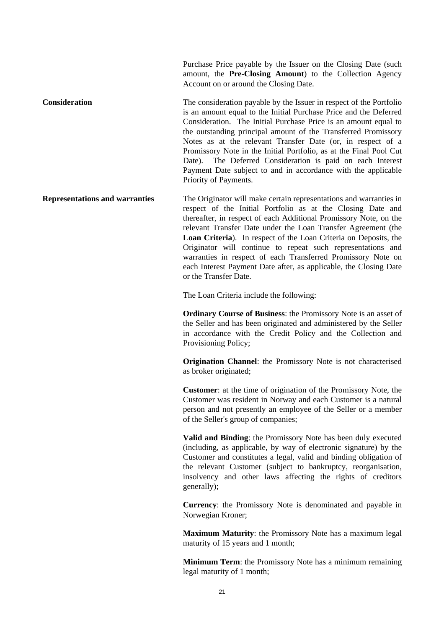Purchase Price payable by the Issuer on the Closing Date (such amount, the **Pre-Closing Amount**) to the Collection Agency Account on or around the Closing Date.

**Consideration** The consideration payable by the Issuer in respect of the Portfolio is an amount equal to the Initial Purchase Price and the Deferred Consideration. The Initial Purchase Price is an amount equal to the outstanding principal amount of the Transferred Promissory Notes as at the relevant Transfer Date (or, in respect of a Promissory Note in the Initial Portfolio, as at the Final Pool Cut Date). The Deferred Consideration is paid on each Interest Payment Date subject to and in accordance with the applicable Priority of Payments.

**Representations and warranties** The Originator will make certain representations and warranties in respect of the Initial Portfolio as at the Closing Date and thereafter, in respect of each Additional Promissory Note, on the relevant Transfer Date under the Loan Transfer Agreement (the **Loan Criteria**). In respect of the Loan Criteria on Deposits, the Originator will continue to repeat such representations and warranties in respect of each Transferred Promissory Note on each Interest Payment Date after, as applicable, the Closing Date or the Transfer Date.

The Loan Criteria include the following:

**Ordinary Course of Business**: the Promissory Note is an asset of the Seller and has been originated and administered by the Seller in accordance with the Credit Policy and the Collection and Provisioning Policy;

**Origination Channel**: the Promissory Note is not characterised as broker originated;

**Customer**: at the time of origination of the Promissory Note, the Customer was resident in Norway and each Customer is a natural person and not presently an employee of the Seller or a member of the Seller's group of companies;

**Valid and Binding**: the Promissory Note has been duly executed (including, as applicable, by way of electronic signature) by the Customer and constitutes a legal, valid and binding obligation of the relevant Customer (subject to bankruptcy, reorganisation, insolvency and other laws affecting the rights of creditors generally);

**Currency**: the Promissory Note is denominated and payable in Norwegian Kroner;

**Maximum Maturity**: the Promissory Note has a maximum legal maturity of 15 years and 1 month;

**Minimum Term**: the Promissory Note has a minimum remaining legal maturity of 1 month;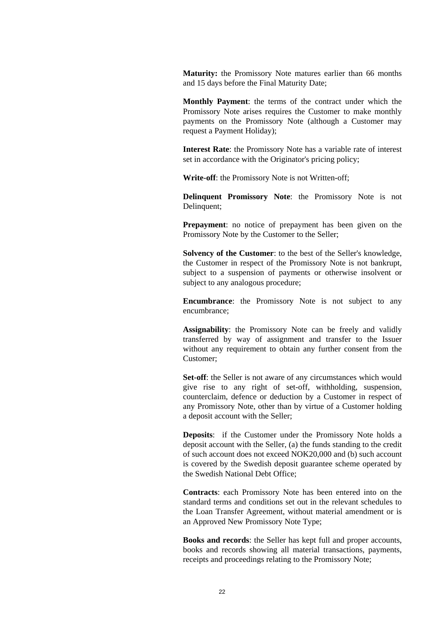**Maturity:** the Promissory Note matures earlier than 66 months and 15 days before the Final Maturity Date;

**Monthly Payment**: the terms of the contract under which the Promissory Note arises requires the Customer to make monthly payments on the Promissory Note (although a Customer may request a Payment Holiday);

**Interest Rate**: the Promissory Note has a variable rate of interest set in accordance with the Originator's pricing policy;

**Write-off**: the Promissory Note is not Written-off;

**Delinquent Promissory Note**: the Promissory Note is not Delinquent;

**Prepayment**: no notice of prepayment has been given on the Promissory Note by the Customer to the Seller;

**Solvency of the Customer**: to the best of the Seller's knowledge, the Customer in respect of the Promissory Note is not bankrupt, subject to a suspension of payments or otherwise insolvent or subject to any analogous procedure;

**Encumbrance**: the Promissory Note is not subject to any encumbrance;

**Assignability**: the Promissory Note can be freely and validly transferred by way of assignment and transfer to the Issuer without any requirement to obtain any further consent from the Customer;

**Set-off:** the Seller is not aware of any circumstances which would give rise to any right of set-off, withholding, suspension, counterclaim, defence or deduction by a Customer in respect of any Promissory Note, other than by virtue of a Customer holding a deposit account with the Seller;

**Deposits**: if the Customer under the Promissory Note holds a deposit account with the Seller, (a) the funds standing to the credit of such account does not exceed NOK20,000 and (b) such account is covered by the Swedish deposit guarantee scheme operated by the Swedish National Debt Office;

**Contracts**: each Promissory Note has been entered into on the standard terms and conditions set out in the relevant schedules to the Loan Transfer Agreement, without material amendment or is an Approved New Promissory Note Type;

**Books and records**: the Seller has kept full and proper accounts, books and records showing all material transactions, payments, receipts and proceedings relating to the Promissory Note;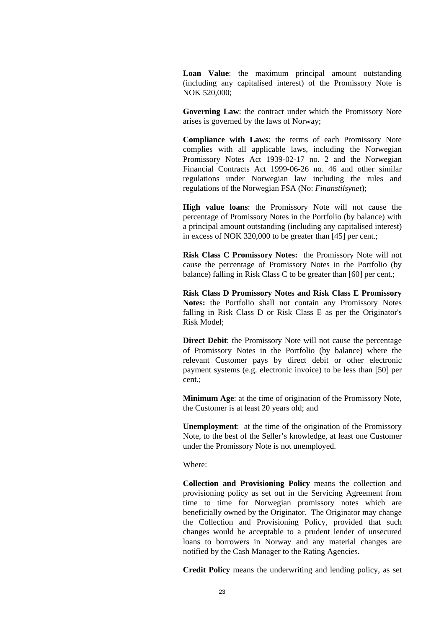**Loan Value**: the maximum principal amount outstanding (including any capitalised interest) of the Promissory Note is NOK 520,000;

**Governing Law**: the contract under which the Promissory Note arises is governed by the laws of Norway;

**Compliance with Laws**: the terms of each Promissory Note complies with all applicable laws, including the Norwegian Promissory Notes Act 1939-02-17 no. 2 and the Norwegian Financial Contracts Act 1999-06-26 no. 46 and other similar regulations under Norwegian law including the rules and regulations of the Norwegian FSA (No: *Finanstilsynet*);

**High value loans**: the Promissory Note will not cause the percentage of Promissory Notes in the Portfolio (by balance) with a principal amount outstanding (including any capitalised interest) in excess of NOK 320,000 to be greater than [45] per cent.;

**Risk Class C Promissory Notes:** the Promissory Note will not cause the percentage of Promissory Notes in the Portfolio (by balance) falling in Risk Class C to be greater than [60] per cent.:

 **Risk Class D Promissory Notes and Risk Class E Promissory Notes:** the Portfolio shall not contain any Promissory Notes falling in Risk Class D or Risk Class E as per the Originator's Risk Model;

**Direct Debit:** the Promissory Note will not cause the percentage of Promissory Notes in the Portfolio (by balance) where the relevant Customer pays by direct debit or other electronic payment systems (e.g. electronic invoice) to be less than [50] per cent.;

**Minimum Age**: at the time of origination of the Promissory Note, the Customer is at least 20 years old; and

**Unemployment**: at the time of the origination of the Promissory Note, to the best of the Seller's knowledge, at least one Customer under the Promissory Note is not unemployed.

Where:

**Collection and Provisioning Policy** means the collection and provisioning policy as set out in the Servicing Agreement from time to time for Norwegian promissory notes which are beneficially owned by the Originator. The Originator may change the Collection and Provisioning Policy, provided that such changes would be acceptable to a prudent lender of unsecured loans to borrowers in Norway and any material changes are notified by the Cash Manager to the Rating Agencies.

**Credit Policy** means the underwriting and lending policy, as set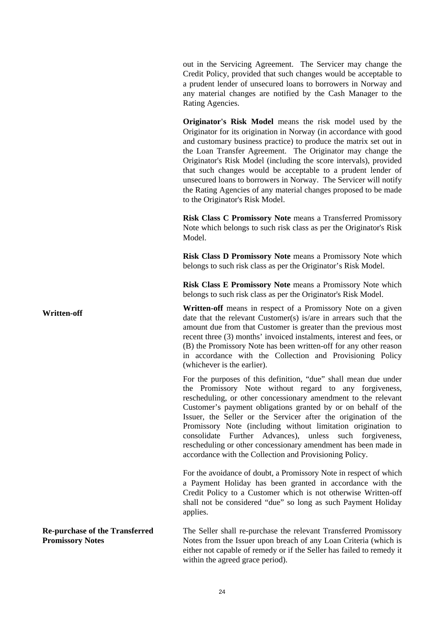out in the Servicing Agreement. The Servicer may change the Credit Policy, provided that such changes would be acceptable to a prudent lender of unsecured loans to borrowers in Norway and any material changes are notified by the Cash Manager to the Rating Agencies.

**Originator's Risk Model** means the risk model used by the Originator for its origination in Norway (in accordance with good and customary business practice) to produce the matrix set out in the Loan Transfer Agreement. The Originator may change the Originator's Risk Model (including the score intervals), provided that such changes would be acceptable to a prudent lender of unsecured loans to borrowers in Norway. The Servicer will notify the Rating Agencies of any material changes proposed to be made to the Originator's Risk Model.

**Risk Class C Promissory Note** means a Transferred Promissory Note which belongs to such risk class as per the Originator's Risk Model.

**Risk Class D Promissory Note** means a Promissory Note which belongs to such risk class as per the Originator's Risk Model.

**Risk Class E Promissory Note** means a Promissory Note which belongs to such risk class as per the Originator's Risk Model.

**Written-off** means in respect of a Promissory Note on a given date that the relevant Customer(s) is/are in arrears such that the amount due from that Customer is greater than the previous most recent three (3) months' invoiced instalments, interest and fees, or (B) the Promissory Note has been written-off for any other reason in accordance with the Collection and Provisioning Policy (whichever is the earlier).

> For the purposes of this definition, "due" shall mean due under the Promissory Note without regard to any forgiveness, rescheduling, or other concessionary amendment to the relevant Customer's payment obligations granted by or on behalf of the Issuer, the Seller or the Servicer after the origination of the Promissory Note (including without limitation origination to consolidate Further Advances), unless such forgiveness, rescheduling or other concessionary amendment has been made in accordance with the Collection and Provisioning Policy.

> For the avoidance of doubt, a Promissory Note in respect of which a Payment Holiday has been granted in accordance with the Credit Policy to a Customer which is not otherwise Written-off shall not be considered "due" so long as such Payment Holiday applies.

> The Seller shall re-purchase the relevant Transferred Promissory Notes from the Issuer upon breach of any Loan Criteria (which is either not capable of remedy or if the Seller has failed to remedy it within the agreed grace period).

**Re-purchase of the Transferred Promissory Notes**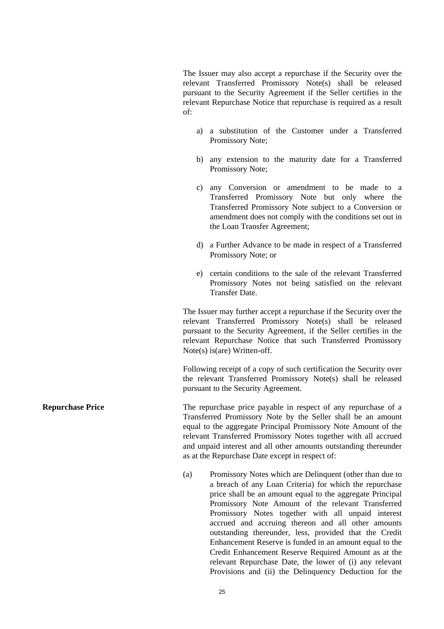The Issuer may also accept a repurchase if the Security over the relevant Transferred Promissory Note(s) shall be released pursuant to the Security Agreement if the Seller certifies in the relevant Repurchase Notice that repurchase is required as a result of:

- a) a substitution of the Customer under a Transferred Promissory Note;
- b) any extension to the maturity date for a Transferred Promissory Note;
- c) any Conversion or amendment to be made to a Transferred Promissory Note but only where the Transferred Promissory Note subject to a Conversion or amendment does not comply with the conditions set out in the Loan Transfer Agreement;
- d) a Further Advance to be made in respect of a Transferred Promissory Note; or
- e) certain conditions to the sale of the relevant Transferred Promissory Notes not being satisfied on the relevant Transfer Date.

The Issuer may further accept a repurchase if the Security over the relevant Transferred Promissory Note(s) shall be released pursuant to the Security Agreement, if the Seller certifies in the relevant Repurchase Notice that such Transferred Promissory Note(s) is(are) Written-off.

Following receipt of a copy of such certification the Security over the relevant Transferred Promissory Note(s) shall be released pursuant to the Security Agreement.

**Repurchase Price** The repurchase price payable in respect of any repurchase of a Transferred Promissory Note by the Seller shall be an amount equal to the aggregate Principal Promissory Note Amount of the relevant Transferred Promissory Notes together with all accrued and unpaid interest and all other amounts outstanding thereunder as at the Repurchase Date except in respect of:

> (a) Promissory Notes which are Delinquent (other than due to a breach of any Loan Criteria) for which the repurchase price shall be an amount equal to the aggregate Principal Promissory Note Amount of the relevant Transferred Promissory Notes together with all unpaid interest accrued and accruing thereon and all other amounts outstanding thereunder, less, provided that the Credit Enhancement Reserve is funded in an amount equal to the Credit Enhancement Reserve Required Amount as at the relevant Repurchase Date, the lower of (i) any relevant Provisions and (ii) the Delinquency Deduction for the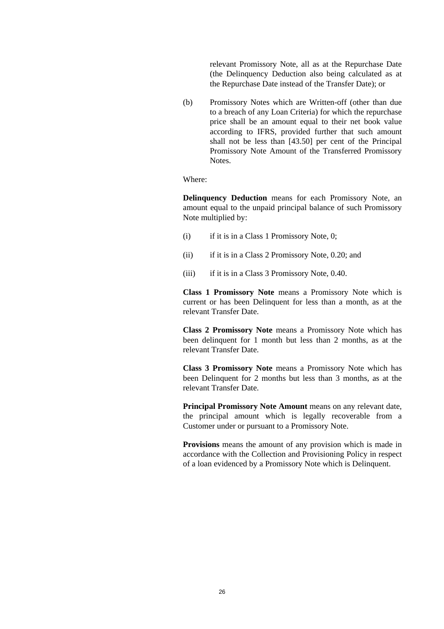relevant Promissory Note, all as at the Repurchase Date (the Delinquency Deduction also being calculated as at the Repurchase Date instead of the Transfer Date); or

 (b) Promissory Notes which are Written-off (other than due to a breach of any Loan Criteria) for which the repurchase price shall be an amount equal to their net book value according to IFRS, provided further that such amount shall not be less than [43.50] per cent of the Principal Promissory Note Amount of the Transferred Promissory Notes.

Where:

**Delinquency Deduction** means for each Promissory Note, an amount equal to the unpaid principal balance of such Promissory Note multiplied by:

- (i) if it is in a Class 1 Promissory Note, 0;
- (ii) if it is in a Class 2 Promissory Note, 0.20; and
- (iii) if it is in a Class 3 Promissory Note, 0.40.

**Class 1 Promissory Note** means a Promissory Note which is current or has been Delinquent for less than a month, as at the relevant Transfer Date.

**Class 2 Promissory Note** means a Promissory Note which has been delinquent for 1 month but less than 2 months, as at the relevant Transfer Date.

**Class 3 Promissory Note** means a Promissory Note which has been Delinquent for 2 months but less than 3 months, as at the relevant Transfer Date.

**Principal Promissory Note Amount** means on any relevant date. the principal amount which is legally recoverable from a Customer under or pursuant to a Promissory Note.

**Provisions** means the amount of any provision which is made in accordance with the Collection and Provisioning Policy in respect of a loan evidenced by a Promissory Note which is Delinquent.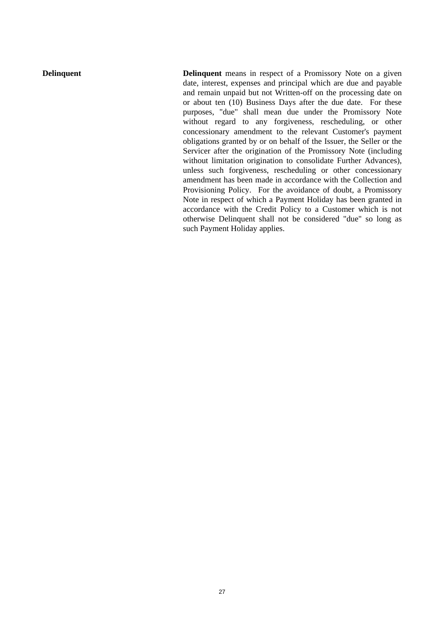**Delinquent Delinquent** means in respect of a Promissory Note on a given date, interest, expenses and principal which are due and payable and remain unpaid but not Written-off on the processing date on or about ten (10) Business Days after the due date. For these purposes, "due" shall mean due under the Promissory Note without regard to any forgiveness, rescheduling, or other concessionary amendment to the relevant Customer's payment obligations granted by or on behalf of the Issuer, the Seller or the Servicer after the origination of the Promissory Note (including without limitation origination to consolidate Further Advances), unless such forgiveness, rescheduling or other concessionary amendment has been made in accordance with the Collection and Provisioning Policy. For the avoidance of doubt, a Promissory Note in respect of which a Payment Holiday has been granted in accordance with the Credit Policy to a Customer which is not otherwise Delinquent shall not be considered "due" so long as such Payment Holiday applies.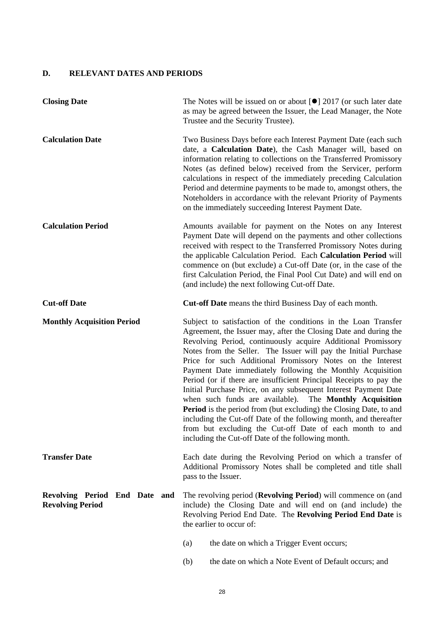# **D. RELEVANT DATES AND PERIODS**

| <b>Closing Date</b>                                      | The Notes will be issued on or about $\lceil \bullet \rceil$ 2017 (or such later date<br>as may be agreed between the Issuer, the Lead Manager, the Note<br>Trustee and the Security Trustee).                                                                                                                                                                                                                                                                                                                                                                                                                                                                                                                                                                                                                                                                            |  |  |
|----------------------------------------------------------|---------------------------------------------------------------------------------------------------------------------------------------------------------------------------------------------------------------------------------------------------------------------------------------------------------------------------------------------------------------------------------------------------------------------------------------------------------------------------------------------------------------------------------------------------------------------------------------------------------------------------------------------------------------------------------------------------------------------------------------------------------------------------------------------------------------------------------------------------------------------------|--|--|
| <b>Calculation Date</b>                                  | Two Business Days before each Interest Payment Date (each such<br>date, a Calculation Date), the Cash Manager will, based on<br>information relating to collections on the Transferred Promissory<br>Notes (as defined below) received from the Servicer, perform<br>calculations in respect of the immediately preceding Calculation<br>Period and determine payments to be made to, amongst others, the<br>Noteholders in accordance with the relevant Priority of Payments<br>on the immediately succeeding Interest Payment Date.                                                                                                                                                                                                                                                                                                                                     |  |  |
| <b>Calculation Period</b>                                | Amounts available for payment on the Notes on any Interest<br>Payment Date will depend on the payments and other collections<br>received with respect to the Transferred Promissory Notes during<br>the applicable Calculation Period. Each Calculation Period will<br>commence on (but exclude) a Cut-off Date (or, in the case of the<br>first Calculation Period, the Final Pool Cut Date) and will end on<br>(and include) the next following Cut-off Date.                                                                                                                                                                                                                                                                                                                                                                                                           |  |  |
| <b>Cut-off Date</b>                                      | Cut-off Date means the third Business Day of each month.                                                                                                                                                                                                                                                                                                                                                                                                                                                                                                                                                                                                                                                                                                                                                                                                                  |  |  |
| <b>Monthly Acquisition Period</b>                        | Subject to satisfaction of the conditions in the Loan Transfer<br>Agreement, the Issuer may, after the Closing Date and during the<br>Revolving Period, continuously acquire Additional Promissory<br>Notes from the Seller. The Issuer will pay the Initial Purchase<br>Price for such Additional Promissory Notes on the Interest<br>Payment Date immediately following the Monthly Acquisition<br>Period (or if there are insufficient Principal Receipts to pay the<br>Initial Purchase Price, on any subsequent Interest Payment Date<br>when such funds are available). The Monthly Acquisition<br><b>Period</b> is the period from (but excluding) the Closing Date, to and<br>including the Cut-off Date of the following month, and thereafter<br>from but excluding the Cut-off Date of each month to and<br>including the Cut-off Date of the following month. |  |  |
| <b>Transfer Date</b>                                     | Each date during the Revolving Period on which a transfer of<br>Additional Promissory Notes shall be completed and title shall<br>pass to the Issuer.                                                                                                                                                                                                                                                                                                                                                                                                                                                                                                                                                                                                                                                                                                                     |  |  |
| Revolving Period End Date and<br><b>Revolving Period</b> | The revolving period (Revolving Period) will commence on (and<br>include) the Closing Date and will end on (and include) the<br>Revolving Period End Date. The Revolving Period End Date is<br>the earlier to occur of:                                                                                                                                                                                                                                                                                                                                                                                                                                                                                                                                                                                                                                                   |  |  |
|                                                          | the date on which a Trigger Event occurs;<br>(a)                                                                                                                                                                                                                                                                                                                                                                                                                                                                                                                                                                                                                                                                                                                                                                                                                          |  |  |
|                                                          | the date on which a Note Event of Default occurs; and<br>(b)                                                                                                                                                                                                                                                                                                                                                                                                                                                                                                                                                                                                                                                                                                                                                                                                              |  |  |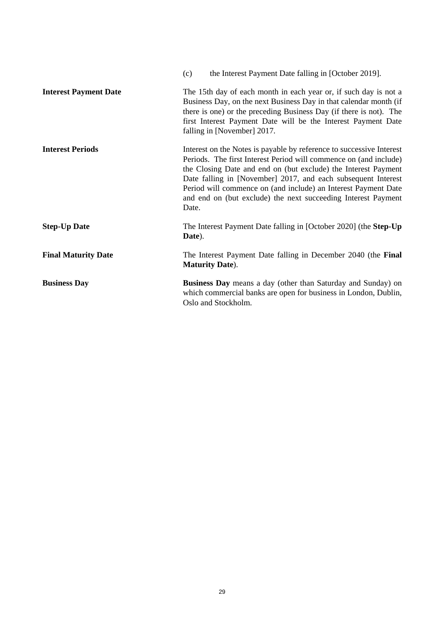|                              | the Interest Payment Date falling in [October 2019].<br>(c)                                                                                                                                                                                                                                                                                                                                                              |
|------------------------------|--------------------------------------------------------------------------------------------------------------------------------------------------------------------------------------------------------------------------------------------------------------------------------------------------------------------------------------------------------------------------------------------------------------------------|
| <b>Interest Payment Date</b> | The 15th day of each month in each year or, if such day is not a<br>Business Day, on the next Business Day in that calendar month (if<br>there is one) or the preceding Business Day (if there is not). The<br>first Interest Payment Date will be the Interest Payment Date<br>falling in [November] 2017.                                                                                                              |
| <b>Interest Periods</b>      | Interest on the Notes is payable by reference to successive Interest<br>Periods. The first Interest Period will commence on (and include)<br>the Closing Date and end on (but exclude) the Interest Payment<br>Date falling in [November] 2017, and each subsequent Interest<br>Period will commence on (and include) an Interest Payment Date<br>and end on (but exclude) the next succeeding Interest Payment<br>Date. |
| <b>Step-Up Date</b>          | The Interest Payment Date falling in [October 2020] (the Step-Up<br>Date).                                                                                                                                                                                                                                                                                                                                               |
| <b>Final Maturity Date</b>   | The Interest Payment Date falling in December 2040 (the Final<br><b>Maturity Date</b> ).                                                                                                                                                                                                                                                                                                                                 |
| <b>Business Day</b>          | <b>Business Day</b> means a day (other than Saturday and Sunday) on<br>which commercial banks are open for business in London, Dublin,<br>Oslo and Stockholm.                                                                                                                                                                                                                                                            |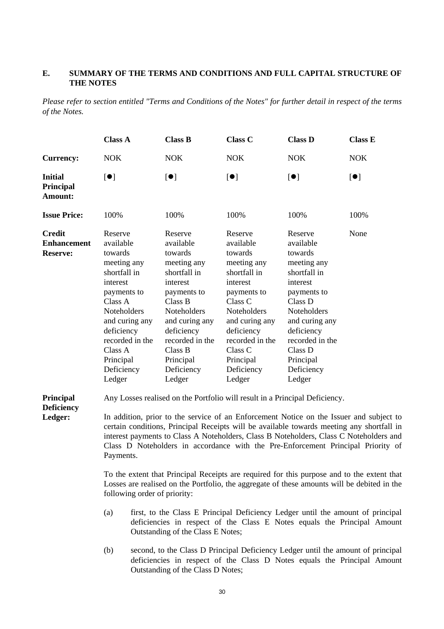## **E. SUMMARY OF THE TERMS AND CONDITIONS AND FULL CAPITAL STRUCTURE OF THE NOTES**

*Please refer to section entitled "Terms and Conditions of the Notes" for further detail in respect of the terms of the Notes.* 

|                                                        | <b>Class A</b>                                                                                                                                                                                                                | <b>Class B</b>                                                                                                                                                                                                                | <b>Class C</b>                                                                                                                                                                                                                | <b>Class D</b>                                                                                                                                                                                                         | <b>Class E</b>            |
|--------------------------------------------------------|-------------------------------------------------------------------------------------------------------------------------------------------------------------------------------------------------------------------------------|-------------------------------------------------------------------------------------------------------------------------------------------------------------------------------------------------------------------------------|-------------------------------------------------------------------------------------------------------------------------------------------------------------------------------------------------------------------------------|------------------------------------------------------------------------------------------------------------------------------------------------------------------------------------------------------------------------|---------------------------|
| <b>Currency:</b>                                       | <b>NOK</b>                                                                                                                                                                                                                    | <b>NOK</b>                                                                                                                                                                                                                    | <b>NOK</b>                                                                                                                                                                                                                    | <b>NOK</b>                                                                                                                                                                                                             | <b>NOK</b>                |
| <b>Initial</b><br>Principal<br>Amount:                 | $\lbrack \bullet \rbrack$                                                                                                                                                                                                     | $\lbrack \bullet \rbrack$                                                                                                                                                                                                     | $\lbrack \bullet \rbrack$                                                                                                                                                                                                     | $\left[ \bullet \right]$                                                                                                                                                                                               | $\lbrack \bullet \rbrack$ |
| <b>Issue Price:</b>                                    | 100\%                                                                                                                                                                                                                         | 100%                                                                                                                                                                                                                          | 100%                                                                                                                                                                                                                          | 100\%                                                                                                                                                                                                                  | 100\%                     |
| <b>Credit</b><br><b>Enhancement</b><br><b>Reserve:</b> | Reserve<br>available<br>towards<br>meeting any<br>shortfall in<br>interest<br>payments to<br>Class A<br><b>Noteholders</b><br>and curing any<br>deficiency<br>recorded in the<br>Class A<br>Principal<br>Deficiency<br>Ledger | Reserve<br>available<br>towards<br>meeting any<br>shortfall in<br>interest<br>payments to<br>Class B<br><b>Noteholders</b><br>and curing any<br>deficiency<br>recorded in the<br>Class B<br>Principal<br>Deficiency<br>Ledger | Reserve<br>available<br>towards<br>meeting any<br>shortfall in<br>interest<br>payments to<br>Class C<br><b>Noteholders</b><br>and curing any<br>deficiency<br>recorded in the<br>Class C<br>Principal<br>Deficiency<br>Ledger | Reserve<br>available<br>towards<br>meeting any<br>shortfall in<br>interest<br>payments to<br>Class D<br>Noteholders<br>and curing any<br>deficiency<br>recorded in the<br>Class D<br>Principal<br>Deficiency<br>Ledger | None                      |

**Principal Deficiency Ledger:**

Any Losses realised on the Portfolio will result in a Principal Deficiency.

In addition, prior to the service of an Enforcement Notice on the Issuer and subject to certain conditions, Principal Receipts will be available towards meeting any shortfall in interest payments to Class A Noteholders, Class B Noteholders, Class C Noteholders and Class D Noteholders in accordance with the Pre-Enforcement Principal Priority of Payments.

 To the extent that Principal Receipts are required for this purpose and to the extent that Losses are realised on the Portfolio, the aggregate of these amounts will be debited in the following order of priority:

- (a) first, to the Class E Principal Deficiency Ledger until the amount of principal deficiencies in respect of the Class E Notes equals the Principal Amount Outstanding of the Class E Notes;
- (b) second, to the Class D Principal Deficiency Ledger until the amount of principal deficiencies in respect of the Class D Notes equals the Principal Amount Outstanding of the Class D Notes;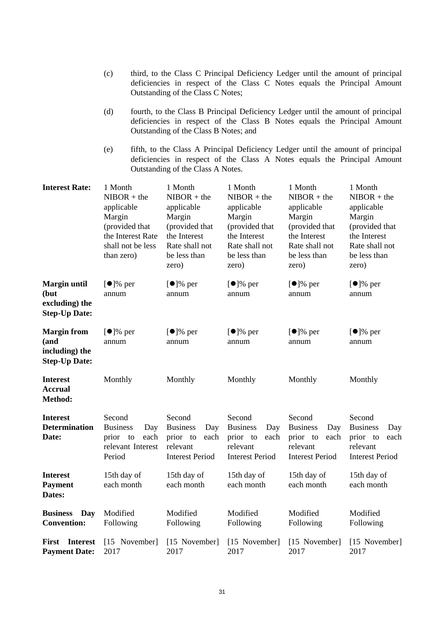|                                                                       | (c)<br>third, to the Class C Principal Deficiency Ledger until the amount of principal<br>deficiencies in respect of the Class C Notes equals the Principal Amount<br>Outstanding of the Class C Notes; |                                                                                                                                                                                                       |                                                                                                                               |                                                                                                                                                             |                                                                                                                               |                                                                                                                               |  |
|-----------------------------------------------------------------------|---------------------------------------------------------------------------------------------------------------------------------------------------------------------------------------------------------|-------------------------------------------------------------------------------------------------------------------------------------------------------------------------------------------------------|-------------------------------------------------------------------------------------------------------------------------------|-------------------------------------------------------------------------------------------------------------------------------------------------------------|-------------------------------------------------------------------------------------------------------------------------------|-------------------------------------------------------------------------------------------------------------------------------|--|
|                                                                       | (d)                                                                                                                                                                                                     | fourth, to the Class B Principal Deficiency Ledger until the amount of principal<br>deficiencies in respect of the Class B Notes equals the Principal Amount<br>Outstanding of the Class B Notes; and |                                                                                                                               |                                                                                                                                                             |                                                                                                                               |                                                                                                                               |  |
|                                                                       | (e)                                                                                                                                                                                                     |                                                                                                                                                                                                       | Outstanding of the Class A Notes.                                                                                             | fifth, to the Class A Principal Deficiency Ledger until the amount of principal<br>deficiencies in respect of the Class A Notes equals the Principal Amount |                                                                                                                               |                                                                                                                               |  |
| <b>Interest Rate:</b>                                                 | 1 Month<br>$NIBOR + the$<br>applicable<br>Margin<br>(provided that<br>than zero)                                                                                                                        | the Interest Rate<br>shall not be less                                                                                                                                                                | 1 Month<br>$NIBOR + the$<br>applicable<br>Margin<br>(provided that<br>the Interest<br>Rate shall not<br>be less than<br>zero) | 1 Month<br>$NIBOR + the$<br>applicable<br>Margin<br>(provided that<br>the Interest<br>Rate shall not<br>be less than<br>zero)                               | 1 Month<br>$NIBOR + the$<br>applicable<br>Margin<br>(provided that<br>the Interest<br>Rate shall not<br>be less than<br>zero) | 1 Month<br>$NIBOR + the$<br>applicable<br>Margin<br>(provided that<br>the Interest<br>Rate shall not<br>be less than<br>zero) |  |
| <b>Margin until</b><br>(but<br>excluding) the<br><b>Step-Up Date:</b> | $\lbrack \bullet \rbrack$ % per<br>annum                                                                                                                                                                |                                                                                                                                                                                                       | $[•]%$ per<br>annum                                                                                                           | $[•]%$ per<br>annum                                                                                                                                         | $[•]%$ per<br>annum                                                                                                           | $[•]%$ per<br>annum                                                                                                           |  |
| <b>Margin from</b><br>(and<br>including) the<br><b>Step-Up Date:</b>  | $\lbrack \bullet \rbrack$ % per<br>annum                                                                                                                                                                |                                                                                                                                                                                                       | $[•]%$ per<br>annum                                                                                                           | $[•]%$ per<br>annum                                                                                                                                         | $[•]%$ per<br>annum                                                                                                           | $[•]%$ per<br>annum                                                                                                           |  |
| <b>Interest</b><br><b>Accrual</b><br>Method:                          | Monthly                                                                                                                                                                                                 |                                                                                                                                                                                                       | Monthly                                                                                                                       | Monthly                                                                                                                                                     | Monthly                                                                                                                       | Monthly                                                                                                                       |  |
| <b>Interest</b><br><b>Determination</b><br>Date:                      | Second<br><b>Business</b><br>prior to<br>Period                                                                                                                                                         | Day<br>each<br>relevant Interest                                                                                                                                                                      | Second<br><b>Business</b><br>Day<br>prior to<br>each<br>relevant<br><b>Interest Period</b>                                    | Second<br><b>Business</b><br>Day<br>prior to<br>each<br>relevant<br><b>Interest Period</b>                                                                  | Second<br><b>Business</b><br>Day<br>prior to<br>each<br>relevant<br><b>Interest Period</b>                                    | Second<br><b>Business</b><br>Day<br>prior to<br>each<br>relevant<br><b>Interest Period</b>                                    |  |
| <b>Interest</b><br><b>Payment</b><br>Dates:                           | 15th day of<br>each month                                                                                                                                                                               |                                                                                                                                                                                                       | 15th day of<br>each month                                                                                                     | 15th day of<br>each month                                                                                                                                   | 15th day of<br>each month                                                                                                     | 15th day of<br>each month                                                                                                     |  |
| <b>Business</b><br>Day<br><b>Convention:</b>                          | Modified<br>Following                                                                                                                                                                                   |                                                                                                                                                                                                       | Modified<br>Following                                                                                                         | Modified<br>Following                                                                                                                                       | Modified<br>Following                                                                                                         | Modified<br>Following                                                                                                         |  |
| <b>Interest</b><br>First<br><b>Payment Date:</b>                      | 2017                                                                                                                                                                                                    | [15 November]                                                                                                                                                                                         | [15 November]<br>2017                                                                                                         | [15 November]<br>2017                                                                                                                                       | [15 November]<br>2017                                                                                                         | [15 November]<br>2017                                                                                                         |  |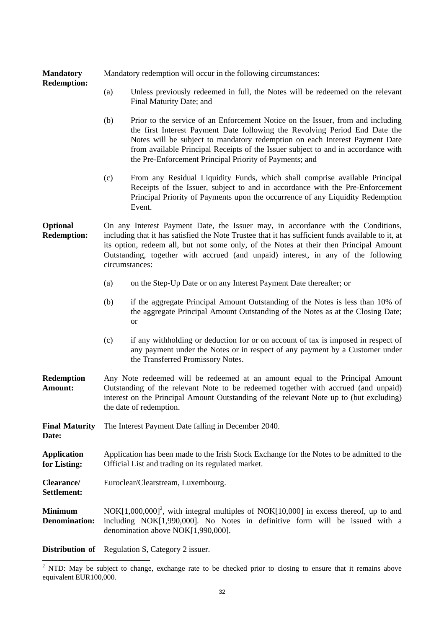| <b>Mandatory</b><br><b>Redemption:</b> | Mandatory redemption will occur in the following circumstances:                                                                                                                                                                                                                                                                                                                        |                                                                                                                                                                                                                                                                                                                                                                                               |  |  |
|----------------------------------------|----------------------------------------------------------------------------------------------------------------------------------------------------------------------------------------------------------------------------------------------------------------------------------------------------------------------------------------------------------------------------------------|-----------------------------------------------------------------------------------------------------------------------------------------------------------------------------------------------------------------------------------------------------------------------------------------------------------------------------------------------------------------------------------------------|--|--|
|                                        | (a)                                                                                                                                                                                                                                                                                                                                                                                    | Unless previously redeemed in full, the Notes will be redeemed on the relevant<br>Final Maturity Date; and                                                                                                                                                                                                                                                                                    |  |  |
|                                        | (b)                                                                                                                                                                                                                                                                                                                                                                                    | Prior to the service of an Enforcement Notice on the Issuer, from and including<br>the first Interest Payment Date following the Revolving Period End Date the<br>Notes will be subject to mandatory redemption on each Interest Payment Date<br>from available Principal Receipts of the Issuer subject to and in accordance with<br>the Pre-Enforcement Principal Priority of Payments; and |  |  |
|                                        | (c)                                                                                                                                                                                                                                                                                                                                                                                    | From any Residual Liquidity Funds, which shall comprise available Principal<br>Receipts of the Issuer, subject to and in accordance with the Pre-Enforcement<br>Principal Priority of Payments upon the occurrence of any Liquidity Redemption<br>Event.                                                                                                                                      |  |  |
| Optional<br><b>Redemption:</b>         | On any Interest Payment Date, the Issuer may, in accordance with the Conditions,<br>including that it has satisfied the Note Trustee that it has sufficient funds available to it, at<br>its option, redeem all, but not some only, of the Notes at their then Principal Amount<br>Outstanding, together with accrued (and unpaid) interest, in any of the following<br>circumstances: |                                                                                                                                                                                                                                                                                                                                                                                               |  |  |
|                                        | (a)                                                                                                                                                                                                                                                                                                                                                                                    | on the Step-Up Date or on any Interest Payment Date thereafter; or                                                                                                                                                                                                                                                                                                                            |  |  |
|                                        | (b)                                                                                                                                                                                                                                                                                                                                                                                    | if the aggregate Principal Amount Outstanding of the Notes is less than 10% of<br>the aggregate Principal Amount Outstanding of the Notes as at the Closing Date;<br>or                                                                                                                                                                                                                       |  |  |
|                                        | (c)                                                                                                                                                                                                                                                                                                                                                                                    | if any withholding or deduction for or on account of tax is imposed in respect of<br>any payment under the Notes or in respect of any payment by a Customer under<br>the Transferred Promissory Notes.                                                                                                                                                                                        |  |  |
| <b>Redemption</b><br>Amount:           | Any Note redeemed will be redeemed at an amount equal to the Principal Amount<br>Outstanding of the relevant Note to be redeemed together with accrued (and unpaid)<br>interest on the Principal Amount Outstanding of the relevant Note up to (but excluding)<br>the date of redemption.                                                                                              |                                                                                                                                                                                                                                                                                                                                                                                               |  |  |
| <b>Final Maturity</b><br>Date:         | The Interest Payment Date falling in December 2040.                                                                                                                                                                                                                                                                                                                                    |                                                                                                                                                                                                                                                                                                                                                                                               |  |  |
| <b>Application</b><br>for Listing:     | Application has been made to the Irish Stock Exchange for the Notes to be admitted to the<br>Official List and trading on its regulated market.                                                                                                                                                                                                                                        |                                                                                                                                                                                                                                                                                                                                                                                               |  |  |
| Clearance/<br>Settlement:              | Euroclear/Clearstream, Luxembourg.                                                                                                                                                                                                                                                                                                                                                     |                                                                                                                                                                                                                                                                                                                                                                                               |  |  |
| <b>Minimum</b><br><b>Denomination:</b> | $NOK[1,000,000]^2$ , with integral multiples of NOK $[10,000]$ in excess thereof, up to and<br>including NOK[1,990,000]. No Notes in definitive form will be issued with a<br>denomination above NOK[1,990,000].                                                                                                                                                                       |                                                                                                                                                                                                                                                                                                                                                                                               |  |  |
| Distribution of                        | Regulation S, Category 2 issuer.                                                                                                                                                                                                                                                                                                                                                       |                                                                                                                                                                                                                                                                                                                                                                                               |  |  |

<sup>&</sup>lt;sup>2</sup> NTD: May be subject to change, exchange rate to be checked prior to closing to ensure that it remains above equivalent EUR100,000.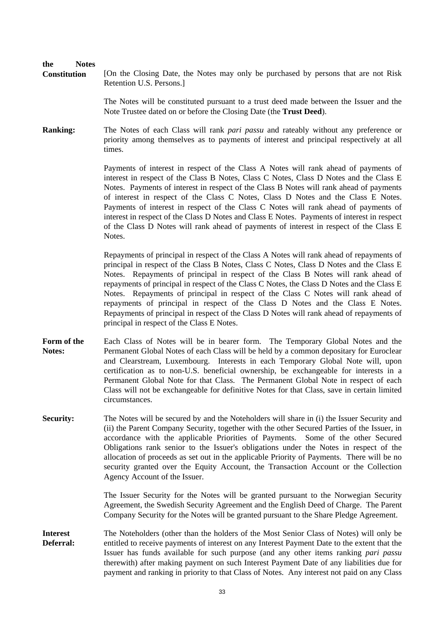#### **the Notes**

**Constitution** [On the Closing Date, the Notes may only be purchased by persons that are not Risk Retention U.S. Persons.]

> The Notes will be constituted pursuant to a trust deed made between the Issuer and the Note Trustee dated on or before the Closing Date (the **Trust Deed**).

**Ranking:** The Notes of each Class will rank *pari passu* and rateably without any preference or priority among themselves as to payments of interest and principal respectively at all times.

> Payments of interest in respect of the Class A Notes will rank ahead of payments of interest in respect of the Class B Notes, Class C Notes, Class D Notes and the Class E Notes. Payments of interest in respect of the Class B Notes will rank ahead of payments of interest in respect of the Class C Notes, Class D Notes and the Class E Notes. Payments of interest in respect of the Class C Notes will rank ahead of payments of interest in respect of the Class D Notes and Class E Notes. Payments of interest in respect of the Class D Notes will rank ahead of payments of interest in respect of the Class E Notes.

> Repayments of principal in respect of the Class A Notes will rank ahead of repayments of principal in respect of the Class B Notes, Class C Notes, Class D Notes and the Class E Notes. Repayments of principal in respect of the Class B Notes will rank ahead of repayments of principal in respect of the Class C Notes, the Class D Notes and the Class E Notes. Repayments of principal in respect of the Class C Notes will rank ahead of repayments of principal in respect of the Class D Notes and the Class E Notes. Repayments of principal in respect of the Class D Notes will rank ahead of repayments of principal in respect of the Class E Notes.

- **Form of the Notes:** Each Class of Notes will be in bearer form. The Temporary Global Notes and the Permanent Global Notes of each Class will be held by a common depositary for Euroclear and Clearstream, Luxembourg. Interests in each Temporary Global Note will, upon certification as to non-U.S. beneficial ownership, be exchangeable for interests in a Permanent Global Note for that Class. The Permanent Global Note in respect of each Class will not be exchangeable for definitive Notes for that Class, save in certain limited circumstances.
- **Security:** The Notes will be secured by and the Noteholders will share in (i) the Issuer Security and (ii) the Parent Company Security, together with the other Secured Parties of the Issuer, in accordance with the applicable Priorities of Payments. Some of the other Secured Obligations rank senior to the Issuer's obligations under the Notes in respect of the allocation of proceeds as set out in the applicable Priority of Payments. There will be no security granted over the Equity Account, the Transaction Account or the Collection Agency Account of the Issuer.

 The Issuer Security for the Notes will be granted pursuant to the Norwegian Security Agreement, the Swedish Security Agreement and the English Deed of Charge. The Parent Company Security for the Notes will be granted pursuant to the Share Pledge Agreement.

**Interest Deferral:** The Noteholders (other than the holders of the Most Senior Class of Notes) will only be entitled to receive payments of interest on any Interest Payment Date to the extent that the Issuer has funds available for such purpose (and any other items ranking *pari passu*  therewith) after making payment on such Interest Payment Date of any liabilities due for payment and ranking in priority to that Class of Notes. Any interest not paid on any Class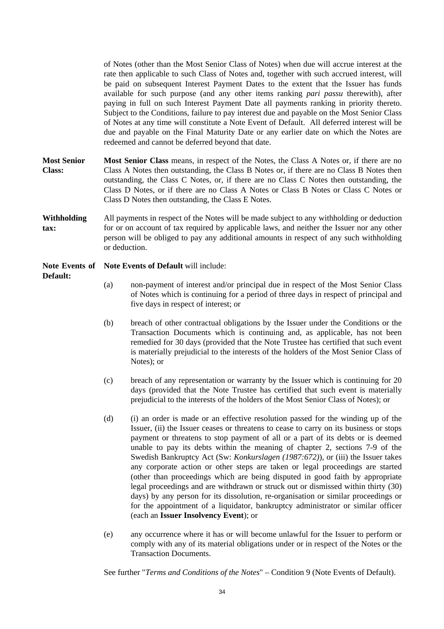of Notes (other than the Most Senior Class of Notes) when due will accrue interest at the rate then applicable to such Class of Notes and, together with such accrued interest, will be paid on subsequent Interest Payment Dates to the extent that the Issuer has funds available for such purpose (and any other items ranking *pari passu* therewith), after paying in full on such Interest Payment Date all payments ranking in priority thereto. Subject to the Conditions, failure to pay interest due and payable on the Most Senior Class of Notes at any time will constitute a Note Event of Default. All deferred interest will be due and payable on the Final Maturity Date or any earlier date on which the Notes are redeemed and cannot be deferred beyond that date.

- **Most Senior Class: Most Senior Class** means, in respect of the Notes, the Class A Notes or, if there are no Class A Notes then outstanding, the Class B Notes or, if there are no Class B Notes then outstanding, the Class C Notes, or, if there are no Class C Notes then outstanding, the Class D Notes, or if there are no Class A Notes or Class B Notes or Class C Notes or Class D Notes then outstanding, the Class E Notes.
- **Withholding tax:** All payments in respect of the Notes will be made subject to any withholding or deduction for or on account of tax required by applicable laws, and neither the Issuer nor any other person will be obliged to pay any additional amounts in respect of any such withholding or deduction.

**Note Events of Note Events of Default** will include:

**Default:**

- (a) non-payment of interest and/or principal due in respect of the Most Senior Class of Notes which is continuing for a period of three days in respect of principal and five days in respect of interest; or
- (b) breach of other contractual obligations by the Issuer under the Conditions or the Transaction Documents which is continuing and, as applicable, has not been remedied for 30 days (provided that the Note Trustee has certified that such event is materially prejudicial to the interests of the holders of the Most Senior Class of Notes); or
- (c) breach of any representation or warranty by the Issuer which is continuing for 20 days (provided that the Note Trustee has certified that such event is materially prejudicial to the interests of the holders of the Most Senior Class of Notes); or
- (d) (i) an order is made or an effective resolution passed for the winding up of the Issuer, (ii) the Issuer ceases or threatens to cease to carry on its business or stops payment or threatens to stop payment of all or a part of its debts or is deemed unable to pay its debts within the meaning of chapter 2, sections 7-9 of the Swedish Bankruptcy Act (Sw: *Konkurslagen (1987:672)*), or (iii) the Issuer takes any corporate action or other steps are taken or legal proceedings are started (other than proceedings which are being disputed in good faith by appropriate legal proceedings and are withdrawn or struck out or dismissed within thirty (30) days) by any person for its dissolution, re-organisation or similar proceedings or for the appointment of a liquidator, bankruptcy administrator or similar officer (each an **Issuer Insolvency Event**); or
- (e) any occurrence where it has or will become unlawful for the Issuer to perform or comply with any of its material obligations under or in respect of the Notes or the Transaction Documents.

See further "*Terms and Conditions of the Notes*" – Condition 9 (Note Events of Default).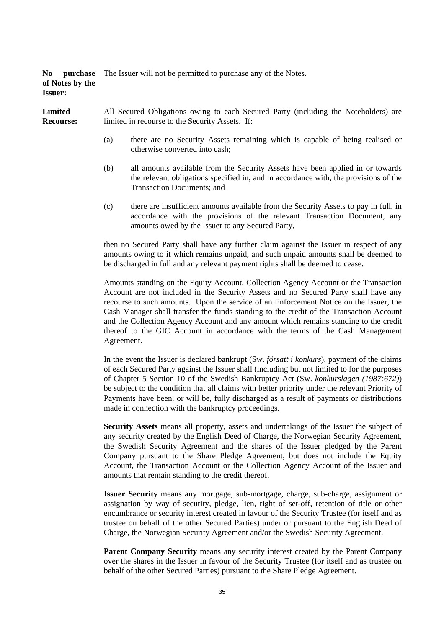**No purchase**  The Issuer will not be permitted to purchase any of the Notes. **of Notes by the Issuer:**

**Limited Recourse:** All Secured Obligations owing to each Secured Party (including the Noteholders) are limited in recourse to the Security Assets. If:

- (a) there are no Security Assets remaining which is capable of being realised or otherwise converted into cash;
- (b) all amounts available from the Security Assets have been applied in or towards the relevant obligations specified in, and in accordance with, the provisions of the Transaction Documents; and
- (c) there are insufficient amounts available from the Security Assets to pay in full, in accordance with the provisions of the relevant Transaction Document, any amounts owed by the Issuer to any Secured Party,

 then no Secured Party shall have any further claim against the Issuer in respect of any amounts owing to it which remains unpaid, and such unpaid amounts shall be deemed to be discharged in full and any relevant payment rights shall be deemed to cease.

 Amounts standing on the Equity Account, Collection Agency Account or the Transaction Account are not included in the Security Assets and no Secured Party shall have any recourse to such amounts. Upon the service of an Enforcement Notice on the Issuer, the Cash Manager shall transfer the funds standing to the credit of the Transaction Account and the Collection Agency Account and any amount which remains standing to the credit thereof to the GIC Account in accordance with the terms of the Cash Management Agreement.

 In the event the Issuer is declared bankrupt (Sw. *försatt i konkurs*), payment of the claims of each Secured Party against the Issuer shall (including but not limited to for the purposes of Chapter 5 Section 10 of the Swedish Bankruptcy Act (Sw. *konkurslagen (1987:672)*) be subject to the condition that all claims with better priority under the relevant Priority of Payments have been, or will be, fully discharged as a result of payments or distributions made in connection with the bankruptcy proceedings.

**Security Assets** means all property, assets and undertakings of the Issuer the subject of any security created by the English Deed of Charge, the Norwegian Security Agreement, the Swedish Security Agreement and the shares of the Issuer pledged by the Parent Company pursuant to the Share Pledge Agreement, but does not include the Equity Account, the Transaction Account or the Collection Agency Account of the Issuer and amounts that remain standing to the credit thereof.

**Issuer Security** means any mortgage, sub-mortgage, charge, sub-charge, assignment or assignation by way of security, pledge, lien, right of set-off, retention of title or other encumbrance or security interest created in favour of the Security Trustee (for itself and as trustee on behalf of the other Secured Parties) under or pursuant to the English Deed of Charge, the Norwegian Security Agreement and/or the Swedish Security Agreement.

**Parent Company Security** means any security interest created by the Parent Company over the shares in the Issuer in favour of the Security Trustee (for itself and as trustee on behalf of the other Secured Parties) pursuant to the Share Pledge Agreement.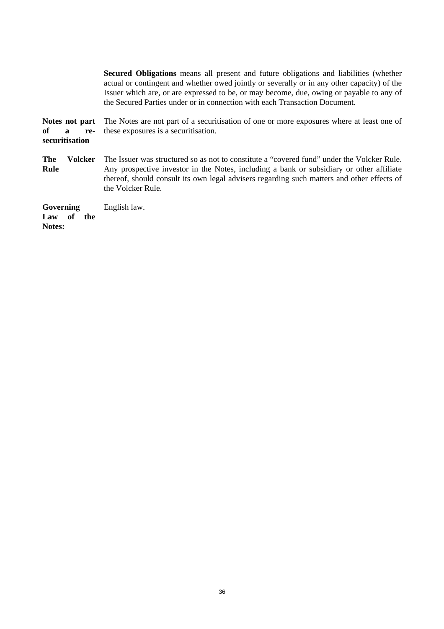**Secured Obligations** means all present and future obligations and liabilities (whether actual or contingent and whether owed jointly or severally or in any other capacity) of the Issuer which are, or are expressed to be, or may become, due, owing or payable to any of the Secured Parties under or in connection with each Transaction Document.

**Notes not part of a resecuritisation**  The Notes are not part of a securitisation of one or more exposures where at least one of these exposures is a securitisation.

**The Volcker Rule**  The Issuer was structured so as not to constitute a "covered fund" under the Volcker Rule. Any prospective investor in the Notes, including a bank or subsidiary or other affiliate thereof, should consult its own legal advisers regarding such matters and other effects of the Volcker Rule.

**Governing**  Law of the **Notes:** English law.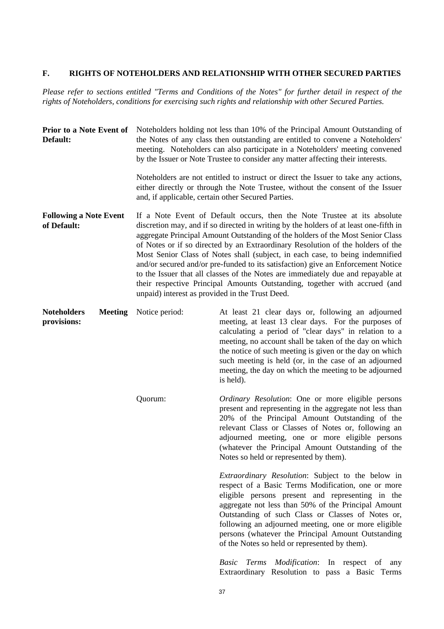# **F. RIGHTS OF NOTEHOLDERS AND RELATIONSHIP WITH OTHER SECURED PARTIES**

*Please refer to sections entitled "Terms and Conditions of the Notes" for further detail in respect of the rights of Noteholders, conditions for exercising such rights and relationship with other Secured Parties.* 

| <b>Prior to a Note Event of</b><br>Default:         | Noteholders holding not less than 10% of the Principal Amount Outstanding of<br>the Notes of any class then outstanding are entitled to convene a Noteholders'<br>meeting. Noteholders can also participate in a Noteholders' meeting convened<br>by the Issuer or Note Trustee to consider any matter affecting their interests.                                                                                                                                                                                                                                                                                                                                                                                                |                                                                                                                                                                                                                                                                                                                                                                                                                                        |  |
|-----------------------------------------------------|----------------------------------------------------------------------------------------------------------------------------------------------------------------------------------------------------------------------------------------------------------------------------------------------------------------------------------------------------------------------------------------------------------------------------------------------------------------------------------------------------------------------------------------------------------------------------------------------------------------------------------------------------------------------------------------------------------------------------------|----------------------------------------------------------------------------------------------------------------------------------------------------------------------------------------------------------------------------------------------------------------------------------------------------------------------------------------------------------------------------------------------------------------------------------------|--|
|                                                     | Noteholders are not entitled to instruct or direct the Issuer to take any actions,<br>either directly or through the Note Trustee, without the consent of the Issuer<br>and, if applicable, certain other Secured Parties.                                                                                                                                                                                                                                                                                                                                                                                                                                                                                                       |                                                                                                                                                                                                                                                                                                                                                                                                                                        |  |
| <b>Following a Note Event</b><br>of Default:        | If a Note Event of Default occurs, then the Note Trustee at its absolute<br>discretion may, and if so directed in writing by the holders of at least one-fifth in<br>aggregate Principal Amount Outstanding of the holders of the Most Senior Class<br>of Notes or if so directed by an Extraordinary Resolution of the holders of the<br>Most Senior Class of Notes shall (subject, in each case, to being indemnified<br>and/or secured and/or pre-funded to its satisfaction) give an Enforcement Notice<br>to the Issuer that all classes of the Notes are immediately due and repayable at<br>their respective Principal Amounts Outstanding, together with accrued (and<br>unpaid) interest as provided in the Trust Deed. |                                                                                                                                                                                                                                                                                                                                                                                                                                        |  |
| <b>Noteholders</b><br><b>Meeting</b><br>provisions: | Notice period:                                                                                                                                                                                                                                                                                                                                                                                                                                                                                                                                                                                                                                                                                                                   | At least 21 clear days or, following an adjourned<br>meeting, at least 13 clear days. For the purposes of<br>calculating a period of "clear days" in relation to a<br>meeting, no account shall be taken of the day on which<br>the notice of such meeting is given or the day on which<br>such meeting is held (or, in the case of an adjourned<br>meeting, the day on which the meeting to be adjourned<br>is held).                 |  |
|                                                     | Quorum:                                                                                                                                                                                                                                                                                                                                                                                                                                                                                                                                                                                                                                                                                                                          | Ordinary Resolution: One or more eligible persons<br>present and representing in the aggregate not less than<br>20% of the Principal Amount Outstanding of the<br>relevant Class or Classes of Notes or, following an<br>adjourned meeting, one or more eligible persons<br>(whatever the Principal Amount Outstanding of the<br>Notes so held or represented by them).                                                                |  |
|                                                     |                                                                                                                                                                                                                                                                                                                                                                                                                                                                                                                                                                                                                                                                                                                                  | Extraordinary Resolution: Subject to the below in<br>respect of a Basic Terms Modification, one or more<br>eligible persons present and representing in the<br>aggregate not less than 50% of the Principal Amount<br>Outstanding of such Class or Classes of Notes or,<br>following an adjourned meeting, one or more eligible<br>persons (whatever the Principal Amount Outstanding<br>of the Notes so held or represented by them). |  |
|                                                     |                                                                                                                                                                                                                                                                                                                                                                                                                                                                                                                                                                                                                                                                                                                                  | Basic Terms Modification: In respect of<br>any<br>Extraordinary Resolution to pass a Basic Terms                                                                                                                                                                                                                                                                                                                                       |  |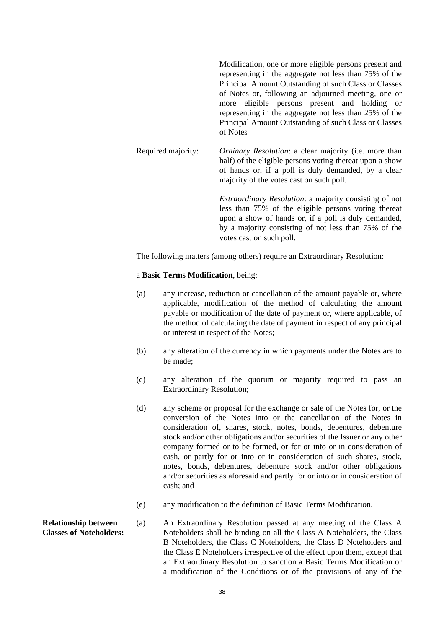Modification, one or more eligible persons present and representing in the aggregate not less than 75% of the Principal Amount Outstanding of such Class or Classes of Notes or, following an adjourned meeting, one or more eligible persons present and holding or representing in the aggregate not less than 25% of the Principal Amount Outstanding of such Class or Classes of Notes Required majority: *Ordinary Resolution*: a clear majority (i.e. more than half) of the eligible persons voting thereat upon a show of hands or, if a poll is duly demanded, by a clear majority of the votes cast on such poll. *Extraordinary Resolution*: a majority consisting of not

less than 75% of the eligible persons voting thereat upon a show of hands or, if a poll is duly demanded, by a majority consisting of not less than 75% of the votes cast on such poll.

The following matters (among others) require an Extraordinary Resolution:

#### a **Basic Terms Modification**, being:

- (a) any increase, reduction or cancellation of the amount payable or, where applicable, modification of the method of calculating the amount payable or modification of the date of payment or, where applicable, of the method of calculating the date of payment in respect of any principal or interest in respect of the Notes;
- (b) any alteration of the currency in which payments under the Notes are to be made;
- (c) any alteration of the quorum or majority required to pass an Extraordinary Resolution;
- (d) any scheme or proposal for the exchange or sale of the Notes for, or the conversion of the Notes into or the cancellation of the Notes in consideration of, shares, stock, notes, bonds, debentures, debenture stock and/or other obligations and/or securities of the Issuer or any other company formed or to be formed, or for or into or in consideration of cash, or partly for or into or in consideration of such shares, stock, notes, bonds, debentures, debenture stock and/or other obligations and/or securities as aforesaid and partly for or into or in consideration of cash; and
- (e) any modification to the definition of Basic Terms Modification.
- **Relationship between Classes of Noteholders:** (a) An Extraordinary Resolution passed at any meeting of the Class A Noteholders shall be binding on all the Class A Noteholders, the Class B Noteholders, the Class C Noteholders, the Class D Noteholders and the Class E Noteholders irrespective of the effect upon them, except that an Extraordinary Resolution to sanction a Basic Terms Modification or a modification of the Conditions or of the provisions of any of the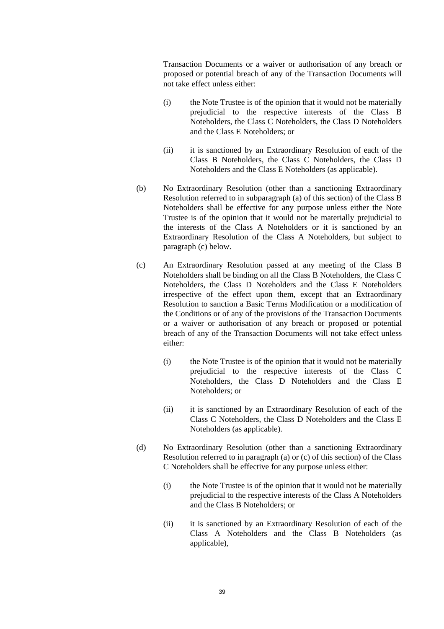Transaction Documents or a waiver or authorisation of any breach or proposed or potential breach of any of the Transaction Documents will not take effect unless either:

- (i) the Note Trustee is of the opinion that it would not be materially prejudicial to the respective interests of the Class B Noteholders, the Class C Noteholders, the Class D Noteholders and the Class E Noteholders; or
- (ii) it is sanctioned by an Extraordinary Resolution of each of the Class B Noteholders, the Class C Noteholders, the Class D Noteholders and the Class E Noteholders (as applicable).
- (b) No Extraordinary Resolution (other than a sanctioning Extraordinary Resolution referred to in subparagraph (a) of this section) of the Class B Noteholders shall be effective for any purpose unless either the Note Trustee is of the opinion that it would not be materially prejudicial to the interests of the Class A Noteholders or it is sanctioned by an Extraordinary Resolution of the Class A Noteholders, but subject to paragraph (c) below.
- (c) An Extraordinary Resolution passed at any meeting of the Class B Noteholders shall be binding on all the Class B Noteholders, the Class C Noteholders, the Class D Noteholders and the Class E Noteholders irrespective of the effect upon them, except that an Extraordinary Resolution to sanction a Basic Terms Modification or a modification of the Conditions or of any of the provisions of the Transaction Documents or a waiver or authorisation of any breach or proposed or potential breach of any of the Transaction Documents will not take effect unless either:
	- (i) the Note Trustee is of the opinion that it would not be materially prejudicial to the respective interests of the Class C Noteholders, the Class D Noteholders and the Class E Noteholders; or
	- (ii) it is sanctioned by an Extraordinary Resolution of each of the Class C Noteholders, the Class D Noteholders and the Class E Noteholders (as applicable).
- (d) No Extraordinary Resolution (other than a sanctioning Extraordinary Resolution referred to in paragraph (a) or (c) of this section) of the Class C Noteholders shall be effective for any purpose unless either:
	- (i) the Note Trustee is of the opinion that it would not be materially prejudicial to the respective interests of the Class A Noteholders and the Class B Noteholders; or
	- (ii) it is sanctioned by an Extraordinary Resolution of each of the Class A Noteholders and the Class B Noteholders (as applicable),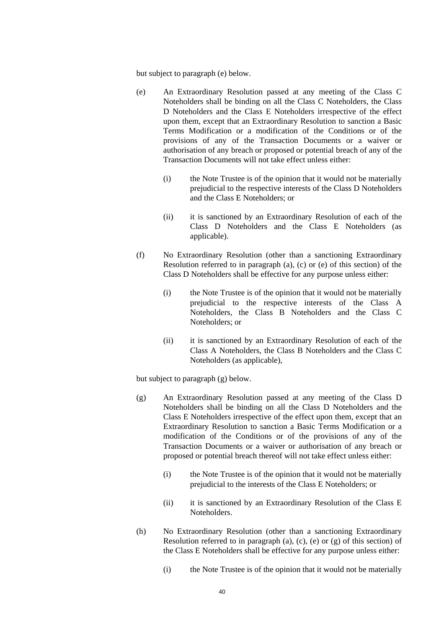but subject to paragraph (e) below.

- (e) An Extraordinary Resolution passed at any meeting of the Class C Noteholders shall be binding on all the Class C Noteholders, the Class D Noteholders and the Class E Noteholders irrespective of the effect upon them, except that an Extraordinary Resolution to sanction a Basic Terms Modification or a modification of the Conditions or of the provisions of any of the Transaction Documents or a waiver or authorisation of any breach or proposed or potential breach of any of the Transaction Documents will not take effect unless either:
	- (i) the Note Trustee is of the opinion that it would not be materially prejudicial to the respective interests of the Class D Noteholders and the Class E Noteholders; or
	- (ii) it is sanctioned by an Extraordinary Resolution of each of the Class D Noteholders and the Class E Noteholders (as applicable).
- (f) No Extraordinary Resolution (other than a sanctioning Extraordinary Resolution referred to in paragraph (a), (c) or (e) of this section) of the Class D Noteholders shall be effective for any purpose unless either:
	- (i) the Note Trustee is of the opinion that it would not be materially prejudicial to the respective interests of the Class A Noteholders, the Class B Noteholders and the Class C Noteholders; or
	- (ii) it is sanctioned by an Extraordinary Resolution of each of the Class A Noteholders, the Class B Noteholders and the Class C Noteholders (as applicable),

but subject to paragraph (g) below.

- (g) An Extraordinary Resolution passed at any meeting of the Class D Noteholders shall be binding on all the Class D Noteholders and the Class E Noteholders irrespective of the effect upon them, except that an Extraordinary Resolution to sanction a Basic Terms Modification or a modification of the Conditions or of the provisions of any of the Transaction Documents or a waiver or authorisation of any breach or proposed or potential breach thereof will not take effect unless either:
	- (i) the Note Trustee is of the opinion that it would not be materially prejudicial to the interests of the Class E Noteholders; or
	- (ii) it is sanctioned by an Extraordinary Resolution of the Class E Noteholders.
- (h) No Extraordinary Resolution (other than a sanctioning Extraordinary Resolution referred to in paragraph (a), (c), (e) or (g) of this section) of the Class E Noteholders shall be effective for any purpose unless either:
	- (i) the Note Trustee is of the opinion that it would not be materially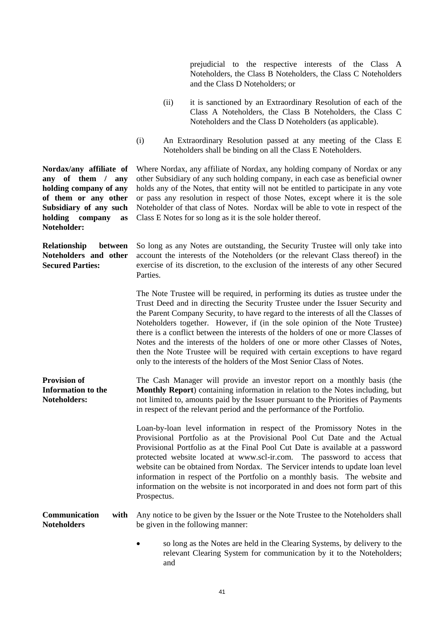prejudicial to the respective interests of the Class A Noteholders, the Class B Noteholders, the Class C Noteholders and the Class D Noteholders; or

- (ii) it is sanctioned by an Extraordinary Resolution of each of the Class A Noteholders, the Class B Noteholders, the Class C Noteholders and the Class D Noteholders (as applicable).
- (i) An Extraordinary Resolution passed at any meeting of the Class E Noteholders shall be binding on all the Class E Noteholders.

Where Nordax, any affiliate of Nordax, any holding company of Nordax or any other Subsidiary of any such holding company, in each case as beneficial owner holds any of the Notes, that entity will not be entitled to participate in any vote or pass any resolution in respect of those Notes, except where it is the sole Noteholder of that class of Notes. Nordax will be able to vote in respect of the Class E Notes for so long as it is the sole holder thereof.

**Relationship between**  So long as any Notes are outstanding, the Security Trustee will only take into account the interests of the Noteholders (or the relevant Class thereof) in the exercise of its discretion, to the exclusion of the interests of any other Secured Parties.

> The Note Trustee will be required, in performing its duties as trustee under the Trust Deed and in directing the Security Trustee under the Issuer Security and the Parent Company Security, to have regard to the interests of all the Classes of Noteholders together. However, if (in the sole opinion of the Note Trustee) there is a conflict between the interests of the holders of one or more Classes of Notes and the interests of the holders of one or more other Classes of Notes, then the Note Trustee will be required with certain exceptions to have regard only to the interests of the holders of the Most Senior Class of Notes.

**Provision of Information to the Noteholders:** The Cash Manager will provide an investor report on a monthly basis (the **Monthly Report**) containing information in relation to the Notes including, but not limited to, amounts paid by the Issuer pursuant to the Priorities of Payments in respect of the relevant period and the performance of the Portfolio*.* 

> Loan-by-loan level information in respect of the Promissory Notes in the Provisional Portfolio as at the Provisional Pool Cut Date and the Actual Provisional Portfolio as at the Final Pool Cut Date is available at a password protected website located at www.scl-ir.com. The password to access that website can be obtained from Nordax. The Servicer intends to update loan level information in respect of the Portfolio on a monthly basis. The website and information on the website is not incorporated in and does not form part of this Prospectus.

#### **Communication with Noteholders**  Any notice to be given by the Issuer or the Note Trustee to the Noteholders shall be given in the following manner:

 so long as the Notes are held in the Clearing Systems, by delivery to the relevant Clearing System for communication by it to the Noteholders; and

**Nordax/any affiliate of any of them / any holding company of any of them or any other Subsidiary of any such holding company as Noteholder:**

**Noteholders and other Secured Parties:**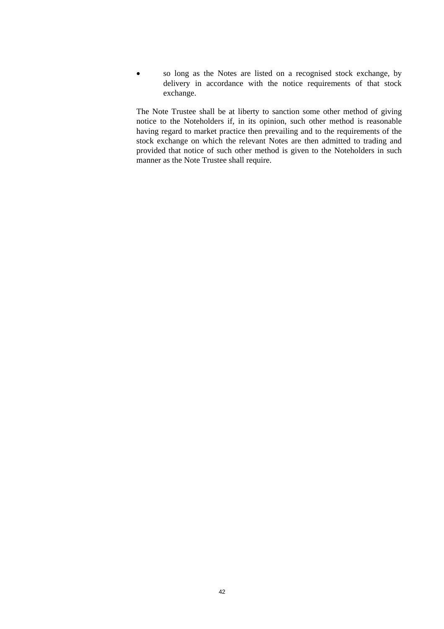so long as the Notes are listed on a recognised stock exchange, by delivery in accordance with the notice requirements of that stock exchange.

 The Note Trustee shall be at liberty to sanction some other method of giving notice to the Noteholders if, in its opinion, such other method is reasonable having regard to market practice then prevailing and to the requirements of the stock exchange on which the relevant Notes are then admitted to trading and provided that notice of such other method is given to the Noteholders in such manner as the Note Trustee shall require.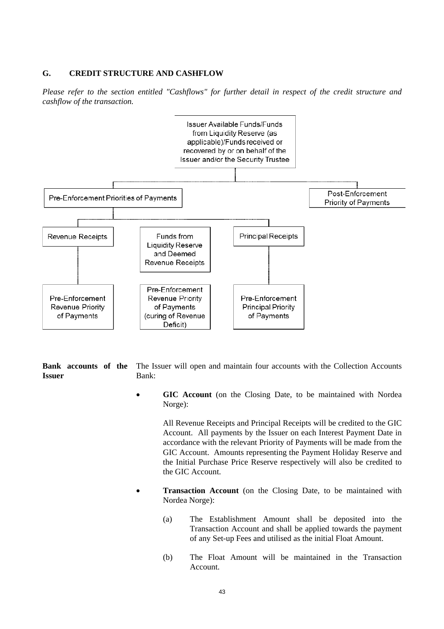#### **G. CREDIT STRUCTURE AND CASHFLOW**

*Please refer to the section entitled "Cashflows" for further detail in respect of the credit structure and cashflow of the transaction.* 



**Bank accounts of the Issuer**

The Issuer will open and maintain four accounts with the Collection Accounts Bank:

 **GIC Account** (on the Closing Date, to be maintained with Nordea Norge):

> All Revenue Receipts and Principal Receipts will be credited to the GIC Account. All payments by the Issuer on each Interest Payment Date in accordance with the relevant Priority of Payments will be made from the GIC Account. Amounts representing the Payment Holiday Reserve and the Initial Purchase Price Reserve respectively will also be credited to the GIC Account.

- **Transaction Account** (on the Closing Date, to be maintained with Nordea Norge):
	- (a) The Establishment Amount shall be deposited into the Transaction Account and shall be applied towards the payment of any Set-up Fees and utilised as the initial Float Amount.
	- (b) The Float Amount will be maintained in the Transaction Account.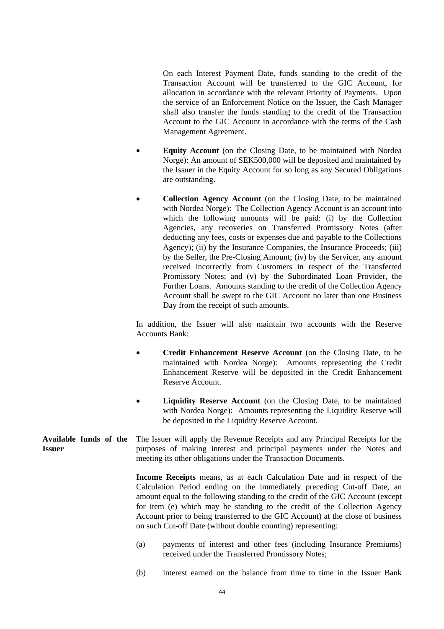On each Interest Payment Date, funds standing to the credit of the Transaction Account will be transferred to the GIC Account, for allocation in accordance with the relevant Priority of Payments. Upon the service of an Enforcement Notice on the Issuer, the Cash Manager shall also transfer the funds standing to the credit of the Transaction Account to the GIC Account in accordance with the terms of the Cash Management Agreement.

- **Equity Account** (on the Closing Date, to be maintained with Nordea Norge): An amount of SEK500,000 will be deposited and maintained by the Issuer in the Equity Account for so long as any Secured Obligations are outstanding.
- **Collection Agency Account** (on the Closing Date, to be maintained with Nordea Norge): The Collection Agency Account is an account into which the following amounts will be paid: (i) by the Collection Agencies, any recoveries on Transferred Promissory Notes (after deducting any fees, costs or expenses due and payable to the Collections Agency); (ii) by the Insurance Companies, the Insurance Proceeds; (iii) by the Seller, the Pre-Closing Amount; (iv) by the Servicer, any amount received incorrectly from Customers in respect of the Transferred Promissory Notes; and (v) by the Subordinated Loan Provider, the Further Loans. Amounts standing to the credit of the Collection Agency Account shall be swept to the GIC Account no later than one Business Day from the receipt of such amounts.

 In addition, the Issuer will also maintain two accounts with the Reserve Accounts Bank:

- **Credit Enhancement Reserve Account** (on the Closing Date, to be maintained with Nordea Norge): Amounts representing the Credit Enhancement Reserve will be deposited in the Credit Enhancement Reserve Account.
- **Liquidity Reserve Account** (on the Closing Date, to be maintained with Nordea Norge): Amounts representing the Liquidity Reserve will be deposited in the Liquidity Reserve Account.

#### **Available funds of the Issuer** The Issuer will apply the Revenue Receipts and any Principal Receipts for the purposes of making interest and principal payments under the Notes and meeting its other obligations under the Transaction Documents.

**Income Receipts** means, as at each Calculation Date and in respect of the Calculation Period ending on the immediately preceding Cut-off Date, an amount equal to the following standing to the credit of the GIC Account (except for item (e) which may be standing to the credit of the Collection Agency Account prior to being transferred to the GIC Account) at the close of business on such Cut-off Date (without double counting) representing:

- (a) payments of interest and other fees (including Insurance Premiums) received under the Transferred Promissory Notes;
- (b) interest earned on the balance from time to time in the Issuer Bank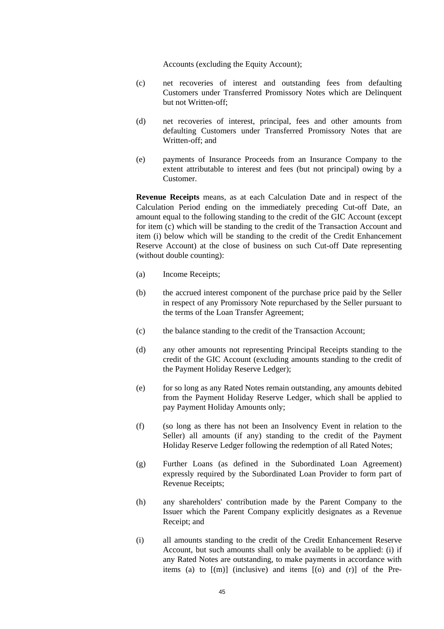Accounts (excluding the Equity Account);

- (c) net recoveries of interest and outstanding fees from defaulting Customers under Transferred Promissory Notes which are Delinquent but not Written-off;
- (d) net recoveries of interest, principal, fees and other amounts from defaulting Customers under Transferred Promissory Notes that are Written-off; and
- (e) payments of Insurance Proceeds from an Insurance Company to the extent attributable to interest and fees (but not principal) owing by a Customer.

**Revenue Receipts** means, as at each Calculation Date and in respect of the Calculation Period ending on the immediately preceding Cut-off Date, an amount equal to the following standing to the credit of the GIC Account (except for item (c) which will be standing to the credit of the Transaction Account and item (i) below which will be standing to the credit of the Credit Enhancement Reserve Account) at the close of business on such Cut-off Date representing (without double counting):

- (a) Income Receipts;
- (b) the accrued interest component of the purchase price paid by the Seller in respect of any Promissory Note repurchased by the Seller pursuant to the terms of the Loan Transfer Agreement;
- (c) the balance standing to the credit of the Transaction Account;
- (d) any other amounts not representing Principal Receipts standing to the credit of the GIC Account (excluding amounts standing to the credit of the Payment Holiday Reserve Ledger);
- (e) for so long as any Rated Notes remain outstanding, any amounts debited from the Payment Holiday Reserve Ledger, which shall be applied to pay Payment Holiday Amounts only;
- (f) (so long as there has not been an Insolvency Event in relation to the Seller) all amounts (if any) standing to the credit of the Payment Holiday Reserve Ledger following the redemption of all Rated Notes;
- (g) Further Loans (as defined in the Subordinated Loan Agreement) expressly required by the Subordinated Loan Provider to form part of Revenue Receipts;
- (h) any shareholders' contribution made by the Parent Company to the Issuer which the Parent Company explicitly designates as a Revenue Receipt; and
- (i) all amounts standing to the credit of the Credit Enhancement Reserve Account, but such amounts shall only be available to be applied: (i) if any Rated Notes are outstanding, to make payments in accordance with items (a) to  $[(m)]$  (inclusive) and items  $[(o)$  and  $(r)]$  of the Pre-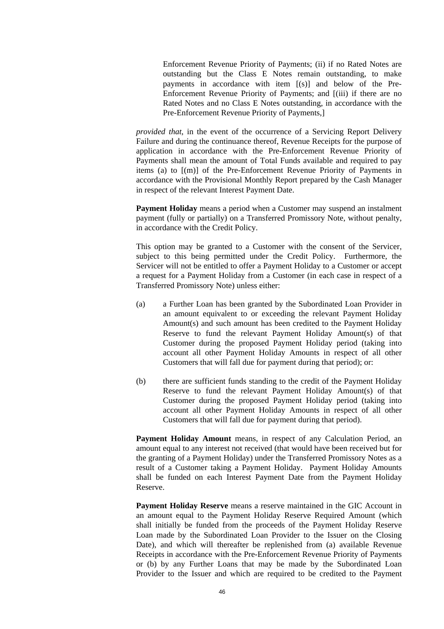Enforcement Revenue Priority of Payments; (ii) if no Rated Notes are outstanding but the Class E Notes remain outstanding, to make payments in accordance with item [(s)] and below of the Pre-Enforcement Revenue Priority of Payments; and [(iii) if there are no Rated Notes and no Class E Notes outstanding, in accordance with the Pre-Enforcement Revenue Priority of Payments,]

*provided that*, in the event of the occurrence of a Servicing Report Delivery Failure and during the continuance thereof, Revenue Receipts for the purpose of application in accordance with the Pre-Enforcement Revenue Priority of Payments shall mean the amount of Total Funds available and required to pay items (a) to [(m)] of the Pre-Enforcement Revenue Priority of Payments in accordance with the Provisional Monthly Report prepared by the Cash Manager in respect of the relevant Interest Payment Date.

**Payment Holiday** means a period when a Customer may suspend an instalment payment (fully or partially) on a Transferred Promissory Note, without penalty, in accordance with the Credit Policy.

 This option may be granted to a Customer with the consent of the Servicer, subject to this being permitted under the Credit Policy. Furthermore, the Servicer will not be entitled to offer a Payment Holiday to a Customer or accept a request for a Payment Holiday from a Customer (in each case in respect of a Transferred Promissory Note) unless either:

- (a) a Further Loan has been granted by the Subordinated Loan Provider in an amount equivalent to or exceeding the relevant Payment Holiday Amount(s) and such amount has been credited to the Payment Holiday Reserve to fund the relevant Payment Holiday Amount(s) of that Customer during the proposed Payment Holiday period (taking into account all other Payment Holiday Amounts in respect of all other Customers that will fall due for payment during that period); or:
- (b) there are sufficient funds standing to the credit of the Payment Holiday Reserve to fund the relevant Payment Holiday Amount(s) of that Customer during the proposed Payment Holiday period (taking into account all other Payment Holiday Amounts in respect of all other Customers that will fall due for payment during that period).

**Payment Holiday Amount** means, in respect of any Calculation Period, an amount equal to any interest not received (that would have been received but for the granting of a Payment Holiday) under the Transferred Promissory Notes as a result of a Customer taking a Payment Holiday. Payment Holiday Amounts shall be funded on each Interest Payment Date from the Payment Holiday Reserve.

**Payment Holiday Reserve** means a reserve maintained in the GIC Account in an amount equal to the Payment Holiday Reserve Required Amount (which shall initially be funded from the proceeds of the Payment Holiday Reserve Loan made by the Subordinated Loan Provider to the Issuer on the Closing Date), and which will thereafter be replenished from (a) available Revenue Receipts in accordance with the Pre-Enforcement Revenue Priority of Payments or (b) by any Further Loans that may be made by the Subordinated Loan Provider to the Issuer and which are required to be credited to the Payment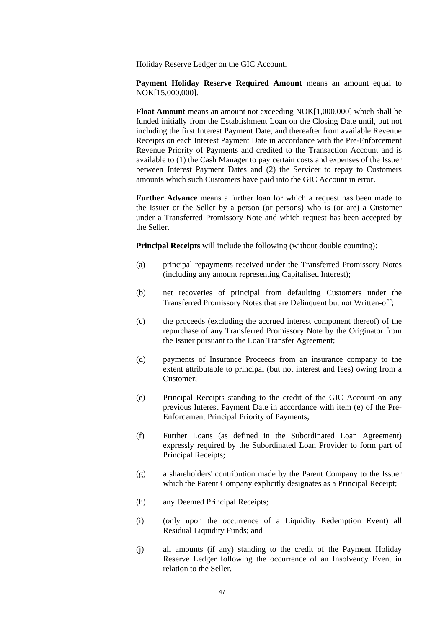Holiday Reserve Ledger on the GIC Account.

**Payment Holiday Reserve Required Amount** means an amount equal to NOK[15,000,000].

**Float Amount** means an amount not exceeding NOK[1,000,000] which shall be funded initially from the Establishment Loan on the Closing Date until, but not including the first Interest Payment Date, and thereafter from available Revenue Receipts on each Interest Payment Date in accordance with the Pre-Enforcement Revenue Priority of Payments and credited to the Transaction Account and is available to (1) the Cash Manager to pay certain costs and expenses of the Issuer between Interest Payment Dates and (2) the Servicer to repay to Customers amounts which such Customers have paid into the GIC Account in error.

**Further Advance** means a further loan for which a request has been made to the Issuer or the Seller by a person (or persons) who is (or are) a Customer under a Transferred Promissory Note and which request has been accepted by the Seller.

**Principal Receipts** will include the following (without double counting):

- (a) principal repayments received under the Transferred Promissory Notes (including any amount representing Capitalised Interest);
- (b) net recoveries of principal from defaulting Customers under the Transferred Promissory Notes that are Delinquent but not Written-off;
- (c) the proceeds (excluding the accrued interest component thereof) of the repurchase of any Transferred Promissory Note by the Originator from the Issuer pursuant to the Loan Transfer Agreement;
- (d) payments of Insurance Proceeds from an insurance company to the extent attributable to principal (but not interest and fees) owing from a Customer;
- (e) Principal Receipts standing to the credit of the GIC Account on any previous Interest Payment Date in accordance with item (e) of the Pre-Enforcement Principal Priority of Payments;
- (f) Further Loans (as defined in the Subordinated Loan Agreement) expressly required by the Subordinated Loan Provider to form part of Principal Receipts;
- (g) a shareholders' contribution made by the Parent Company to the Issuer which the Parent Company explicitly designates as a Principal Receipt;
- (h) any Deemed Principal Receipts;
- (i) (only upon the occurrence of a Liquidity Redemption Event) all Residual Liquidity Funds; and
- (j) all amounts (if any) standing to the credit of the Payment Holiday Reserve Ledger following the occurrence of an Insolvency Event in relation to the Seller,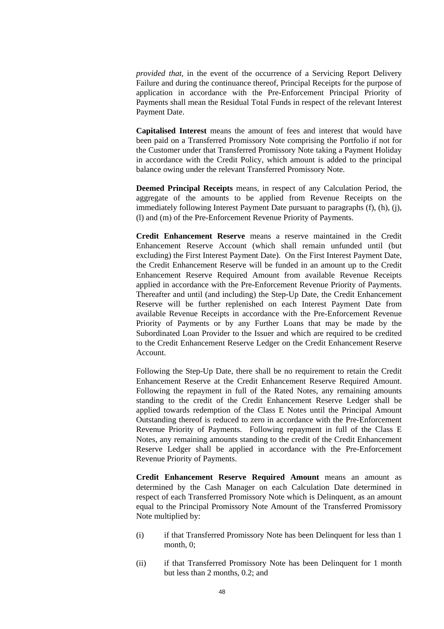*provided that*, in the event of the occurrence of a Servicing Report Delivery Failure and during the continuance thereof, Principal Receipts for the purpose of application in accordance with the Pre-Enforcement Principal Priority of Payments shall mean the Residual Total Funds in respect of the relevant Interest Payment Date.

**Capitalised Interest** means the amount of fees and interest that would have been paid on a Transferred Promissory Note comprising the Portfolio if not for the Customer under that Transferred Promissory Note taking a Payment Holiday in accordance with the Credit Policy, which amount is added to the principal balance owing under the relevant Transferred Promissory Note.

**Deemed Principal Receipts** means, in respect of any Calculation Period, the aggregate of the amounts to be applied from Revenue Receipts on the immediately following Interest Payment Date pursuant to paragraphs (f), (h), (j), (l) and (m) of the Pre-Enforcement Revenue Priority of Payments.

**Credit Enhancement Reserve** means a reserve maintained in the Credit Enhancement Reserve Account (which shall remain unfunded until (but excluding) the First Interest Payment Date). On the First Interest Payment Date, the Credit Enhancement Reserve will be funded in an amount up to the Credit Enhancement Reserve Required Amount from available Revenue Receipts applied in accordance with the Pre-Enforcement Revenue Priority of Payments. Thereafter and until (and including) the Step-Up Date, the Credit Enhancement Reserve will be further replenished on each Interest Payment Date from available Revenue Receipts in accordance with the Pre-Enforcement Revenue Priority of Payments or by any Further Loans that may be made by the Subordinated Loan Provider to the Issuer and which are required to be credited to the Credit Enhancement Reserve Ledger on the Credit Enhancement Reserve Account.

Following the Step-Up Date, there shall be no requirement to retain the Credit Enhancement Reserve at the Credit Enhancement Reserve Required Amount. Following the repayment in full of the Rated Notes, any remaining amounts standing to the credit of the Credit Enhancement Reserve Ledger shall be applied towards redemption of the Class E Notes until the Principal Amount Outstanding thereof is reduced to zero in accordance with the Pre-Enforcement Revenue Priority of Payments. Following repayment in full of the Class E Notes, any remaining amounts standing to the credit of the Credit Enhancement Reserve Ledger shall be applied in accordance with the Pre-Enforcement Revenue Priority of Payments.

**Credit Enhancement Reserve Required Amount** means an amount as determined by the Cash Manager on each Calculation Date determined in respect of each Transferred Promissory Note which is Delinquent, as an amount equal to the Principal Promissory Note Amount of the Transferred Promissory Note multiplied by:

- (i) if that Transferred Promissory Note has been Delinquent for less than 1 month, 0;
- (ii) if that Transferred Promissory Note has been Delinquent for 1 month but less than 2 months, 0.2; and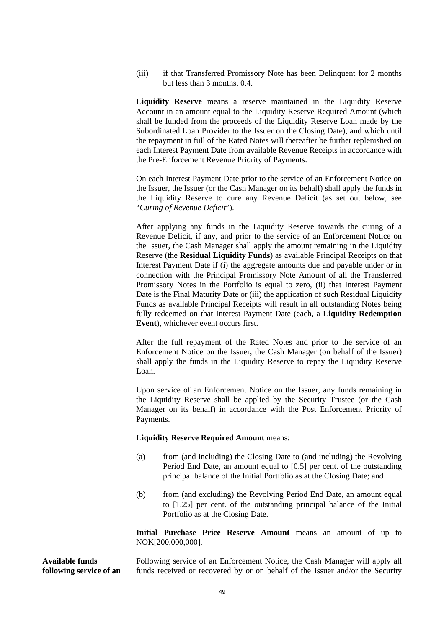(iii) if that Transferred Promissory Note has been Delinquent for 2 months but less than 3 months, 0.4.

**Liquidity Reserve** means a reserve maintained in the Liquidity Reserve Account in an amount equal to the Liquidity Reserve Required Amount (which shall be funded from the proceeds of the Liquidity Reserve Loan made by the Subordinated Loan Provider to the Issuer on the Closing Date), and which until the repayment in full of the Rated Notes will thereafter be further replenished on each Interest Payment Date from available Revenue Receipts in accordance with the Pre-Enforcement Revenue Priority of Payments.

On each Interest Payment Date prior to the service of an Enforcement Notice on the Issuer, the Issuer (or the Cash Manager on its behalf) shall apply the funds in the Liquidity Reserve to cure any Revenue Deficit (as set out below, see "*Curing of Revenue Deficit*").

After applying any funds in the Liquidity Reserve towards the curing of a Revenue Deficit, if any, and prior to the service of an Enforcement Notice on the Issuer, the Cash Manager shall apply the amount remaining in the Liquidity Reserve (the **Residual Liquidity Funds**) as available Principal Receipts on that Interest Payment Date if (i) the aggregate amounts due and payable under or in connection with the Principal Promissory Note Amount of all the Transferred Promissory Notes in the Portfolio is equal to zero, (ii) that Interest Payment Date is the Final Maturity Date or (iii) the application of such Residual Liquidity Funds as available Principal Receipts will result in all outstanding Notes being fully redeemed on that Interest Payment Date (each, a **Liquidity Redemption Event**), whichever event occurs first.

After the full repayment of the Rated Notes and prior to the service of an Enforcement Notice on the Issuer, the Cash Manager (on behalf of the Issuer) shall apply the funds in the Liquidity Reserve to repay the Liquidity Reserve Loan.

Upon service of an Enforcement Notice on the Issuer, any funds remaining in the Liquidity Reserve shall be applied by the Security Trustee (or the Cash Manager on its behalf) in accordance with the Post Enforcement Priority of Payments.

#### **Liquidity Reserve Required Amount** means:

- (a) from (and including) the Closing Date to (and including) the Revolving Period End Date, an amount equal to [0.5] per cent. of the outstanding principal balance of the Initial Portfolio as at the Closing Date; and
- (b) from (and excluding) the Revolving Period End Date, an amount equal to [1.25] per cent. of the outstanding principal balance of the Initial Portfolio as at the Closing Date.

**Initial Purchase Price Reserve Amount** means an amount of up to NOK[200,000,000].

**Available funds following service of an** 

Following service of an Enforcement Notice, the Cash Manager will apply all funds received or recovered by or on behalf of the Issuer and/or the Security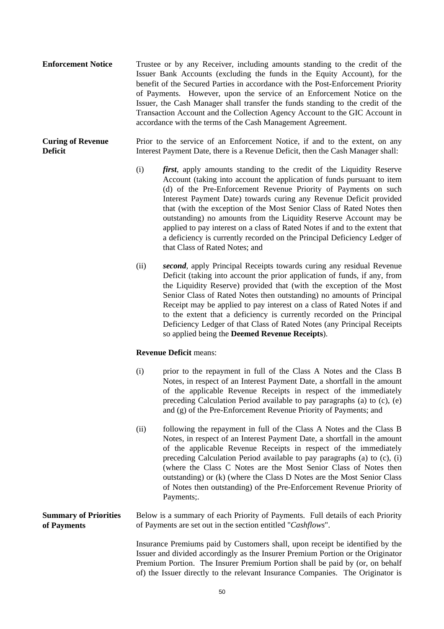- **Enforcement Notice** Trustee or by any Receiver, including amounts standing to the credit of the Issuer Bank Accounts (excluding the funds in the Equity Account), for the benefit of the Secured Parties in accordance with the Post-Enforcement Priority of Payments. However, upon the service of an Enforcement Notice on the Issuer, the Cash Manager shall transfer the funds standing to the credit of the Transaction Account and the Collection Agency Account to the GIC Account in accordance with the terms of the Cash Management Agreement.
- **Curing of Revenue Deficit** Prior to the service of an Enforcement Notice, if and to the extent, on any Interest Payment Date, there is a Revenue Deficit, then the Cash Manager shall:
	- (i) *first*, apply amounts standing to the credit of the Liquidity Reserve Account (taking into account the application of funds pursuant to item (d) of the Pre-Enforcement Revenue Priority of Payments on such Interest Payment Date) towards curing any Revenue Deficit provided that (with the exception of the Most Senior Class of Rated Notes then outstanding) no amounts from the Liquidity Reserve Account may be applied to pay interest on a class of Rated Notes if and to the extent that a deficiency is currently recorded on the Principal Deficiency Ledger of that Class of Rated Notes; and
	- (ii) *second*, apply Principal Receipts towards curing any residual Revenue Deficit (taking into account the prior application of funds, if any, from the Liquidity Reserve) provided that (with the exception of the Most Senior Class of Rated Notes then outstanding) no amounts of Principal Receipt may be applied to pay interest on a class of Rated Notes if and to the extent that a deficiency is currently recorded on the Principal Deficiency Ledger of that Class of Rated Notes (any Principal Receipts so applied being the **Deemed Revenue Receipts**).

#### **Revenue Deficit** means:

- (i) prior to the repayment in full of the Class A Notes and the Class B Notes, in respect of an Interest Payment Date, a shortfall in the amount of the applicable Revenue Receipts in respect of the immediately preceding Calculation Period available to pay paragraphs (a) to (c), (e) and (g) of the Pre-Enforcement Revenue Priority of Payments; and
- (ii) following the repayment in full of the Class A Notes and the Class B Notes, in respect of an Interest Payment Date, a shortfall in the amount of the applicable Revenue Receipts in respect of the immediately preceding Calculation Period available to pay paragraphs (a) to (c), (i) (where the Class C Notes are the Most Senior Class of Notes then outstanding) or (k) (where the Class D Notes are the Most Senior Class of Notes then outstanding) of the Pre-Enforcement Revenue Priority of Payments;.

#### **Summary of Priorities of Payments** Below is a summary of each Priority of Payments. Full details of each Priority of Payments are set out in the section entitled "*Cashflows*".

 Insurance Premiums paid by Customers shall, upon receipt be identified by the Issuer and divided accordingly as the Insurer Premium Portion or the Originator Premium Portion. The Insurer Premium Portion shall be paid by (or, on behalf of) the Issuer directly to the relevant Insurance Companies. The Originator is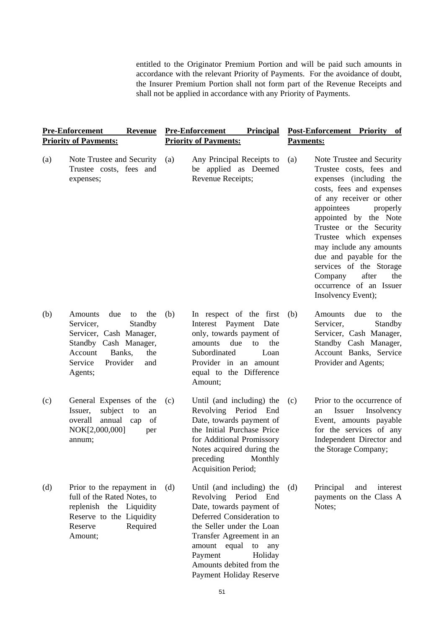entitled to the Originator Premium Portion and will be paid such amounts in accordance with the relevant Priority of Payments. For the avoidance of doubt, the Insurer Premium Portion shall not form part of the Revenue Receipts and shall not be applied in accordance with any Priority of Payments.

| <b>Revenue</b><br><b>Pre-Enforcement</b><br><b>Priority of Payments:</b> |                                                                                                                                                                                     | <b>Pre-Enforcement</b><br><b>Principal</b><br><b>Priority of Payments:</b> |                                                                                                                                                                                                                                                       | Post-Enforcement Priority of<br><b>Payments:</b> |                                                                                                                                                                                                                                                                                                                                                                                                              |
|--------------------------------------------------------------------------|-------------------------------------------------------------------------------------------------------------------------------------------------------------------------------------|----------------------------------------------------------------------------|-------------------------------------------------------------------------------------------------------------------------------------------------------------------------------------------------------------------------------------------------------|--------------------------------------------------|--------------------------------------------------------------------------------------------------------------------------------------------------------------------------------------------------------------------------------------------------------------------------------------------------------------------------------------------------------------------------------------------------------------|
| (a)                                                                      | Note Trustee and Security<br>Trustee costs, fees and<br>expenses;                                                                                                                   | (a)                                                                        | Any Principal Receipts to<br>be applied as Deemed<br>Revenue Receipts;                                                                                                                                                                                | (a)                                              | Note Trustee and Security<br>Trustee costs, fees and<br>expenses (including the<br>costs, fees and expenses<br>of any receiver or other<br>appointees<br>properly<br>appointed by the Note<br>Trustee or the Security<br>Trustee which expenses<br>may include any amounts<br>due and payable for the<br>services of the Storage<br>after<br>Company<br>the<br>occurrence of an Issuer<br>Insolvency Event); |
| (b)                                                                      | <b>Amounts</b><br>due<br>the<br>to<br>Servicer,<br>Standby<br>Servicer, Cash Manager,<br>Standby Cash Manager,<br>Account<br>Banks,<br>the<br>Service<br>Provider<br>and<br>Agents; | (b)                                                                        | In respect of the first<br>Interest Payment<br>Date<br>only, towards payment of<br>due<br>amounts<br>to<br>the<br>Subordinated<br>Loan<br>Provider in an amount<br>equal to the Difference<br>Amount;                                                 | (b)                                              | Amounts<br>due<br>the<br>to<br>Servicer,<br>Standby<br>Servicer, Cash Manager,<br>Standby Cash Manager,<br>Account Banks, Service<br>Provider and Agents;                                                                                                                                                                                                                                                    |
| (c)                                                                      | General Expenses of the<br>subject<br>Issuer,<br>to<br>an<br>annual<br>overall<br>of<br>cap<br>NOK[2,000,000]<br>per<br>annum;                                                      | (c)                                                                        | Until (and including) the<br>Revolving Period End<br>Date, towards payment of<br>the Initial Purchase Price<br>for Additional Promissory<br>Notes acquired during the<br>preceding Monthly<br>Acquisition Period;                                     | (c)                                              | Prior to the occurrence of<br>Insolvency<br>Issuer<br>an<br>Event, amounts payable<br>for the services of any<br>Independent Director and<br>the Storage Company;                                                                                                                                                                                                                                            |
| (d)                                                                      | Prior to the repayment in<br>full of the Rated Notes, to<br>replenish the Liquidity<br>Reserve to the Liquidity<br>Reserve<br>Required<br>Amount;                                   | (d)                                                                        | Until (and including) the<br>Revolving<br>Period End<br>Date, towards payment of<br>Deferred Consideration to<br>the Seller under the Loan<br>Transfer Agreement in an<br>amount equal<br>to<br>any<br>Payment<br>Holiday<br>Amounts debited from the | (d)                                              | Principal<br>and<br>interest<br>payments on the Class A<br>Notes;                                                                                                                                                                                                                                                                                                                                            |

Payment Holiday Reserve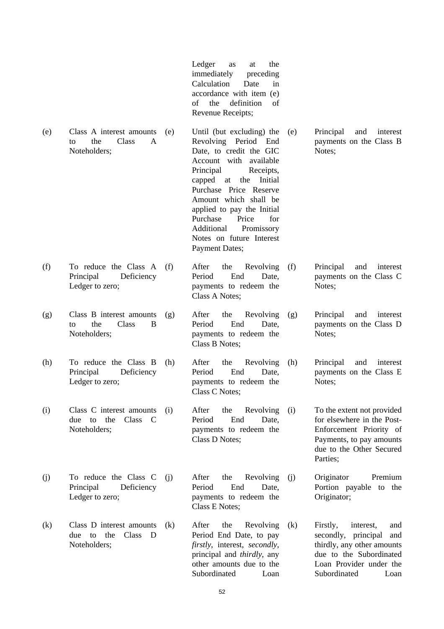Ledger as at the immediately preceding Calculation Date in accordance with item (e) of the definition of Revenue Receipts;

- (e) Class A interest amounts to the Class A Noteholders; (e) Until (but excluding) the Revolving Period End Date, to credit the GIC Account with available Principal Receipts, capped at the Initial Purchase Price Reserve Amount which shall be applied to pay the Initial Purchase Price for Additional Promissory Notes on future Interest Payment Dates; (e) Principal and interest payments on the Class B Notes; (f) To reduce the Class A Principal Deficiency Ledger to zero; After the Revolving Period End Date, payments to redeem the Class A Notes; (f) Principal and interest payments on the Class C Notes:
- (g) Class B interest amounts to the Class B Noteholders;
- (h) To reduce the Class B Principal Deficiency Ledger to zero;
- (i) Class C interest amounts due to the Class C Noteholders;
- (j) To reduce the Class C<br>Principal Deficiency Deficiency Ledger to zero;
- (k) Class D interest amounts due to the Class D Noteholders;

(g) After the Revolving Period End Date, payments to redeem the Class B Notes;

Principal and interest payments on the Class D

Principal and interest payments on the Class E

To the extent not provided for elsewhere in the Post-Enforcement Priority of Payments, to pay amounts due to the Other Secured

Portion payable to the

Notes;

Notes:

Parties;

Originator;

- After the Revolving (h) Period End Date, payments to redeem the Class C Notes;
- (i) After the Revolving Period End Date, payments to redeem the Class D Notes;

(j) After the Revolving Period End Date, payments to redeem the Class E Notes; (j) Originator Premium

After the Revolving Period End Date, to pay *firstly*, interest, *secondly*, principal and *thirdly*, any other amounts due to the Subordinated Loan (k) Firstly, interest, and secondly, principal and thirdly, any other amounts due to the Subordinated Loan Provider under the Subordinated Loan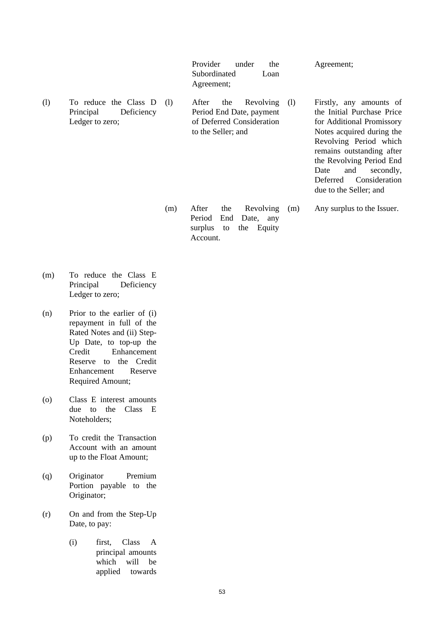Provider under the Subordinated Loan Agreement; Agreement; (l) To reduce the Class D Principal Deficiency Ledger to zero; After the Revolving (1) Period End Date, payment of Deferred Consideration to the Seller; and Firstly, any amounts of the Initial Purchase Price for Additional Promissory Notes acquired during the Revolving Period which remains outstanding after the Revolving Period End Date and secondly, Deferred Consideration due to the Seller; and

> (m) After the Revolving Period End Date, any surplus to the Equity Account. (m) Any surplus to the Issuer.

- (m) To reduce the Class E Principal Deficiency Ledger to zero;
- (n) Prior to the earlier of (i) repayment in full of the Rated Notes and (ii) Step-Up Date, to top-up the Credit Enhancement Reserve to the Credit Enhancement Reserve Required Amount;
- (o) Class E interest amounts due to the Class E Noteholders;
- (p) To credit the Transaction Account with an amount up to the Float Amount;
- (q) Originator Premium Portion payable to the Originator;
- (r) On and from the Step-Up Date, to pay:
	- (i) first, Class A principal amounts which will be applied towards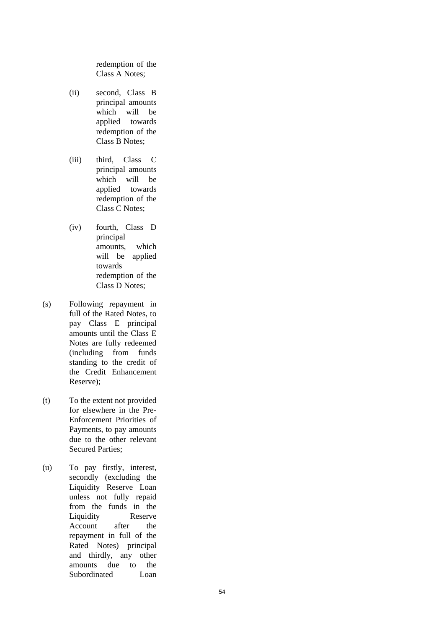redemption of the Class A Notes;

- (ii) second, Class B principal amounts which will be applied towards redemption of the Class B Notes;
- (iii) third, Class C principal amounts which will be applied towards redemption of the Class C Notes;
- (iv) fourth, Class D principal amounts, which will be applied towards redemption of the Class D Notes;
- (s) Following repayment in full of the Rated Notes, to pay Class E principal amounts until the Class E Notes are fully redeemed (including from funds standing to the credit of the Credit Enhancement Reserve);
- (t) To the extent not provided for elsewhere in the Pre-Enforcement Priorities of Payments, to pay amounts due to the other relevant Secured Parties;
- (u) To pay firstly, interest, secondly (excluding the Liquidity Reserve Loan unless not fully repaid from the funds in the Liquidity Reserve Account after the repayment in full of the Rated Notes) principal and thirdly, any other amounts due to the Subordinated Loan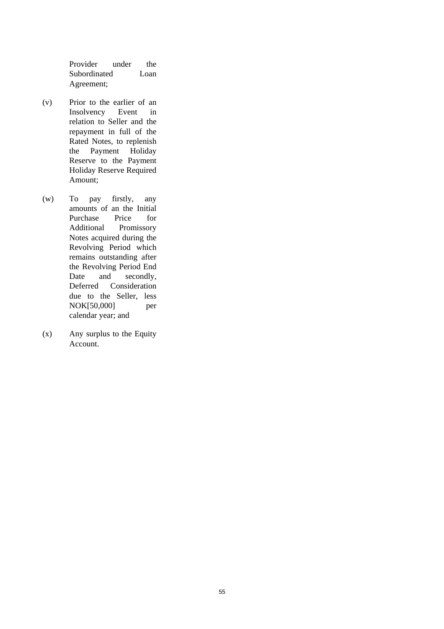Provider under the Subordinated Loan Agreement;

- (v) Prior to the earlier of an Insolvency Event in relation to Seller and the repayment in full of the Rated Notes, to replenish the Payment Holiday Reserve to the Payment Holiday Reserve Required Amount;
- (w) To pay firstly, any amounts of an the Initial Purchase Price for Additional Promissory Notes acquired during the Revolving Period which remains outstanding after the Revolving Period End Date and secondly, Deferred Consideration due to the Seller, less NOK[50,000] per calendar year; and
- (x) Any surplus to the Equity Account.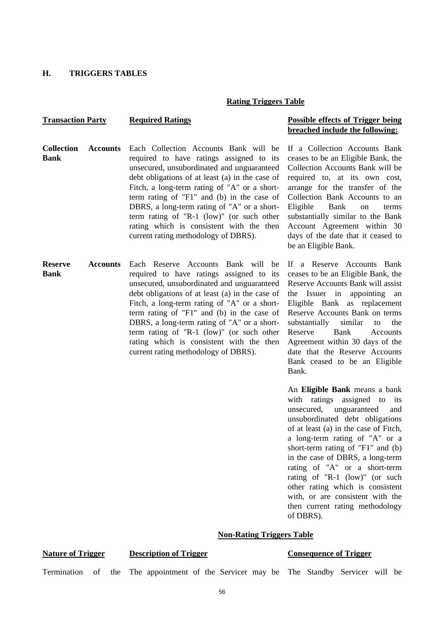#### **H. TRIGGERS TABLES**

#### **Rating Triggers Table**

### **Transaction Party Required Ratings Possible effects of Trigger being**

# **breached include the following:**

If a Collection Accounts Bank ceases to be an Eligible Bank, the

- **Collection Accounts Bank** Each Collection Accounts Bank will be required to have ratings assigned to its unsecured, unsubordinated and unguaranteed debt obligations of at least (a) in the case of Fitch, a long-term rating of "A" or a shortterm rating of "F1" and (b) in the case of DBRS, a long-term rating of "A" or a shortterm rating of "R-1 (low)" (or such other rating which is consistent with the then current rating methodology of DBRS).
- **Reserve Accounts Bank** Each Reserve Accounts Bank will be required to have ratings assigned to its unsecured, unsubordinated and unguaranteed debt obligations of at least (a) in the case of Fitch, a long-term rating of "A" or a shortterm rating of "F1" and (b) in the case of DBRS, a long-term rating of "A" or a shortterm rating of "R-1 (low)" (or such other rating which is consistent with the then current rating methodology of DBRS).

Collection Accounts Bank will be required to, at its own cost, arrange for the transfer of the Collection Bank Accounts to an Eligible Bank on terms substantially similar to the Bank Account Agreement within 30 days of the date that it ceased to be an Eligible Bank.

If a Reserve Accounts Bank ceases to be an Eligible Bank, the Reserve Accounts Bank will assist the Issuer in appointing an Eligible Bank as replacement Reserve Accounts Bank on terms substantially similar to the Reserve Bank Accounts Agreement within 30 days of the date that the Reserve Accounts Bank ceased to be an Eligible Bank.

 An **Eligible Bank** means a bank with ratings assigned to its unsecured, unguaranteed and unsubordinated debt obligations of at least (a) in the case of Fitch, a long-term rating of "A" or a short-term rating of "F1" and (b) in the case of DBRS, a long-term rating of "A" or a short-term rating of "R-1 (low)" (or such other rating which is consistent with, or are consistent with the then current rating methodology of DBRS).

#### **Non-Rating Triggers Table**

#### **Nature of Trigger Description of Trigger Consequence of Trigger**

Termination of the The appointment of the Servicer may be The Standby Servicer will be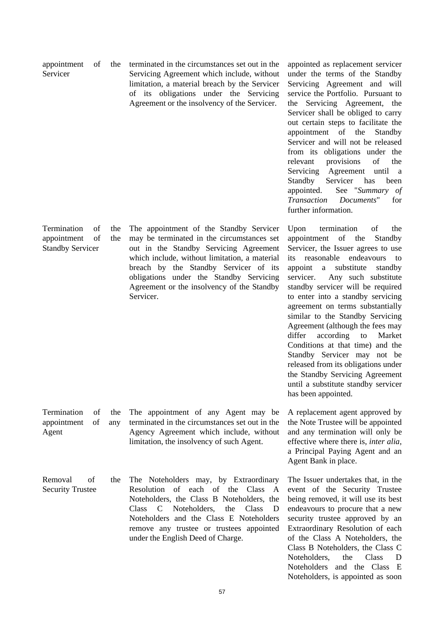| of | the | terminated in the circumstances set out in the |  |  |  |
|----|-----|------------------------------------------------|--|--|--|
|    |     | Servicing Agreement which include, without     |  |  |  |
|    |     | limitation, a material breach by the Servicer  |  |  |  |
|    |     | of its obligations under the Servicing         |  |  |  |
|    |     | Agreement or the insolvency of the Servicer.   |  |  |  |

appointed as replacement servicer under the terms of the Standby Servicing Agreement and will service the Portfolio. Pursuant to the Servicing Agreement, the Servicer shall be obliged to carry out certain steps to facilitate the appointment of the Standby Servicer and will not be released from its obligations under the relevant provisions of the Servicing Agreement until a Standby Servicer has been appointed. See "*Summary of Transaction Documents*" for further information.

Upon termination of the appointment of the Standby Servicer, the Issuer agrees to use its reasonable endeavours to appoint a substitute standby servicer. Any such substitute standby servicer will be required to enter into a standby servicing agreement on terms substantially similar to the Standby Servicing Agreement (although the fees may differ according to Market Conditions at that time) and the Standby Servicer may not be released from its obligations under the Standby Servicing Agreement until a substitute standby servicer has been appointed.

A replacement agent approved by the Note Trustee will be appointed and any termination will only be effective where there is, *inter alia*, a Principal Paying Agent and an Agent Bank in place.

The Issuer undertakes that, in the event of the Security Trustee being removed, it will use its best endeavours to procure that a new security trustee approved by an Extraordinary Resolution of each of the Class A Noteholders, the Class B Noteholders, the Class C Noteholders, the Class D Noteholders and the Class E Noteholders, is appointed as soon

appointment Servicer

Termination of the appointment of the Standby Servicer

The appointment of the Standby Servicer may be terminated in the circumstances set out in the Standby Servicing Agreement which include, without limitation, a material breach by the Standby Servicer of its obligations under the Standby Servicing Agreement or the insolvency of the Standby Servicer.

Termination of the appointment of any Agent

The appointment of any Agent may be terminated in the circumstances set out in the Agency Agreement which include, without limitation, the insolvency of such Agent.

Removal of the Security Trustee The Noteholders may, by Extraordinary Resolution of each of the Class A Noteholders, the Class B Noteholders, the Class C Noteholders, the Class D Noteholders and the Class E Noteholders remove any trustee or trustees appointed under the English Deed of Charge.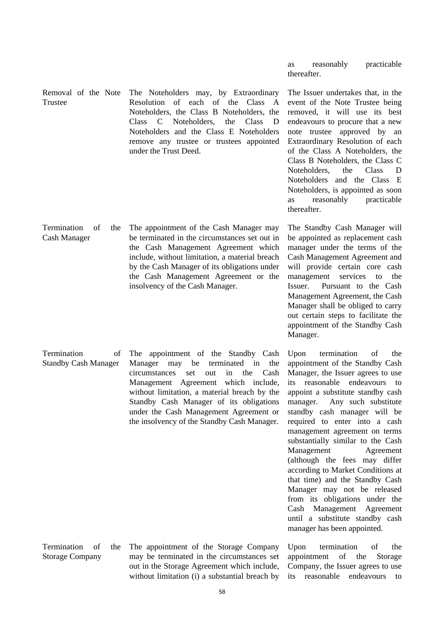|                                                    |                                                                                                                                                                                                                                                                                                                                                                       | thereafter.                                                                                                                                                                                                                                                                                                                                                                                                                                                                                                                                                                                                                                                       |
|----------------------------------------------------|-----------------------------------------------------------------------------------------------------------------------------------------------------------------------------------------------------------------------------------------------------------------------------------------------------------------------------------------------------------------------|-------------------------------------------------------------------------------------------------------------------------------------------------------------------------------------------------------------------------------------------------------------------------------------------------------------------------------------------------------------------------------------------------------------------------------------------------------------------------------------------------------------------------------------------------------------------------------------------------------------------------------------------------------------------|
| Removal of the Note<br>Trustee                     | The Noteholders may, by Extraordinary<br>Resolution of each of the Class<br>A<br>Noteholders, the Class B Noteholders, the<br>Noteholders,<br>Class<br><b>Class</b><br>C<br>the<br>D<br>Noteholders and the Class E Noteholders<br>remove any trustee or trustees appointed<br>under the Trust Deed.                                                                  | The Issuer undertakes that, in the<br>event of the Note Trustee being<br>removed, it will use its best<br>endeavours to procure that a new<br>note trustee approved by an<br>Extraordinary Resolution of each<br>of the Class A Noteholders, the<br>Class B Noteholders, the Class C<br>Class<br>Noteholders,<br>the<br>D<br>Noteholders and the Class E<br>Noteholders, is appointed as soon<br>reasonably<br>practicable<br>as<br>thereafter.                                                                                                                                                                                                                   |
| Termination<br>οf<br>the<br><b>Cash Manager</b>    | The appointment of the Cash Manager may<br>be terminated in the circumstances set out in<br>the Cash Management Agreement which<br>include, without limitation, a material breach<br>by the Cash Manager of its obligations under<br>the Cash Management Agreement or the<br>insolvency of the Cash Manager.                                                          | The Standby Cash Manager will<br>be appointed as replacement cash<br>manager under the terms of the<br>Cash Management Agreement and<br>will provide certain core cash<br>management<br>services<br>the<br>to<br>Issuer.<br>Pursuant to the Cash<br>Management Agreement, the Cash<br>Manager shall be obliged to carry<br>out certain steps to facilitate the<br>appointment of the Standby Cash<br>Manager.                                                                                                                                                                                                                                                     |
| Termination<br>Οt<br><b>Standby Cash Manager</b>   | The appointment of the Standby Cash<br>Manager<br>be<br>terminated<br>the<br>may<br>in<br>circumstances<br>in<br>the<br>Cash<br>set<br>out<br>Management Agreement which include,<br>without limitation, a material breach by the<br>Standby Cash Manager of its obligations<br>under the Cash Management Agreement or<br>the insolvency of the Standby Cash Manager. | Upon<br>termination<br>of<br>the<br>appointment of the Standby Cash<br>Manager, the Issuer agrees to use<br>reasonable endeavours<br>its<br>to<br>appoint a substitute standby cash<br>Any such substitute<br>manager.<br>standby cash manager will be<br>required to enter into a cash<br>management agreement on terms<br>substantially similar to the Cash<br>Management<br>Agreement<br>(although the fees may differ<br>according to Market Conditions at<br>that time) and the Standby Cash<br>Manager may not be released<br>from its obligations under the<br>Cash Management Agreement<br>until a substitute standby cash<br>manager has been appointed. |
| Termination<br>of<br>the<br><b>Storage Company</b> | The appointment of the Storage Company<br>may be terminated in the circumstances set<br>out in the Storage Agreement which include,                                                                                                                                                                                                                                   | termination<br>Upon<br>of<br>the<br>of<br>appointment<br>the<br>Storage<br>Company, the Issuer agrees to use                                                                                                                                                                                                                                                                                                                                                                                                                                                                                                                                                      |

as reasonably practicable

without limitation (i) a substantial breach by its reasonable endeavours to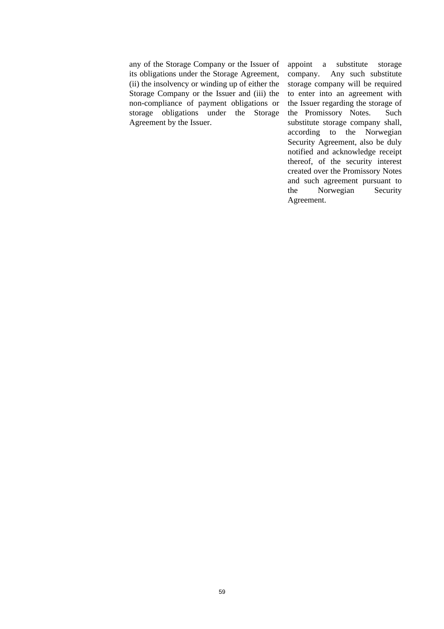any of the Storage Company or the Issuer of its obligations under the Storage Agreement, (ii) the insolvency or winding up of either the Storage Company or the Issuer and (iii) the non-compliance of payment obligations or storage obligations under the Storage Agreement by the Issuer.

appoint a substitute storage company. Any such substitute storage company will be required to enter into an agreement with the Issuer regarding the storage of the Promissory Notes. Such substitute storage company shall, according to the Norwegian Security Agreement, also be duly notified and acknowledge receipt thereof, of the security interest created over the Promissory Notes and such agreement pursuant to the Norwegian Security Agreement.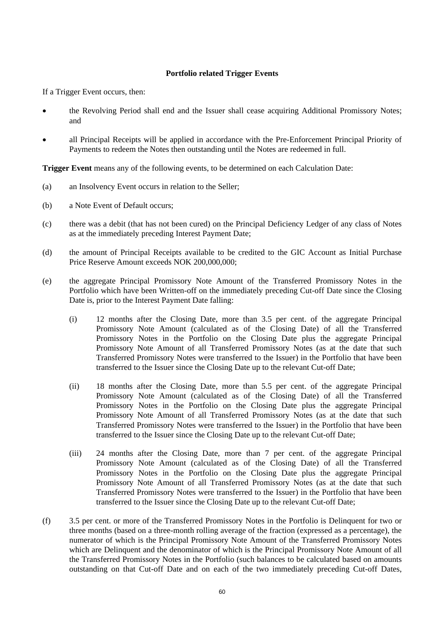#### **Portfolio related Trigger Events**

If a Trigger Event occurs, then:

- the Revolving Period shall end and the Issuer shall cease acquiring Additional Promissory Notes; and
- all Principal Receipts will be applied in accordance with the Pre-Enforcement Principal Priority of Payments to redeem the Notes then outstanding until the Notes are redeemed in full.

**Trigger Event** means any of the following events, to be determined on each Calculation Date:

- (a) an Insolvency Event occurs in relation to the Seller;
- (b) a Note Event of Default occurs;
- (c) there was a debit (that has not been cured) on the Principal Deficiency Ledger of any class of Notes as at the immediately preceding Interest Payment Date;
- (d) the amount of Principal Receipts available to be credited to the GIC Account as Initial Purchase Price Reserve Amount exceeds NOK 200,000,000;
- (e) the aggregate Principal Promissory Note Amount of the Transferred Promissory Notes in the Portfolio which have been Written-off on the immediately preceding Cut-off Date since the Closing Date is, prior to the Interest Payment Date falling:
	- (i) 12 months after the Closing Date, more than 3.5 per cent. of the aggregate Principal Promissory Note Amount (calculated as of the Closing Date) of all the Transferred Promissory Notes in the Portfolio on the Closing Date plus the aggregate Principal Promissory Note Amount of all Transferred Promissory Notes (as at the date that such Transferred Promissory Notes were transferred to the Issuer) in the Portfolio that have been transferred to the Issuer since the Closing Date up to the relevant Cut-off Date;
	- (ii) 18 months after the Closing Date, more than 5.5 per cent. of the aggregate Principal Promissory Note Amount (calculated as of the Closing Date) of all the Transferred Promissory Notes in the Portfolio on the Closing Date plus the aggregate Principal Promissory Note Amount of all Transferred Promissory Notes (as at the date that such Transferred Promissory Notes were transferred to the Issuer) in the Portfolio that have been transferred to the Issuer since the Closing Date up to the relevant Cut-off Date;
	- (iii) 24 months after the Closing Date, more than 7 per cent. of the aggregate Principal Promissory Note Amount (calculated as of the Closing Date) of all the Transferred Promissory Notes in the Portfolio on the Closing Date plus the aggregate Principal Promissory Note Amount of all Transferred Promissory Notes (as at the date that such Transferred Promissory Notes were transferred to the Issuer) in the Portfolio that have been transferred to the Issuer since the Closing Date up to the relevant Cut-off Date;
- (f) 3.5 per cent. or more of the Transferred Promissory Notes in the Portfolio is Delinquent for two or three months (based on a three-month rolling average of the fraction (expressed as a percentage), the numerator of which is the Principal Promissory Note Amount of the Transferred Promissory Notes which are Delinquent and the denominator of which is the Principal Promissory Note Amount of all the Transferred Promissory Notes in the Portfolio (such balances to be calculated based on amounts outstanding on that Cut-off Date and on each of the two immediately preceding Cut-off Dates,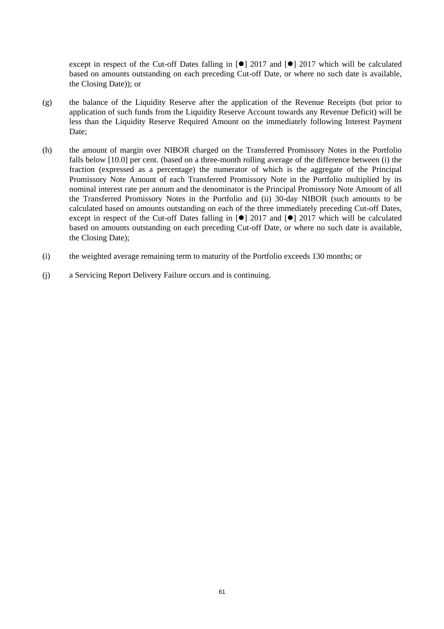except in respect of the Cut-off Dates falling in  $\lceil \bullet \rceil$  2017 and  $\lceil \bullet \rceil$  2017 which will be calculated based on amounts outstanding on each preceding Cut-off Date, or where no such date is available, the Closing Date)); or

- (g) the balance of the Liquidity Reserve after the application of the Revenue Receipts (but prior to application of such funds from the Liquidity Reserve Account towards any Revenue Deficit) will be less than the Liquidity Reserve Required Amount on the immediately following Interest Payment Date;
- (h) the amount of margin over NIBOR charged on the Transferred Promissory Notes in the Portfolio falls below [10.0] per cent. (based on a three-month rolling average of the difference between (i) the fraction (expressed as a percentage) the numerator of which is the aggregate of the Principal Promissory Note Amount of each Transferred Promissory Note in the Portfolio multiplied by its nominal interest rate per annum and the denominator is the Principal Promissory Note Amount of all the Transferred Promissory Notes in the Portfolio and (ii) 30-day NIBOR (such amounts to be calculated based on amounts outstanding on each of the three immediately preceding Cut-off Dates, except in respect of the Cut-off Dates falling in  $\lceil \bullet \rceil$  2017 and  $\lceil \bullet \rceil$  2017 which will be calculated based on amounts outstanding on each preceding Cut-off Date, or where no such date is available, the Closing Date);
- (i) the weighted average remaining term to maturity of the Portfolio exceeds 130 months; or
- (j) a Servicing Report Delivery Failure occurs and is continuing.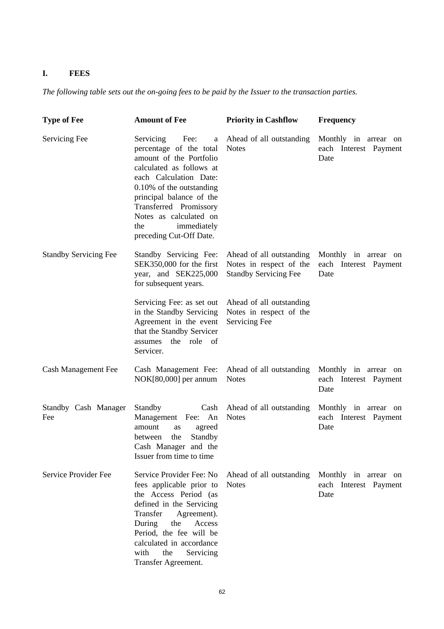# **I. FEES**

*The following table sets out the on-going fees to be paid by the Issuer to the transaction parties.* 

| <b>Type of Fee</b>           | <b>Amount of Fee</b>                                                                                                                                                                                                                                                                            | <b>Priority in Cashflow</b>                                                         | <b>Frequency</b>                                      |
|------------------------------|-------------------------------------------------------------------------------------------------------------------------------------------------------------------------------------------------------------------------------------------------------------------------------------------------|-------------------------------------------------------------------------------------|-------------------------------------------------------|
| Servicing Fee                | Fee:<br>Servicing<br>a<br>percentage of the total<br>amount of the Portfolio<br>calculated as follows at<br>each Calculation Date:<br>0.10% of the outstanding<br>principal balance of the<br>Transferred Promissory<br>Notes as calculated on<br>immediately<br>the<br>preceding Cut-Off Date. | Ahead of all outstanding<br><b>Notes</b>                                            | Monthly in arrear on<br>each Interest Payment<br>Date |
| <b>Standby Servicing Fee</b> | Standby Servicing Fee:<br>SEK350,000 for the first<br>year, and SEK225,000<br>for subsequent years.                                                                                                                                                                                             | Ahead of all outstanding<br>Notes in respect of the<br><b>Standby Servicing Fee</b> | Monthly in arrear on<br>each Interest Payment<br>Date |
|                              | Servicing Fee: as set out<br>in the Standby Servicing<br>Agreement in the event<br>that the Standby Servicer<br>the role of<br>assumes<br>Servicer.                                                                                                                                             | Ahead of all outstanding<br>Notes in respect of the<br>Servicing Fee                |                                                       |
| <b>Cash Management Fee</b>   | Cash Management Fee:<br>NOK[80,000] per annum                                                                                                                                                                                                                                                   | Ahead of all outstanding<br><b>Notes</b>                                            | Monthly in arrear on<br>each Interest Payment<br>Date |
| Standby Cash Manager<br>Fee  | Standby<br>Cash<br>Management<br>Fee: An<br>amount<br>agreed<br>as<br>the<br>Standby<br>between<br>Cash Manager and the<br>Issuer from time to time                                                                                                                                             | Ahead of all outstanding<br><b>Notes</b>                                            | Monthly in arrear on<br>each Interest Payment<br>Date |
| Service Provider Fee         | Service Provider Fee: No<br>fees applicable prior to<br>the Access Period (as<br>defined in the Servicing<br>Transfer<br>Agreement).<br>Access<br>During<br>the<br>Period, the fee will be<br>calculated in accordance<br>with<br>the<br>Servicing<br>Transfer Agreement.                       | Ahead of all outstanding<br><b>Notes</b>                                            | Monthly in arrear on<br>each Interest Payment<br>Date |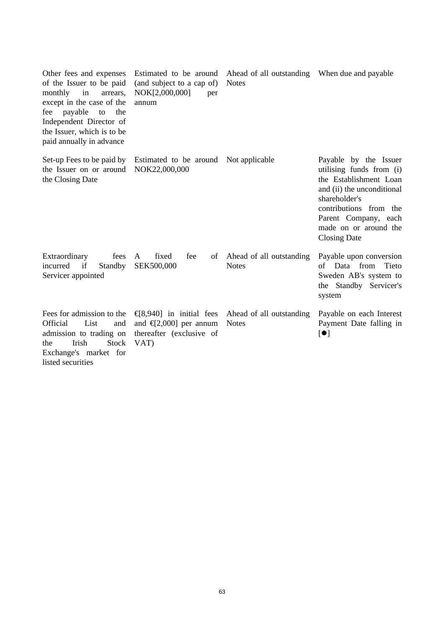| Other fees and expenses<br>of the Issuer to be paid<br>in<br>monthly<br>arrears,<br>except in the case of the<br>payable<br>fee<br>to<br>the<br>Independent Director of<br>the Issuer, which is to be<br>paid annually in advance | Estimated to be around<br>(and subject to a cap of)<br>NOK[2,000,000]<br>per<br>annum                                                                                                                                                                                                                                                                                                                                                             | Ahead of all outstanding When due and payable<br><b>Notes</b> |                                                                                                                                                                                                                              |
|-----------------------------------------------------------------------------------------------------------------------------------------------------------------------------------------------------------------------------------|---------------------------------------------------------------------------------------------------------------------------------------------------------------------------------------------------------------------------------------------------------------------------------------------------------------------------------------------------------------------------------------------------------------------------------------------------|---------------------------------------------------------------|------------------------------------------------------------------------------------------------------------------------------------------------------------------------------------------------------------------------------|
| Set-up Fees to be paid by<br>the Issuer on or around<br>the Closing Date                                                                                                                                                          | Estimated to be around<br>NOK22,000,000                                                                                                                                                                                                                                                                                                                                                                                                           | Not applicable                                                | Payable by the Issuer<br>utilising funds from (i)<br>the Establishment Loan<br>and (ii) the unconditional<br>shareholder's<br>contributions from the<br>Parent Company, each<br>made on or around the<br><b>Closing Date</b> |
| Extraordinary<br>fees<br>Standby<br>incurred<br>if<br>Servicer appointed                                                                                                                                                          | fixed<br>fee<br>A<br>of<br>SEK500,000                                                                                                                                                                                                                                                                                                                                                                                                             | Ahead of all outstanding<br><b>Notes</b>                      | Payable upon conversion<br>of Data from<br>Tieto<br>Sweden AB's system to<br>the Standby Servicer's<br>system                                                                                                                |
| Fees for admission to the<br>List<br>Official<br>and<br>admission to trading on<br>Irish<br><b>Stock</b><br>the<br>Exchange's market for<br>listed securities                                                                     | $\left[ \frac{1}{2} \right]$ and $\left[ \frac{1}{2} \right]$ and $\left[ \frac{1}{2} \right]$ and $\left[ \frac{1}{2} \right]$ and $\left[ \frac{1}{2} \right]$ and $\left[ \frac{1}{2} \right]$ and $\left[ \frac{1}{2} \right]$ and $\left[ \frac{1}{2} \right]$ and $\left[ \frac{1}{2} \right]$ and $\left[ \frac{1}{2} \right]$ and $\left[ \frac{1}{2} \right]$ and<br>and $\text{I}2,000$ ] per annum<br>thereafter (exclusive of<br>VAT) | Ahead of all outstanding<br><b>Notes</b>                      | Payable on each Interest<br>Payment Date falling in<br>$\left[ \bullet \right]$                                                                                                                                              |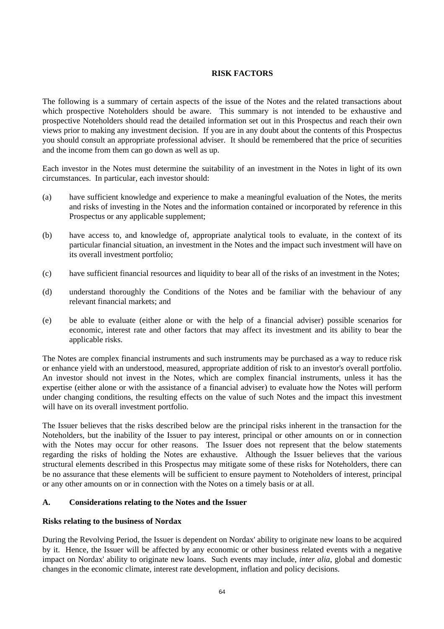## **RISK FACTORS**

The following is a summary of certain aspects of the issue of the Notes and the related transactions about which prospective Noteholders should be aware. This summary is not intended to be exhaustive and prospective Noteholders should read the detailed information set out in this Prospectus and reach their own views prior to making any investment decision. If you are in any doubt about the contents of this Prospectus you should consult an appropriate professional adviser. It should be remembered that the price of securities and the income from them can go down as well as up.

Each investor in the Notes must determine the suitability of an investment in the Notes in light of its own circumstances. In particular, each investor should:

- (a) have sufficient knowledge and experience to make a meaningful evaluation of the Notes, the merits and risks of investing in the Notes and the information contained or incorporated by reference in this Prospectus or any applicable supplement;
- (b) have access to, and knowledge of, appropriate analytical tools to evaluate, in the context of its particular financial situation, an investment in the Notes and the impact such investment will have on its overall investment portfolio;
- (c) have sufficient financial resources and liquidity to bear all of the risks of an investment in the Notes;
- (d) understand thoroughly the Conditions of the Notes and be familiar with the behaviour of any relevant financial markets; and
- (e) be able to evaluate (either alone or with the help of a financial adviser) possible scenarios for economic, interest rate and other factors that may affect its investment and its ability to bear the applicable risks.

The Notes are complex financial instruments and such instruments may be purchased as a way to reduce risk or enhance yield with an understood, measured, appropriate addition of risk to an investor's overall portfolio. An investor should not invest in the Notes, which are complex financial instruments, unless it has the expertise (either alone or with the assistance of a financial adviser) to evaluate how the Notes will perform under changing conditions, the resulting effects on the value of such Notes and the impact this investment will have on its overall investment portfolio.

The Issuer believes that the risks described below are the principal risks inherent in the transaction for the Noteholders, but the inability of the Issuer to pay interest, principal or other amounts on or in connection with the Notes may occur for other reasons. The Issuer does not represent that the below statements regarding the risks of holding the Notes are exhaustive. Although the Issuer believes that the various structural elements described in this Prospectus may mitigate some of these risks for Noteholders, there can be no assurance that these elements will be sufficient to ensure payment to Noteholders of interest, principal or any other amounts on or in connection with the Notes on a timely basis or at all.

#### **A. Considerations relating to the Notes and the Issuer**

#### **Risks relating to the business of Nordax**

During the Revolving Period, the Issuer is dependent on Nordax' ability to originate new loans to be acquired by it. Hence, the Issuer will be affected by any economic or other business related events with a negative impact on Nordax' ability to originate new loans. Such events may include, *inter alia*, global and domestic changes in the economic climate, interest rate development, inflation and policy decisions.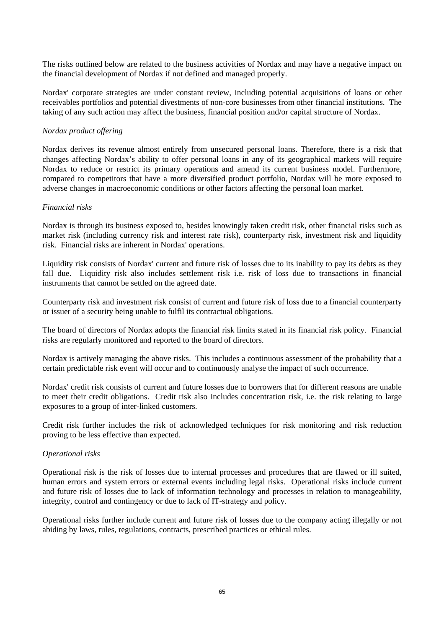The risks outlined below are related to the business activities of Nordax and may have a negative impact on the financial development of Nordax if not defined and managed properly.

Nordax' corporate strategies are under constant review, including potential acquisitions of loans or other receivables portfolios and potential divestments of non-core businesses from other financial institutions. The taking of any such action may affect the business, financial position and/or capital structure of Nordax.

#### *Nordax product offering*

Nordax derives its revenue almost entirely from unsecured personal loans. Therefore, there is a risk that changes affecting Nordax's ability to offer personal loans in any of its geographical markets will require Nordax to reduce or restrict its primary operations and amend its current business model. Furthermore, compared to competitors that have a more diversified product portfolio, Nordax will be more exposed to adverse changes in macroeconomic conditions or other factors affecting the personal loan market.

#### *Financial risks*

Nordax is through its business exposed to, besides knowingly taken credit risk, other financial risks such as market risk (including currency risk and interest rate risk), counterparty risk, investment risk and liquidity risk. Financial risks are inherent in Nordax' operations.

Liquidity risk consists of Nordax' current and future risk of losses due to its inability to pay its debts as they fall due. Liquidity risk also includes settlement risk i.e. risk of loss due to transactions in financial instruments that cannot be settled on the agreed date.

Counterparty risk and investment risk consist of current and future risk of loss due to a financial counterparty or issuer of a security being unable to fulfil its contractual obligations.

The board of directors of Nordax adopts the financial risk limits stated in its financial risk policy. Financial risks are regularly monitored and reported to the board of directors.

Nordax is actively managing the above risks. This includes a continuous assessment of the probability that a certain predictable risk event will occur and to continuously analyse the impact of such occurrence.

Nordax' credit risk consists of current and future losses due to borrowers that for different reasons are unable to meet their credit obligations. Credit risk also includes concentration risk, i.e. the risk relating to large exposures to a group of inter-linked customers.

Credit risk further includes the risk of acknowledged techniques for risk monitoring and risk reduction proving to be less effective than expected.

#### *Operational risks*

Operational risk is the risk of losses due to internal processes and procedures that are flawed or ill suited, human errors and system errors or external events including legal risks. Operational risks include current and future risk of losses due to lack of information technology and processes in relation to manageability, integrity, control and contingency or due to lack of IT-strategy and policy.

Operational risks further include current and future risk of losses due to the company acting illegally or not abiding by laws, rules, regulations, contracts, prescribed practices or ethical rules.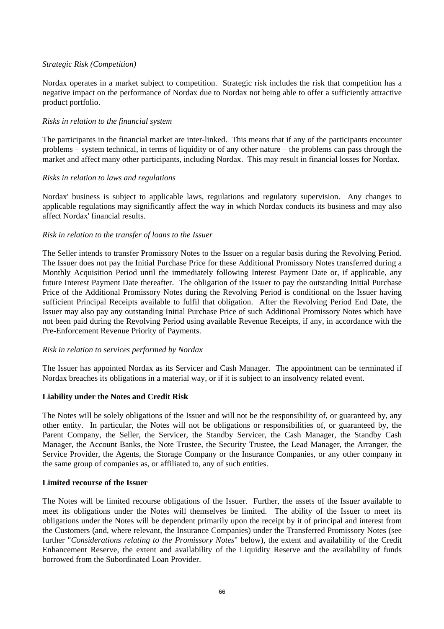#### *Strategic Risk (Competition)*

Nordax operates in a market subject to competition. Strategic risk includes the risk that competition has a negative impact on the performance of Nordax due to Nordax not being able to offer a sufficiently attractive product portfolio.

#### *Risks in relation to the financial system*

The participants in the financial market are inter-linked. This means that if any of the participants encounter problems – system technical, in terms of liquidity or of any other nature – the problems can pass through the market and affect many other participants, including Nordax. This may result in financial losses for Nordax.

#### *Risks in relation to laws and regulations*

Nordax' business is subject to applicable laws, regulations and regulatory supervision. Any changes to applicable regulations may significantly affect the way in which Nordax conducts its business and may also affect Nordax' financial results.

### *Risk in relation to the transfer of loans to the Issuer*

The Seller intends to transfer Promissory Notes to the Issuer on a regular basis during the Revolving Period. The Issuer does not pay the Initial Purchase Price for these Additional Promissory Notes transferred during a Monthly Acquisition Period until the immediately following Interest Payment Date or, if applicable, any future Interest Payment Date thereafter. The obligation of the Issuer to pay the outstanding Initial Purchase Price of the Additional Promissory Notes during the Revolving Period is conditional on the Issuer having sufficient Principal Receipts available to fulfil that obligation. After the Revolving Period End Date, the Issuer may also pay any outstanding Initial Purchase Price of such Additional Promissory Notes which have not been paid during the Revolving Period using available Revenue Receipts, if any, in accordance with the Pre-Enforcement Revenue Priority of Payments.

#### *Risk in relation to services performed by Nordax*

The Issuer has appointed Nordax as its Servicer and Cash Manager. The appointment can be terminated if Nordax breaches its obligations in a material way, or if it is subject to an insolvency related event.

#### **Liability under the Notes and Credit Risk**

The Notes will be solely obligations of the Issuer and will not be the responsibility of, or guaranteed by, any other entity. In particular, the Notes will not be obligations or responsibilities of, or guaranteed by, the Parent Company, the Seller, the Servicer, the Standby Servicer, the Cash Manager, the Standby Cash Manager, the Account Banks, the Note Trustee, the Security Trustee, the Lead Manager, the Arranger, the Service Provider, the Agents, the Storage Company or the Insurance Companies, or any other company in the same group of companies as, or affiliated to, any of such entities.

#### **Limited recourse of the Issuer**

The Notes will be limited recourse obligations of the Issuer. Further, the assets of the Issuer available to meet its obligations under the Notes will themselves be limited. The ability of the Issuer to meet its obligations under the Notes will be dependent primarily upon the receipt by it of principal and interest from the Customers (and, where relevant, the Insurance Companies) under the Transferred Promissory Notes (see further "*Considerations relating to the Promissory Notes*" below), the extent and availability of the Credit Enhancement Reserve, the extent and availability of the Liquidity Reserve and the availability of funds borrowed from the Subordinated Loan Provider.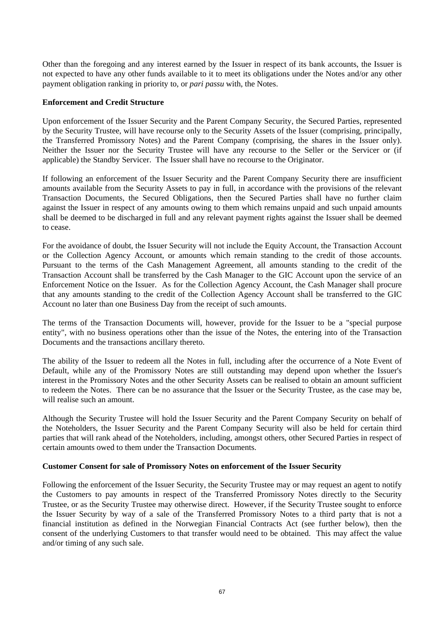Other than the foregoing and any interest earned by the Issuer in respect of its bank accounts, the Issuer is not expected to have any other funds available to it to meet its obligations under the Notes and/or any other payment obligation ranking in priority to, or *pari passu* with, the Notes.

#### **Enforcement and Credit Structure**

Upon enforcement of the Issuer Security and the Parent Company Security, the Secured Parties, represented by the Security Trustee, will have recourse only to the Security Assets of the Issuer (comprising, principally, the Transferred Promissory Notes) and the Parent Company (comprising, the shares in the Issuer only). Neither the Issuer nor the Security Trustee will have any recourse to the Seller or the Servicer or (if applicable) the Standby Servicer. The Issuer shall have no recourse to the Originator.

If following an enforcement of the Issuer Security and the Parent Company Security there are insufficient amounts available from the Security Assets to pay in full, in accordance with the provisions of the relevant Transaction Documents, the Secured Obligations, then the Secured Parties shall have no further claim against the Issuer in respect of any amounts owing to them which remains unpaid and such unpaid amounts shall be deemed to be discharged in full and any relevant payment rights against the Issuer shall be deemed to cease.

For the avoidance of doubt, the Issuer Security will not include the Equity Account, the Transaction Account or the Collection Agency Account, or amounts which remain standing to the credit of those accounts. Pursuant to the terms of the Cash Management Agreement, all amounts standing to the credit of the Transaction Account shall be transferred by the Cash Manager to the GIC Account upon the service of an Enforcement Notice on the Issuer. As for the Collection Agency Account, the Cash Manager shall procure that any amounts standing to the credit of the Collection Agency Account shall be transferred to the GIC Account no later than one Business Day from the receipt of such amounts.

The terms of the Transaction Documents will, however, provide for the Issuer to be a "special purpose entity", with no business operations other than the issue of the Notes, the entering into of the Transaction Documents and the transactions ancillary thereto.

The ability of the Issuer to redeem all the Notes in full, including after the occurrence of a Note Event of Default, while any of the Promissory Notes are still outstanding may depend upon whether the Issuer's interest in the Promissory Notes and the other Security Assets can be realised to obtain an amount sufficient to redeem the Notes. There can be no assurance that the Issuer or the Security Trustee, as the case may be, will realise such an amount.

Although the Security Trustee will hold the Issuer Security and the Parent Company Security on behalf of the Noteholders, the Issuer Security and the Parent Company Security will also be held for certain third parties that will rank ahead of the Noteholders, including, amongst others, other Secured Parties in respect of certain amounts owed to them under the Transaction Documents.

#### **Customer Consent for sale of Promissory Notes on enforcement of the Issuer Security**

Following the enforcement of the Issuer Security, the Security Trustee may or may request an agent to notify the Customers to pay amounts in respect of the Transferred Promissory Notes directly to the Security Trustee, or as the Security Trustee may otherwise direct. However, if the Security Trustee sought to enforce the Issuer Security by way of a sale of the Transferred Promissory Notes to a third party that is not a financial institution as defined in the Norwegian Financial Contracts Act (see further below), then the consent of the underlying Customers to that transfer would need to be obtained. This may affect the value and/or timing of any such sale.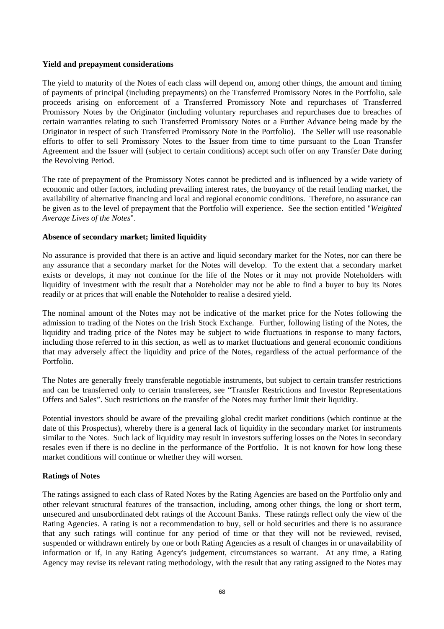#### **Yield and prepayment considerations**

The yield to maturity of the Notes of each class will depend on, among other things, the amount and timing of payments of principal (including prepayments) on the Transferred Promissory Notes in the Portfolio, sale proceeds arising on enforcement of a Transferred Promissory Note and repurchases of Transferred Promissory Notes by the Originator (including voluntary repurchases and repurchases due to breaches of certain warranties relating to such Transferred Promissory Notes or a Further Advance being made by the Originator in respect of such Transferred Promissory Note in the Portfolio). The Seller will use reasonable efforts to offer to sell Promissory Notes to the Issuer from time to time pursuant to the Loan Transfer Agreement and the Issuer will (subject to certain conditions) accept such offer on any Transfer Date during the Revolving Period.

The rate of prepayment of the Promissory Notes cannot be predicted and is influenced by a wide variety of economic and other factors, including prevailing interest rates, the buoyancy of the retail lending market, the availability of alternative financing and local and regional economic conditions. Therefore, no assurance can be given as to the level of prepayment that the Portfolio will experience. See the section entitled "*Weighted Average Lives of the Notes*".

#### **Absence of secondary market; limited liquidity**

No assurance is provided that there is an active and liquid secondary market for the Notes, nor can there be any assurance that a secondary market for the Notes will develop. To the extent that a secondary market exists or develops, it may not continue for the life of the Notes or it may not provide Noteholders with liquidity of investment with the result that a Noteholder may not be able to find a buyer to buy its Notes readily or at prices that will enable the Noteholder to realise a desired yield.

The nominal amount of the Notes may not be indicative of the market price for the Notes following the admission to trading of the Notes on the Irish Stock Exchange. Further, following listing of the Notes, the liquidity and trading price of the Notes may be subject to wide fluctuations in response to many factors, including those referred to in this section, as well as to market fluctuations and general economic conditions that may adversely affect the liquidity and price of the Notes, regardless of the actual performance of the Portfolio.

The Notes are generally freely transferable negotiable instruments, but subject to certain transfer restrictions and can be transferred only to certain transferees, see "Transfer Restrictions and Investor Representations Offers and Sales". Such restrictions on the transfer of the Notes may further limit their liquidity.

Potential investors should be aware of the prevailing global credit market conditions (which continue at the date of this Prospectus), whereby there is a general lack of liquidity in the secondary market for instruments similar to the Notes. Such lack of liquidity may result in investors suffering losses on the Notes in secondary resales even if there is no decline in the performance of the Portfolio. It is not known for how long these market conditions will continue or whether they will worsen.

#### **Ratings of Notes**

The ratings assigned to each class of Rated Notes by the Rating Agencies are based on the Portfolio only and other relevant structural features of the transaction, including, among other things, the long or short term, unsecured and unsubordinated debt ratings of the Account Banks. These ratings reflect only the view of the Rating Agencies. A rating is not a recommendation to buy, sell or hold securities and there is no assurance that any such ratings will continue for any period of time or that they will not be reviewed, revised, suspended or withdrawn entirely by one or both Rating Agencies as a result of changes in or unavailability of information or if, in any Rating Agency's judgement, circumstances so warrant. At any time, a Rating Agency may revise its relevant rating methodology, with the result that any rating assigned to the Notes may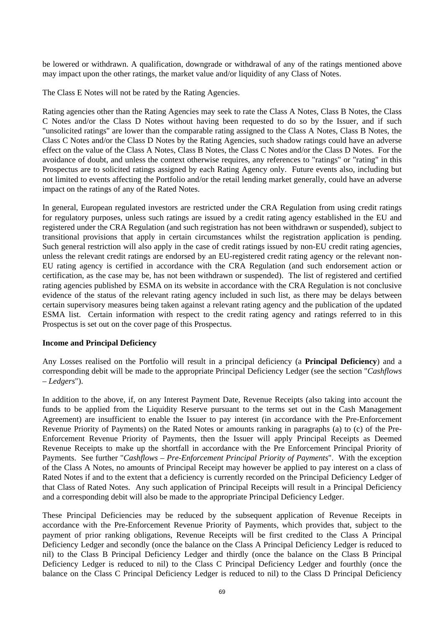be lowered or withdrawn. A qualification, downgrade or withdrawal of any of the ratings mentioned above may impact upon the other ratings, the market value and/or liquidity of any Class of Notes.

The Class E Notes will not be rated by the Rating Agencies.

Rating agencies other than the Rating Agencies may seek to rate the Class A Notes, Class B Notes, the Class C Notes and/or the Class D Notes without having been requested to do so by the Issuer, and if such "unsolicited ratings" are lower than the comparable rating assigned to the Class A Notes, Class B Notes, the Class C Notes and/or the Class D Notes by the Rating Agencies, such shadow ratings could have an adverse effect on the value of the Class A Notes, Class B Notes, the Class C Notes and/or the Class D Notes. For the avoidance of doubt, and unless the context otherwise requires, any references to "ratings" or "rating" in this Prospectus are to solicited ratings assigned by each Rating Agency only. Future events also, including but not limited to events affecting the Portfolio and/or the retail lending market generally, could have an adverse impact on the ratings of any of the Rated Notes.

In general, European regulated investors are restricted under the CRA Regulation from using credit ratings for regulatory purposes, unless such ratings are issued by a credit rating agency established in the EU and registered under the CRA Regulation (and such registration has not been withdrawn or suspended), subject to transitional provisions that apply in certain circumstances whilst the registration application is pending. Such general restriction will also apply in the case of credit ratings issued by non-EU credit rating agencies, unless the relevant credit ratings are endorsed by an EU-registered credit rating agency or the relevant non-EU rating agency is certified in accordance with the CRA Regulation (and such endorsement action or certification, as the case may be, has not been withdrawn or suspended). The list of registered and certified rating agencies published by ESMA on its website in accordance with the CRA Regulation is not conclusive evidence of the status of the relevant rating agency included in such list, as there may be delays between certain supervisory measures being taken against a relevant rating agency and the publication of the updated ESMA list. Certain information with respect to the credit rating agency and ratings referred to in this Prospectus is set out on the cover page of this Prospectus.

#### **Income and Principal Deficiency**

Any Losses realised on the Portfolio will result in a principal deficiency (a **Principal Deficiency**) and a corresponding debit will be made to the appropriate Principal Deficiency Ledger (see the section "*Cashflows – Ledgers*").

In addition to the above, if, on any Interest Payment Date, Revenue Receipts (also taking into account the funds to be applied from the Liquidity Reserve pursuant to the terms set out in the Cash Management Agreement) are insufficient to enable the Issuer to pay interest (in accordance with the Pre-Enforcement Revenue Priority of Payments) on the Rated Notes or amounts ranking in paragraphs (a) to (c) of the Pre-Enforcement Revenue Priority of Payments, then the Issuer will apply Principal Receipts as Deemed Revenue Receipts to make up the shortfall in accordance with the Pre Enforcement Principal Priority of Payments. See further "*Cashflows – Pre-Enforcement Principal Priority of Payments*". With the exception of the Class A Notes, no amounts of Principal Receipt may however be applied to pay interest on a class of Rated Notes if and to the extent that a deficiency is currently recorded on the Principal Deficiency Ledger of that Class of Rated Notes. Any such application of Principal Receipts will result in a Principal Deficiency and a corresponding debit will also be made to the appropriate Principal Deficiency Ledger.

These Principal Deficiencies may be reduced by the subsequent application of Revenue Receipts in accordance with the Pre-Enforcement Revenue Priority of Payments, which provides that, subject to the payment of prior ranking obligations, Revenue Receipts will be first credited to the Class A Principal Deficiency Ledger and secondly (once the balance on the Class A Principal Deficiency Ledger is reduced to nil) to the Class B Principal Deficiency Ledger and thirdly (once the balance on the Class B Principal Deficiency Ledger is reduced to nil) to the Class C Principal Deficiency Ledger and fourthly (once the balance on the Class C Principal Deficiency Ledger is reduced to nil) to the Class D Principal Deficiency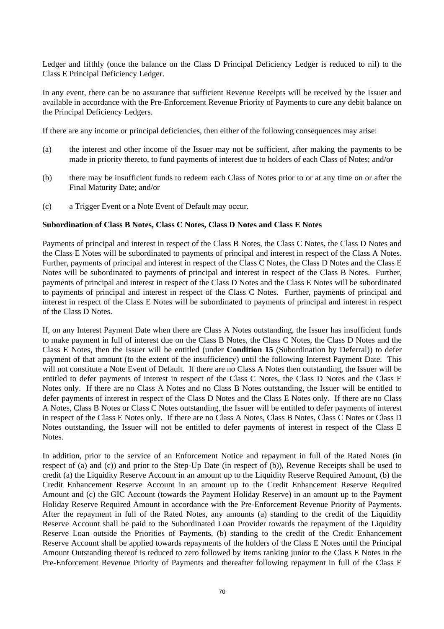Ledger and fifthly (once the balance on the Class D Principal Deficiency Ledger is reduced to nil) to the Class E Principal Deficiency Ledger.

In any event, there can be no assurance that sufficient Revenue Receipts will be received by the Issuer and available in accordance with the Pre-Enforcement Revenue Priority of Payments to cure any debit balance on the Principal Deficiency Ledgers.

If there are any income or principal deficiencies, then either of the following consequences may arise:

- (a) the interest and other income of the Issuer may not be sufficient, after making the payments to be made in priority thereto, to fund payments of interest due to holders of each Class of Notes; and/or
- (b) there may be insufficient funds to redeem each Class of Notes prior to or at any time on or after the Final Maturity Date; and/or
- (c) a Trigger Event or a Note Event of Default may occur.

#### **Subordination of Class B Notes, Class C Notes, Class D Notes and Class E Notes**

Payments of principal and interest in respect of the Class B Notes, the Class C Notes, the Class D Notes and the Class E Notes will be subordinated to payments of principal and interest in respect of the Class A Notes. Further, payments of principal and interest in respect of the Class C Notes, the Class D Notes and the Class E Notes will be subordinated to payments of principal and interest in respect of the Class B Notes. Further, payments of principal and interest in respect of the Class D Notes and the Class E Notes will be subordinated to payments of principal and interest in respect of the Class C Notes. Further, payments of principal and interest in respect of the Class E Notes will be subordinated to payments of principal and interest in respect of the Class D Notes.

If, on any Interest Payment Date when there are Class A Notes outstanding, the Issuer has insufficient funds to make payment in full of interest due on the Class B Notes, the Class C Notes, the Class D Notes and the Class E Notes, then the Issuer will be entitled (under **Condition 15** (Subordination by Deferral)) to defer payment of that amount (to the extent of the insufficiency) until the following Interest Payment Date. This will not constitute a Note Event of Default. If there are no Class A Notes then outstanding, the Issuer will be entitled to defer payments of interest in respect of the Class C Notes, the Class D Notes and the Class E Notes only. If there are no Class A Notes and no Class B Notes outstanding, the Issuer will be entitled to defer payments of interest in respect of the Class D Notes and the Class E Notes only. If there are no Class A Notes, Class B Notes or Class C Notes outstanding, the Issuer will be entitled to defer payments of interest in respect of the Class E Notes only. If there are no Class A Notes, Class B Notes, Class C Notes or Class D Notes outstanding, the Issuer will not be entitled to defer payments of interest in respect of the Class E Notes.

In addition, prior to the service of an Enforcement Notice and repayment in full of the Rated Notes (in respect of (a) and (c)) and prior to the Step-Up Date (in respect of (b)), Revenue Receipts shall be used to credit (a) the Liquidity Reserve Account in an amount up to the Liquidity Reserve Required Amount, (b) the Credit Enhancement Reserve Account in an amount up to the Credit Enhancement Reserve Required Amount and (c) the GIC Account (towards the Payment Holiday Reserve) in an amount up to the Payment Holiday Reserve Required Amount in accordance with the Pre-Enforcement Revenue Priority of Payments. After the repayment in full of the Rated Notes, any amounts (a) standing to the credit of the Liquidity Reserve Account shall be paid to the Subordinated Loan Provider towards the repayment of the Liquidity Reserve Loan outside the Priorities of Payments, (b) standing to the credit of the Credit Enhancement Reserve Account shall be applied towards repayments of the holders of the Class E Notes until the Principal Amount Outstanding thereof is reduced to zero followed by items ranking junior to the Class E Notes in the Pre-Enforcement Revenue Priority of Payments and thereafter following repayment in full of the Class E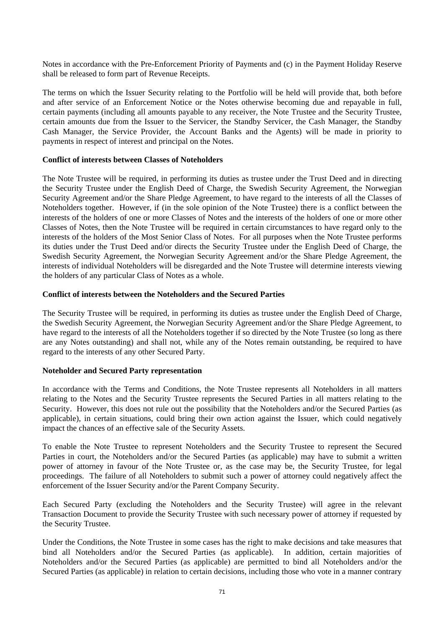Notes in accordance with the Pre-Enforcement Priority of Payments and (c) in the Payment Holiday Reserve shall be released to form part of Revenue Receipts.

The terms on which the Issuer Security relating to the Portfolio will be held will provide that, both before and after service of an Enforcement Notice or the Notes otherwise becoming due and repayable in full, certain payments (including all amounts payable to any receiver, the Note Trustee and the Security Trustee, certain amounts due from the Issuer to the Servicer, the Standby Servicer, the Cash Manager, the Standby Cash Manager, the Service Provider, the Account Banks and the Agents) will be made in priority to payments in respect of interest and principal on the Notes.

#### **Conflict of interests between Classes of Noteholders**

The Note Trustee will be required, in performing its duties as trustee under the Trust Deed and in directing the Security Trustee under the English Deed of Charge, the Swedish Security Agreement, the Norwegian Security Agreement and/or the Share Pledge Agreement, to have regard to the interests of all the Classes of Noteholders together. However, if (in the sole opinion of the Note Trustee) there is a conflict between the interests of the holders of one or more Classes of Notes and the interests of the holders of one or more other Classes of Notes, then the Note Trustee will be required in certain circumstances to have regard only to the interests of the holders of the Most Senior Class of Notes. For all purposes when the Note Trustee performs its duties under the Trust Deed and/or directs the Security Trustee under the English Deed of Charge, the Swedish Security Agreement, the Norwegian Security Agreement and/or the Share Pledge Agreement, the interests of individual Noteholders will be disregarded and the Note Trustee will determine interests viewing the holders of any particular Class of Notes as a whole.

#### **Conflict of interests between the Noteholders and the Secured Parties**

The Security Trustee will be required, in performing its duties as trustee under the English Deed of Charge, the Swedish Security Agreement, the Norwegian Security Agreement and/or the Share Pledge Agreement, to have regard to the interests of all the Noteholders together if so directed by the Note Trustee (so long as there are any Notes outstanding) and shall not, while any of the Notes remain outstanding, be required to have regard to the interests of any other Secured Party.

#### **Noteholder and Secured Party representation**

In accordance with the Terms and Conditions, the Note Trustee represents all Noteholders in all matters relating to the Notes and the Security Trustee represents the Secured Parties in all matters relating to the Security. However, this does not rule out the possibility that the Noteholders and/or the Secured Parties (as applicable), in certain situations, could bring their own action against the Issuer, which could negatively impact the chances of an effective sale of the Security Assets.

To enable the Note Trustee to represent Noteholders and the Security Trustee to represent the Secured Parties in court, the Noteholders and/or the Secured Parties (as applicable) may have to submit a written power of attorney in favour of the Note Trustee or, as the case may be, the Security Trustee, for legal proceedings. The failure of all Noteholders to submit such a power of attorney could negatively affect the enforcement of the Issuer Security and/or the Parent Company Security.

Each Secured Party (excluding the Noteholders and the Security Trustee) will agree in the relevant Transaction Document to provide the Security Trustee with such necessary power of attorney if requested by the Security Trustee.

Under the Conditions, the Note Trustee in some cases has the right to make decisions and take measures that bind all Noteholders and/or the Secured Parties (as applicable). In addition, certain majorities of Noteholders and/or the Secured Parties (as applicable) are permitted to bind all Noteholders and/or the Secured Parties (as applicable) in relation to certain decisions, including those who vote in a manner contrary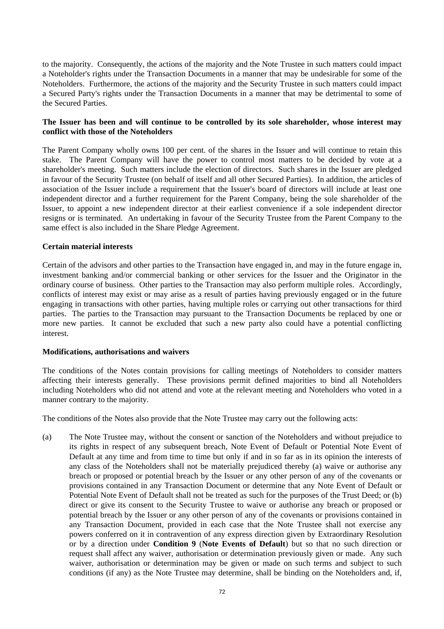to the majority. Consequently, the actions of the majority and the Note Trustee in such matters could impact a Noteholder's rights under the Transaction Documents in a manner that may be undesirable for some of the Noteholders. Furthermore, the actions of the majority and the Security Trustee in such matters could impact a Secured Party's rights under the Transaction Documents in a manner that may be detrimental to some of the Secured Parties.

#### **The Issuer has been and will continue to be controlled by its sole shareholder, whose interest may conflict with those of the Noteholders**

The Parent Company wholly owns 100 per cent. of the shares in the Issuer and will continue to retain this stake. The Parent Company will have the power to control most matters to be decided by vote at a shareholder's meeting. Such matters include the election of directors. Such shares in the Issuer are pledged in favour of the Security Trustee (on behalf of itself and all other Secured Parties). In addition, the articles of association of the Issuer include a requirement that the Issuer's board of directors will include at least one independent director and a further requirement for the Parent Company, being the sole shareholder of the Issuer, to appoint a new independent director at their earliest convenience if a sole independent director resigns or is terminated. An undertaking in favour of the Security Trustee from the Parent Company to the same effect is also included in the Share Pledge Agreement.

#### **Certain material interests**

Certain of the advisors and other parties to the Transaction have engaged in, and may in the future engage in, investment banking and/or commercial banking or other services for the Issuer and the Originator in the ordinary course of business. Other parties to the Transaction may also perform multiple roles. Accordingly, conflicts of interest may exist or may arise as a result of parties having previously engaged or in the future engaging in transactions with other parties, having multiple roles or carrying out other transactions for third parties. The parties to the Transaction may pursuant to the Transaction Documents be replaced by one or more new parties. It cannot be excluded that such a new party also could have a potential conflicting interest.

#### **Modifications, authorisations and waivers**

The conditions of the Notes contain provisions for calling meetings of Noteholders to consider matters affecting their interests generally. These provisions permit defined majorities to bind all Noteholders including Noteholders who did not attend and vote at the relevant meeting and Noteholders who voted in a manner contrary to the majority.

The conditions of the Notes also provide that the Note Trustee may carry out the following acts:

(a) The Note Trustee may, without the consent or sanction of the Noteholders and without prejudice to its rights in respect of any subsequent breach, Note Event of Default or Potential Note Event of Default at any time and from time to time but only if and in so far as in its opinion the interests of any class of the Noteholders shall not be materially prejudiced thereby (a) waive or authorise any breach or proposed or potential breach by the Issuer or any other person of any of the covenants or provisions contained in any Transaction Document or determine that any Note Event of Default or Potential Note Event of Default shall not be treated as such for the purposes of the Trust Deed; or (b) direct or give its consent to the Security Trustee to waive or authorise any breach or proposed or potential breach by the Issuer or any other person of any of the covenants or provisions contained in any Transaction Document, provided in each case that the Note Trustee shall not exercise any powers conferred on it in contravention of any express direction given by Extraordinary Resolution or by a direction under **Condition 9** (**Note Events of Default**) but so that no such direction or request shall affect any waiver, authorisation or determination previously given or made. Any such waiver, authorisation or determination may be given or made on such terms and subject to such conditions (if any) as the Note Trustee may determine, shall be binding on the Noteholders and, if,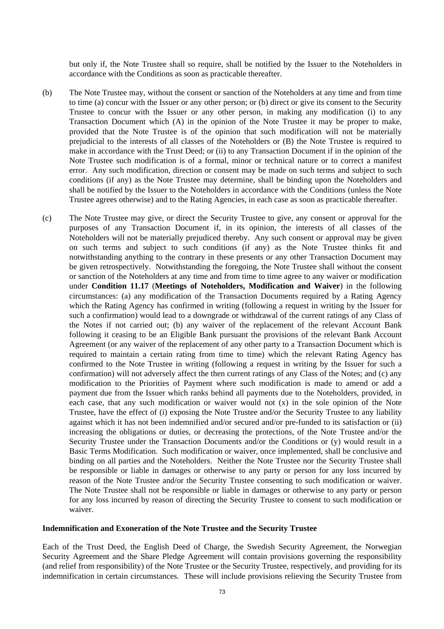but only if, the Note Trustee shall so require, shall be notified by the Issuer to the Noteholders in accordance with the Conditions as soon as practicable thereafter.

- (b) The Note Trustee may, without the consent or sanction of the Noteholders at any time and from time to time (a) concur with the Issuer or any other person; or (b) direct or give its consent to the Security Trustee to concur with the Issuer or any other person, in making any modification (i) to any Transaction Document which (A) in the opinion of the Note Trustee it may be proper to make, provided that the Note Trustee is of the opinion that such modification will not be materially prejudicial to the interests of all classes of the Noteholders or (B) the Note Trustee is required to make in accordance with the Trust Deed; or (ii) to any Transaction Document if in the opinion of the Note Trustee such modification is of a formal, minor or technical nature or to correct a manifest error. Any such modification, direction or consent may be made on such terms and subject to such conditions (if any) as the Note Trustee may determine, shall be binding upon the Noteholders and shall be notified by the Issuer to the Noteholders in accordance with the Conditions (unless the Note Trustee agrees otherwise) and to the Rating Agencies, in each case as soon as practicable thereafter.
- (c) The Note Trustee may give, or direct the Security Trustee to give, any consent or approval for the purposes of any Transaction Document if, in its opinion, the interests of all classes of the Noteholders will not be materially prejudiced thereby. Any such consent or approval may be given on such terms and subject to such conditions (if any) as the Note Trustee thinks fit and notwithstanding anything to the contrary in these presents or any other Transaction Document may be given retrospectively. Notwithstanding the foregoing, the Note Trustee shall without the consent or sanction of the Noteholders at any time and from time to time agree to any waiver or modification under **Condition 11.17** (**Meetings of Noteholders, Modification and Waiver**) in the following circumstances: (a) any modification of the Transaction Documents required by a Rating Agency which the Rating Agency has confirmed in writing (following a request in writing by the Issuer for such a confirmation) would lead to a downgrade or withdrawal of the current ratings of any Class of the Notes if not carried out; (b) any waiver of the replacement of the relevant Account Bank following it ceasing to be an Eligible Bank pursuant the provisions of the relevant Bank Account Agreement (or any waiver of the replacement of any other party to a Transaction Document which is required to maintain a certain rating from time to time) which the relevant Rating Agency has confirmed to the Note Trustee in writing (following a request in writing by the Issuer for such a confirmation) will not adversely affect the then current ratings of any Class of the Notes; and (c) any modification to the Priorities of Payment where such modification is made to amend or add a payment due from the Issuer which ranks behind all payments due to the Noteholders, provided, in each case, that any such modification or waiver would not (x) in the sole opinion of the Note Trustee, have the effect of (i) exposing the Note Trustee and/or the Security Trustee to any liability against which it has not been indemnified and/or secured and/or pre-funded to its satisfaction or (ii) increasing the obligations or duties, or decreasing the protections, of the Note Trustee and/or the Security Trustee under the Transaction Documents and/or the Conditions or (y) would result in a Basic Terms Modification. Such modification or waiver, once implemented, shall be conclusive and binding on all parties and the Noteholders. Neither the Note Trustee nor the Security Trustee shall be responsible or liable in damages or otherwise to any party or person for any loss incurred by reason of the Note Trustee and/or the Security Trustee consenting to such modification or waiver. The Note Trustee shall not be responsible or liable in damages or otherwise to any party or person for any loss incurred by reason of directing the Security Trustee to consent to such modification or waiver.

#### **Indemnification and Exoneration of the Note Trustee and the Security Trustee**

Each of the Trust Deed, the English Deed of Charge, the Swedish Security Agreement, the Norwegian Security Agreement and the Share Pledge Agreement will contain provisions governing the responsibility (and relief from responsibility) of the Note Trustee or the Security Trustee, respectively, and providing for its indemnification in certain circumstances. These will include provisions relieving the Security Trustee from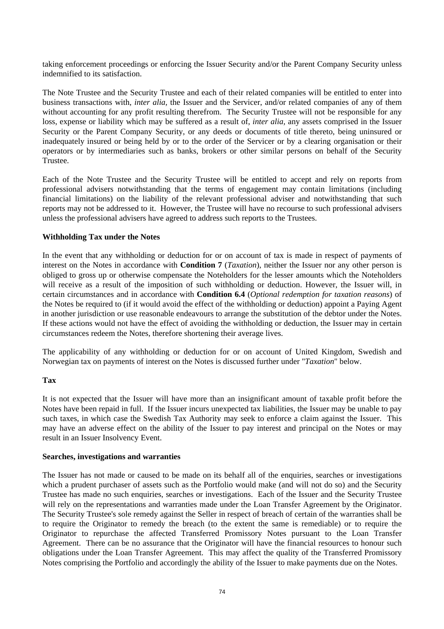taking enforcement proceedings or enforcing the Issuer Security and/or the Parent Company Security unless indemnified to its satisfaction.

The Note Trustee and the Security Trustee and each of their related companies will be entitled to enter into business transactions with, *inter alia,* the Issuer and the Servicer, and/or related companies of any of them without accounting for any profit resulting therefrom. The Security Trustee will not be responsible for any loss, expense or liability which may be suffered as a result of, *inter alia,* any assets comprised in the Issuer Security or the Parent Company Security, or any deeds or documents of title thereto, being uninsured or inadequately insured or being held by or to the order of the Servicer or by a clearing organisation or their operators or by intermediaries such as banks, brokers or other similar persons on behalf of the Security Trustee.

Each of the Note Trustee and the Security Trustee will be entitled to accept and rely on reports from professional advisers notwithstanding that the terms of engagement may contain limitations (including financial limitations) on the liability of the relevant professional adviser and notwithstanding that such reports may not be addressed to it. However, the Trustee will have no recourse to such professional advisers unless the professional advisers have agreed to address such reports to the Trustees.

#### **Withholding Tax under the Notes**

In the event that any withholding or deduction for or on account of tax is made in respect of payments of interest on the Notes in accordance with **Condition 7** (*Taxation*), neither the Issuer nor any other person is obliged to gross up or otherwise compensate the Noteholders for the lesser amounts which the Noteholders will receive as a result of the imposition of such withholding or deduction. However, the Issuer will, in certain circumstances and in accordance with **Condition 6.4** (*Optional redemption for taxation reasons*) of the Notes be required to (if it would avoid the effect of the withholding or deduction) appoint a Paying Agent in another jurisdiction or use reasonable endeavours to arrange the substitution of the debtor under the Notes. If these actions would not have the effect of avoiding the withholding or deduction, the Issuer may in certain circumstances redeem the Notes, therefore shortening their average lives.

The applicability of any withholding or deduction for or on account of United Kingdom, Swedish and Norwegian tax on payments of interest on the Notes is discussed further under "*Taxation*" below.

## **Tax**

It is not expected that the Issuer will have more than an insignificant amount of taxable profit before the Notes have been repaid in full. If the Issuer incurs unexpected tax liabilities, the Issuer may be unable to pay such taxes, in which case the Swedish Tax Authority may seek to enforce a claim against the Issuer. This may have an adverse effect on the ability of the Issuer to pay interest and principal on the Notes or may result in an Issuer Insolvency Event.

#### **Searches, investigations and warranties**

The Issuer has not made or caused to be made on its behalf all of the enquiries, searches or investigations which a prudent purchaser of assets such as the Portfolio would make (and will not do so) and the Security Trustee has made no such enquiries, searches or investigations. Each of the Issuer and the Security Trustee will rely on the representations and warranties made under the Loan Transfer Agreement by the Originator. The Security Trustee's sole remedy against the Seller in respect of breach of certain of the warranties shall be to require the Originator to remedy the breach (to the extent the same is remediable) or to require the Originator to repurchase the affected Transferred Promissory Notes pursuant to the Loan Transfer Agreement. There can be no assurance that the Originator will have the financial resources to honour such obligations under the Loan Transfer Agreement. This may affect the quality of the Transferred Promissory Notes comprising the Portfolio and accordingly the ability of the Issuer to make payments due on the Notes.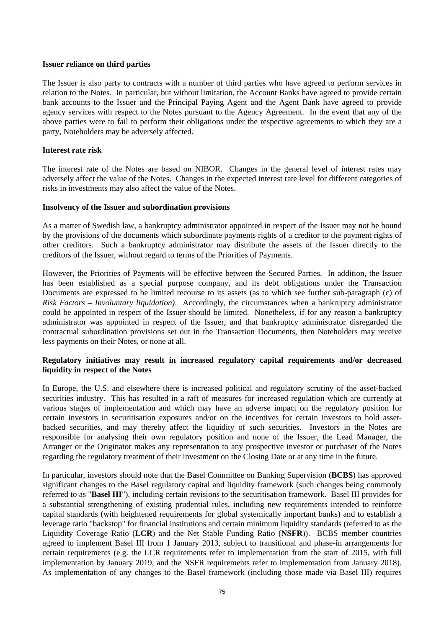#### **Issuer reliance on third parties**

The Issuer is also party to contracts with a number of third parties who have agreed to perform services in relation to the Notes. In particular, but without limitation, the Account Banks have agreed to provide certain bank accounts to the Issuer and the Principal Paying Agent and the Agent Bank have agreed to provide agency services with respect to the Notes pursuant to the Agency Agreement. In the event that any of the above parties were to fail to perform their obligations under the respective agreements to which they are a party, Noteholders may be adversely affected.

## **Interest rate risk**

The interest rate of the Notes are based on NIBOR. Changes in the general level of interest rates may adversely affect the value of the Notes. Changes in the expected interest rate level for different categories of risks in investments may also affect the value of the Notes.

#### **Insolvency of the Issuer and subordination provisions**

As a matter of Swedish law, a bankruptcy administrator appointed in respect of the Issuer may not be bound by the provisions of the documents which subordinate payments rights of a creditor to the payment rights of other creditors. Such a bankruptcy administrator may distribute the assets of the Issuer directly to the creditors of the Issuer, without regard to terms of the Priorities of Payments.

However, the Priorities of Payments will be effective between the Secured Parties. In addition, the Issuer has been established as a special purpose company, and its debt obligations under the Transaction Documents are expressed to be limited recourse to its assets (as to which see further sub-paragraph (c) of *Risk Factors – Involuntary liquidation)*. Accordingly, the circumstances when a bankruptcy administrator could be appointed in respect of the Issuer should be limited. Nonetheless, if for any reason a bankruptcy administrator was appointed in respect of the Issuer, and that bankruptcy administrator disregarded the contractual subordination provisions set out in the Transaction Documents, then Noteholders may receive less payments on their Notes, or none at all.

## **Regulatory initiatives may result in increased regulatory capital requirements and/or decreased liquidity in respect of the Notes**

In Europe, the U.S. and elsewhere there is increased political and regulatory scrutiny of the asset-backed securities industry. This has resulted in a raft of measures for increased regulation which are currently at various stages of implementation and which may have an adverse impact on the regulatory position for certain investors in securitisation exposures and/or on the incentives for certain investors to hold assetbacked securities, and may thereby affect the liquidity of such securities. Investors in the Notes are responsible for analysing their own regulatory position and none of the Issuer, the Lead Manager, the Arranger or the Originator makes any representation to any prospective investor or purchaser of the Notes regarding the regulatory treatment of their investment on the Closing Date or at any time in the future.

In particular, investors should note that the Basel Committee on Banking Supervision (**BCBS**) has approved significant changes to the Basel regulatory capital and liquidity framework (such changes being commonly referred to as "**Basel III**"), including certain revisions to the securitisation framework. Basel III provides for a substantial strengthening of existing prudential rules, including new requirements intended to reinforce capital standards (with heightened requirements for global systemically important banks) and to establish a leverage ratio "backstop" for financial institutions and certain minimum liquidity standards (referred to as the Liquidity Coverage Ratio (**LCR**) and the Net Stable Funding Ratio (**NSFR**)). BCBS member countries agreed to implement Basel III from 1 January 2013, subject to transitional and phase-in arrangements for certain requirements (e.g. the LCR requirements refer to implementation from the start of 2015, with full implementation by January 2019, and the NSFR requirements refer to implementation from January 2018). As implementation of any changes to the Basel framework (including those made via Basel III) requires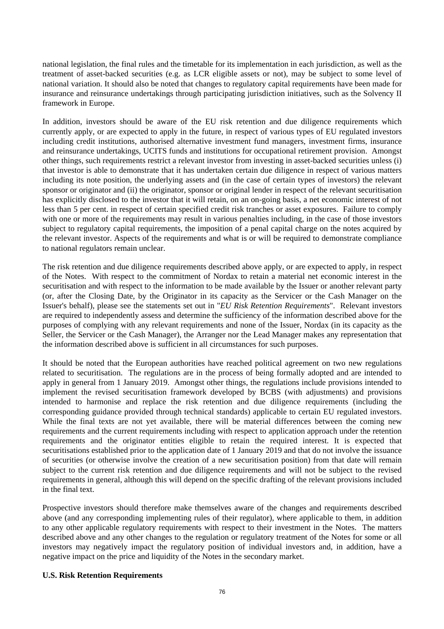national legislation, the final rules and the timetable for its implementation in each jurisdiction, as well as the treatment of asset-backed securities (e.g. as LCR eligible assets or not), may be subject to some level of national variation. It should also be noted that changes to regulatory capital requirements have been made for insurance and reinsurance undertakings through participating jurisdiction initiatives, such as the Solvency II framework in Europe.

In addition, investors should be aware of the EU risk retention and due diligence requirements which currently apply, or are expected to apply in the future, in respect of various types of EU regulated investors including credit institutions, authorised alternative investment fund managers, investment firms, insurance and reinsurance undertakings, UCITS funds and institutions for occupational retirement provision. Amongst other things, such requirements restrict a relevant investor from investing in asset-backed securities unless (i) that investor is able to demonstrate that it has undertaken certain due diligence in respect of various matters including its note position, the underlying assets and (in the case of certain types of investors) the relevant sponsor or originator and (ii) the originator, sponsor or original lender in respect of the relevant securitisation has explicitly disclosed to the investor that it will retain, on an on-going basis, a net economic interest of not less than 5 per cent. in respect of certain specified credit risk tranches or asset exposures. Failure to comply with one or more of the requirements may result in various penalties including, in the case of those investors subject to regulatory capital requirements, the imposition of a penal capital charge on the notes acquired by the relevant investor. Aspects of the requirements and what is or will be required to demonstrate compliance to national regulators remain unclear.

The risk retention and due diligence requirements described above apply, or are expected to apply, in respect of the Notes. With respect to the commitment of Nordax to retain a material net economic interest in the securitisation and with respect to the information to be made available by the Issuer or another relevant party (or, after the Closing Date, by the Originator in its capacity as the Servicer or the Cash Manager on the Issuer's behalf), please see the statements set out in "*EU Risk Retention Requirements*". Relevant investors are required to independently assess and determine the sufficiency of the information described above for the purposes of complying with any relevant requirements and none of the Issuer, Nordax (in its capacity as the Seller, the Servicer or the Cash Manager), the Arranger nor the Lead Manager makes any representation that the information described above is sufficient in all circumstances for such purposes.

It should be noted that the European authorities have reached political agreement on two new regulations related to securitisation. The regulations are in the process of being formally adopted and are intended to apply in general from 1 January 2019. Amongst other things, the regulations include provisions intended to implement the revised securitisation framework developed by BCBS (with adjustments) and provisions intended to harmonise and replace the risk retention and due diligence requirements (including the corresponding guidance provided through technical standards) applicable to certain EU regulated investors. While the final texts are not yet available, there will be material differences between the coming new requirements and the current requirements including with respect to application approach under the retention requirements and the originator entities eligible to retain the required interest. It is expected that securitisations established prior to the application date of 1 January 2019 and that do not involve the issuance of securities (or otherwise involve the creation of a new securitisation position) from that date will remain subject to the current risk retention and due diligence requirements and will not be subject to the revised requirements in general, although this will depend on the specific drafting of the relevant provisions included in the final text.

Prospective investors should therefore make themselves aware of the changes and requirements described above (and any corresponding implementing rules of their regulator), where applicable to them, in addition to any other applicable regulatory requirements with respect to their investment in the Notes. The matters described above and any other changes to the regulation or regulatory treatment of the Notes for some or all investors may negatively impact the regulatory position of individual investors and, in addition, have a negative impact on the price and liquidity of the Notes in the secondary market.

## **U.S. Risk Retention Requirements**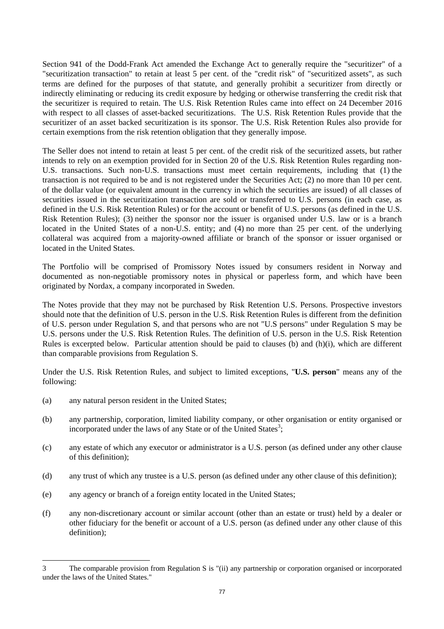Section 941 of the Dodd-Frank Act amended the Exchange Act to generally require the "securitizer" of a "securitization transaction" to retain at least 5 per cent. of the "credit risk" of "securitized assets", as such terms are defined for the purposes of that statute, and generally prohibit a securitizer from directly or indirectly eliminating or reducing its credit exposure by hedging or otherwise transferring the credit risk that the securitizer is required to retain. The U.S. Risk Retention Rules came into effect on 24 December 2016 with respect to all classes of asset-backed securitizations. The U.S. Risk Retention Rules provide that the securitizer of an asset backed securitization is its sponsor. The U.S. Risk Retention Rules also provide for certain exemptions from the risk retention obligation that they generally impose.

The Seller does not intend to retain at least 5 per cent. of the credit risk of the securitized assets, but rather intends to rely on an exemption provided for in Section 20 of the U.S. Risk Retention Rules regarding non-U.S. transactions. Such non-U.S. transactions must meet certain requirements, including that (1) the transaction is not required to be and is not registered under the Securities Act; (2) no more than 10 per cent. of the dollar value (or equivalent amount in the currency in which the securities are issued) of all classes of securities issued in the securitization transaction are sold or transferred to U.S. persons (in each case, as defined in the U.S. Risk Retention Rules) or for the account or benefit of U.S. persons (as defined in the U.S. Risk Retention Rules); (3) neither the sponsor nor the issuer is organised under U.S. law or is a branch located in the United States of a non-U.S. entity; and (4) no more than 25 per cent. of the underlying collateral was acquired from a majority-owned affiliate or branch of the sponsor or issuer organised or located in the United States.

The Portfolio will be comprised of Promissory Notes issued by consumers resident in Norway and documented as non-negotiable promissory notes in physical or paperless form, and which have been originated by Nordax, a company incorporated in Sweden.

The Notes provide that they may not be purchased by Risk Retention U.S. Persons. Prospective investors should note that the definition of U.S. person in the U.S. Risk Retention Rules is different from the definition of U.S. person under Regulation S, and that persons who are not "U.S persons" under Regulation S may be U.S. persons under the U.S. Risk Retention Rules. The definition of U.S. person in the U.S. Risk Retention Rules is excerpted below. Particular attention should be paid to clauses (b) and (h)(i), which are different than comparable provisions from Regulation S.

Under the U.S. Risk Retention Rules, and subject to limited exceptions, "**U.S. person**" means any of the following:

(a) any natural person resident in the United States;

- (b) any partnership, corporation, limited liability company, or other organisation or entity organised or incorporated under the laws of any State or of the United States<sup>3</sup>;
- (c) any estate of which any executor or administrator is a U.S. person (as defined under any other clause of this definition);
- (d) any trust of which any trustee is a U.S. person (as defined under any other clause of this definition);
- (e) any agency or branch of a foreign entity located in the United States;
- (f) any non-discretionary account or similar account (other than an estate or trust) held by a dealer or other fiduciary for the benefit or account of a U.S. person (as defined under any other clause of this definition);

<sup>3</sup> The comparable provision from Regulation S is "(ii) any partnership or corporation organised or incorporated under the laws of the United States."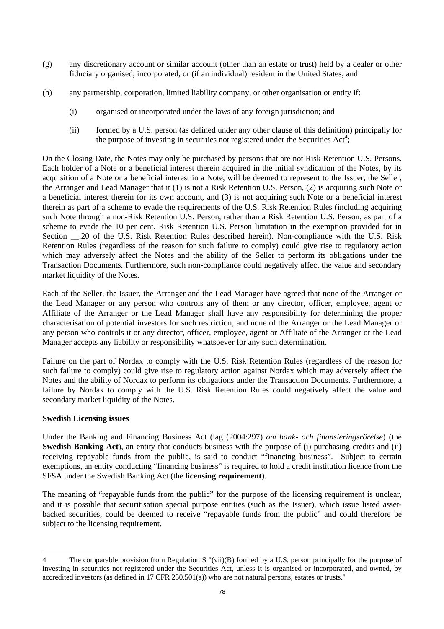- (g) any discretionary account or similar account (other than an estate or trust) held by a dealer or other fiduciary organised, incorporated, or (if an individual) resident in the United States; and
- (h) any partnership, corporation, limited liability company, or other organisation or entity if:
	- (i) organised or incorporated under the laws of any foreign jurisdiction; and
	- (ii) formed by a U.S. person (as defined under any other clause of this definition) principally for the purpose of investing in securities not registered under the Securities  $Act^4$ ;

On the Closing Date, the Notes may only be purchased by persons that are not Risk Retention U.S. Persons. Each holder of a Note or a beneficial interest therein acquired in the initial syndication of the Notes, by its acquisition of a Note or a beneficial interest in a Note, will be deemed to represent to the Issuer, the Seller, the Arranger and Lead Manager that it (1) is not a Risk Retention U.S. Person, (2) is acquiring such Note or a beneficial interest therein for its own account, and (3) is not acquiring such Note or a beneficial interest therein as part of a scheme to evade the requirements of the U.S. Risk Retention Rules (including acquiring such Note through a non-Risk Retention U.S. Person, rather than a Risk Retention U.S. Person, as part of a scheme to evade the 10 per cent. Risk Retention U.S. Person limitation in the exemption provided for in Section .20 of the U.S. Risk Retention Rules described herein). Non-compliance with the U.S. Risk Retention Rules (regardless of the reason for such failure to comply) could give rise to regulatory action which may adversely affect the Notes and the ability of the Seller to perform its obligations under the Transaction Documents. Furthermore, such non-compliance could negatively affect the value and secondary market liquidity of the Notes.

Each of the Seller, the Issuer, the Arranger and the Lead Manager have agreed that none of the Arranger or the Lead Manager or any person who controls any of them or any director, officer, employee, agent or Affiliate of the Arranger or the Lead Manager shall have any responsibility for determining the proper characterisation of potential investors for such restriction, and none of the Arranger or the Lead Manager or any person who controls it or any director, officer, employee, agent or Affiliate of the Arranger or the Lead Manager accepts any liability or responsibility whatsoever for any such determination.

Failure on the part of Nordax to comply with the U.S. Risk Retention Rules (regardless of the reason for such failure to comply) could give rise to regulatory action against Nordax which may adversely affect the Notes and the ability of Nordax to perform its obligations under the Transaction Documents. Furthermore, a failure by Nordax to comply with the U.S. Risk Retention Rules could negatively affect the value and secondary market liquidity of the Notes.

## **Swedish Licensing issues**

 $\overline{a}$ 

Under the Banking and Financing Business Act (lag (2004:297) *om bank- och finansieringsrörelse*) (the **Swedish Banking Act**), an entity that conducts business with the purpose of (i) purchasing credits and (ii) receiving repayable funds from the public, is said to conduct "financing business". Subject to certain exemptions, an entity conducting "financing business" is required to hold a credit institution licence from the SFSA under the Swedish Banking Act (the **licensing requirement**).

The meaning of "repayable funds from the public" for the purpose of the licensing requirement is unclear, and it is possible that securitisation special purpose entities (such as the Issuer), which issue listed assetbacked securities, could be deemed to receive "repayable funds from the public" and could therefore be subject to the licensing requirement.

<sup>4</sup> The comparable provision from Regulation S "(vii)(B) formed by a U.S. person principally for the purpose of investing in securities not registered under the Securities Act, unless it is organised or incorporated, and owned, by accredited investors (as defined in 17 CFR 230.501(a)) who are not natural persons, estates or trusts."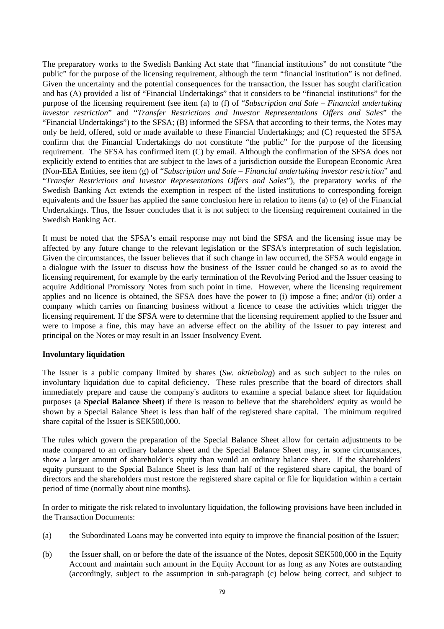The preparatory works to the Swedish Banking Act state that "financial institutions" do not constitute "the public" for the purpose of the licensing requirement, although the term "financial institution" is not defined. Given the uncertainty and the potential consequences for the transaction, the Issuer has sought clarification and has (A) provided a list of "Financial Undertakings" that it considers to be "financial institutions" for the purpose of the licensing requirement (see item (a) to (f) of "*Subscription and Sale – Financial undertaking investor restriction*" and "*Transfer Restrictions and Investor Representations Offers and Sales*" the "Financial Undertakings") to the SFSA; (B) informed the SFSA that according to their terms, the Notes may only be held, offered, sold or made available to these Financial Undertakings; and (C) requested the SFSA confirm that the Financial Undertakings do not constitute "the public" for the purpose of the licensing requirement. The SFSA has confirmed item (C) by email. Although the confirmation of the SFSA does not explicitly extend to entities that are subject to the laws of a jurisdiction outside the European Economic Area (Non-EEA Entities, see item (g) of "*Subscription and Sale – Financial undertaking investor restriction*" and "*Transfer Restrictions and Investor Representations Offers and Sales*"), the preparatory works of the Swedish Banking Act extends the exemption in respect of the listed institutions to corresponding foreign equivalents and the Issuer has applied the same conclusion here in relation to items (a) to (e) of the Financial Undertakings. Thus, the Issuer concludes that it is not subject to the licensing requirement contained in the Swedish Banking Act.

It must be noted that the SFSA's email response may not bind the SFSA and the licensing issue may be affected by any future change to the relevant legislation or the SFSA's interpretation of such legislation. Given the circumstances, the Issuer believes that if such change in law occurred, the SFSA would engage in a dialogue with the Issuer to discuss how the business of the Issuer could be changed so as to avoid the licensing requirement, for example by the early termination of the Revolving Period and the Issuer ceasing to acquire Additional Promissory Notes from such point in time. However, where the licensing requirement applies and no licence is obtained, the SFSA does have the power to (i) impose a fine; and/or (ii) order a company which carries on financing business without a licence to cease the activities which trigger the licensing requirement. If the SFSA were to determine that the licensing requirement applied to the Issuer and were to impose a fine, this may have an adverse effect on the ability of the Issuer to pay interest and principal on the Notes or may result in an Issuer Insolvency Event.

## **Involuntary liquidation**

The Issuer is a public company limited by shares (*Sw. aktiebolag*) and as such subject to the rules on involuntary liquidation due to capital deficiency. These rules prescribe that the board of directors shall immediately prepare and cause the company's auditors to examine a special balance sheet for liquidation purposes (a **Special Balance Sheet**) if there is reason to believe that the shareholders' equity as would be shown by a Special Balance Sheet is less than half of the registered share capital. The minimum required share capital of the Issuer is SEK500,000.

The rules which govern the preparation of the Special Balance Sheet allow for certain adjustments to be made compared to an ordinary balance sheet and the Special Balance Sheet may, in some circumstances, show a larger amount of shareholder's equity than would an ordinary balance sheet. If the shareholders' equity pursuant to the Special Balance Sheet is less than half of the registered share capital, the board of directors and the shareholders must restore the registered share capital or file for liquidation within a certain period of time (normally about nine months).

In order to mitigate the risk related to involuntary liquidation, the following provisions have been included in the Transaction Documents:

- (a) the Subordinated Loans may be converted into equity to improve the financial position of the Issuer;
- (b) the Issuer shall, on or before the date of the issuance of the Notes, deposit SEK500,000 in the Equity Account and maintain such amount in the Equity Account for as long as any Notes are outstanding (accordingly, subject to the assumption in sub-paragraph (c) below being correct, and subject to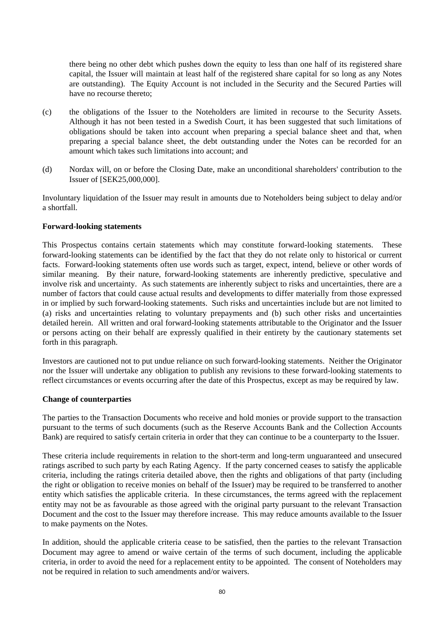there being no other debt which pushes down the equity to less than one half of its registered share capital, the Issuer will maintain at least half of the registered share capital for so long as any Notes are outstanding). The Equity Account is not included in the Security and the Secured Parties will have no recourse thereto;

- (c) the obligations of the Issuer to the Noteholders are limited in recourse to the Security Assets. Although it has not been tested in a Swedish Court, it has been suggested that such limitations of obligations should be taken into account when preparing a special balance sheet and that, when preparing a special balance sheet, the debt outstanding under the Notes can be recorded for an amount which takes such limitations into account; and
- (d) Nordax will, on or before the Closing Date, make an unconditional shareholders' contribution to the Issuer of [SEK25,000,000].

Involuntary liquidation of the Issuer may result in amounts due to Noteholders being subject to delay and/or a shortfall.

#### **Forward-looking statements**

This Prospectus contains certain statements which may constitute forward-looking statements. These forward-looking statements can be identified by the fact that they do not relate only to historical or current facts. Forward-looking statements often use words such as target, expect, intend, believe or other words of similar meaning. By their nature, forward-looking statements are inherently predictive, speculative and involve risk and uncertainty. As such statements are inherently subject to risks and uncertainties, there are a number of factors that could cause actual results and developments to differ materially from those expressed in or implied by such forward-looking statements. Such risks and uncertainties include but are not limited to (a) risks and uncertainties relating to voluntary prepayments and (b) such other risks and uncertainties detailed herein. All written and oral forward-looking statements attributable to the Originator and the Issuer or persons acting on their behalf are expressly qualified in their entirety by the cautionary statements set forth in this paragraph.

Investors are cautioned not to put undue reliance on such forward-looking statements. Neither the Originator nor the Issuer will undertake any obligation to publish any revisions to these forward-looking statements to reflect circumstances or events occurring after the date of this Prospectus, except as may be required by law.

#### **Change of counterparties**

The parties to the Transaction Documents who receive and hold monies or provide support to the transaction pursuant to the terms of such documents (such as the Reserve Accounts Bank and the Collection Accounts Bank) are required to satisfy certain criteria in order that they can continue to be a counterparty to the Issuer.

These criteria include requirements in relation to the short-term and long-term unguaranteed and unsecured ratings ascribed to such party by each Rating Agency. If the party concerned ceases to satisfy the applicable criteria, including the ratings criteria detailed above, then the rights and obligations of that party (including the right or obligation to receive monies on behalf of the Issuer) may be required to be transferred to another entity which satisfies the applicable criteria. In these circumstances, the terms agreed with the replacement entity may not be as favourable as those agreed with the original party pursuant to the relevant Transaction Document and the cost to the Issuer may therefore increase. This may reduce amounts available to the Issuer to make payments on the Notes.

In addition, should the applicable criteria cease to be satisfied, then the parties to the relevant Transaction Document may agree to amend or waive certain of the terms of such document, including the applicable criteria, in order to avoid the need for a replacement entity to be appointed. The consent of Noteholders may not be required in relation to such amendments and/or waivers.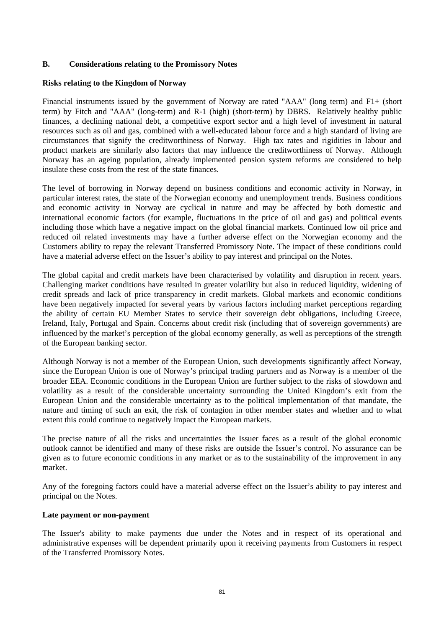## **B. Considerations relating to the Promissory Notes**

## **Risks relating to the Kingdom of Norway**

Financial instruments issued by the government of Norway are rated "AAA" (long term) and F1+ (short term) by Fitch and "AAA" (long-term) and R-1 (high) (short-term) by DBRS. Relatively healthy public finances, a declining national debt, a competitive export sector and a high level of investment in natural resources such as oil and gas, combined with a well-educated labour force and a high standard of living are circumstances that signify the creditworthiness of Norway. High tax rates and rigidities in labour and product markets are similarly also factors that may influence the creditworthiness of Norway. Although Norway has an ageing population, already implemented pension system reforms are considered to help insulate these costs from the rest of the state finances.

The level of borrowing in Norway depend on business conditions and economic activity in Norway, in particular interest rates, the state of the Norwegian economy and unemployment trends. Business conditions and economic activity in Norway are cyclical in nature and may be affected by both domestic and international economic factors (for example, fluctuations in the price of oil and gas) and political events including those which have a negative impact on the global financial markets. Continued low oil price and reduced oil related investments may have a further adverse effect on the Norwegian economy and the Customers ability to repay the relevant Transferred Promissory Note. The impact of these conditions could have a material adverse effect on the Issuer's ability to pay interest and principal on the Notes.

The global capital and credit markets have been characterised by volatility and disruption in recent years. Challenging market conditions have resulted in greater volatility but also in reduced liquidity, widening of credit spreads and lack of price transparency in credit markets. Global markets and economic conditions have been negatively impacted for several years by various factors including market perceptions regarding the ability of certain EU Member States to service their sovereign debt obligations, including Greece, Ireland, Italy, Portugal and Spain. Concerns about credit risk (including that of sovereign governments) are influenced by the market's perception of the global economy generally, as well as perceptions of the strength of the European banking sector.

Although Norway is not a member of the European Union, such developments significantly affect Norway, since the European Union is one of Norway's principal trading partners and as Norway is a member of the broader EEA. Economic conditions in the European Union are further subject to the risks of slowdown and volatility as a result of the considerable uncertainty surrounding the United Kingdom's exit from the European Union and the considerable uncertainty as to the political implementation of that mandate, the nature and timing of such an exit, the risk of contagion in other member states and whether and to what extent this could continue to negatively impact the European markets.

The precise nature of all the risks and uncertainties the Issuer faces as a result of the global economic outlook cannot be identified and many of these risks are outside the Issuer's control. No assurance can be given as to future economic conditions in any market or as to the sustainability of the improvement in any market.

Any of the foregoing factors could have a material adverse effect on the Issuer's ability to pay interest and principal on the Notes.

## **Late payment or non-payment**

The Issuer's ability to make payments due under the Notes and in respect of its operational and administrative expenses will be dependent primarily upon it receiving payments from Customers in respect of the Transferred Promissory Notes.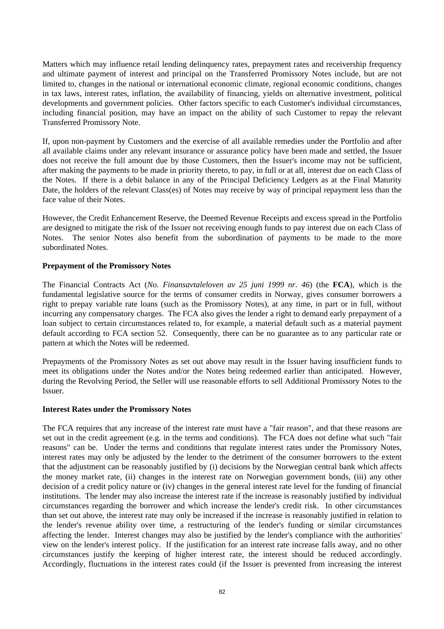Matters which may influence retail lending delinquency rates, prepayment rates and receivership frequency and ultimate payment of interest and principal on the Transferred Promissory Notes include, but are not limited to, changes in the national or international economic climate, regional economic conditions, changes in tax laws, interest rates, inflation, the availability of financing, yields on alternative investment, political developments and government policies. Other factors specific to each Customer's individual circumstances, including financial position, may have an impact on the ability of such Customer to repay the relevant Transferred Promissory Note.

If, upon non-payment by Customers and the exercise of all available remedies under the Portfolio and after all available claims under any relevant insurance or assurance policy have been made and settled, the Issuer does not receive the full amount due by those Customers, then the Issuer's income may not be sufficient, after making the payments to be made in priority thereto, to pay, in full or at all, interest due on each Class of the Notes. If there is a debit balance in any of the Principal Deficiency Ledgers as at the Final Maturity Date, the holders of the relevant Class(es) of Notes may receive by way of principal repayment less than the face value of their Notes.

However, the Credit Enhancement Reserve, the Deemed Revenue Receipts and excess spread in the Portfolio are designed to mitigate the risk of the Issuer not receiving enough funds to pay interest due on each Class of Notes. The senior Notes also benefit from the subordination of payments to be made to the more subordinated Notes.

## **Prepayment of the Promissory Notes**

The Financial Contracts Act (*No. Finansavtaleloven av 25 juni 1999 nr. 46*) (the **FCA**), which is the fundamental legislative source for the terms of consumer credits in Norway, gives consumer borrowers a right to prepay variable rate loans (such as the Promissory Notes), at any time, in part or in full, without incurring any compensatory charges. The FCA also gives the lender a right to demand early prepayment of a loan subject to certain circumstances related to, for example, a material default such as a material payment default according to FCA section 52. Consequently, there can be no guarantee as to any particular rate or pattern at which the Notes will be redeemed.

Prepayments of the Promissory Notes as set out above may result in the Issuer having insufficient funds to meet its obligations under the Notes and/or the Notes being redeemed earlier than anticipated. However, during the Revolving Period, the Seller will use reasonable efforts to sell Additional Promissory Notes to the Issuer.

## **Interest Rates under the Promissory Notes**

The FCA requires that any increase of the interest rate must have a "fair reason", and that these reasons are set out in the credit agreement (e.g. in the terms and conditions). The FCA does not define what such "fair reasons" can be. Under the terms and conditions that regulate interest rates under the Promissory Notes, interest rates may only be adjusted by the lender to the detriment of the consumer borrowers to the extent that the adjustment can be reasonably justified by (i) decisions by the Norwegian central bank which affects the money market rate, (ii) changes in the interest rate on Norwegian government bonds, (iii) any other decision of a credit policy nature or (iv) changes in the general interest rate level for the funding of financial institutions. The lender may also increase the interest rate if the increase is reasonably justified by individual circumstances regarding the borrower and which increase the lender's credit risk. In other circumstances than set out above, the interest rate may only be increased if the increase is reasonably justified in relation to the lender's revenue ability over time, a restructuring of the lender's funding or similar circumstances affecting the lender. Interest changes may also be justified by the lender's compliance with the authorities' view on the lender's interest policy. If the justification for an interest rate increase falls away, and no other circumstances justify the keeping of higher interest rate, the interest should be reduced accordingly. Accordingly, fluctuations in the interest rates could (if the Issuer is prevented from increasing the interest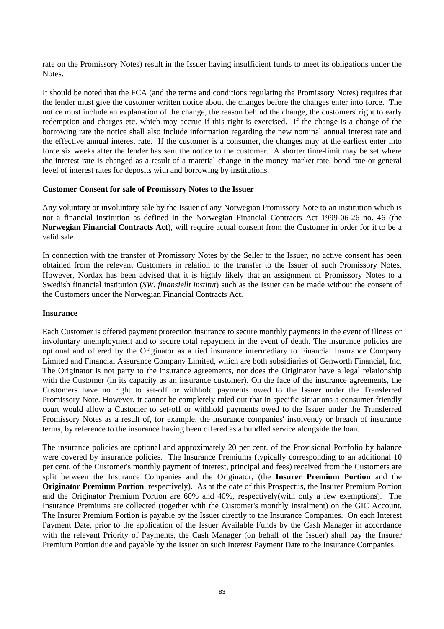rate on the Promissory Notes) result in the Issuer having insufficient funds to meet its obligations under the Notes.

It should be noted that the FCA (and the terms and conditions regulating the Promissory Notes) requires that the lender must give the customer written notice about the changes before the changes enter into force. The notice must include an explanation of the change, the reason behind the change, the customers' right to early redemption and charges etc. which may accrue if this right is exercised. If the change is a change of the borrowing rate the notice shall also include information regarding the new nominal annual interest rate and the effective annual interest rate. If the customer is a consumer, the changes may at the earliest enter into force six weeks after the lender has sent the notice to the customer. A shorter time-limit may be set where the interest rate is changed as a result of a material change in the money market rate, bond rate or general level of interest rates for deposits with and borrowing by institutions.

#### **Customer Consent for sale of Promissory Notes to the Issuer**

Any voluntary or involuntary sale by the Issuer of any Norwegian Promissory Note to an institution which is not a financial institution as defined in the Norwegian Financial Contracts Act 1999-06-26 no. 46 (the **Norwegian Financial Contracts Act**), will require actual consent from the Customer in order for it to be a valid sale.

In connection with the transfer of Promissory Notes by the Seller to the Issuer, no active consent has been obtained from the relevant Customers in relation to the transfer to the Issuer of such Promissory Notes. However, Nordax has been advised that it is highly likely that an assignment of Promissory Notes to a Swedish financial institution (*SW. finansiellt institut*) such as the Issuer can be made without the consent of the Customers under the Norwegian Financial Contracts Act.

#### **Insurance**

Each Customer is offered payment protection insurance to secure monthly payments in the event of illness or involuntary unemployment and to secure total repayment in the event of death. The insurance policies are optional and offered by the Originator as a tied insurance intermediary to Financial Insurance Company Limited and Financial Assurance Company Limited, which are both subsidiaries of Genworth Financial, Inc. The Originator is not party to the insurance agreements, nor does the Originator have a legal relationship with the Customer (in its capacity as an insurance customer). On the face of the insurance agreements, the Customers have no right to set-off or withhold payments owed to the Issuer under the Transferred Promissory Note. However, it cannot be completely ruled out that in specific situations a consumer-friendly court would allow a Customer to set-off or withhold payments owed to the Issuer under the Transferred Promissory Notes as a result of, for example, the insurance companies' insolvency or breach of insurance terms, by reference to the insurance having been offered as a bundled service alongside the loan.

The insurance policies are optional and approximately 20 per cent. of the Provisional Portfolio by balance were covered by insurance policies. The Insurance Premiums (typically corresponding to an additional 10 per cent. of the Customer's monthly payment of interest, principal and fees) received from the Customers are split between the Insurance Companies and the Originator, (the **Insurer Premium Portion** and the **Originator Premium Portion**, respectively). As at the date of this Prospectus, the Insurer Premium Portion and the Originator Premium Portion are 60% and 40%, respectively(with only a few exemptions). The Insurance Premiums are collected (together with the Customer's monthly instalment) on the GIC Account. The Insurer Premium Portion is payable by the Issuer directly to the Insurance Companies. On each Interest Payment Date, prior to the application of the Issuer Available Funds by the Cash Manager in accordance with the relevant Priority of Payments, the Cash Manager (on behalf of the Issuer) shall pay the Insurer Premium Portion due and payable by the Issuer on such Interest Payment Date to the Insurance Companies.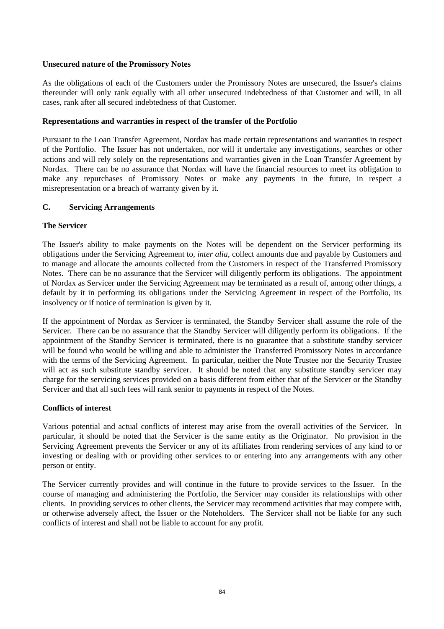## **Unsecured nature of the Promissory Notes**

As the obligations of each of the Customers under the Promissory Notes are unsecured, the Issuer's claims thereunder will only rank equally with all other unsecured indebtedness of that Customer and will, in all cases, rank after all secured indebtedness of that Customer.

## **Representations and warranties in respect of the transfer of the Portfolio**

Pursuant to the Loan Transfer Agreement, Nordax has made certain representations and warranties in respect of the Portfolio. The Issuer has not undertaken, nor will it undertake any investigations, searches or other actions and will rely solely on the representations and warranties given in the Loan Transfer Agreement by Nordax. There can be no assurance that Nordax will have the financial resources to meet its obligation to make any repurchases of Promissory Notes or make any payments in the future, in respect a misrepresentation or a breach of warranty given by it.

# **C. Servicing Arrangements**

# **The Servicer**

The Issuer's ability to make payments on the Notes will be dependent on the Servicer performing its obligations under the Servicing Agreement to, *inter alia*, collect amounts due and payable by Customers and to manage and allocate the amounts collected from the Customers in respect of the Transferred Promissory Notes. There can be no assurance that the Servicer will diligently perform its obligations. The appointment of Nordax as Servicer under the Servicing Agreement may be terminated as a result of, among other things, a default by it in performing its obligations under the Servicing Agreement in respect of the Portfolio, its insolvency or if notice of termination is given by it.

If the appointment of Nordax as Servicer is terminated, the Standby Servicer shall assume the role of the Servicer. There can be no assurance that the Standby Servicer will diligently perform its obligations. If the appointment of the Standby Servicer is terminated, there is no guarantee that a substitute standby servicer will be found who would be willing and able to administer the Transferred Promissory Notes in accordance with the terms of the Servicing Agreement. In particular, neither the Note Trustee nor the Security Trustee will act as such substitute standby servicer. It should be noted that any substitute standby servicer may charge for the servicing services provided on a basis different from either that of the Servicer or the Standby Servicer and that all such fees will rank senior to payments in respect of the Notes.

## **Conflicts of interest**

Various potential and actual conflicts of interest may arise from the overall activities of the Servicer. In particular, it should be noted that the Servicer is the same entity as the Originator. No provision in the Servicing Agreement prevents the Servicer or any of its affiliates from rendering services of any kind to or investing or dealing with or providing other services to or entering into any arrangements with any other person or entity.

The Servicer currently provides and will continue in the future to provide services to the Issuer. In the course of managing and administering the Portfolio, the Servicer may consider its relationships with other clients. In providing services to other clients, the Servicer may recommend activities that may compete with, or otherwise adversely affect, the Issuer or the Noteholders. The Servicer shall not be liable for any such conflicts of interest and shall not be liable to account for any profit.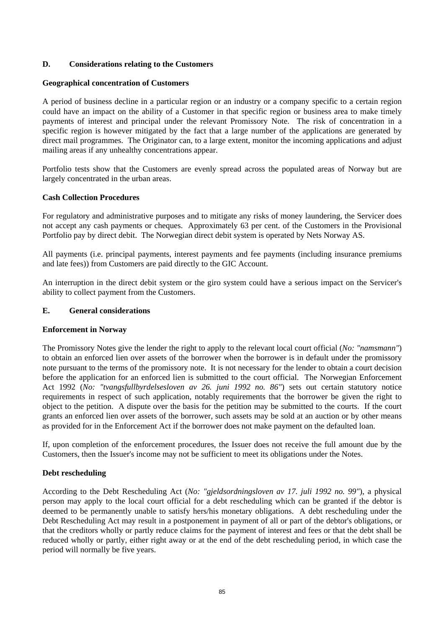# **D. Considerations relating to the Customers**

## **Geographical concentration of Customers**

A period of business decline in a particular region or an industry or a company specific to a certain region could have an impact on the ability of a Customer in that specific region or business area to make timely payments of interest and principal under the relevant Promissory Note. The risk of concentration in a specific region is however mitigated by the fact that a large number of the applications are generated by direct mail programmes. The Originator can, to a large extent, monitor the incoming applications and adjust mailing areas if any unhealthy concentrations appear.

Portfolio tests show that the Customers are evenly spread across the populated areas of Norway but are largely concentrated in the urban areas.

# **Cash Collection Procedures**

For regulatory and administrative purposes and to mitigate any risks of money laundering, the Servicer does not accept any cash payments or cheques. Approximately 63 per cent. of the Customers in the Provisional Portfolio pay by direct debit. The Norwegian direct debit system is operated by Nets Norway AS.

All payments (i.e. principal payments, interest payments and fee payments (including insurance premiums and late fees)) from Customers are paid directly to the GIC Account.

An interruption in the direct debit system or the giro system could have a serious impact on the Servicer's ability to collect payment from the Customers.

# **E. General considerations**

## **Enforcement in Norway**

The Promissory Notes give the lender the right to apply to the relevant local court official (*No: "namsmann"*) to obtain an enforced lien over assets of the borrower when the borrower is in default under the promissory note pursuant to the terms of the promissory note. It is not necessary for the lender to obtain a court decision before the application for an enforced lien is submitted to the court official. The Norwegian Enforcement Act 1992 (*No: "tvangsfullbyrdelsesloven av 26. juni 1992 no. 86"*) sets out certain statutory notice requirements in respect of such application, notably requirements that the borrower be given the right to object to the petition. A dispute over the basis for the petition may be submitted to the courts. If the court grants an enforced lien over assets of the borrower, such assets may be sold at an auction or by other means as provided for in the Enforcement Act if the borrower does not make payment on the defaulted loan.

If, upon completion of the enforcement procedures, the Issuer does not receive the full amount due by the Customers, then the Issuer's income may not be sufficient to meet its obligations under the Notes.

## **Debt rescheduling**

According to the Debt Rescheduling Act (*No: "gjeldsordningsloven av 17. juli 1992 no. 99"*), a physical person may apply to the local court official for a debt rescheduling which can be granted if the debtor is deemed to be permanently unable to satisfy hers/his monetary obligations. A debt rescheduling under the Debt Rescheduling Act may result in a postponement in payment of all or part of the debtor's obligations, or that the creditors wholly or partly reduce claims for the payment of interest and fees or that the debt shall be reduced wholly or partly, either right away or at the end of the debt rescheduling period, in which case the period will normally be five years.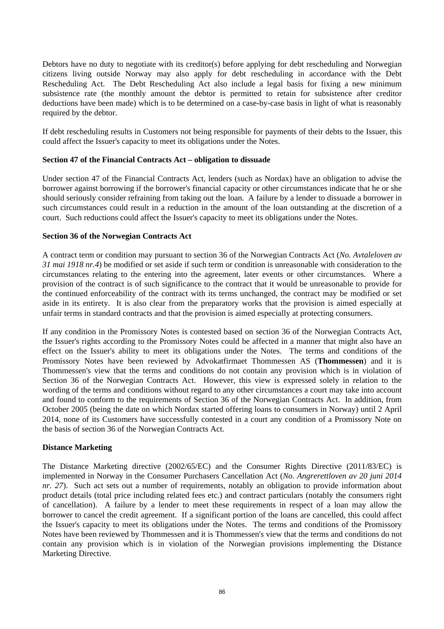Debtors have no duty to negotiate with its creditor(s) before applying for debt rescheduling and Norwegian citizens living outside Norway may also apply for debt rescheduling in accordance with the Debt Rescheduling Act. The Debt Rescheduling Act also include a legal basis for fixing a new minimum subsistence rate (the monthly amount the debtor is permitted to retain for subsistence after creditor deductions have been made) which is to be determined on a case-by-case basis in light of what is reasonably required by the debtor.

If debt rescheduling results in Customers not being responsible for payments of their debts to the Issuer, this could affect the Issuer's capacity to meet its obligations under the Notes.

## **Section 47 of the Financial Contracts Act – obligation to dissuade**

Under section 47 of the Financial Contracts Act, lenders (such as Nordax) have an obligation to advise the borrower against borrowing if the borrower's financial capacity or other circumstances indicate that he or she should seriously consider refraining from taking out the loan. A failure by a lender to dissuade a borrower in such circumstances could result in a reduction in the amount of the loan outstanding at the discretion of a court. Such reductions could affect the Issuer's capacity to meet its obligations under the Notes.

## **Section 36 of the Norwegian Contracts Act**

A contract term or condition may pursuant to section 36 of the Norwegian Contracts Act (*No. Avtaleloven av 31 mai 1918 nr.4*) be modified or set aside if such term or condition is unreasonable with consideration to the circumstances relating to the entering into the agreement, later events or other circumstances. Where a provision of the contract is of such significance to the contract that it would be unreasonable to provide for the continued enforceability of the contract with its terms unchanged, the contract may be modified or set aside in its entirety. It is also clear from the preparatory works that the provision is aimed especially at unfair terms in standard contracts and that the provision is aimed especially at protecting consumers.

If any condition in the Promissory Notes is contested based on section 36 of the Norwegian Contracts Act, the Issuer's rights according to the Promissory Notes could be affected in a manner that might also have an effect on the Issuer's ability to meet its obligations under the Notes. The terms and conditions of the Promissory Notes have been reviewed by Advokatfirmaet Thommessen AS (**Thommessen**) and it is Thommessen's view that the terms and conditions do not contain any provision which is in violation of Section 36 of the Norwegian Contracts Act. However, this view is expressed solely in relation to the wording of the terms and conditions without regard to any other circumstances a court may take into account and found to conform to the requirements of Section 36 of the Norwegian Contracts Act. In addition, from October 2005 (being the date on which Nordax started offering loans to consumers in Norway) until 2 April 2014, none of its Customers have successfully contested in a court any condition of a Promissory Note on the basis of section 36 of the Norwegian Contracts Act.

## **Distance Marketing**

The Distance Marketing directive (2002/65/EC) and the Consumer Rights Directive (2011/83/EC) is implemented in Norway in the Consumer Purchasers Cancellation Act (*No. Angrerettloven av 20 juni 2014 nr. 27*). Such act sets out a number of requirements, notably an obligation to provide information about product details (total price including related fees etc.) and contract particulars (notably the consumers right of cancellation). A failure by a lender to meet these requirements in respect of a loan may allow the borrower to cancel the credit agreement. If a significant portion of the loans are cancelled, this could affect the Issuer's capacity to meet its obligations under the Notes. The terms and conditions of the Promissory Notes have been reviewed by Thommessen and it is Thommessen's view that the terms and conditions do not contain any provision which is in violation of the Norwegian provisions implementing the Distance Marketing Directive.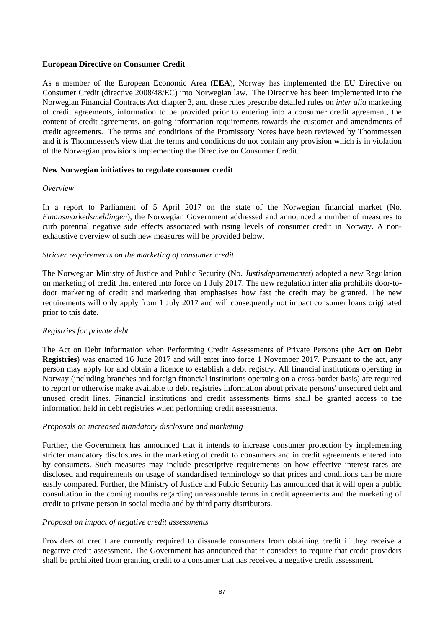#### **European Directive on Consumer Credit**

As a member of the European Economic Area (**EEA**), Norway has implemented the EU Directive on Consumer Credit (directive 2008/48/EC) into Norwegian law. The Directive has been implemented into the Norwegian Financial Contracts Act chapter 3, and these rules prescribe detailed rules on *inter alia* marketing of credit agreements, information to be provided prior to entering into a consumer credit agreement, the content of credit agreements, on-going information requirements towards the customer and amendments of credit agreements. The terms and conditions of the Promissory Notes have been reviewed by Thommessen and it is Thommessen's view that the terms and conditions do not contain any provision which is in violation of the Norwegian provisions implementing the Directive on Consumer Credit.

#### **New Norwegian initiatives to regulate consumer credit**

#### *Overview*

In a report to Parliament of 5 April 2017 on the state of the Norwegian financial market (No. *Finansmarkedsmeldingen*), the Norwegian Government addressed and announced a number of measures to curb potential negative side effects associated with rising levels of consumer credit in Norway. A nonexhaustive overview of such new measures will be provided below.

#### *Stricter requirements on the marketing of consumer credit*

The Norwegian Ministry of Justice and Public Security (No. *Justisdepartementet*) adopted a new Regulation on marketing of credit that entered into force on 1 July 2017. The new regulation inter alia prohibits door-todoor marketing of credit and marketing that emphasises how fast the credit may be granted. The new requirements will only apply from 1 July 2017 and will consequently not impact consumer loans originated prior to this date.

## *Registries for private debt*

The Act on Debt Information when Performing Credit Assessments of Private Persons (the **Act on Debt Registries**) was enacted 16 June 2017 and will enter into force 1 November 2017. Pursuant to the act, any person may apply for and obtain a licence to establish a debt registry. All financial institutions operating in Norway (including branches and foreign financial institutions operating on a cross-border basis) are required to report or otherwise make available to debt registries information about private persons' unsecured debt and unused credit lines. Financial institutions and credit assessments firms shall be granted access to the information held in debt registries when performing credit assessments.

## *Proposals on increased mandatory disclosure and marketing*

Further, the Government has announced that it intends to increase consumer protection by implementing stricter mandatory disclosures in the marketing of credit to consumers and in credit agreements entered into by consumers. Such measures may include prescriptive requirements on how effective interest rates are disclosed and requirements on usage of standardised terminology so that prices and conditions can be more easily compared. Further, the Ministry of Justice and Public Security has announced that it will open a public consultation in the coming months regarding unreasonable terms in credit agreements and the marketing of credit to private person in social media and by third party distributors.

## *Proposal on impact of negative credit assessments*

Providers of credit are currently required to dissuade consumers from obtaining credit if they receive a negative credit assessment. The Government has announced that it considers to require that credit providers shall be prohibited from granting credit to a consumer that has received a negative credit assessment.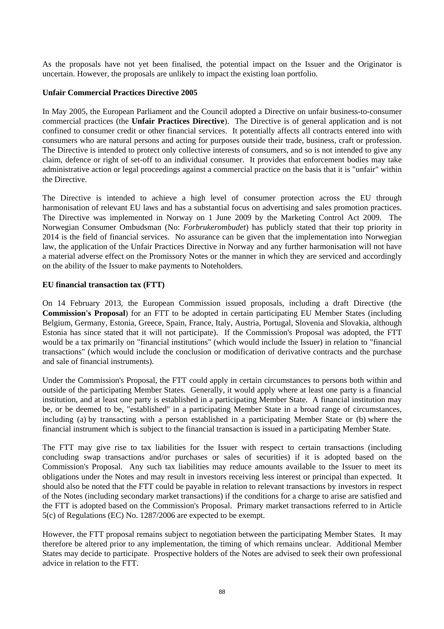As the proposals have not yet been finalised, the potential impact on the Issuer and the Originator is uncertain. However, the proposals are unlikely to impact the existing loan portfolio.

#### **Unfair Commercial Practices Directive 2005**

In May 2005, the European Parliament and the Council adopted a Directive on unfair business-to-consumer commercial practices (the **Unfair Practices Directive**). The Directive is of general application and is not confined to consumer credit or other financial services. It potentially affects all contracts entered into with consumers who are natural persons and acting for purposes outside their trade, business, craft or profession. The Directive is intended to protect only collective interests of consumers, and so is not intended to give any claim, defence or right of set-off to an individual consumer. It provides that enforcement bodies may take administrative action or legal proceedings against a commercial practice on the basis that it is "unfair" within the Directive.

The Directive is intended to achieve a high level of consumer protection across the EU through harmonisation of relevant EU laws and has a substantial focus on advertising and sales promotion practices. The Directive was implemented in Norway on 1 June 2009 by the Marketing Control Act 2009. The Norwegian Consumer Ombudsman (No: *Forbrukerombudet*) has publicly stated that their top priority in 2014 is the field of financial services. No assurance can be given that the implementation into Norwegian law, the application of the Unfair Practices Directive in Norway and any further harmonisation will not have a material adverse effect on the Promissory Notes or the manner in which they are serviced and accordingly on the ability of the Issuer to make payments to Noteholders.

## **EU financial transaction tax (FTT)**

On 14 February 2013, the European Commission issued proposals, including a draft Directive (the **Commission's Proposal**) for an FTT to be adopted in certain participating EU Member States (including Belgium, Germany, Estonia, Greece, Spain, France, Italy, Austria, Portugal, Slovenia and Slovakia, although Estonia has since stated that it will not participate). If the Commission's Proposal was adopted, the FTT would be a tax primarily on "financial institutions" (which would include the Issuer) in relation to "financial transactions" (which would include the conclusion or modification of derivative contracts and the purchase and sale of financial instruments).

Under the Commission's Proposal, the FTT could apply in certain circumstances to persons both within and outside of the participating Member States. Generally, it would apply where at least one party is a financial institution, and at least one party is established in a participating Member State. A financial institution may be, or be deemed to be, "established" in a participating Member State in a broad range of circumstances, including (a) by transacting with a person established in a participating Member State or (b) where the financial instrument which is subject to the financial transaction is issued in a participating Member State.

The FTT may give rise to tax liabilities for the Issuer with respect to certain transactions (including concluding swap transactions and/or purchases or sales of securities) if it is adopted based on the Commission's Proposal. Any such tax liabilities may reduce amounts available to the Issuer to meet its obligations under the Notes and may result in investors receiving less interest or principal than expected. It should also be noted that the FTT could be payable in relation to relevant transactions by investors in respect of the Notes (including secondary market transactions) if the conditions for a charge to arise are satisfied and the FTT is adopted based on the Commission's Proposal. Primary market transactions referred to in Article 5(c) of Regulations (EC) No. 1287/2006 are expected to be exempt.

However, the FTT proposal remains subject to negotiation between the participating Member States. It may therefore be altered prior to any implementation, the timing of which remains unclear. Additional Member States may decide to participate. Prospective holders of the Notes are advised to seek their own professional advice in relation to the FTT.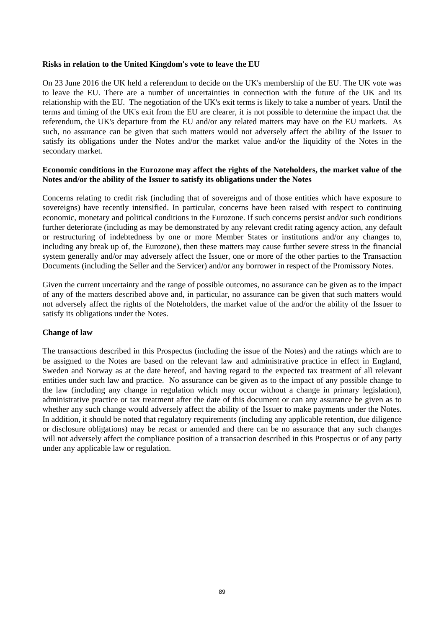#### **Risks in relation to the United Kingdom's vote to leave the EU**

On 23 June 2016 the UK held a referendum to decide on the UK's membership of the EU. The UK vote was to leave the EU. There are a number of uncertainties in connection with the future of the UK and its relationship with the EU. The negotiation of the UK's exit terms is likely to take a number of years. Until the terms and timing of the UK's exit from the EU are clearer, it is not possible to determine the impact that the referendum, the UK's departure from the EU and/or any related matters may have on the EU markets. As such, no assurance can be given that such matters would not adversely affect the ability of the Issuer to satisfy its obligations under the Notes and/or the market value and/or the liquidity of the Notes in the secondary market.

#### **Economic conditions in the Eurozone may affect the rights of the Noteholders, the market value of the Notes and/or the ability of the Issuer to satisfy its obligations under the Notes**

Concerns relating to credit risk (including that of sovereigns and of those entities which have exposure to sovereigns) have recently intensified. In particular, concerns have been raised with respect to continuing economic, monetary and political conditions in the Eurozone. If such concerns persist and/or such conditions further deteriorate (including as may be demonstrated by any relevant credit rating agency action, any default or restructuring of indebtedness by one or more Member States or institutions and/or any changes to, including any break up of, the Eurozone), then these matters may cause further severe stress in the financial system generally and/or may adversely affect the Issuer, one or more of the other parties to the Transaction Documents (including the Seller and the Servicer) and/or any borrower in respect of the Promissory Notes.

Given the current uncertainty and the range of possible outcomes, no assurance can be given as to the impact of any of the matters described above and, in particular, no assurance can be given that such matters would not adversely affect the rights of the Noteholders, the market value of the and/or the ability of the Issuer to satisfy its obligations under the Notes.

## **Change of law**

The transactions described in this Prospectus (including the issue of the Notes) and the ratings which are to be assigned to the Notes are based on the relevant law and administrative practice in effect in England, Sweden and Norway as at the date hereof, and having regard to the expected tax treatment of all relevant entities under such law and practice. No assurance can be given as to the impact of any possible change to the law (including any change in regulation which may occur without a change in primary legislation), administrative practice or tax treatment after the date of this document or can any assurance be given as to whether any such change would adversely affect the ability of the Issuer to make payments under the Notes. In addition, it should be noted that regulatory requirements (including any applicable retention, due diligence or disclosure obligations) may be recast or amended and there can be no assurance that any such changes will not adversely affect the compliance position of a transaction described in this Prospectus or of any party under any applicable law or regulation.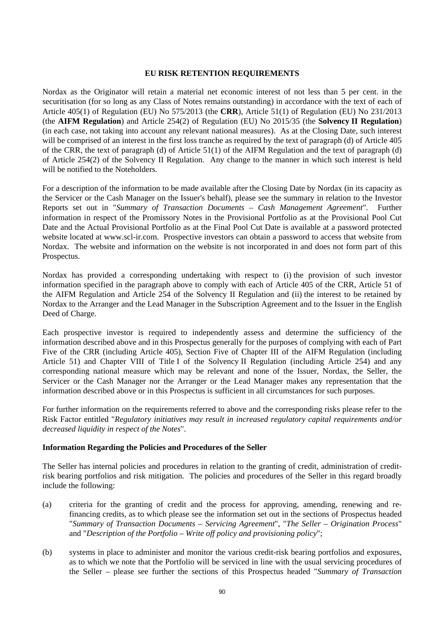## **EU RISK RETENTION REQUIREMENTS**

Nordax as the Originator will retain a material net economic interest of not less than 5 per cent. in the securitisation (for so long as any Class of Notes remains outstanding) in accordance with the text of each of Article 405(1) of Regulation (EU) No 575/2013 (the **CRR**), Article 51(1) of Regulation (EU) No 231/2013 (the **AIFM Regulation**) and Article 254(2) of Regulation (EU) No 2015/35 (the **Solvency II Regulation**) (in each case, not taking into account any relevant national measures). As at the Closing Date, such interest will be comprised of an interest in the first loss tranche as required by the text of paragraph (d) of Article 405 of the CRR, the text of paragraph (d) of Article 51(1) of the AIFM Regulation and the text of paragraph (d) of Article 254(2) of the Solvency II Regulation. Any change to the manner in which such interest is held will be notified to the Noteholders.

For a description of the information to be made available after the Closing Date by Nordax (in its capacity as the Servicer or the Cash Manager on the Issuer's behalf), please see the summary in relation to the Investor Reports set out in "*Summary of Transaction Documents – Cash Management Agreement*". Further information in respect of the Promissory Notes in the Provisional Portfolio as at the Provisional Pool Cut Date and the Actual Provisional Portfolio as at the Final Pool Cut Date is available at a password protected website located at www.scl-ir.com. Prospective investors can obtain a password to access that website from Nordax. The website and information on the website is not incorporated in and does not form part of this Prospectus.

Nordax has provided a corresponding undertaking with respect to (i) the provision of such investor information specified in the paragraph above to comply with each of Article 405 of the CRR, Article 51 of the AIFM Regulation and Article 254 of the Solvency II Regulation and (ii) the interest to be retained by Nordax to the Arranger and the Lead Manager in the Subscription Agreement and to the Issuer in the English Deed of Charge.

Each prospective investor is required to independently assess and determine the sufficiency of the information described above and in this Prospectus generally for the purposes of complying with each of Part Five of the CRR (including Article 405), Section Five of Chapter III of the AIFM Regulation (including Article 51) and Chapter VIII of Title I of the Solvency II Regulation (including Article 254) and any corresponding national measure which may be relevant and none of the Issuer, Nordax, the Seller, the Servicer or the Cash Manager nor the Arranger or the Lead Manager makes any representation that the information described above or in this Prospectus is sufficient in all circumstances for such purposes.

For further information on the requirements referred to above and the corresponding risks please refer to the Risk Factor entitled "*Regulatory initiatives may result in increased regulatory capital requirements and/or decreased liquidity in respect of the Notes*".

## **Information Regarding the Policies and Procedures of the Seller**

The Seller has internal policies and procedures in relation to the granting of credit, administration of creditrisk bearing portfolios and risk mitigation. The policies and procedures of the Seller in this regard broadly include the following:

- (a) criteria for the granting of credit and the process for approving, amending, renewing and refinancing credits, as to which please see the information set out in the sections of Prospectus headed "*Summary of Transaction Documents – Servicing Agreement*", "*The Seller – Origination Process*" and "*Description of the Portfolio – Write off policy and provisioning policy*";
- (b) systems in place to administer and monitor the various credit-risk bearing portfolios and exposures, as to which we note that the Portfolio will be serviced in line with the usual servicing procedures of the Seller – please see further the sections of this Prospectus headed "*Summary of Transaction*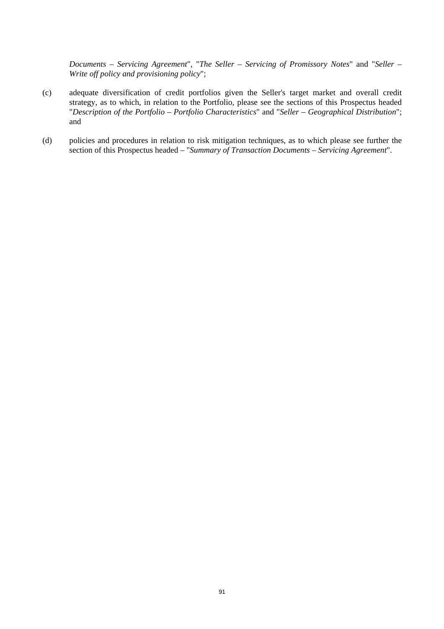*Documents – Servicing Agreement*", "*The Seller – Servicing of Promissory Notes*" and "*Seller – Write off policy and provisioning policy*";

- (c) adequate diversification of credit portfolios given the Seller's target market and overall credit strategy, as to which, in relation to the Portfolio, please see the sections of this Prospectus headed "*Description of the Portfolio – Portfolio Characteristics*" and "*Seller – Geographical Distribution*"; and
- (d) policies and procedures in relation to risk mitigation techniques, as to which please see further the section of this Prospectus headed – "*Summary of Transaction Documents – Servicing Agreement*".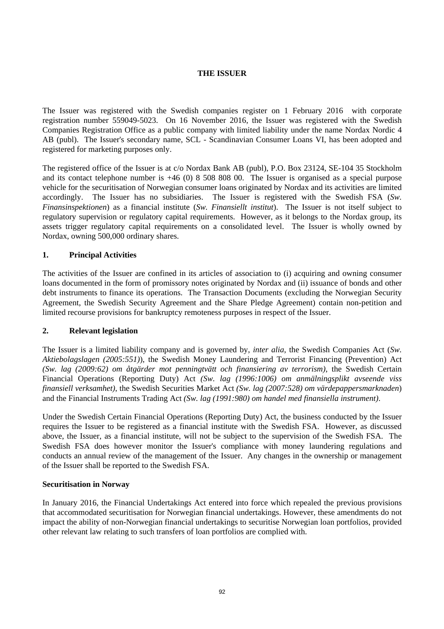# **THE ISSUER**

The Issuer was registered with the Swedish companies register on 1 February 2016 with corporate registration number 559049-5023. On 16 November 2016, the Issuer was registered with the Swedish Companies Registration Office as a public company with limited liability under the name Nordax Nordic 4 AB (publ). The Issuer's secondary name, SCL - Scandinavian Consumer Loans VI, has been adopted and registered for marketing purposes only.

The registered office of the Issuer is at c/o Nordax Bank AB (publ), P.O. Box 23124, SE-104 35 Stockholm and its contact telephone number is +46 (0) 8 508 808 00. The Issuer is organised as a special purpose vehicle for the securitisation of Norwegian consumer loans originated by Nordax and its activities are limited accordingly. The Issuer has no subsidiaries. The Issuer is registered with the Swedish FSA (*Sw. Finansinspektionen*) as a financial institute (*Sw. Finansiellt institut*). The Issuer is not itself subject to regulatory supervision or regulatory capital requirements. However, as it belongs to the Nordax group, its assets trigger regulatory capital requirements on a consolidated level. The Issuer is wholly owned by Nordax, owning 500,000 ordinary shares.

# **1. Principal Activities**

The activities of the Issuer are confined in its articles of association to (i) acquiring and owning consumer loans documented in the form of promissory notes originated by Nordax and (ii) issuance of bonds and other debt instruments to finance its operations. The Transaction Documents (excluding the Norwegian Security Agreement, the Swedish Security Agreement and the Share Pledge Agreement) contain non-petition and limited recourse provisions for bankruptcy remoteness purposes in respect of the Issuer.

## **2. Relevant legislation**

The Issuer is a limited liability company and is governed by, *inter alia*, the Swedish Companies Act (*Sw. Aktiebolagslagen (2005:551)*), the Swedish Money Laundering and Terrorist Financing (Prevention) Act *(Sw. lag (2009:62) om åtgärder mot penningtvätt och finansiering av terrorism)*, the Swedish Certain Financial Operations (Reporting Duty) Act *(Sw. lag (1996:1006) om anmälningsplikt avseende viss finansiell verksamhet)*, the Swedish Securities Market Act *(Sw. lag (2007:528) om värdepappersmarknaden*) and the Financial Instruments Trading Act *(Sw. lag (1991:980) om handel med finansiella instrument)*.

Under the Swedish Certain Financial Operations (Reporting Duty) Act, the business conducted by the Issuer requires the Issuer to be registered as a financial institute with the Swedish FSA. However, as discussed above, the Issuer, as a financial institute, will not be subject to the supervision of the Swedish FSA. The Swedish FSA does however monitor the Issuer's compliance with money laundering regulations and conducts an annual review of the management of the Issuer. Any changes in the ownership or management of the Issuer shall be reported to the Swedish FSA.

## **Securitisation in Norway**

In January 2016, the Financial Undertakings Act entered into force which repealed the previous provisions that accommodated securitisation for Norwegian financial undertakings. However, these amendments do not impact the ability of non-Norwegian financial undertakings to securitise Norwegian loan portfolios, provided other relevant law relating to such transfers of loan portfolios are complied with.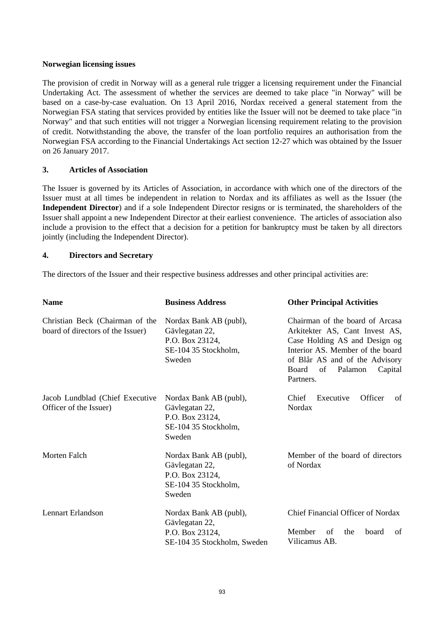## **Norwegian licensing issues**

The provision of credit in Norway will as a general rule trigger a licensing requirement under the Financial Undertaking Act. The assessment of whether the services are deemed to take place "in Norway" will be based on a case-by-case evaluation. On 13 April 2016, Nordax received a general statement from the Norwegian FSA stating that services provided by entities like the Issuer will not be deemed to take place "in Norway" and that such entities will not trigger a Norwegian licensing requirement relating to the provision of credit. Notwithstanding the above, the transfer of the loan portfolio requires an authorisation from the Norwegian FSA according to the Financial Undertakings Act section 12-27 which was obtained by the Issuer on 26 January 2017.

# **3. Articles of Association**

The Issuer is governed by its Articles of Association, in accordance with which one of the directors of the Issuer must at all times be independent in relation to Nordax and its affiliates as well as the Issuer (the **Independent Director**) and if a sole Independent Director resigns or is terminated, the shareholders of the Issuer shall appoint a new Independent Director at their earliest convenience. The articles of association also include a provision to the effect that a decision for a petition for bankruptcy must be taken by all directors jointly (including the Independent Director).

# **4. Directors and Secretary**

The directors of the Issuer and their respective business addresses and other principal activities are:

| <b>Name</b>                                                          | <b>Business Address</b>                                                                       | <b>Other Principal Activities</b>                                                                                                                                                                                          |
|----------------------------------------------------------------------|-----------------------------------------------------------------------------------------------|----------------------------------------------------------------------------------------------------------------------------------------------------------------------------------------------------------------------------|
| Christian Beck (Chairman of the<br>board of directors of the Issuer) | Nordax Bank AB (publ),<br>Gävlegatan 22,<br>P.O. Box 23124,<br>SE-104 35 Stockholm,<br>Sweden | Chairman of the board of Arcasa<br>Arkitekter AS, Cant Invest AS,<br>Case Holding AS and Design og<br>Interior AS. Member of the board<br>of Blår AS and of the Advisory<br>Board<br>Palamon<br>Capital<br>of<br>Partners. |
| Jacob Lundblad (Chief Executive<br>Officer of the Issuer)            | Nordax Bank AB (publ),<br>Gävlegatan 22,<br>P.O. Box 23124,<br>SE-104 35 Stockholm,<br>Sweden | Officer<br>Chief<br>Executive<br>of<br>Nordax                                                                                                                                                                              |
| <b>Morten Falch</b>                                                  | Nordax Bank AB (publ),<br>Gävlegatan 22,<br>P.O. Box 23124,<br>SE-104 35 Stockholm,<br>Sweden | Member of the board of directors<br>of Nordax                                                                                                                                                                              |
| Lennart Erlandson                                                    | Nordax Bank AB (publ),<br>Gävlegatan 22,<br>P.O. Box 23124,<br>SE-104 35 Stockholm, Sweden    | Chief Financial Officer of Nordax<br>Member<br>of<br>the<br>board<br>of<br>Vilicamus AB.                                                                                                                                   |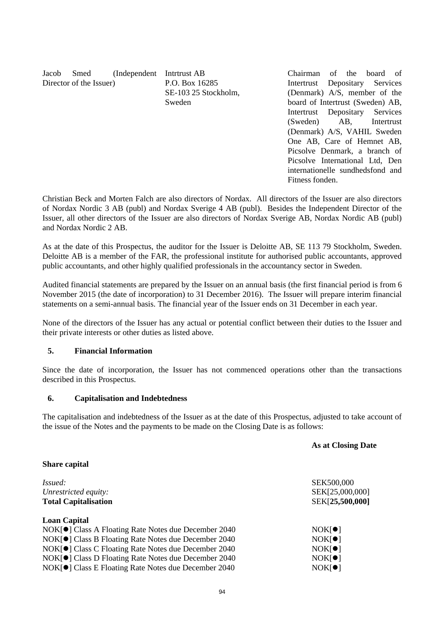| Jacob | Smed                    | (Independent Intritust AB) |                      | Chairman of the board of         |  |            |  |
|-------|-------------------------|----------------------------|----------------------|----------------------------------|--|------------|--|
|       | Director of the Issuer) |                            | P.O. Box 16285       | Intertrust Depositary Services   |  |            |  |
|       |                         |                            | SE-103 25 Stockholm, | (Denmark) A/S, member of the     |  |            |  |
|       |                         |                            | Sweden               | board of Intertrust (Sweden) AB, |  |            |  |
|       |                         |                            |                      | Intertrust Depositary Services   |  |            |  |
|       |                         |                            |                      | $(\text{Sweden})$ $\Delta R$     |  | Intertruct |  |

(Sweden) AB, Intertrust (Denmark) A/S, VAHIL Sweden One AB, Care of Hemnet AB, Picsolve Denmark, a branch of Picsolve International Ltd, Den internationelle sundhedsfond and Fitness fonden.

Christian Beck and Morten Falch are also directors of Nordax. All directors of the Issuer are also directors of Nordax Nordic 3 AB (publ) and Nordax Sverige 4 AB (publ). Besides the Independent Director of the Issuer, all other directors of the Issuer are also directors of Nordax Sverige AB, Nordax Nordic AB (publ) and Nordax Nordic 2 AB.

As at the date of this Prospectus, the auditor for the Issuer is Deloitte AB, SE 113 79 Stockholm, Sweden. Deloitte AB is a member of the FAR, the professional institute for authorised public accountants, approved public accountants, and other highly qualified professionals in the accountancy sector in Sweden.

Audited financial statements are prepared by the Issuer on an annual basis (the first financial period is from 6 November 2015 (the date of incorporation) to 31 December 2016). The Issuer will prepare interim financial statements on a semi-annual basis. The financial year of the Issuer ends on 31 December in each year.

None of the directors of the Issuer has any actual or potential conflict between their duties to the Issuer and their private interests or other duties as listed above.

# **5. Financial Information**

Since the date of incorporation, the Issuer has not commenced operations other than the transactions described in this Prospectus.

## **6. Capitalisation and Indebtedness**

The capitalisation and indebtedness of the Issuer as at the date of this Prospectus, adjusted to take account of the issue of the Notes and the payments to be made on the Closing Date is as follows:

|                                                      | <b>As at Closing Date</b> |
|------------------------------------------------------|---------------------------|
| <b>Share capital</b>                                 |                           |
| <i>Issued:</i>                                       | SEK500,000                |
| Unrestricted equity:                                 | SEK[25,000,000]           |
| <b>Total Capitalisation</b>                          | SEK[25,500,000]           |
| <b>Loan Capital</b>                                  |                           |
| NOK[●] Class A Floating Rate Notes due December 2040 | NOK[ <b>•</b> ]           |
| NOK[●] Class B Floating Rate Notes due December 2040 | NOK[ <b>•</b> ]           |
| NOK[●] Class C Floating Rate Notes due December 2040 | NOK[ <b>•</b> ]           |
| NOK[●] Class D Floating Rate Notes due December 2040 | NOK[ <b>•</b> ]           |
| NOK[●] Class E Floating Rate Notes due December 2040 | NOK[ <b>•</b> ]           |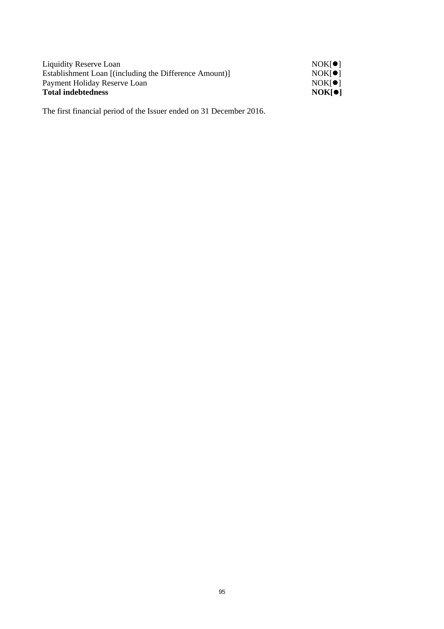| Liquidity Reserve Loan                                 | NOK[ <b>•</b> ]     |
|--------------------------------------------------------|---------------------|
| Establishment Loan [(including the Difference Amount)] | NOK <sub>[</sub> 0] |
| Payment Holiday Reserve Loan                           | NOK <sub>[</sub> 0] |
| <b>Total indebtedness</b>                              | <b>NOK[O]</b>       |

The first financial period of the Issuer ended on 31 December 2016.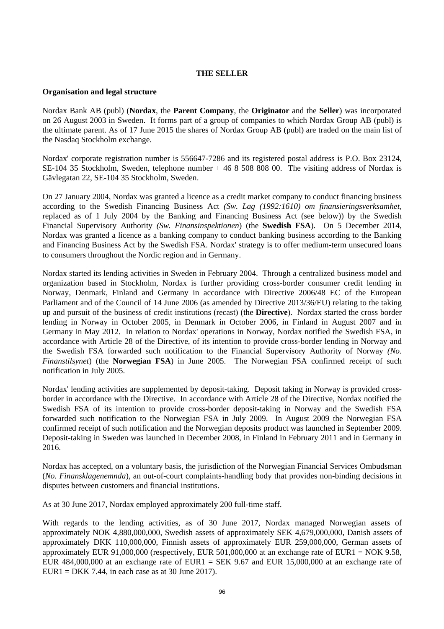## **THE SELLER**

#### **Organisation and legal structure**

Nordax Bank AB (publ) (**Nordax**, the **Parent Company**, the **Originator** and the **Seller**) was incorporated on 26 August 2003 in Sweden. It forms part of a group of companies to which Nordax Group AB (publ) is the ultimate parent. As of 17 June 2015 the shares of Nordax Group AB (publ) are traded on the main list of the Nasdaq Stockholm exchange.

Nordax' corporate registration number is 556647-7286 and its registered postal address is P.O. Box 23124, SE-104 35 Stockholm, Sweden, telephone number + 46 8 508 808 00. The visiting address of Nordax is Gävlegatan 22, SE-104 35 Stockholm, Sweden.

On 27 January 2004, Nordax was granted a licence as a credit market company to conduct financing business according to the Swedish Financing Business Act *(Sw. Lag (1992:1610) om finansieringsverksamhet,*  replaced as of 1 July 2004 by the Banking and Financing Business Act (see below)) by the Swedish Financial Supervisory Authority *(Sw. Finansinspektionen*) (the **Swedish FSA**). On 5 December 2014, Nordax was granted a licence as a banking company to conduct banking business according to the Banking and Financing Business Act by the Swedish FSA. Nordax' strategy is to offer medium-term unsecured loans to consumers throughout the Nordic region and in Germany.

Nordax started its lending activities in Sweden in February 2004. Through a centralized business model and organization based in Stockholm, Nordax is further providing cross-border consumer credit lending in Norway, Denmark, Finland and Germany in accordance with Directive 2006/48 EC of the European Parliament and of the Council of 14 June 2006 (as amended by Directive 2013/36/EU) relating to the taking up and pursuit of the business of credit institutions (recast) (the **Directive**). Nordax started the cross border lending in Norway in October 2005, in Denmark in October 2006, in Finland in August 2007 and in Germany in May 2012. In relation to Nordax' operations in Norway, Nordax notified the Swedish FSA, in accordance with Article 28 of the Directive, of its intention to provide cross-border lending in Norway and the Swedish FSA forwarded such notification to the Financial Supervisory Authority of Norway *(No. Finanstilsynet*) (the **Norwegian FSA**) in June 2005. The Norwegian FSA confirmed receipt of such notification in July 2005.

Nordax' lending activities are supplemented by deposit-taking. Deposit taking in Norway is provided crossborder in accordance with the Directive. In accordance with Article 28 of the Directive, Nordax notified the Swedish FSA of its intention to provide cross-border deposit-taking in Norway and the Swedish FSA forwarded such notification to the Norwegian FSA in July 2009. In August 2009 the Norwegian FSA confirmed receipt of such notification and the Norwegian deposits product was launched in September 2009. Deposit-taking in Sweden was launched in December 2008, in Finland in February 2011 and in Germany in 2016.

Nordax has accepted, on a voluntary basis, the jurisdiction of the Norwegian Financial Services Ombudsman (*No. Finansklagenemnda*), an out-of-court complaints-handling body that provides non-binding decisions in disputes between customers and financial institutions.

As at 30 June 2017, Nordax employed approximately 200 full-time staff.

With regards to the lending activities, as of 30 June 2017, Nordax managed Norwegian assets of approximately NOK 4,880,000,000, Swedish assets of approximately SEK 4,679,000,000, Danish assets of approximately DKK 110,000,000, Finnish assets of approximately EUR 259,000,000, German assets of approximately EUR 91,000,000 (respectively, EUR 501,000,000 at an exchange rate of EUR1 = NOK 9.58, EUR 484,000,000 at an exchange rate of EUR1 = SEK 9.67 and EUR 15,000,000 at an exchange rate of  $EURI = DKK$  7.44, in each case as at 30 June 2017).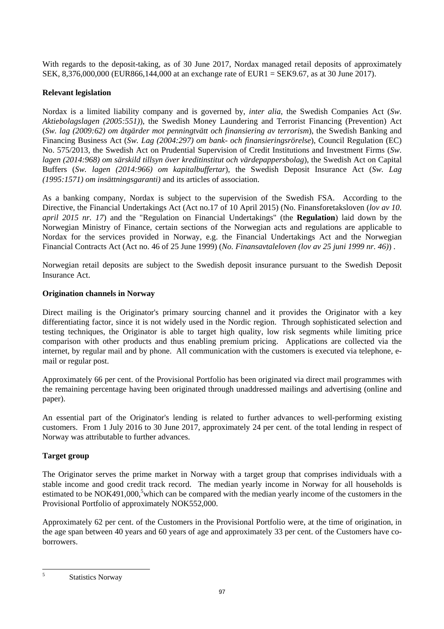With regards to the deposit-taking, as of 30 June 2017, Nordax managed retail deposits of approximately SEK, 8,376,000,000 (EUR866,144,000 at an exchange rate of EUR1 = SEK9.67, as at 30 June 2017).

## **Relevant legislation**

Nordax is a limited liability company and is governed by, *inter alia*, the Swedish Companies Act (*Sw. Aktiebolagslagen (2005:551)*), the Swedish Money Laundering and Terrorist Financing (Prevention) Act (*Sw. lag (2009:62) om åtgärder mot penningtvätt och finansiering av terrorism*), the Swedish Banking and Financing Business Act (*Sw. Lag (2004:297) om bank- och finansieringsrörelse*), Council Regulation (EC) No. 575/2013, the Swedish Act on Prudential Supervision of Credit Institutions and Investment Firms (*Sw. lagen (2014:968) om särskild tillsyn över kreditinstitut och värdepappersbolag*), the Swedish Act on Capital Buffers (*Sw. lagen (2014:966) om kapitalbuffertar*), the Swedish Deposit Insurance Act (*Sw. Lag (1995:1571) om insättningsgaranti)* and its articles of association.

As a banking company, Nordax is subject to the supervision of the Swedish FSA. According to the Directive, the Financial Undertakings Act (Act no.17 of 10 April 2015) (No. Finansforetaksloven (*lov av 10. april 2015 nr. 17*) and the "Regulation on Financial Undertakings" (the **Regulation**) laid down by the Norwegian Ministry of Finance, certain sections of the Norwegian acts and regulations are applicable to Nordax for the services provided in Norway, e.g. the Financial Undertakings Act and the Norwegian Financial Contracts Act (Act no. 46 of 25 June 1999) (*No. Finansavtaleloven (lov av 25 juni 1999 nr. 46)*) .

Norwegian retail deposits are subject to the Swedish deposit insurance pursuant to the Swedish Deposit Insurance Act.

# **Origination channels in Norway**

Direct mailing is the Originator's primary sourcing channel and it provides the Originator with a key differentiating factor, since it is not widely used in the Nordic region. Through sophisticated selection and testing techniques, the Originator is able to target high quality, low risk segments while limiting price comparison with other products and thus enabling premium pricing. Applications are collected via the internet, by regular mail and by phone. All communication with the customers is executed via telephone, email or regular post.

Approximately 66 per cent. of the Provisional Portfolio has been originated via direct mail programmes with the remaining percentage having been originated through unaddressed mailings and advertising (online and paper).

An essential part of the Originator's lending is related to further advances to well-performing existing customers. From 1 July 2016 to 30 June 2017, approximately 24 per cent. of the total lending in respect of Norway was attributable to further advances.

# **Target group**

The Originator serves the prime market in Norway with a target group that comprises individuals with a stable income and good credit track record. The median yearly income in Norway for all households is estimated to be  $NOK491,000$ ,<sup>5</sup> which can be compared with the median yearly income of the customers in the Provisional Portfolio of approximately NOK552,000.

Approximately 62 per cent. of the Customers in the Provisional Portfolio were, at the time of origination, in the age span between 40 years and 60 years of age and approximately 33 per cent. of the Customers have coborrowers.

 5

Statistics Norway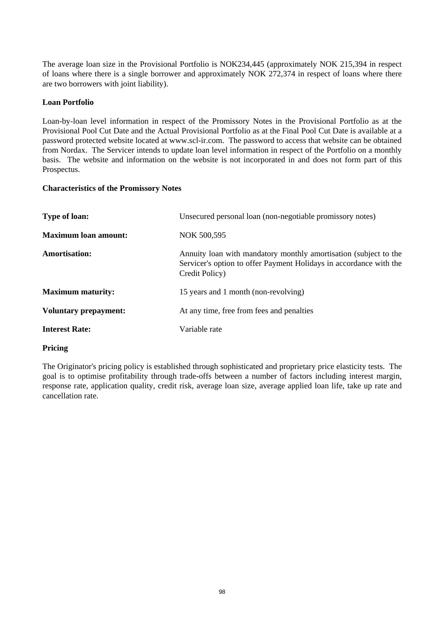The average loan size in the Provisional Portfolio is NOK234,445 (approximately NOK 215,394 in respect of loans where there is a single borrower and approximately NOK 272,374 in respect of loans where there are two borrowers with joint liability).

## **Loan Portfolio**

Loan-by-loan level information in respect of the Promissory Notes in the Provisional Portfolio as at the Provisional Pool Cut Date and the Actual Provisional Portfolio as at the Final Pool Cut Date is available at a password protected website located at www.scl-ir.com. The password to access that website can be obtained from Nordax. The Servicer intends to update loan level information in respect of the Portfolio on a monthly basis. The website and information on the website is not incorporated in and does not form part of this Prospectus.

## **Characteristics of the Promissory Notes**

| <b>Type of loan:</b>         | Unsecured personal loan (non-negotiable promissory notes)                                                                                                |
|------------------------------|----------------------------------------------------------------------------------------------------------------------------------------------------------|
| <b>Maximum loan amount:</b>  | NOK 500,595                                                                                                                                              |
| Amortisation:                | Annuity loan with mandatory monthly amortisation (subject to the<br>Servicer's option to offer Payment Holidays in accordance with the<br>Credit Policy) |
| <b>Maximum maturity:</b>     | 15 years and 1 month (non-revolving)                                                                                                                     |
| <b>Voluntary prepayment:</b> | At any time, free from fees and penalties                                                                                                                |
| <b>Interest Rate:</b>        | Variable rate                                                                                                                                            |

## **Pricing**

The Originator's pricing policy is established through sophisticated and proprietary price elasticity tests. The goal is to optimise profitability through trade-offs between a number of factors including interest margin, response rate, application quality, credit risk, average loan size, average applied loan life, take up rate and cancellation rate.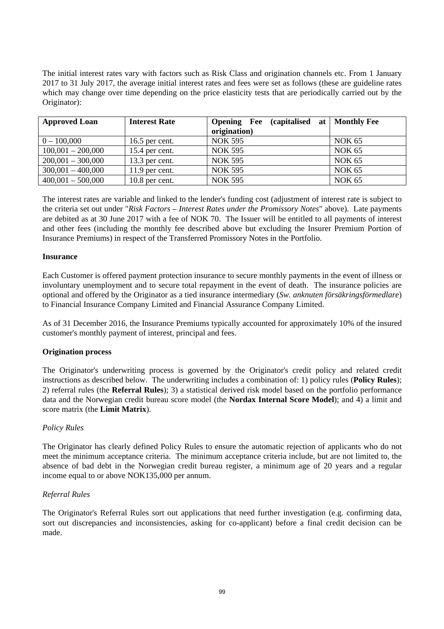The initial interest rates vary with factors such as Risk Class and origination channels etc. From 1 January 2017 to 31 July 2017, the average initial interest rates and fees were set as follows (these are guideline rates which may change over time depending on the price elasticity tests that are periodically carried out by the Originator):

| <b>Approved Loan</b> | <b>Interest Rate</b> | (capitalised at   Monthly Fee<br><b>Opening</b> Fee |               |
|----------------------|----------------------|-----------------------------------------------------|---------------|
|                      |                      | origination)                                        |               |
| $0 - 100,000$        | 16.5 per cent.       | <b>NOK 595</b>                                      | <b>NOK 65</b> |
| $100,001 - 200,000$  | 15.4 per cent.       | <b>NOK 595</b>                                      | <b>NOK 65</b> |
| $200,001 - 300,000$  | $13.3$ per cent.     | <b>NOK 595</b>                                      | <b>NOK 65</b> |
| $300,001 - 400,000$  | $11.9$ per cent.     | <b>NOK 595</b>                                      | <b>NOK 65</b> |
| $400,001 - 500,000$  | $10.8$ per cent.     | <b>NOK 595</b>                                      | <b>NOK 65</b> |

The interest rates are variable and linked to the lender's funding cost (adjustment of interest rate is subject to the criteria set out under "*Risk Factors – Interest Rates under the Promissory Notes*" above). Late payments are debited as at 30 June 2017 with a fee of NOK 70. The Issuer will be entitled to all payments of interest and other fees (including the monthly fee described above but excluding the Insurer Premium Portion of Insurance Premiums) in respect of the Transferred Promissory Notes in the Portfolio.

## **Insurance**

Each Customer is offered payment protection insurance to secure monthly payments in the event of illness or involuntary unemployment and to secure total repayment in the event of death. The insurance policies are optional and offered by the Originator as a tied insurance intermediary (*Sw. anknuten försäkringsförmedlare*) to Financial Insurance Company Limited and Financial Assurance Company Limited.

As of 31 December 2016, the Insurance Premiums typically accounted for approximately 10% of the insured customer's monthly payment of interest, principal and fees.

## **Origination process**

The Originator's underwriting process is governed by the Originator's credit policy and related credit instructions as described below. The underwriting includes a combination of: 1) policy rules (**Policy Rules**); 2) referral rules (the **Referral Rules**); 3) a statistical derived risk model based on the portfolio performance data and the Norwegian credit bureau score model (the **Nordax Internal Score Model**); and 4) a limit and score matrix (the **Limit Matrix**).

## *Policy Rules*

The Originator has clearly defined Policy Rules to ensure the automatic rejection of applicants who do not meet the minimum acceptance criteria. The minimum acceptance criteria include, but are not limited to, the absence of bad debt in the Norwegian credit bureau register, a minimum age of 20 years and a regular income equal to or above NOK135,000 per annum.

## *Referral Rules*

The Originator's Referral Rules sort out applications that need further investigation (e.g. confirming data, sort out discrepancies and inconsistencies, asking for co-applicant) before a final credit decision can be made.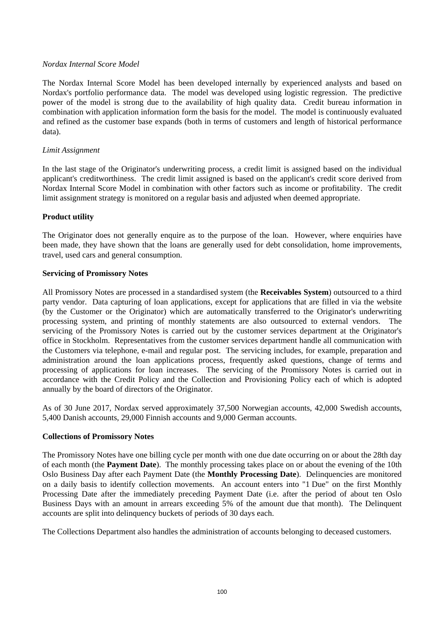## *Nordax Internal Score Model*

The Nordax Internal Score Model has been developed internally by experienced analysts and based on Nordax's portfolio performance data. The model was developed using logistic regression. The predictive power of the model is strong due to the availability of high quality data. Credit bureau information in combination with application information form the basis for the model. The model is continuously evaluated and refined as the customer base expands (both in terms of customers and length of historical performance data).

## *Limit Assignment*

In the last stage of the Originator's underwriting process, a credit limit is assigned based on the individual applicant's creditworthiness. The credit limit assigned is based on the applicant's credit score derived from Nordax Internal Score Model in combination with other factors such as income or profitability. The credit limit assignment strategy is monitored on a regular basis and adjusted when deemed appropriate.

# **Product utility**

The Originator does not generally enquire as to the purpose of the loan. However, where enquiries have been made, they have shown that the loans are generally used for debt consolidation, home improvements, travel, used cars and general consumption.

# **Servicing of Promissory Notes**

All Promissory Notes are processed in a standardised system (the **Receivables System**) outsourced to a third party vendor. Data capturing of loan applications, except for applications that are filled in via the website (by the Customer or the Originator) which are automatically transferred to the Originator's underwriting processing system, and printing of monthly statements are also outsourced to external vendors. The servicing of the Promissory Notes is carried out by the customer services department at the Originator's office in Stockholm. Representatives from the customer services department handle all communication with the Customers via telephone, e-mail and regular post. The servicing includes, for example, preparation and administration around the loan applications process, frequently asked questions, change of terms and processing of applications for loan increases. The servicing of the Promissory Notes is carried out in accordance with the Credit Policy and the Collection and Provisioning Policy each of which is adopted annually by the board of directors of the Originator.

As of 30 June 2017, Nordax served approximately 37,500 Norwegian accounts, 42,000 Swedish accounts, 5,400 Danish accounts, 29,000 Finnish accounts and 9,000 German accounts.

## **Collections of Promissory Notes**

The Promissory Notes have one billing cycle per month with one due date occurring on or about the 28th day of each month (the **Payment Date**). The monthly processing takes place on or about the evening of the 10th Oslo Business Day after each Payment Date (the **Monthly Processing Date**). Delinquencies are monitored on a daily basis to identify collection movements. An account enters into "1 Due" on the first Monthly Processing Date after the immediately preceding Payment Date (i.e. after the period of about ten Oslo Business Days with an amount in arrears exceeding 5% of the amount due that month). The Delinquent accounts are split into delinquency buckets of periods of 30 days each.

The Collections Department also handles the administration of accounts belonging to deceased customers.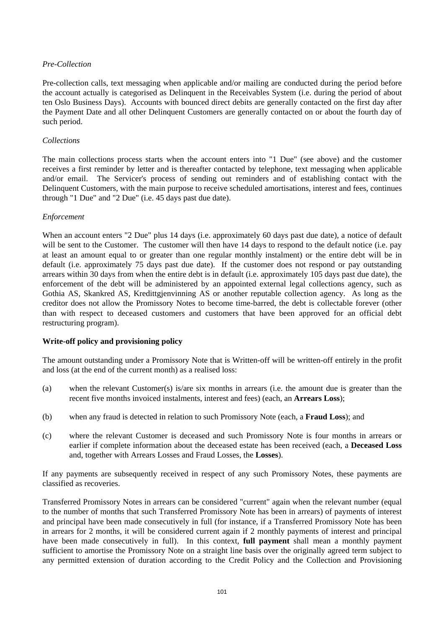# *Pre-Collection*

Pre-collection calls, text messaging when applicable and/or mailing are conducted during the period before the account actually is categorised as Delinquent in the Receivables System (i.e. during the period of about ten Oslo Business Days). Accounts with bounced direct debits are generally contacted on the first day after the Payment Date and all other Delinquent Customers are generally contacted on or about the fourth day of such period.

## *Collections*

The main collections process starts when the account enters into "1 Due" (see above) and the customer receives a first reminder by letter and is thereafter contacted by telephone, text messaging when applicable and/or email. The Servicer's process of sending out reminders and of establishing contact with the Delinquent Customers, with the main purpose to receive scheduled amortisations, interest and fees, continues through "1 Due" and "2 Due" (i.e. 45 days past due date).

# *Enforcement*

When an account enters "2 Due" plus 14 days (i.e. approximately 60 days past due date), a notice of default will be sent to the Customer. The customer will then have 14 days to respond to the default notice (i.e. pay at least an amount equal to or greater than one regular monthly instalment) or the entire debt will be in default (i.e. approximately 75 days past due date). If the customer does not respond or pay outstanding arrears within 30 days from when the entire debt is in default (i.e. approximately 105 days past due date), the enforcement of the debt will be administered by an appointed external legal collections agency, such as Gothia AS, Skankred AS, Kredittgjenvinning AS or another reputable collection agency. As long as the creditor does not allow the Promissory Notes to become time-barred, the debt is collectable forever (other than with respect to deceased customers and customers that have been approved for an official debt restructuring program).

# **Write-off policy and provisioning policy**

The amount outstanding under a Promissory Note that is Written-off will be written-off entirely in the profit and loss (at the end of the current month) as a realised loss:

- (a) when the relevant Customer(s) is/are six months in arrears (i.e. the amount due is greater than the recent five months invoiced instalments, interest and fees) (each, an **Arrears Loss**);
- (b) when any fraud is detected in relation to such Promissory Note (each, a **Fraud Loss**); and
- (c) where the relevant Customer is deceased and such Promissory Note is four months in arrears or earlier if complete information about the deceased estate has been received (each, a **Deceased Loss**  and, together with Arrears Losses and Fraud Losses, the **Losses**).

If any payments are subsequently received in respect of any such Promissory Notes, these payments are classified as recoveries.

Transferred Promissory Notes in arrears can be considered "current" again when the relevant number (equal to the number of months that such Transferred Promissory Note has been in arrears) of payments of interest and principal have been made consecutively in full (for instance, if a Transferred Promissory Note has been in arrears for 2 months, it will be considered current again if 2 monthly payments of interest and principal have been made consecutively in full). In this context, **full payment** shall mean a monthly payment sufficient to amortise the Promissory Note on a straight line basis over the originally agreed term subject to any permitted extension of duration according to the Credit Policy and the Collection and Provisioning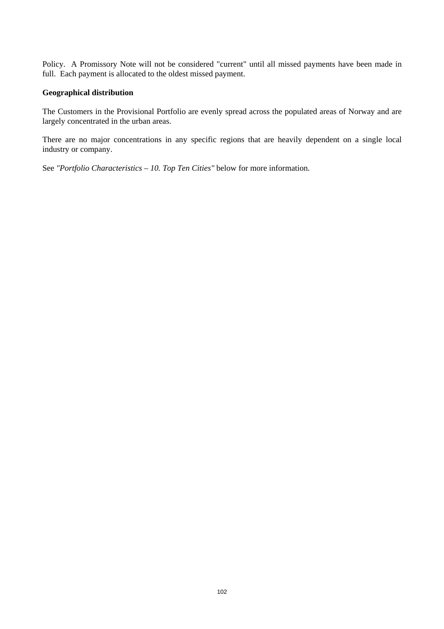Policy. A Promissory Note will not be considered "current" until all missed payments have been made in full. Each payment is allocated to the oldest missed payment.

#### **Geographical distribution**

The Customers in the Provisional Portfolio are evenly spread across the populated areas of Norway and are largely concentrated in the urban areas.

There are no major concentrations in any specific regions that are heavily dependent on a single local industry or company.

See *"Portfolio Characteristics – 10. Top Ten Cities"* below for more information.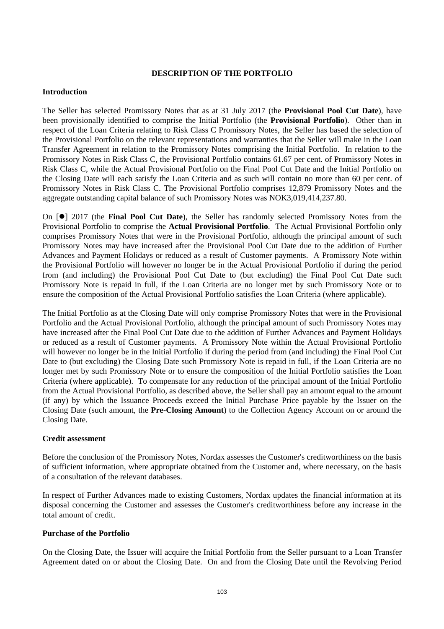## **DESCRIPTION OF THE PORTFOLIO**

#### **Introduction**

The Seller has selected Promissory Notes that as at 31 July 2017 (the **Provisional Pool Cut Date**), have been provisionally identified to comprise the Initial Portfolio (the **Provisional Portfolio**). Other than in respect of the Loan Criteria relating to Risk Class C Promissory Notes, the Seller has based the selection of the Provisional Portfolio on the relevant representations and warranties that the Seller will make in the Loan Transfer Agreement in relation to the Promissory Notes comprising the Initial Portfolio. In relation to the Promissory Notes in Risk Class C, the Provisional Portfolio contains 61.67 per cent. of Promissory Notes in Risk Class C, while the Actual Provisional Portfolio on the Final Pool Cut Date and the Initial Portfolio on the Closing Date will each satisfy the Loan Criteria and as such will contain no more than 60 per cent. of Promissory Notes in Risk Class C. The Provisional Portfolio comprises 12,879 Promissory Notes and the aggregate outstanding capital balance of such Promissory Notes was NOK3,019,414,237.80.

On  $[0]$  2017 (the **Final Pool Cut Date**), the Seller has randomly selected Promissory Notes from the Provisional Portfolio to comprise the **Actual Provisional Portfolio**. The Actual Provisional Portfolio only comprises Promissory Notes that were in the Provisional Portfolio, although the principal amount of such Promissory Notes may have increased after the Provisional Pool Cut Date due to the addition of Further Advances and Payment Holidays or reduced as a result of Customer payments. A Promissory Note within the Provisional Portfolio will however no longer be in the Actual Provisional Portfolio if during the period from (and including) the Provisional Pool Cut Date to (but excluding) the Final Pool Cut Date such Promissory Note is repaid in full, if the Loan Criteria are no longer met by such Promissory Note or to ensure the composition of the Actual Provisional Portfolio satisfies the Loan Criteria (where applicable).

The Initial Portfolio as at the Closing Date will only comprise Promissory Notes that were in the Provisional Portfolio and the Actual Provisional Portfolio, although the principal amount of such Promissory Notes may have increased after the Final Pool Cut Date due to the addition of Further Advances and Payment Holidays or reduced as a result of Customer payments. A Promissory Note within the Actual Provisional Portfolio will however no longer be in the Initial Portfolio if during the period from (and including) the Final Pool Cut Date to (but excluding) the Closing Date such Promissory Note is repaid in full, if the Loan Criteria are no longer met by such Promissory Note or to ensure the composition of the Initial Portfolio satisfies the Loan Criteria (where applicable). To compensate for any reduction of the principal amount of the Initial Portfolio from the Actual Provisional Portfolio, as described above, the Seller shall pay an amount equal to the amount (if any) by which the Issuance Proceeds exceed the Initial Purchase Price payable by the Issuer on the Closing Date (such amount, the **Pre-Closing Amount**) to the Collection Agency Account on or around the Closing Date.

## **Credit assessment**

Before the conclusion of the Promissory Notes, Nordax assesses the Customer's creditworthiness on the basis of sufficient information, where appropriate obtained from the Customer and, where necessary, on the basis of a consultation of the relevant databases.

In respect of Further Advances made to existing Customers, Nordax updates the financial information at its disposal concerning the Customer and assesses the Customer's creditworthiness before any increase in the total amount of credit.

## **Purchase of the Portfolio**

On the Closing Date, the Issuer will acquire the Initial Portfolio from the Seller pursuant to a Loan Transfer Agreement dated on or about the Closing Date. On and from the Closing Date until the Revolving Period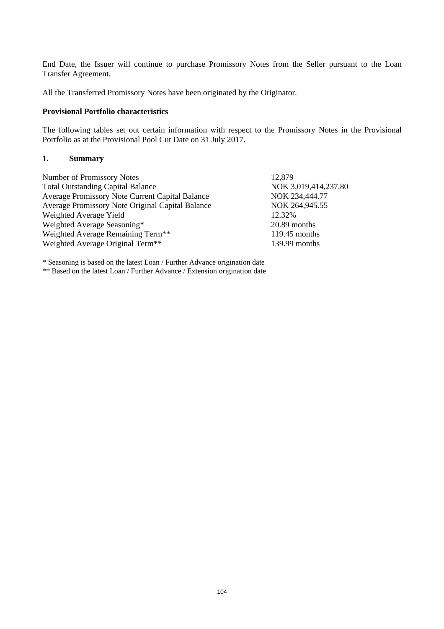End Date, the Issuer will continue to purchase Promissory Notes from the Seller pursuant to the Loan Transfer Agreement.

All the Transferred Promissory Notes have been originated by the Originator.

#### **Provisional Portfolio characteristics**

The following tables set out certain information with respect to the Promissory Notes in the Provisional Portfolio as at the Provisional Pool Cut Date on 31 July 2017.

#### **1. Summary**

Number of Promissory Notes 12,879 Total Outstanding Capital Balance NOK 3,019,414,237.80 Average Promissory Note Current Capital Balance NOK 234,444.77 Average Promissory Note Original Capital Balance NOK 264,945.55 Weighted Average Yield 12.32% Weighted Average Seasoning\* 20.89 months Weighted Average Remaining Term<sup>\*\*</sup> 119.45 months Weighted Average Original Term<sup>\*\*</sup> 139.99 months

\* Seasoning is based on the latest Loan / Further Advance origination date \*\* Based on the latest Loan / Further Advance / Extension origination date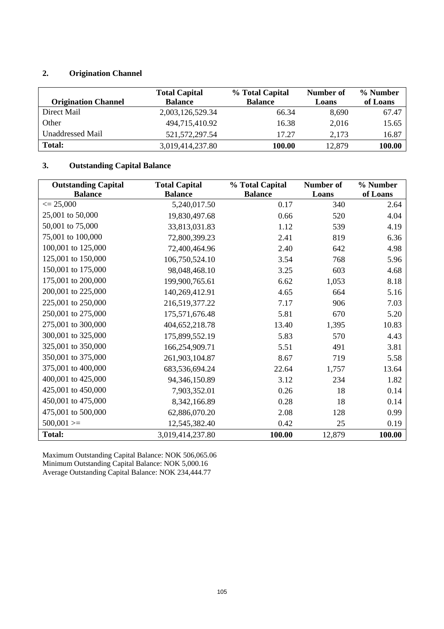# **2. Origination Channel**

|                            | <b>Total Capital</b> | % Total Capital | Number of | % Number |
|----------------------------|----------------------|-----------------|-----------|----------|
| <b>Origination Channel</b> | <b>Balance</b>       | <b>Balance</b>  | Loans     | of Loans |
| Direct Mail                | 2,003,126,529.34     | 66.34           | 8.690     | 67.47    |
| Other                      | 494,715,410.92       | 16.38           | 2,016     | 15.65    |
| Unaddressed Mail           | 521, 572, 297. 54    | 17.27           | 2,173     | 16.87    |
| <b>Total:</b>              | 3,019,414,237.80     | 100.00          | 12,879    | 100.00   |

# **3. Outstanding Capital Balance**

| <b>Outstanding Capital</b>            | <b>Total Capital</b> | % Total Capital | <b>Number of</b> | % Number |
|---------------------------------------|----------------------|-----------------|------------------|----------|
| <b>Balance</b><br>$\epsilon = 25,000$ | <b>Balance</b>       | <b>Balance</b>  | Loans            | of Loans |
|                                       | 5,240,017.50         | 0.17            | 340              | 2.64     |
| 25,001 to 50,000                      | 19,830,497.68        | 0.66            | 520              | 4.04     |
| 50,001 to 75,000                      | 33,813,031.83        | 1.12            | 539              | 4.19     |
| 75,001 to 100,000                     | 72,800,399.23        | 2.41            | 819              | 6.36     |
| 100,001 to 125,000                    | 72,400,464.96        | 2.40            | 642              | 4.98     |
| 125,001 to 150,000                    | 106,750,524.10       | 3.54            | 768              | 5.96     |
| 150,001 to 175,000                    | 98,048,468.10        | 3.25            | 603              | 4.68     |
| 175,001 to 200,000                    | 199,900,765.61       | 6.62            | 1,053            | 8.18     |
| 200,001 to 225,000                    | 140,269,412.91       | 4.65            | 664              | 5.16     |
| 225,001 to 250,000                    | 216,519,377.22       | 7.17            | 906              | 7.03     |
| 250,001 to 275,000                    | 175,571,676.48       | 5.81            | 670              | 5.20     |
| 275,001 to 300,000                    | 404,652,218.78       | 13.40           | 1,395            | 10.83    |
| 300,001 to 325,000                    | 175,899,552.19       | 5.83            | 570              | 4.43     |
| 325,001 to 350,000                    | 166,254,909.71       | 5.51            | 491              | 3.81     |
| 350,001 to 375,000                    | 261,903,104.87       | 8.67            | 719              | 5.58     |
| 375,001 to 400,000                    | 683,536,694.24       | 22.64           | 1,757            | 13.64    |
| 400,001 to 425,000                    | 94,346,150.89        | 3.12            | 234              | 1.82     |
| 425,001 to 450,000                    | 7,903,352.01         | 0.26            | 18               | 0.14     |
| 450,001 to 475,000                    | 8,342,166.89         | 0.28            | 18               | 0.14     |
| 475,001 to 500,000                    | 62,886,070.20        | 2.08            | 128              | 0.99     |
| $500,001 >=$                          | 12,545,382.40        | 0.42            | 25               | 0.19     |
| <b>Total:</b>                         | 3,019,414,237.80     | 100.00          | 12,879           | 100.00   |

Maximum Outstanding Capital Balance: NOK 506,065.06 Minimum Outstanding Capital Balance: NOK 5,000.16 Average Outstanding Capital Balance: NOK 234,444.77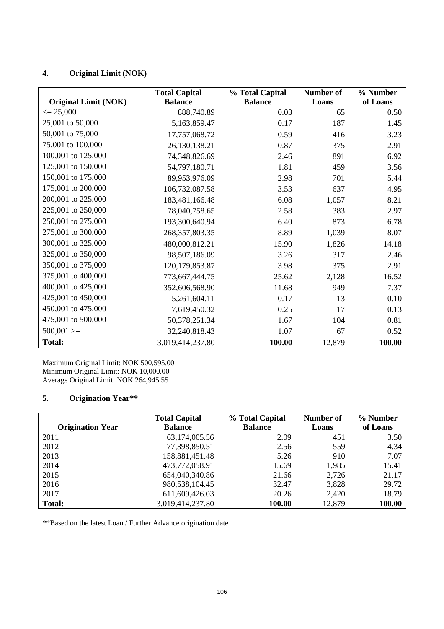# **4. Original Limit (NOK)**

|                             | <b>Total Capital</b> | % Total Capital | <b>Number of</b> | % Number |
|-----------------------------|----------------------|-----------------|------------------|----------|
| <b>Original Limit (NOK)</b> | <b>Balance</b>       | <b>Balance</b>  | Loans            | of Loans |
| $\epsilon = 25,000$         | 888,740.89           | 0.03            | 65               | 0.50     |
| 25,001 to 50,000            | 5,163,859.47         | 0.17            | 187              | 1.45     |
| 50,001 to 75,000            | 17,757,068.72        | 0.59            | 416              | 3.23     |
| 75,001 to 100,000           | 26,130,138.21        | 0.87            | 375              | 2.91     |
| 100,001 to 125,000          | 74,348,826.69        | 2.46            | 891              | 6.92     |
| 125,001 to 150,000          | 54,797,180.71        | 1.81            | 459              | 3.56     |
| 150,001 to 175,000          | 89,953,976.09        | 2.98            | 701              | 5.44     |
| 175,001 to 200,000          | 106,732,087.58       | 3.53            | 637              | 4.95     |
| 200,001 to 225,000          | 183,481,166.48       | 6.08            | 1,057            | 8.21     |
| 225,001 to 250,000          | 78,040,758.65        | 2.58            | 383              | 2.97     |
| 250,001 to 275,000          | 193,300,640.94       | 6.40            | 873              | 6.78     |
| 275,001 to 300,000          | 268, 357, 803. 35    | 8.89            | 1,039            | 8.07     |
| 300,001 to 325,000          | 480,000,812.21       | 15.90           | 1,826            | 14.18    |
| 325,001 to 350,000          | 98,507,186.09        | 3.26            | 317              | 2.46     |
| 350,001 to 375,000          | 120, 179, 853. 87    | 3.98            | 375              | 2.91     |
| 375,001 to 400,000          | 773,667,444.75       | 25.62           | 2,128            | 16.52    |
| 400,001 to 425,000          | 352,606,568.90       | 11.68           | 949              | 7.37     |
| 425,001 to 450,000          | 5,261,604.11         | 0.17            | 13               | 0.10     |
| 450,001 to 475,000          | 7,619,450.32         | 0.25            | 17               | 0.13     |
| 475,001 to 500,000          | 50,378,251.34        | 1.67            | 104              | 0.81     |
| $500,001 >=$                | 32,240,818.43        | 1.07            | 67               | 0.52     |
| <b>Total:</b>               | 3,019,414,237.80     | 100.00          | 12,879           | 100.00   |

Maximum Original Limit: NOK 500,595.00 Minimum Original Limit: NOK 10,000.00 Average Original Limit: NOK 264,945.55

# **5. Origination Year\*\***

|                         | <b>Total Capital</b> | % Total Capital | Number of | % Number |
|-------------------------|----------------------|-----------------|-----------|----------|
| <b>Origination Year</b> | <b>Balance</b>       | <b>Balance</b>  | Loans     | of Loans |
| 2011                    | 63,174,005.56        | 2.09            | 451       | 3.50     |
| 2012                    | 77,398,850.51        | 2.56            | 559       | 4.34     |
| 2013                    | 158,881,451.48       | 5.26            | 910       | 7.07     |
| 2014                    | 473,772,058.91       | 15.69           | 1,985     | 15.41    |
| 2015                    | 654,040,340.86       | 21.66           | 2,726     | 21.17    |
| 2016                    | 980,538,104.45       | 32.47           | 3,828     | 29.72    |
| 2017                    | 611,609,426.03       | 20.26           | 2,420     | 18.79    |
| <b>Total:</b>           | 3,019,414,237.80     | 100.00          | 12,879    | 100.00   |

\*\*Based on the latest Loan / Further Advance origination date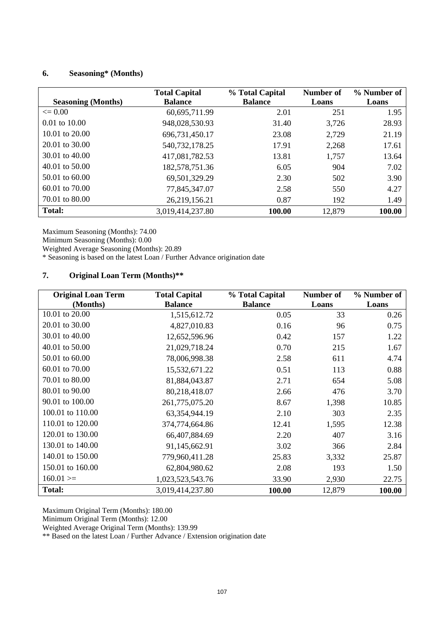# **6. Seasoning\* (Months)**

|                           | <b>Total Capital</b> | % Total Capital | Number of | % Number of |
|---------------------------|----------------------|-----------------|-----------|-------------|
| <b>Seasoning (Months)</b> | <b>Balance</b>       | <b>Balance</b>  | Loans     | Loans       |
| $\leq$ 0.00               | 60,695,711.99        | 2.01            | 251       | 1.95        |
| $0.01$ to $10.00$         | 948,028,530.93       | 31.40           | 3,726     | 28.93       |
| 10.01 to $20.00$          | 696,731,450.17       | 23.08           | 2,729     | 21.19       |
| 20.01 to 30.00            | 540,732,178.25       | 17.91           | 2,268     | 17.61       |
| $30.01$ to $40.00$        | 417,081,782.53       | 13.81           | 1,757     | 13.64       |
| $40.01$ to $50.00$        | 182,578,751.36       | 6.05            | 904       | 7.02        |
| $50.01$ to $60.00$        | 69,501,329.29        | 2.30            | 502       | 3.90        |
| $60.01$ to $70.00$        | 77,845,347.07        | 2.58            | 550       | 4.27        |
| 70.01 to 80.00            | 26,219,156.21        | 0.87            | 192       | 1.49        |
| <b>Total:</b>             | 3,019,414,237.80     | 100.00          | 12,879    | 100.00      |

Maximum Seasoning (Months): 74.00

Minimum Seasoning (Months): 0.00

Weighted Average Seasoning (Months): 20.89

\* Seasoning is based on the latest Loan / Further Advance origination date

# **7. Original Loan Term (Months)\*\***

| <b>Original Loan Term</b><br>(Months) | <b>Total Capital</b><br><b>Balance</b> | % Total Capital<br><b>Balance</b> | Number of<br>Loans | % Number of<br>Loans |
|---------------------------------------|----------------------------------------|-----------------------------------|--------------------|----------------------|
| 10.01 to 20.00                        | 1,515,612.72                           | 0.05                              | 33                 | 0.26                 |
| 20.01 to 30.00                        | 4,827,010.83                           | 0.16                              | 96                 | 0.75                 |
| 30.01 to 40.00                        | 12,652,596.96                          | 0.42                              | 157                | 1.22                 |
| 40.01 to 50.00                        | 21,029,718.24                          | 0.70                              | 215                | 1.67                 |
| 50.01 to 60.00                        | 78,006,998.38                          | 2.58                              | 611                | 4.74                 |
| 60.01 to 70.00                        | 15,532,671.22                          | 0.51                              | 113                | 0.88                 |
| 70.01 to 80.00                        | 81,884,043.87                          | 2.71                              | 654                | 5.08                 |
| 80.01 to 90.00                        | 80,218,418.07                          | 2.66                              | 476                | 3.70                 |
| 90.01 to 100.00                       | 261,775,075.20                         | 8.67                              | 1,398              | 10.85                |
| 100.01 to 110.00                      | 63,354,944.19                          | 2.10                              | 303                | 2.35                 |
| 110.01 to 120.00                      | 374,774,664.86                         | 12.41                             | 1,595              | 12.38                |
| 120.01 to 130.00                      | 66,407,884.69                          | 2.20                              | 407                | 3.16                 |
| 130.01 to 140.00                      | 91,145,662.91                          | 3.02                              | 366                | 2.84                 |
| 140.01 to 150.00                      | 779,960,411.28                         | 25.83                             | 3,332              | 25.87                |
| 150.01 to 160.00                      | 62,804,980.62                          | 2.08                              | 193                | 1.50                 |
| $160.01 ==$                           | 1,023,523,543.76                       | 33.90                             | 2,930              | 22.75                |
| <b>Total:</b>                         | 3,019,414,237.80                       | 100.00                            | 12,879             | 100.00               |

Maximum Original Term (Months): 180.00

Minimum Original Term (Months): 12.00

Weighted Average Original Term (Months): 139.99

\*\* Based on the latest Loan / Further Advance / Extension origination date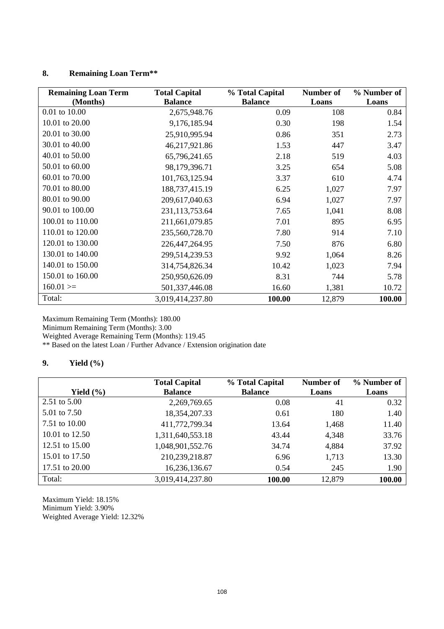# **8. Remaining Loan Term\*\***

| <b>Remaining Loan Term</b> | <b>Total Capital</b> | % Total Capital | Number of | % Number of |
|----------------------------|----------------------|-----------------|-----------|-------------|
| (Months)                   | <b>Balance</b>       | <b>Balance</b>  | Loans     | Loans       |
| 0.01 to 10.00              | 2,675,948.76         | 0.09            | 108       | 0.84        |
| 10.01 to 20.00             | 9,176,185.94         | 0.30            | 198       | 1.54        |
| 20.01 to 30.00             | 25,910,995.94        | 0.86            | 351       | 2.73        |
| 30.01 to 40.00             | 46,217,921.86        | 1.53            | 447       | 3.47        |
| 40.01 to 50.00             | 65,796,241.65        | 2.18            | 519       | 4.03        |
| 50.01 to 60.00             | 98,179,396.71        | 3.25            | 654       | 5.08        |
| 60.01 to 70.00             | 101,763,125.94       | 3.37            | 610       | 4.74        |
| 70.01 to 80.00             | 188,737,415.19       | 6.25            | 1,027     | 7.97        |
| 80.01 to 90.00             | 209,617,040.63       | 6.94            | 1,027     | 7.97        |
| 90.01 to 100.00            | 231,113,753.64       | 7.65            | 1,041     | 8.08        |
| 100.01 to 110.00           | 211,661,079.85       | 7.01            | 895       | 6.95        |
| 110.01 to 120.00           | 235,560,728.70       | 7.80            | 914       | 7.10        |
| 120.01 to 130.00           | 226,447,264.95       | 7.50            | 876       | 6.80        |
| 130.01 to 140.00           | 299,514,239.53       | 9.92            | 1,064     | 8.26        |
| 140.01 to 150.00           | 314,754,826.34       | 10.42           | 1,023     | 7.94        |
| 150.01 to 160.00           | 250,950,626.09       | 8.31            | 744       | 5.78        |
| $160.01 ==$                | 501,337,446.08       | 16.60           | 1,381     | 10.72       |
| Total:                     | 3,019,414,237.80     | 100.00          | 12,879    | 100.00      |

Maximum Remaining Term (Months): 180.00

Minimum Remaining Term (Months): 3.00

Weighted Average Remaining Term (Months): 119.45

\*\* Based on the latest Loan / Further Advance / Extension origination date

## **9. Yield (%)**

|                  | <b>Total Capital</b> | % Total Capital | Number of | % Number of |
|------------------|----------------------|-----------------|-----------|-------------|
| Yield $(\% )$    | <b>Balance</b>       | <b>Balance</b>  | Loans     | Loans       |
| 2.51 to $5.00$   | 2,269,769.65         | 0.08            | 41        | 0.32        |
| 5.01 to 7.50     | 18,354,207.33        | 0.61            | 180       | 1.40        |
| 7.51 to 10.00    | 411,772,799.34       | 13.64           | 1,468     | 11.40       |
| 10.01 to $12.50$ | 1,311,640,553.18     | 43.44           | 4,348     | 33.76       |
| 12.51 to 15.00   | 1,048,901,552.76     | 34.74           | 4,884     | 37.92       |
| 15.01 to 17.50   | 210,239,218.87       | 6.96            | 1,713     | 13.30       |
| 17.51 to 20.00   | 16,236,136.67        | 0.54            | 245       | 1.90        |
| Total:           | 3,019,414,237.80     | 100.00          | 12,879    | 100.00      |

Maximum Yield: 18.15% Minimum Yield: 3.90% Weighted Average Yield: 12.32%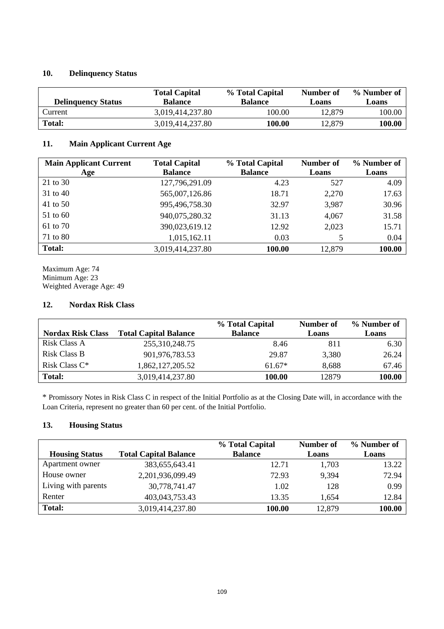## **10. Delinquency Status**

| <b>Delinquency Status</b> | <b>Total Capital</b><br><b>Balance</b> | % Total Capital<br><b>Balance</b> | Number of<br>Loans | % Number of<br>Loans |
|---------------------------|----------------------------------------|-----------------------------------|--------------------|----------------------|
| Current                   | 3,019,414,237.80                       | 100.00                            | 12,879             | 100.00               |
| Total:                    | 3,019,414,237.80                       | 100.00                            | 12.879             | 100.00               |

## **11. Main Applicant Current Age**

| <b>Main Applicant Current</b> | <b>Total Capital</b> | % Total Capital | Number of | % Number of |
|-------------------------------|----------------------|-----------------|-----------|-------------|
| Age                           | <b>Balance</b>       | <b>Balance</b>  | Loans     | Loans       |
| 21 to 30                      | 127,796,291.09       | 4.23            | 527       | 4.09        |
| 31 to 40                      | 565,007,126.86       | 18.71           | 2,270     | 17.63       |
| 41 to 50                      | 995,496,758.30       | 32.97           | 3,987     | 30.96       |
| 51 to 60                      | 940,075,280.32       | 31.13           | 4,067     | 31.58       |
| 61 to 70                      | 390,023,619.12       | 12.92           | 2,023     | 15.71       |
| 71 to 80                      | 1,015,162.11         | 0.03            | 5         | 0.04        |
| <b>Total:</b>                 | 3,019,414,237.80     | 100.00          | 12,879    | 100.00      |

Maximum Age: 74 Minimum Age: 23 Weighted Average Age: 49

## **12. Nordax Risk Class**

|                          |                              | % Total Capital | Number of | % Number of |
|--------------------------|------------------------------|-----------------|-----------|-------------|
| <b>Nordax Risk Class</b> | <b>Total Capital Balance</b> | <b>Balance</b>  | Loans     | Loans       |
| Risk Class A             | 255,310,248.75               | 8.46            | 811       | 6.30        |
| Risk Class B             | 901,976,783.53               | 29.87           | 3,380     | 26.24       |
| Risk Class C*            | 1,862,127,205.52             | $61.67*$        | 8,688     | 67.46       |
| <b>Total:</b>            | 3,019,414,237.80             | 100.00          | 12879     | 100.00      |

\* Promissory Notes in Risk Class C in respect of the Initial Portfolio as at the Closing Date will, in accordance with the Loan Criteria, represent no greater than 60 per cent. of the Initial Portfolio.

## **13. Housing Status**

|                       |                              | % Total Capital | Number of | % Number of |
|-----------------------|------------------------------|-----------------|-----------|-------------|
| <b>Housing Status</b> | <b>Total Capital Balance</b> | <b>Balance</b>  | Loans     | Loans       |
| Apartment owner       | 383,655,643.41               | 12.71           | 1,703     | 13.22       |
| House owner           | 2,201,936,099.49             | 72.93           | 9.394     | 72.94       |
| Living with parents   | 30,778,741.47                | 1.02            | 128       | 0.99        |
| Renter                | 403,043,753.43               | 13.35           | 1.654     | 12.84       |
| <b>Total:</b>         | 3,019,414,237.80             | 100.00          | 12,879    | 100.00      |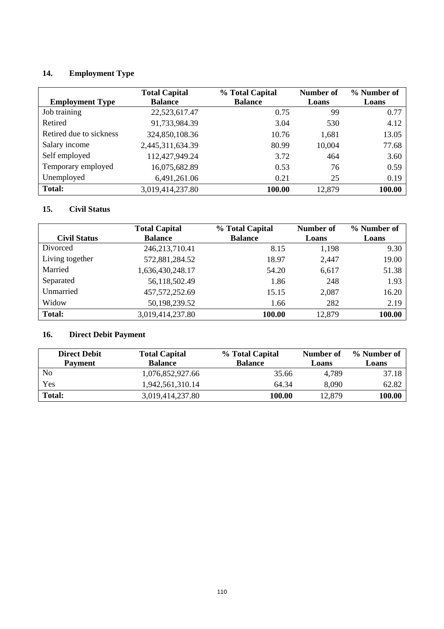# **14. Employment Type**

| <b>Employment Type</b>  | <b>Total Capital</b><br><b>Balance</b> | % Total Capital<br><b>Balance</b> | Number of<br>Loans | % Number of<br>Loans |
|-------------------------|----------------------------------------|-----------------------------------|--------------------|----------------------|
| Job training            | 22,523,617.47                          | 0.75                              | 99                 | 0.77                 |
| Retired                 | 91,733,984.39                          | 3.04                              | 530                | 4.12                 |
| Retired due to sickness | 324,850,108.36                         | 10.76                             | 1,681              | 13.05                |
| Salary income           | 2,445,311,634.39                       | 80.99                             | 10,004             | 77.68                |
| Self employed           | 112,427,949.24                         | 3.72                              | 464                | 3.60                 |
| Temporary employed      | 16,075,682.89                          | 0.53                              | 76                 | 0.59                 |
| Unemployed              | 6,491,261.06                           | 0.21                              | 25                 | 0.19                 |
| <b>Total:</b>           | 3,019,414,237.80                       | 100.00                            | 12,879             | 100.00               |

# **15. Civil Status**

|                     | <b>Total Capital</b> | % Total Capital | <b>Number of</b> | % Number of |
|---------------------|----------------------|-----------------|------------------|-------------|
| <b>Civil Status</b> | <b>Balance</b>       | <b>Balance</b>  | Loans            | Loans       |
| Divorced            | 246, 213, 710. 41    | 8.15            | 1,198            | 9.30        |
| Living together     | 572,881,284.52       | 18.97           | 2,447            | 19.00       |
| Married             | 1,636,430,248.17     | 54.20           | 6,617            | 51.38       |
| Separated           | 56,118,502.49        | 1.86            | 248              | 1.93        |
| Unmarried           | 457, 572, 252. 69    | 15.15           | 2,087            | 16.20       |
| Widow               | 50,198,239.52        | 1.66            | 282              | 2.19        |
| <b>Total:</b>       | 3,019,414,237.80     | 100.00          | 12,879           | 100.00      |

# **16. Direct Debit Payment**

| <b>Direct Debit</b> | <b>Total Capital</b> | % Total Capital | Number of | % Number of   |
|---------------------|----------------------|-----------------|-----------|---------------|
| <b>Payment</b>      | <b>Balance</b>       | <b>Balance</b>  | Loans     | Loans         |
| No                  | 1,076,852,927.66     | 35.66           | 4.789     | 37.18         |
| Yes                 | 1,942,561,310.14     | 64.34           | 8.090     | 62.82         |
| <b>Total:</b>       | 3,019,414,237.80     | 100.00          | 12,879    | <b>100.00</b> |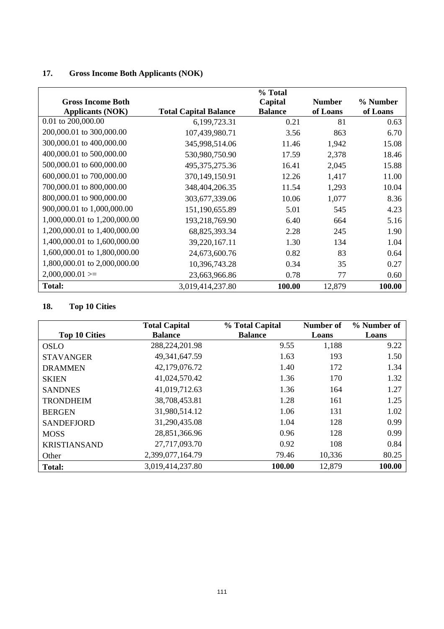# **17. Gross Income Both Applicants (NOK)**

|                              |                              | % Total        |               |          |
|------------------------------|------------------------------|----------------|---------------|----------|
| <b>Gross Income Both</b>     |                              | Capital        | <b>Number</b> | % Number |
| <b>Applicants (NOK)</b>      | <b>Total Capital Balance</b> | <b>Balance</b> | of Loans      | of Loans |
| 0.01 to 200,000.00           | 6,199,723.31                 | 0.21           | 81            | 0.63     |
| 200,000.01 to 300,000.00     | 107,439,980.71               | 3.56           | 863           | 6.70     |
| 300,000.01 to 400,000.00     | 345,998,514.06               | 11.46          | 1,942         | 15.08    |
| 400,000.01 to 500,000.00     | 530,980,750.90               | 17.59          | 2,378         | 18.46    |
| 500,000.01 to 600,000.00     | 495, 375, 275. 36            | 16.41          | 2,045         | 15.88    |
| 600,000.01 to 700,000.00     | 370,149,150.91               | 12.26          | 1,417         | 11.00    |
| 700,000.01 to 800,000.00     | 348,404,206.35               | 11.54          | 1,293         | 10.04    |
| 800,000.01 to 900,000.00     | 303,677,339.06               | 10.06          | 1,077         | 8.36     |
| 900,000.01 to 1,000,000.00   | 151,190,655.89               | 5.01           | 545           | 4.23     |
| 1,000,000.01 to 1,200,000.00 | 193,218,769.90               | 6.40           | 664           | 5.16     |
| 1,200,000.01 to 1,400,000.00 | 68,825,393.34                | 2.28           | 245           | 1.90     |
| 1,400,000.01 to 1,600,000.00 | 39,220,167.11                | 1.30           | 134           | 1.04     |
| 1,600,000.01 to 1,800,000.00 | 24,673,600.76                | 0.82           | 83            | 0.64     |
| 1,800,000.01 to 2,000,000.00 | 10,396,743.28                | 0.34           | 35            | 0.27     |
| $2,000,000.01 ==$            | 23,663,966.86                | 0.78           | 77            | 0.60     |
| Total:                       | 3,019,414,237.80             | 100.00         | 12,879        | 100.00   |

# **18. Top 10 Cities**

|                      | <b>Total Capital</b> | % Total Capital | Number of | % Number of |
|----------------------|----------------------|-----------------|-----------|-------------|
| <b>Top 10 Cities</b> | <b>Balance</b>       | <b>Balance</b>  | Loans     | Loans       |
| OSLO                 | 288,224,201.98       | 9.55            | 1,188     | 9.22        |
| <b>STAVANGER</b>     | 49, 341, 647. 59     | 1.63            | 193       | 1.50        |
| <b>DRAMMEN</b>       | 42,179,076.72        | 1.40            | 172       | 1.34        |
| <b>SKIEN</b>         | 41,024,570.42        | 1.36            | 170       | 1.32        |
| <b>SANDNES</b>       | 41,019,712.63        | 1.36            | 164       | 1.27        |
| <b>TRONDHEIM</b>     | 38,708,453.81        | 1.28            | 161       | 1.25        |
| <b>BERGEN</b>        | 31,980,514.12        | 1.06            | 131       | 1.02        |
| <b>SANDEFJORD</b>    | 31,290,435.08        | 1.04            | 128       | 0.99        |
| <b>MOSS</b>          | 28,851,366.96        | 0.96            | 128       | 0.99        |
| <b>KRISTIANSAND</b>  | 27,717,093.70        | 0.92            | 108       | 0.84        |
| Other                | 2,399,077,164.79     | 79.46           | 10,336    | 80.25       |
| <b>Total:</b>        | 3,019,414,237.80     | 100.00          | 12,879    | 100.00      |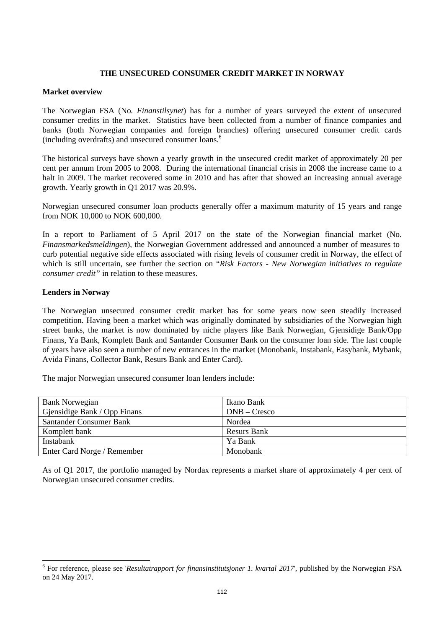## **THE UNSECURED CONSUMER CREDIT MARKET IN NORWAY**

## **Market overview**

The Norwegian FSA (No*. Finanstilsynet*) has for a number of years surveyed the extent of unsecured consumer credits in the market. Statistics have been collected from a number of finance companies and banks (both Norwegian companies and foreign branches) offering unsecured consumer credit cards (including overdrafts) and unsecured consumer loans.6

The historical surveys have shown a yearly growth in the unsecured credit market of approximately 20 per cent per annum from 2005 to 2008. During the international financial crisis in 2008 the increase came to a halt in 2009. The market recovered some in 2010 and has after that showed an increasing annual average growth. Yearly growth in Q1 2017 was 20.9%.

Norwegian unsecured consumer loan products generally offer a maximum maturity of 15 years and range from NOK 10,000 to NOK 600,000.

In a report to Parliament of 5 April 2017 on the state of the Norwegian financial market (No. *Finansmarkedsmeldingen*), the Norwegian Government addressed and announced a number of measures to curb potential negative side effects associated with rising levels of consumer credit in Norway, the effect of which is still uncertain, see further the section on "*Risk Factors - New Norwegian initiatives to regulate consumer credit"* in relation to these measures.

#### **Lenders in Norway**

The Norwegian unsecured consumer credit market has for some years now seen steadily increased competition. Having been a market which was originally dominated by subsidiaries of the Norwegian high street banks, the market is now dominated by niche players like Bank Norwegian, Gjensidige Bank/Opp Finans, Ya Bank, Komplett Bank and Santander Consumer Bank on the consumer loan side. The last couple of years have also seen a number of new entrances in the market (Monobank, Instabank, Easybank, Mybank, Avida Finans, Collector Bank, Resurs Bank and Enter Card).

The major Norwegian unsecured consumer loan lenders include:

| <b>Bank Norwegian</b>        | Ikano Bank         |
|------------------------------|--------------------|
| Gjensidige Bank / Opp Finans | $DNB - Cresco$     |
| Santander Consumer Bank      | Nordea             |
| Komplett bank                | <b>Resurs Bank</b> |
| Instabank                    | Ya Bank            |
| Enter Card Norge / Remember  | Monobank           |

As of Q1 2017, the portfolio managed by Nordax represents a market share of approximately 4 per cent of Norwegian unsecured consumer credits.

<sup>&</sup>lt;sup>6</sup> For reference, please see '*Resultatrapport for finansinstitutsjoner 1. kvartal 2017*', published by the Norwegian FSA on 24 May 2017.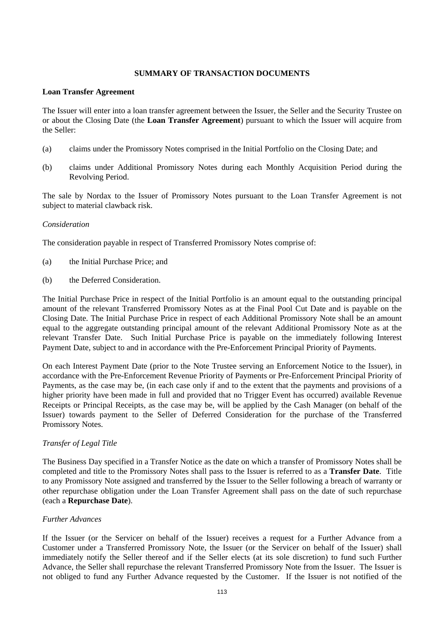## **SUMMARY OF TRANSACTION DOCUMENTS**

## **Loan Transfer Agreement**

The Issuer will enter into a loan transfer agreement between the Issuer, the Seller and the Security Trustee on or about the Closing Date (the **Loan Transfer Agreement**) pursuant to which the Issuer will acquire from the Seller:

- (a) claims under the Promissory Notes comprised in the Initial Portfolio on the Closing Date; and
- (b) claims under Additional Promissory Notes during each Monthly Acquisition Period during the Revolving Period.

The sale by Nordax to the Issuer of Promissory Notes pursuant to the Loan Transfer Agreement is not subject to material clawback risk.

## *Consideration*

The consideration payable in respect of Transferred Promissory Notes comprise of:

- (a) the Initial Purchase Price; and
- (b) the Deferred Consideration.

The Initial Purchase Price in respect of the Initial Portfolio is an amount equal to the outstanding principal amount of the relevant Transferred Promissory Notes as at the Final Pool Cut Date and is payable on the Closing Date. The Initial Purchase Price in respect of each Additional Promissory Note shall be an amount equal to the aggregate outstanding principal amount of the relevant Additional Promissory Note as at the relevant Transfer Date. Such Initial Purchase Price is payable on the immediately following Interest Payment Date, subject to and in accordance with the Pre-Enforcement Principal Priority of Payments.

On each Interest Payment Date (prior to the Note Trustee serving an Enforcement Notice to the Issuer), in accordance with the Pre-Enforcement Revenue Priority of Payments or Pre-Enforcement Principal Priority of Payments, as the case may be, (in each case only if and to the extent that the payments and provisions of a higher priority have been made in full and provided that no Trigger Event has occurred) available Revenue Receipts or Principal Receipts, as the case may be, will be applied by the Cash Manager (on behalf of the Issuer) towards payment to the Seller of Deferred Consideration for the purchase of the Transferred Promissory Notes.

## *Transfer of Legal Title*

The Business Day specified in a Transfer Notice as the date on which a transfer of Promissory Notes shall be completed and title to the Promissory Notes shall pass to the Issuer is referred to as a **Transfer Date**. Title to any Promissory Note assigned and transferred by the Issuer to the Seller following a breach of warranty or other repurchase obligation under the Loan Transfer Agreement shall pass on the date of such repurchase (each a **Repurchase Date**).

## *Further Advances*

If the Issuer (or the Servicer on behalf of the Issuer) receives a request for a Further Advance from a Customer under a Transferred Promissory Note, the Issuer (or the Servicer on behalf of the Issuer) shall immediately notify the Seller thereof and if the Seller elects (at its sole discretion) to fund such Further Advance, the Seller shall repurchase the relevant Transferred Promissory Note from the Issuer. The Issuer is not obliged to fund any Further Advance requested by the Customer. If the Issuer is not notified of the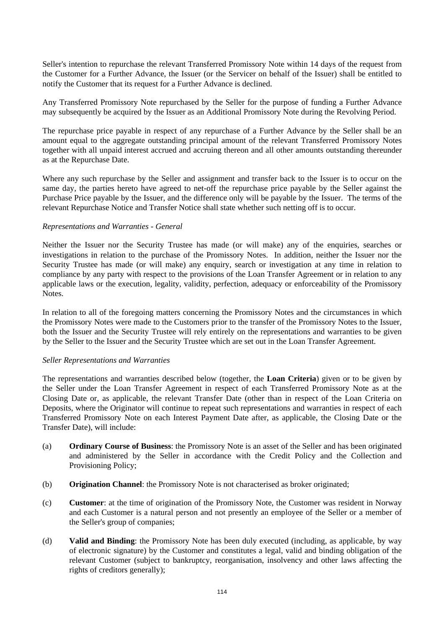Seller's intention to repurchase the relevant Transferred Promissory Note within 14 days of the request from the Customer for a Further Advance, the Issuer (or the Servicer on behalf of the Issuer) shall be entitled to notify the Customer that its request for a Further Advance is declined.

Any Transferred Promissory Note repurchased by the Seller for the purpose of funding a Further Advance may subsequently be acquired by the Issuer as an Additional Promissory Note during the Revolving Period.

The repurchase price payable in respect of any repurchase of a Further Advance by the Seller shall be an amount equal to the aggregate outstanding principal amount of the relevant Transferred Promissory Notes together with all unpaid interest accrued and accruing thereon and all other amounts outstanding thereunder as at the Repurchase Date.

Where any such repurchase by the Seller and assignment and transfer back to the Issuer is to occur on the same day, the parties hereto have agreed to net-off the repurchase price payable by the Seller against the Purchase Price payable by the Issuer, and the difference only will be payable by the Issuer. The terms of the relevant Repurchase Notice and Transfer Notice shall state whether such netting off is to occur.

## *Representations and Warranties - General*

Neither the Issuer nor the Security Trustee has made (or will make) any of the enquiries, searches or investigations in relation to the purchase of the Promissory Notes. In addition, neither the Issuer nor the Security Trustee has made (or will make) any enquiry, search or investigation at any time in relation to compliance by any party with respect to the provisions of the Loan Transfer Agreement or in relation to any applicable laws or the execution, legality, validity, perfection, adequacy or enforceability of the Promissory Notes.

In relation to all of the foregoing matters concerning the Promissory Notes and the circumstances in which the Promissory Notes were made to the Customers prior to the transfer of the Promissory Notes to the Issuer, both the Issuer and the Security Trustee will rely entirely on the representations and warranties to be given by the Seller to the Issuer and the Security Trustee which are set out in the Loan Transfer Agreement.

#### *Seller Representations and Warranties*

The representations and warranties described below (together, the **Loan Criteria**) given or to be given by the Seller under the Loan Transfer Agreement in respect of each Transferred Promissory Note as at the Closing Date or, as applicable, the relevant Transfer Date (other than in respect of the Loan Criteria on Deposits, where the Originator will continue to repeat such representations and warranties in respect of each Transferred Promissory Note on each Interest Payment Date after, as applicable, the Closing Date or the Transfer Date), will include:

- (a) **Ordinary Course of Business**: the Promissory Note is an asset of the Seller and has been originated and administered by the Seller in accordance with the Credit Policy and the Collection and Provisioning Policy;
- (b) **Origination Channel**: the Promissory Note is not characterised as broker originated;
- (c) **Customer**: at the time of origination of the Promissory Note, the Customer was resident in Norway and each Customer is a natural person and not presently an employee of the Seller or a member of the Seller's group of companies;
- (d) **Valid and Binding**: the Promissory Note has been duly executed (including, as applicable, by way of electronic signature) by the Customer and constitutes a legal, valid and binding obligation of the relevant Customer (subject to bankruptcy, reorganisation, insolvency and other laws affecting the rights of creditors generally);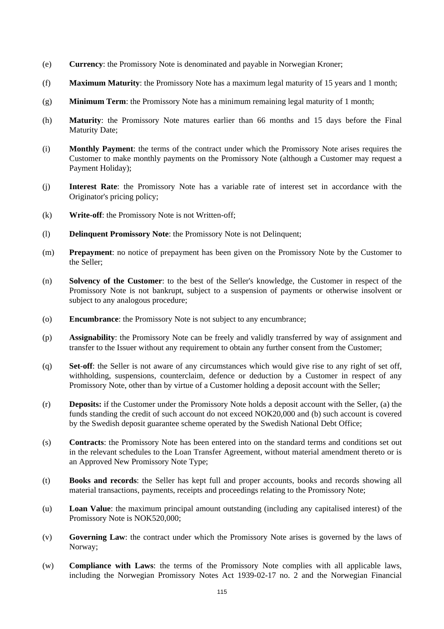- (e) **Currency**: the Promissory Note is denominated and payable in Norwegian Kroner;
- (f) **Maximum Maturity**: the Promissory Note has a maximum legal maturity of 15 years and 1 month;
- (g) **Minimum Term**: the Promissory Note has a minimum remaining legal maturity of 1 month;
- (h) **Maturity**: the Promissory Note matures earlier than 66 months and 15 days before the Final Maturity Date;
- (i) **Monthly Payment**: the terms of the contract under which the Promissory Note arises requires the Customer to make monthly payments on the Promissory Note (although a Customer may request a Payment Holiday);
- (j) **Interest Rate**: the Promissory Note has a variable rate of interest set in accordance with the Originator's pricing policy;
- (k) **Write-off**: the Promissory Note is not Written-off;
- (l) **Delinquent Promissory Note**: the Promissory Note is not Delinquent;
- (m) **Prepayment**: no notice of prepayment has been given on the Promissory Note by the Customer to the Seller;
- (n) **Solvency of the Customer**: to the best of the Seller's knowledge, the Customer in respect of the Promissory Note is not bankrupt, subject to a suspension of payments or otherwise insolvent or subject to any analogous procedure;
- (o) **Encumbrance**: the Promissory Note is not subject to any encumbrance;
- (p) **Assignability**: the Promissory Note can be freely and validly transferred by way of assignment and transfer to the Issuer without any requirement to obtain any further consent from the Customer;
- (q) **Set**-**off**: the Seller is not aware of any circumstances which would give rise to any right of set off, withholding, suspensions, counterclaim, defence or deduction by a Customer in respect of any Promissory Note, other than by virtue of a Customer holding a deposit account with the Seller;
- (r) **Deposits:** if the Customer under the Promissory Note holds a deposit account with the Seller, (a) the funds standing the credit of such account do not exceed NOK20,000 and (b) such account is covered by the Swedish deposit guarantee scheme operated by the Swedish National Debt Office;
- (s) **Contracts**: the Promissory Note has been entered into on the standard terms and conditions set out in the relevant schedules to the Loan Transfer Agreement, without material amendment thereto or is an Approved New Promissory Note Type;
- (t) **Books and records**: the Seller has kept full and proper accounts, books and records showing all material transactions, payments, receipts and proceedings relating to the Promissory Note;
- (u) **Loan Value**: the maximum principal amount outstanding (including any capitalised interest) of the Promissory Note is NOK520,000;
- (v) **Governing Law**: the contract under which the Promissory Note arises is governed by the laws of Norway;
- (w) **Compliance with Laws**: the terms of the Promissory Note complies with all applicable laws, including the Norwegian Promissory Notes Act 1939-02-17 no. 2 and the Norwegian Financial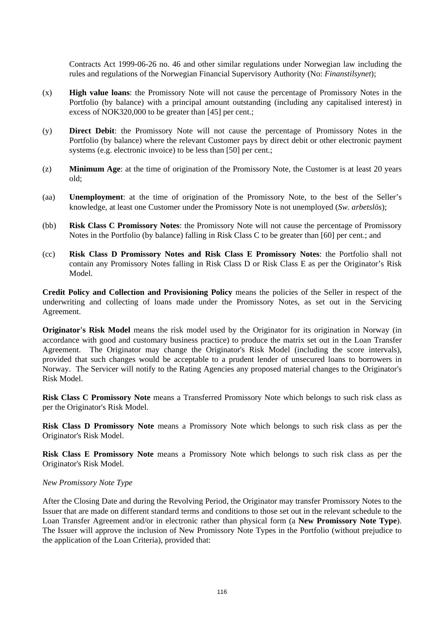Contracts Act 1999-06-26 no. 46 and other similar regulations under Norwegian law including the rules and regulations of the Norwegian Financial Supervisory Authority (No: *Finanstilsynet*);

- (x) **High value loans**: the Promissory Note will not cause the percentage of Promissory Notes in the Portfolio (by balance) with a principal amount outstanding (including any capitalised interest) in excess of NOK320,000 to be greater than [45] per cent.;
- (y) **Direct Debit**: the Promissory Note will not cause the percentage of Promissory Notes in the Portfolio (by balance) where the relevant Customer pays by direct debit or other electronic payment systems (e.g. electronic invoice) to be less than [50] per cent.;
- (z) **Minimum Age**: at the time of origination of the Promissory Note, the Customer is at least 20 years old;
- (aa) **Unemployment**: at the time of origination of the Promissory Note, to the best of the Seller's knowledge, at least one Customer under the Promissory Note is not unemployed (*Sw. arbetslös*);
- (bb) **Risk Class C Promissory Notes**: the Promissory Note will not cause the percentage of Promissory Notes in the Portfolio (by balance) falling in Risk Class C to be greater than [60] per cent.; and
- (cc) **Risk Class D Promissory Notes and Risk Class E Promissory Notes**: the Portfolio shall not contain any Promissory Notes falling in Risk Class D or Risk Class E as per the Originator's Risk Model.

**Credit Policy and Collection and Provisioning Policy** means the policies of the Seller in respect of the underwriting and collecting of loans made under the Promissory Notes, as set out in the Servicing Agreement.

**Originator's Risk Model** means the risk model used by the Originator for its origination in Norway (in accordance with good and customary business practice) to produce the matrix set out in the Loan Transfer Agreement. The Originator may change the Originator's Risk Model (including the score intervals), provided that such changes would be acceptable to a prudent lender of unsecured loans to borrowers in Norway. The Servicer will notify to the Rating Agencies any proposed material changes to the Originator's Risk Model.

**Risk Class C Promissory Note** means a Transferred Promissory Note which belongs to such risk class as per the Originator's Risk Model.

**Risk Class D Promissory Note** means a Promissory Note which belongs to such risk class as per the Originator's Risk Model.

**Risk Class E Promissory Note** means a Promissory Note which belongs to such risk class as per the Originator's Risk Model.

## *New Promissory Note Type*

After the Closing Date and during the Revolving Period, the Originator may transfer Promissory Notes to the Issuer that are made on different standard terms and conditions to those set out in the relevant schedule to the Loan Transfer Agreement and/or in electronic rather than physical form (a **New Promissory Note Type**). The Issuer will approve the inclusion of New Promissory Note Types in the Portfolio (without prejudice to the application of the Loan Criteria), provided that: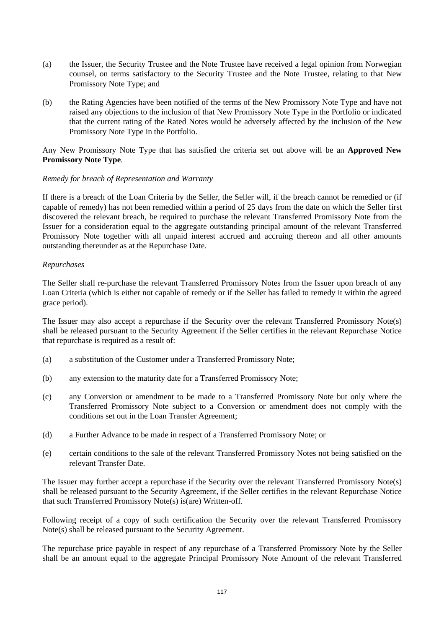- (a) the Issuer, the Security Trustee and the Note Trustee have received a legal opinion from Norwegian counsel, on terms satisfactory to the Security Trustee and the Note Trustee, relating to that New Promissory Note Type; and
- (b) the Rating Agencies have been notified of the terms of the New Promissory Note Type and have not raised any objections to the inclusion of that New Promissory Note Type in the Portfolio or indicated that the current rating of the Rated Notes would be adversely affected by the inclusion of the New Promissory Note Type in the Portfolio.

Any New Promissory Note Type that has satisfied the criteria set out above will be an **Approved New Promissory Note Type**.

## *Remedy for breach of Representation and Warranty*

If there is a breach of the Loan Criteria by the Seller, the Seller will, if the breach cannot be remedied or (if capable of remedy) has not been remedied within a period of 25 days from the date on which the Seller first discovered the relevant breach, be required to purchase the relevant Transferred Promissory Note from the Issuer for a consideration equal to the aggregate outstanding principal amount of the relevant Transferred Promissory Note together with all unpaid interest accrued and accruing thereon and all other amounts outstanding thereunder as at the Repurchase Date.

## *Repurchases*

The Seller shall re-purchase the relevant Transferred Promissory Notes from the Issuer upon breach of any Loan Criteria (which is either not capable of remedy or if the Seller has failed to remedy it within the agreed grace period).

The Issuer may also accept a repurchase if the Security over the relevant Transferred Promissory Note(s) shall be released pursuant to the Security Agreement if the Seller certifies in the relevant Repurchase Notice that repurchase is required as a result of:

- (a) a substitution of the Customer under a Transferred Promissory Note;
- (b) any extension to the maturity date for a Transferred Promissory Note;
- (c) any Conversion or amendment to be made to a Transferred Promissory Note but only where the Transferred Promissory Note subject to a Conversion or amendment does not comply with the conditions set out in the Loan Transfer Agreement;
- (d) a Further Advance to be made in respect of a Transferred Promissory Note; or
- (e) certain conditions to the sale of the relevant Transferred Promissory Notes not being satisfied on the relevant Transfer Date.

The Issuer may further accept a repurchase if the Security over the relevant Transferred Promissory Note(s) shall be released pursuant to the Security Agreement, if the Seller certifies in the relevant Repurchase Notice that such Transferred Promissory Note(s) is(are) Written-off.

Following receipt of a copy of such certification the Security over the relevant Transferred Promissory Note(s) shall be released pursuant to the Security Agreement.

The repurchase price payable in respect of any repurchase of a Transferred Promissory Note by the Seller shall be an amount equal to the aggregate Principal Promissory Note Amount of the relevant Transferred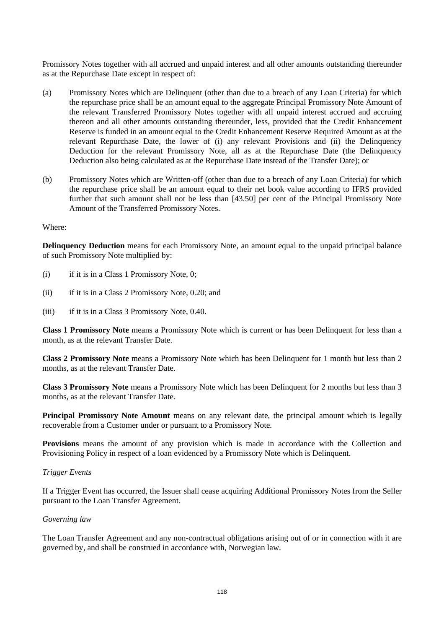Promissory Notes together with all accrued and unpaid interest and all other amounts outstanding thereunder as at the Repurchase Date except in respect of:

- (a) Promissory Notes which are Delinquent (other than due to a breach of any Loan Criteria) for which the repurchase price shall be an amount equal to the aggregate Principal Promissory Note Amount of the relevant Transferred Promissory Notes together with all unpaid interest accrued and accruing thereon and all other amounts outstanding thereunder, less, provided that the Credit Enhancement Reserve is funded in an amount equal to the Credit Enhancement Reserve Required Amount as at the relevant Repurchase Date, the lower of (i) any relevant Provisions and (ii) the Delinquency Deduction for the relevant Promissory Note, all as at the Repurchase Date (the Delinquency Deduction also being calculated as at the Repurchase Date instead of the Transfer Date); or
- (b) Promissory Notes which are Written-off (other than due to a breach of any Loan Criteria) for which the repurchase price shall be an amount equal to their net book value according to IFRS provided further that such amount shall not be less than [43.50] per cent of the Principal Promissory Note Amount of the Transferred Promissory Notes.

Where:

**Delinquency Deduction** means for each Promissory Note, an amount equal to the unpaid principal balance of such Promissory Note multiplied by:

- (i) if it is in a Class 1 Promissory Note, 0;
- (ii) if it is in a Class 2 Promissory Note, 0.20; and
- (iii) if it is in a Class 3 Promissory Note, 0.40.

**Class 1 Promissory Note** means a Promissory Note which is current or has been Delinquent for less than a month, as at the relevant Transfer Date.

**Class 2 Promissory Note** means a Promissory Note which has been Delinquent for 1 month but less than 2 months, as at the relevant Transfer Date.

**Class 3 Promissory Note** means a Promissory Note which has been Delinquent for 2 months but less than 3 months, as at the relevant Transfer Date.

**Principal Promissory Note Amount** means on any relevant date, the principal amount which is legally recoverable from a Customer under or pursuant to a Promissory Note.

**Provisions** means the amount of any provision which is made in accordance with the Collection and Provisioning Policy in respect of a loan evidenced by a Promissory Note which is Delinquent.

#### *Trigger Events*

If a Trigger Event has occurred, the Issuer shall cease acquiring Additional Promissory Notes from the Seller pursuant to the Loan Transfer Agreement.

#### *Governing law*

The Loan Transfer Agreement and any non-contractual obligations arising out of or in connection with it are governed by, and shall be construed in accordance with, Norwegian law.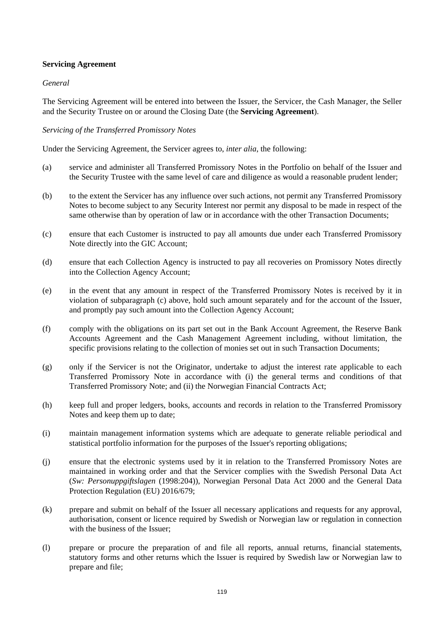## **Servicing Agreement**

## *General*

The Servicing Agreement will be entered into between the Issuer, the Servicer, the Cash Manager, the Seller and the Security Trustee on or around the Closing Date (the **Servicing Agreement**).

## *Servicing of the Transferred Promissory Notes*

Under the Servicing Agreement, the Servicer agrees to, *inter alia*, the following:

- (a) service and administer all Transferred Promissory Notes in the Portfolio on behalf of the Issuer and the Security Trustee with the same level of care and diligence as would a reasonable prudent lender;
- (b) to the extent the Servicer has any influence over such actions, not permit any Transferred Promissory Notes to become subject to any Security Interest nor permit any disposal to be made in respect of the same otherwise than by operation of law or in accordance with the other Transaction Documents;
- (c) ensure that each Customer is instructed to pay all amounts due under each Transferred Promissory Note directly into the GIC Account;
- (d) ensure that each Collection Agency is instructed to pay all recoveries on Promissory Notes directly into the Collection Agency Account;
- (e) in the event that any amount in respect of the Transferred Promissory Notes is received by it in violation of subparagraph (c) above, hold such amount separately and for the account of the Issuer, and promptly pay such amount into the Collection Agency Account;
- (f) comply with the obligations on its part set out in the Bank Account Agreement, the Reserve Bank Accounts Agreement and the Cash Management Agreement including, without limitation, the specific provisions relating to the collection of monies set out in such Transaction Documents;
- (g) only if the Servicer is not the Originator, undertake to adjust the interest rate applicable to each Transferred Promissory Note in accordance with (i) the general terms and conditions of that Transferred Promissory Note; and (ii) the Norwegian Financial Contracts Act;
- (h) keep full and proper ledgers, books, accounts and records in relation to the Transferred Promissory Notes and keep them up to date;
- (i) maintain management information systems which are adequate to generate reliable periodical and statistical portfolio information for the purposes of the Issuer's reporting obligations;
- (j) ensure that the electronic systems used by it in relation to the Transferred Promissory Notes are maintained in working order and that the Servicer complies with the Swedish Personal Data Act (*Sw: Personuppgiftslagen* (1998:204)), Norwegian Personal Data Act 2000 and the General Data Protection Regulation (EU) 2016/679;
- (k) prepare and submit on behalf of the Issuer all necessary applications and requests for any approval, authorisation, consent or licence required by Swedish or Norwegian law or regulation in connection with the business of the Issuer:
- (l) prepare or procure the preparation of and file all reports, annual returns, financial statements, statutory forms and other returns which the Issuer is required by Swedish law or Norwegian law to prepare and file;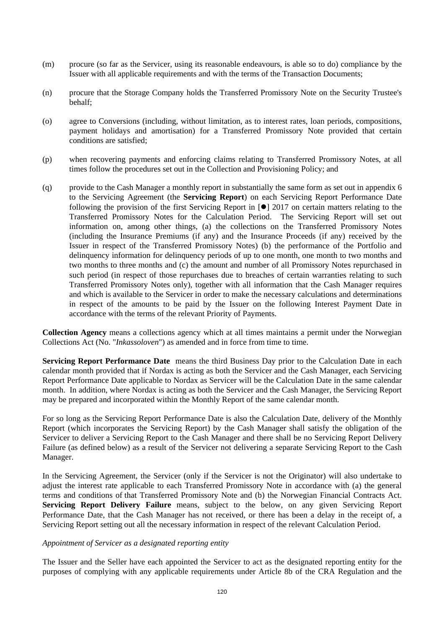- (m) procure (so far as the Servicer, using its reasonable endeavours, is able so to do) compliance by the Issuer with all applicable requirements and with the terms of the Transaction Documents;
- (n) procure that the Storage Company holds the Transferred Promissory Note on the Security Trustee's behalf;
- (o) agree to Conversions (including, without limitation, as to interest rates, loan periods, compositions, payment holidays and amortisation) for a Transferred Promissory Note provided that certain conditions are satisfied;
- (p) when recovering payments and enforcing claims relating to Transferred Promissory Notes, at all times follow the procedures set out in the Collection and Provisioning Policy; and
- (q) provide to the Cash Manager a monthly report in substantially the same form as set out in appendix 6 to the Servicing Agreement (the **Servicing Report**) on each Servicing Report Performance Date following the provision of the first Servicing Report in  $\lceil \bullet \rceil$  2017 on certain matters relating to the Transferred Promissory Notes for the Calculation Period. The Servicing Report will set out information on, among other things, (a) the collections on the Transferred Promissory Notes (including the Insurance Premiums (if any) and the Insurance Proceeds (if any) received by the Issuer in respect of the Transferred Promissory Notes) (b) the performance of the Portfolio and delinquency information for delinquency periods of up to one month, one month to two months and two months to three months and (c) the amount and number of all Promissory Notes repurchased in such period (in respect of those repurchases due to breaches of certain warranties relating to such Transferred Promissory Notes only), together with all information that the Cash Manager requires and which is available to the Servicer in order to make the necessary calculations and determinations in respect of the amounts to be paid by the Issuer on the following Interest Payment Date in accordance with the terms of the relevant Priority of Payments.

**Collection Agency** means a collections agency which at all times maintains a permit under the Norwegian Collections Act (No. "*Inkassoloven*") as amended and in force from time to time.

**Servicing Report Performance Date** means the third Business Day prior to the Calculation Date in each calendar month provided that if Nordax is acting as both the Servicer and the Cash Manager, each Servicing Report Performance Date applicable to Nordax as Servicer will be the Calculation Date in the same calendar month. In addition, where Nordax is acting as both the Servicer and the Cash Manager, the Servicing Report may be prepared and incorporated within the Monthly Report of the same calendar month.

For so long as the Servicing Report Performance Date is also the Calculation Date, delivery of the Monthly Report (which incorporates the Servicing Report) by the Cash Manager shall satisfy the obligation of the Servicer to deliver a Servicing Report to the Cash Manager and there shall be no Servicing Report Delivery Failure (as defined below) as a result of the Servicer not delivering a separate Servicing Report to the Cash Manager.

In the Servicing Agreement, the Servicer (only if the Servicer is not the Originator) will also undertake to adjust the interest rate applicable to each Transferred Promissory Note in accordance with (a) the general terms and conditions of that Transferred Promissory Note and (b) the Norwegian Financial Contracts Act. **Servicing Report Delivery Failure** means, subject to the below, on any given Servicing Report Performance Date, that the Cash Manager has not received, or there has been a delay in the receipt of, a Servicing Report setting out all the necessary information in respect of the relevant Calculation Period.

## *Appointment of Servicer as a designated reporting entity*

The Issuer and the Seller have each appointed the Servicer to act as the designated reporting entity for the purposes of complying with any applicable requirements under Article 8b of the CRA Regulation and the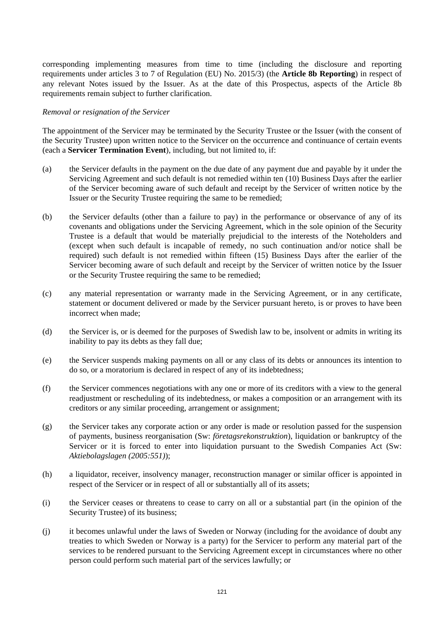corresponding implementing measures from time to time (including the disclosure and reporting requirements under articles 3 to 7 of Regulation (EU) No. 2015/3) (the **Article 8b Reporting**) in respect of any relevant Notes issued by the Issuer. As at the date of this Prospectus, aspects of the Article 8b requirements remain subject to further clarification.

#### *Removal or resignation of the Servicer*

The appointment of the Servicer may be terminated by the Security Trustee or the Issuer (with the consent of the Security Trustee) upon written notice to the Servicer on the occurrence and continuance of certain events (each a **Servicer Termination Event**), including, but not limited to, if:

- (a) the Servicer defaults in the payment on the due date of any payment due and payable by it under the Servicing Agreement and such default is not remedied within ten (10) Business Days after the earlier of the Servicer becoming aware of such default and receipt by the Servicer of written notice by the Issuer or the Security Trustee requiring the same to be remedied;
- (b) the Servicer defaults (other than a failure to pay) in the performance or observance of any of its covenants and obligations under the Servicing Agreement, which in the sole opinion of the Security Trustee is a default that would be materially prejudicial to the interests of the Noteholders and (except when such default is incapable of remedy, no such continuation and/or notice shall be required) such default is not remedied within fifteen (15) Business Days after the earlier of the Servicer becoming aware of such default and receipt by the Servicer of written notice by the Issuer or the Security Trustee requiring the same to be remedied;
- (c) any material representation or warranty made in the Servicing Agreement, or in any certificate, statement or document delivered or made by the Servicer pursuant hereto, is or proves to have been incorrect when made;
- (d) the Servicer is, or is deemed for the purposes of Swedish law to be, insolvent or admits in writing its inability to pay its debts as they fall due;
- (e) the Servicer suspends making payments on all or any class of its debts or announces its intention to do so, or a moratorium is declared in respect of any of its indebtedness;
- (f) the Servicer commences negotiations with any one or more of its creditors with a view to the general readjustment or rescheduling of its indebtedness, or makes a composition or an arrangement with its creditors or any similar proceeding, arrangement or assignment;
- (g) the Servicer takes any corporate action or any order is made or resolution passed for the suspension of payments, business reorganisation (Sw: *företagsrekonstruktion*), liquidation or bankruptcy of the Servicer or it is forced to enter into liquidation pursuant to the Swedish Companies Act (Sw: *Aktiebolagslagen (2005:551)*);
- (h) a liquidator, receiver, insolvency manager, reconstruction manager or similar officer is appointed in respect of the Servicer or in respect of all or substantially all of its assets;
- (i) the Servicer ceases or threatens to cease to carry on all or a substantial part (in the opinion of the Security Trustee) of its business;
- (j) it becomes unlawful under the laws of Sweden or Norway (including for the avoidance of doubt any treaties to which Sweden or Norway is a party) for the Servicer to perform any material part of the services to be rendered pursuant to the Servicing Agreement except in circumstances where no other person could perform such material part of the services lawfully; or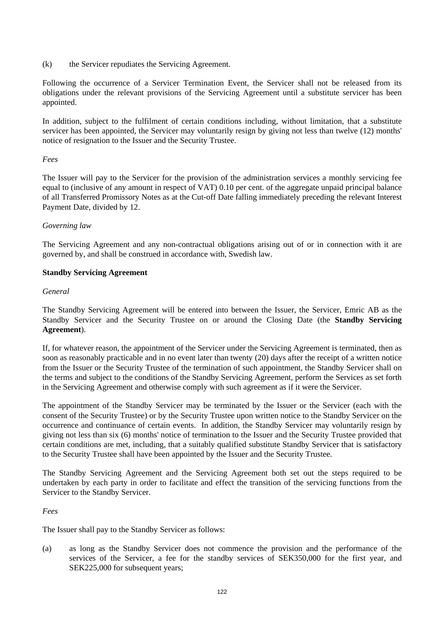(k) the Servicer repudiates the Servicing Agreement.

Following the occurrence of a Servicer Termination Event, the Servicer shall not be released from its obligations under the relevant provisions of the Servicing Agreement until a substitute servicer has been appointed.

In addition, subject to the fulfilment of certain conditions including, without limitation, that a substitute servicer has been appointed, the Servicer may voluntarily resign by giving not less than twelve (12) months' notice of resignation to the Issuer and the Security Trustee.

## *Fees*

The Issuer will pay to the Servicer for the provision of the administration services a monthly servicing fee equal to (inclusive of any amount in respect of VAT) 0.10 per cent. of the aggregate unpaid principal balance of all Transferred Promissory Notes as at the Cut-off Date falling immediately preceding the relevant Interest Payment Date, divided by 12.

## *Governing law*

The Servicing Agreement and any non-contractual obligations arising out of or in connection with it are governed by, and shall be construed in accordance with, Swedish law.

## **Standby Servicing Agreement**

## *General*

The Standby Servicing Agreement will be entered into between the Issuer, the Servicer, Emric AB as the Standby Servicer and the Security Trustee on or around the Closing Date (the **Standby Servicing Agreement**).

If, for whatever reason, the appointment of the Servicer under the Servicing Agreement is terminated, then as soon as reasonably practicable and in no event later than twenty (20) days after the receipt of a written notice from the Issuer or the Security Trustee of the termination of such appointment, the Standby Servicer shall on the terms and subject to the conditions of the Standby Servicing Agreement, perform the Services as set forth in the Servicing Agreement and otherwise comply with such agreement as if it were the Servicer.

The appointment of the Standby Servicer may be terminated by the Issuer or the Servicer (each with the consent of the Security Trustee) or by the Security Trustee upon written notice to the Standby Servicer on the occurrence and continuance of certain events. In addition, the Standby Servicer may voluntarily resign by giving not less than six (6) months' notice of termination to the Issuer and the Security Trustee provided that certain conditions are met, including, that a suitably qualified substitute Standby Servicer that is satisfactory to the Security Trustee shall have been appointed by the Issuer and the Security Trustee.

The Standby Servicing Agreement and the Servicing Agreement both set out the steps required to be undertaken by each party in order to facilitate and effect the transition of the servicing functions from the Servicer to the Standby Servicer.

## *Fees*

The Issuer shall pay to the Standby Servicer as follows:

(a) as long as the Standby Servicer does not commence the provision and the performance of the services of the Servicer, a fee for the standby services of SEK350,000 for the first year, and SEK225,000 for subsequent years;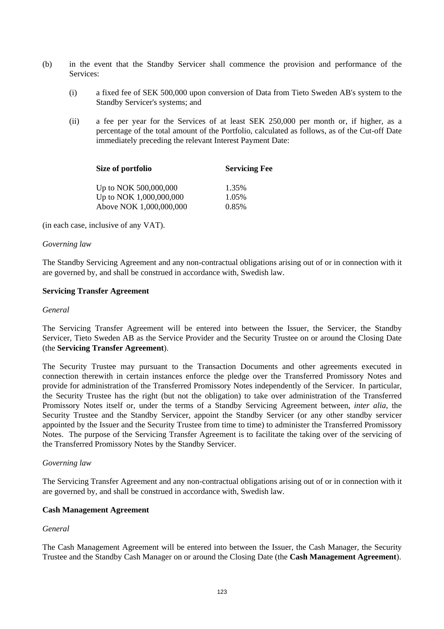- (b) in the event that the Standby Servicer shall commence the provision and performance of the Services:
	- (i) a fixed fee of SEK 500,000 upon conversion of Data from Tieto Sweden AB's system to the Standby Servicer's systems; and
	- (ii) a fee per year for the Services of at least SEK 250,000 per month or, if higher, as a percentage of the total amount of the Portfolio, calculated as follows, as of the Cut-off Date immediately preceding the relevant Interest Payment Date:

| Size of portfolio       | <b>Servicing Fee</b> |
|-------------------------|----------------------|
| Up to NOK 500,000,000   | 1.35%                |
| Up to NOK 1,000,000,000 | 1.05%                |
| Above NOK 1,000,000,000 | 0.85%                |

(in each case, inclusive of any VAT).

#### *Governing law*

The Standby Servicing Agreement and any non-contractual obligations arising out of or in connection with it are governed by, and shall be construed in accordance with, Swedish law.

#### **Servicing Transfer Agreement**

#### *General*

The Servicing Transfer Agreement will be entered into between the Issuer, the Servicer, the Standby Servicer, Tieto Sweden AB as the Service Provider and the Security Trustee on or around the Closing Date (the **Servicing Transfer Agreement**).

The Security Trustee may pursuant to the Transaction Documents and other agreements executed in connection therewith in certain instances enforce the pledge over the Transferred Promissory Notes and provide for administration of the Transferred Promissory Notes independently of the Servicer. In particular, the Security Trustee has the right (but not the obligation) to take over administration of the Transferred Promissory Notes itself or, under the terms of a Standby Servicing Agreement between, *inter alia*, the Security Trustee and the Standby Servicer, appoint the Standby Servicer (or any other standby servicer appointed by the Issuer and the Security Trustee from time to time) to administer the Transferred Promissory Notes. The purpose of the Servicing Transfer Agreement is to facilitate the taking over of the servicing of the Transferred Promissory Notes by the Standby Servicer.

## *Governing law*

The Servicing Transfer Agreement and any non-contractual obligations arising out of or in connection with it are governed by, and shall be construed in accordance with, Swedish law.

## **Cash Management Agreement**

## *General*

The Cash Management Agreement will be entered into between the Issuer, the Cash Manager, the Security Trustee and the Standby Cash Manager on or around the Closing Date (the **Cash Management Agreement**).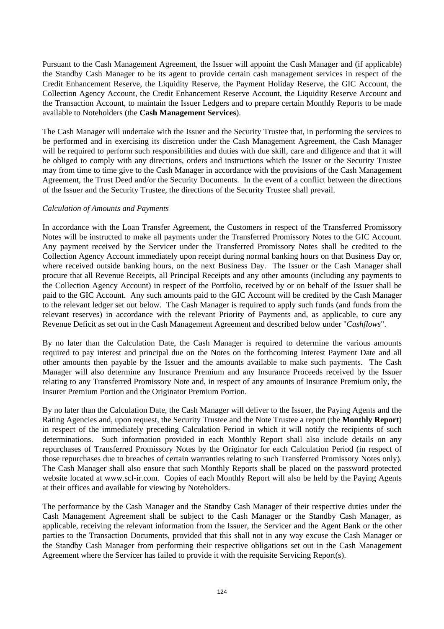Pursuant to the Cash Management Agreement, the Issuer will appoint the Cash Manager and (if applicable) the Standby Cash Manager to be its agent to provide certain cash management services in respect of the Credit Enhancement Reserve, the Liquidity Reserve, the Payment Holiday Reserve, the GIC Account, the Collection Agency Account, the Credit Enhancement Reserve Account, the Liquidity Reserve Account and the Transaction Account, to maintain the Issuer Ledgers and to prepare certain Monthly Reports to be made available to Noteholders (the **Cash Management Services**).

The Cash Manager will undertake with the Issuer and the Security Trustee that, in performing the services to be performed and in exercising its discretion under the Cash Management Agreement, the Cash Manager will be required to perform such responsibilities and duties with due skill, care and diligence and that it will be obliged to comply with any directions, orders and instructions which the Issuer or the Security Trustee may from time to time give to the Cash Manager in accordance with the provisions of the Cash Management Agreement, the Trust Deed and/or the Security Documents. In the event of a conflict between the directions of the Issuer and the Security Trustee, the directions of the Security Trustee shall prevail.

## *Calculation of Amounts and Payments*

In accordance with the Loan Transfer Agreement, the Customers in respect of the Transferred Promissory Notes will be instructed to make all payments under the Transferred Promissory Notes to the GIC Account. Any payment received by the Servicer under the Transferred Promissory Notes shall be credited to the Collection Agency Account immediately upon receipt during normal banking hours on that Business Day or, where received outside banking hours, on the next Business Day. The Issuer or the Cash Manager shall procure that all Revenue Receipts, all Principal Receipts and any other amounts (including any payments to the Collection Agency Account) in respect of the Portfolio, received by or on behalf of the Issuer shall be paid to the GIC Account. Any such amounts paid to the GIC Account will be credited by the Cash Manager to the relevant ledger set out below. The Cash Manager is required to apply such funds (and funds from the relevant reserves) in accordance with the relevant Priority of Payments and, as applicable, to cure any Revenue Deficit as set out in the Cash Management Agreement and described below under "*Cashflows*".

By no later than the Calculation Date, the Cash Manager is required to determine the various amounts required to pay interest and principal due on the Notes on the forthcoming Interest Payment Date and all other amounts then payable by the Issuer and the amounts available to make such payments. The Cash Manager will also determine any Insurance Premium and any Insurance Proceeds received by the Issuer relating to any Transferred Promissory Note and, in respect of any amounts of Insurance Premium only, the Insurer Premium Portion and the Originator Premium Portion.

By no later than the Calculation Date, the Cash Manager will deliver to the Issuer, the Paying Agents and the Rating Agencies and, upon request, the Security Trustee and the Note Trustee a report (the **Monthly Report**) in respect of the immediately preceding Calculation Period in which it will notify the recipients of such determinations. Such information provided in each Monthly Report shall also include details on any repurchases of Transferred Promissory Notes by the Originator for each Calculation Period (in respect of those repurchases due to breaches of certain warranties relating to such Transferred Promissory Notes only). The Cash Manager shall also ensure that such Monthly Reports shall be placed on the password protected website located at www.scl-ir.com. Copies of each Monthly Report will also be held by the Paying Agents at their offices and available for viewing by Noteholders.

The performance by the Cash Manager and the Standby Cash Manager of their respective duties under the Cash Management Agreement shall be subject to the Cash Manager or the Standby Cash Manager, as applicable, receiving the relevant information from the Issuer, the Servicer and the Agent Bank or the other parties to the Transaction Documents, provided that this shall not in any way excuse the Cash Manager or the Standby Cash Manager from performing their respective obligations set out in the Cash Management Agreement where the Servicer has failed to provide it with the requisite Servicing Report(s).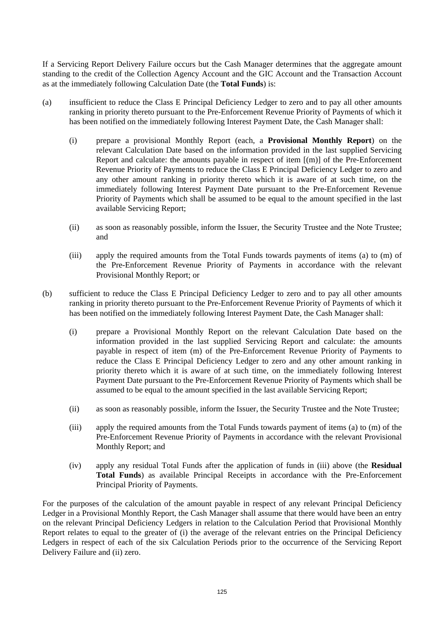If a Servicing Report Delivery Failure occurs but the Cash Manager determines that the aggregate amount standing to the credit of the Collection Agency Account and the GIC Account and the Transaction Account as at the immediately following Calculation Date (the **Total Funds**) is:

- (a) insufficient to reduce the Class E Principal Deficiency Ledger to zero and to pay all other amounts ranking in priority thereto pursuant to the Pre-Enforcement Revenue Priority of Payments of which it has been notified on the immediately following Interest Payment Date, the Cash Manager shall:
	- (i) prepare a provisional Monthly Report (each, a **Provisional Monthly Report**) on the relevant Calculation Date based on the information provided in the last supplied Servicing Report and calculate: the amounts payable in respect of item [(m)] of the Pre-Enforcement Revenue Priority of Payments to reduce the Class E Principal Deficiency Ledger to zero and any other amount ranking in priority thereto which it is aware of at such time, on the immediately following Interest Payment Date pursuant to the Pre-Enforcement Revenue Priority of Payments which shall be assumed to be equal to the amount specified in the last available Servicing Report;
	- (ii) as soon as reasonably possible, inform the Issuer, the Security Trustee and the Note Trustee; and
	- (iii) apply the required amounts from the Total Funds towards payments of items (a) to (m) of the Pre-Enforcement Revenue Priority of Payments in accordance with the relevant Provisional Monthly Report; or
- (b) sufficient to reduce the Class E Principal Deficiency Ledger to zero and to pay all other amounts ranking in priority thereto pursuant to the Pre-Enforcement Revenue Priority of Payments of which it has been notified on the immediately following Interest Payment Date, the Cash Manager shall:
	- (i) prepare a Provisional Monthly Report on the relevant Calculation Date based on the information provided in the last supplied Servicing Report and calculate: the amounts payable in respect of item (m) of the Pre-Enforcement Revenue Priority of Payments to reduce the Class E Principal Deficiency Ledger to zero and any other amount ranking in priority thereto which it is aware of at such time, on the immediately following Interest Payment Date pursuant to the Pre-Enforcement Revenue Priority of Payments which shall be assumed to be equal to the amount specified in the last available Servicing Report;
	- (ii) as soon as reasonably possible, inform the Issuer, the Security Trustee and the Note Trustee;
	- (iii) apply the required amounts from the Total Funds towards payment of items (a) to (m) of the Pre-Enforcement Revenue Priority of Payments in accordance with the relevant Provisional Monthly Report; and
	- (iv) apply any residual Total Funds after the application of funds in (iii) above (the **Residual Total Funds**) as available Principal Receipts in accordance with the Pre-Enforcement Principal Priority of Payments.

For the purposes of the calculation of the amount payable in respect of any relevant Principal Deficiency Ledger in a Provisional Monthly Report, the Cash Manager shall assume that there would have been an entry on the relevant Principal Deficiency Ledgers in relation to the Calculation Period that Provisional Monthly Report relates to equal to the greater of (i) the average of the relevant entries on the Principal Deficiency Ledgers in respect of each of the six Calculation Periods prior to the occurrence of the Servicing Report Delivery Failure and (ii) zero.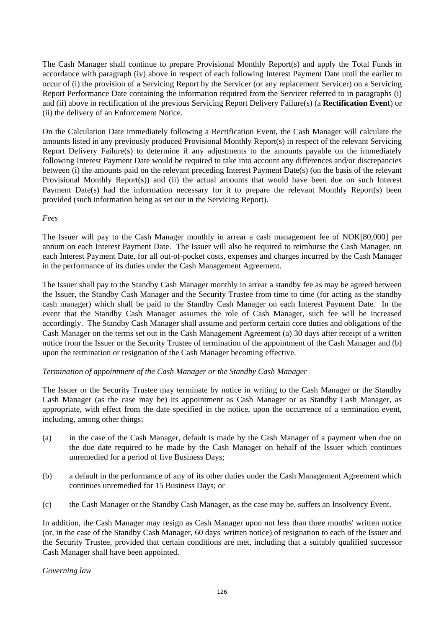The Cash Manager shall continue to prepare Provisional Monthly Report(s) and apply the Total Funds in accordance with paragraph (iv) above in respect of each following Interest Payment Date until the earlier to occur of (i) the provision of a Servicing Report by the Servicer (or any replacement Servicer) on a Servicing Report Performance Date containing the information required from the Servicer referred to in paragraphs (i) and (ii) above in rectification of the previous Servicing Report Delivery Failure(s) (a **Rectification Event**) or (ii) the delivery of an Enforcement Notice.

On the Calculation Date immediately following a Rectification Event, the Cash Manager will calculate the amounts listed in any previously produced Provisional Monthly Report(s) in respect of the relevant Servicing Report Delivery Failure(s) to determine if any adjustments to the amounts payable on the immediately following Interest Payment Date would be required to take into account any differences and/or discrepancies between (i) the amounts paid on the relevant preceding Interest Payment Date(s) (on the basis of the relevant Provisional Monthly Report(s)) and (ii) the actual amounts that would have been due on such Interest Payment Date(s) had the information necessary for it to prepare the relevant Monthly Report(s) been provided (such information being as set out in the Servicing Report).

*Fees* 

The Issuer will pay to the Cash Manager monthly in arrear a cash management fee of NOK[80,000] per annum on each Interest Payment Date. The Issuer will also be required to reimburse the Cash Manager, on each Interest Payment Date, for all out-of-pocket costs, expenses and charges incurred by the Cash Manager in the performance of its duties under the Cash Management Agreement.

The Issuer shall pay to the Standby Cash Manager monthly in arrear a standby fee as may be agreed between the Issuer, the Standby Cash Manager and the Security Trustee from time to time (for acting as the standby cash manager) which shall be paid to the Standby Cash Manager on each Interest Payment Date. In the event that the Standby Cash Manager assumes the role of Cash Manager, such fee will be increased accordingly. The Standby Cash Manager shall assume and perform certain core duties and obligations of the Cash Manager on the terms set out in the Cash Management Agreement (a) 30 days after receipt of a written notice from the Issuer or the Security Trustee of termination of the appointment of the Cash Manager and (b) upon the termination or resignation of the Cash Manager becoming effective.

## *Termination of appointment of the Cash Manager or the Standby Cash Manager*

The Issuer or the Security Trustee may terminate by notice in writing to the Cash Manager or the Standby Cash Manager (as the case may be) its appointment as Cash Manager or as Standby Cash Manager, as appropriate, with effect from the date specified in the notice, upon the occurrence of a termination event, including, among other things:

- (a) in the case of the Cash Manager, default is made by the Cash Manager of a payment when due on the due date required to be made by the Cash Manager on behalf of the Issuer which continues unremedied for a period of five Business Days;
- (b) a default in the performance of any of its other duties under the Cash Management Agreement which continues unremedied for 15 Business Days; or
- (c) the Cash Manager or the Standby Cash Manager, as the case may be, suffers an Insolvency Event.

In addition, the Cash Manager may resign as Cash Manager upon not less than three months' written notice (or, in the case of the Standby Cash Manager, 60 days' written notice) of resignation to each of the Issuer and the Security Trustee, provided that certain conditions are met, including that a suitably qualified successor Cash Manager shall have been appointed.

*Governing law*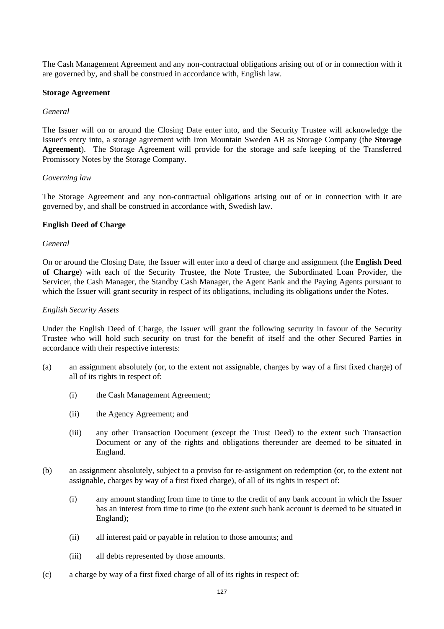The Cash Management Agreement and any non-contractual obligations arising out of or in connection with it are governed by, and shall be construed in accordance with, English law.

#### **Storage Agreement**

#### *General*

The Issuer will on or around the Closing Date enter into, and the Security Trustee will acknowledge the Issuer's entry into, a storage agreement with Iron Mountain Sweden AB as Storage Company (the **Storage Agreement**). The Storage Agreement will provide for the storage and safe keeping of the Transferred Promissory Notes by the Storage Company.

#### *Governing law*

The Storage Agreement and any non-contractual obligations arising out of or in connection with it are governed by, and shall be construed in accordance with, Swedish law.

#### **English Deed of Charge**

## *General*

On or around the Closing Date, the Issuer will enter into a deed of charge and assignment (the **English Deed of Charge**) with each of the Security Trustee, the Note Trustee, the Subordinated Loan Provider, the Servicer, the Cash Manager, the Standby Cash Manager, the Agent Bank and the Paying Agents pursuant to which the Issuer will grant security in respect of its obligations, including its obligations under the Notes.

#### *English Security Assets*

Under the English Deed of Charge, the Issuer will grant the following security in favour of the Security Trustee who will hold such security on trust for the benefit of itself and the other Secured Parties in accordance with their respective interests:

- (a) an assignment absolutely (or, to the extent not assignable, charges by way of a first fixed charge) of all of its rights in respect of:
	- (i) the Cash Management Agreement;
	- (ii) the Agency Agreement; and
	- (iii) any other Transaction Document (except the Trust Deed) to the extent such Transaction Document or any of the rights and obligations thereunder are deemed to be situated in England.
- (b) an assignment absolutely, subject to a proviso for re-assignment on redemption (or, to the extent not assignable, charges by way of a first fixed charge), of all of its rights in respect of:
	- (i) any amount standing from time to time to the credit of any bank account in which the Issuer has an interest from time to time (to the extent such bank account is deemed to be situated in England);
	- (ii) all interest paid or payable in relation to those amounts; and
	- (iii) all debts represented by those amounts.
- (c) a charge by way of a first fixed charge of all of its rights in respect of: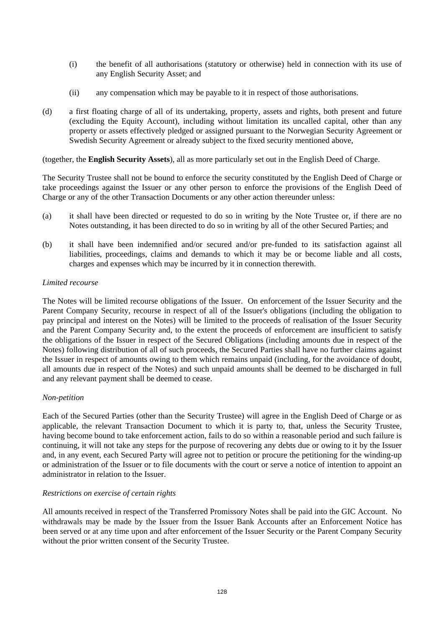- (i) the benefit of all authorisations (statutory or otherwise) held in connection with its use of any English Security Asset; and
- (ii) any compensation which may be payable to it in respect of those authorisations.
- (d) a first floating charge of all of its undertaking, property, assets and rights, both present and future (excluding the Equity Account), including without limitation its uncalled capital, other than any property or assets effectively pledged or assigned pursuant to the Norwegian Security Agreement or Swedish Security Agreement or already subject to the fixed security mentioned above,

(together, the **English Security Assets**), all as more particularly set out in the English Deed of Charge.

The Security Trustee shall not be bound to enforce the security constituted by the English Deed of Charge or take proceedings against the Issuer or any other person to enforce the provisions of the English Deed of Charge or any of the other Transaction Documents or any other action thereunder unless:

- (a) it shall have been directed or requested to do so in writing by the Note Trustee or, if there are no Notes outstanding, it has been directed to do so in writing by all of the other Secured Parties; and
- (b) it shall have been indemnified and/or secured and/or pre-funded to its satisfaction against all liabilities, proceedings, claims and demands to which it may be or become liable and all costs, charges and expenses which may be incurred by it in connection therewith.

#### *Limited recourse*

The Notes will be limited recourse obligations of the Issuer. On enforcement of the Issuer Security and the Parent Company Security, recourse in respect of all of the Issuer's obligations (including the obligation to pay principal and interest on the Notes) will be limited to the proceeds of realisation of the Issuer Security and the Parent Company Security and, to the extent the proceeds of enforcement are insufficient to satisfy the obligations of the Issuer in respect of the Secured Obligations (including amounts due in respect of the Notes) following distribution of all of such proceeds, the Secured Parties shall have no further claims against the Issuer in respect of amounts owing to them which remains unpaid (including, for the avoidance of doubt, all amounts due in respect of the Notes) and such unpaid amounts shall be deemed to be discharged in full and any relevant payment shall be deemed to cease.

## *Non-petition*

Each of the Secured Parties (other than the Security Trustee) will agree in the English Deed of Charge or as applicable, the relevant Transaction Document to which it is party to, that, unless the Security Trustee, having become bound to take enforcement action, fails to do so within a reasonable period and such failure is continuing, it will not take any steps for the purpose of recovering any debts due or owing to it by the Issuer and, in any event, each Secured Party will agree not to petition or procure the petitioning for the winding-up or administration of the Issuer or to file documents with the court or serve a notice of intention to appoint an administrator in relation to the Issuer.

## *Restrictions on exercise of certain rights*

All amounts received in respect of the Transferred Promissory Notes shall be paid into the GIC Account. No withdrawals may be made by the Issuer from the Issuer Bank Accounts after an Enforcement Notice has been served or at any time upon and after enforcement of the Issuer Security or the Parent Company Security without the prior written consent of the Security Trustee.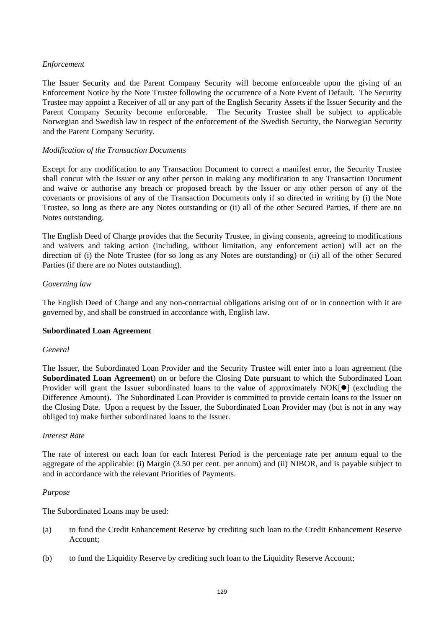## *Enforcement*

The Issuer Security and the Parent Company Security will become enforceable upon the giving of an Enforcement Notice by the Note Trustee following the occurrence of a Note Event of Default. The Security Trustee may appoint a Receiver of all or any part of the English Security Assets if the Issuer Security and the Parent Company Security become enforceable. The Security Trustee shall be subject to applicable Norwegian and Swedish law in respect of the enforcement of the Swedish Security, the Norwegian Security and the Parent Company Security.

## *Modification of the Transaction Documents*

Except for any modification to any Transaction Document to correct a manifest error, the Security Trustee shall concur with the Issuer or any other person in making any modification to any Transaction Document and waive or authorise any breach or proposed breach by the Issuer or any other person of any of the covenants or provisions of any of the Transaction Documents only if so directed in writing by (i) the Note Trustee, so long as there are any Notes outstanding or (ii) all of the other Secured Parties, if there are no Notes outstanding.

The English Deed of Charge provides that the Security Trustee, in giving consents, agreeing to modifications and waivers and taking action (including, without limitation, any enforcement action) will act on the direction of (i) the Note Trustee (for so long as any Notes are outstanding) or (ii) all of the other Secured Parties (if there are no Notes outstanding).

## *Governing law*

The English Deed of Charge and any non-contractual obligations arising out of or in connection with it are governed by, and shall be construed in accordance with, English law.

## **Subordinated Loan Agreement**

## *General*

The Issuer, the Subordinated Loan Provider and the Security Trustee will enter into a loan agreement (the **Subordinated Loan Agreement**) on or before the Closing Date pursuant to which the Subordinated Loan Provider will grant the Issuer subordinated loans to the value of approximately  $NOK[\bullet]$  (excluding the Difference Amount). The Subordinated Loan Provider is committed to provide certain loans to the Issuer on the Closing Date. Upon a request by the Issuer, the Subordinated Loan Provider may (but is not in any way obliged to) make further subordinated loans to the Issuer.

## *Interest Rate*

The rate of interest on each loan for each Interest Period is the percentage rate per annum equal to the aggregate of the applicable: (i) Margin (3.50 per cent. per annum) and (ii) NIBOR, and is payable subject to and in accordance with the relevant Priorities of Payments.

## *Purpose*

The Subordinated Loans may be used:

- (a) to fund the Credit Enhancement Reserve by crediting such loan to the Credit Enhancement Reserve Account;
- (b) to fund the Liquidity Reserve by crediting such loan to the Liquidity Reserve Account;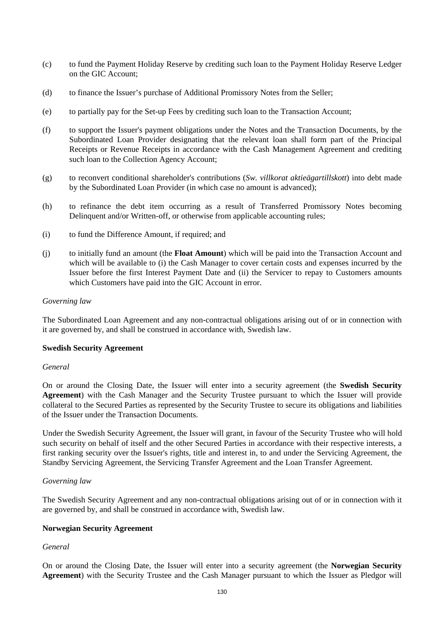- (c) to fund the Payment Holiday Reserve by crediting such loan to the Payment Holiday Reserve Ledger on the GIC Account;
- (d) to finance the Issuer's purchase of Additional Promissory Notes from the Seller;
- (e) to partially pay for the Set-up Fees by crediting such loan to the Transaction Account;
- (f) to support the Issuer's payment obligations under the Notes and the Transaction Documents, by the Subordinated Loan Provider designating that the relevant loan shall form part of the Principal Receipts or Revenue Receipts in accordance with the Cash Management Agreement and crediting such loan to the Collection Agency Account;
- (g) to reconvert conditional shareholder's contributions (*Sw. villkorat aktieägartillskott*) into debt made by the Subordinated Loan Provider (in which case no amount is advanced);
- (h) to refinance the debt item occurring as a result of Transferred Promissory Notes becoming Delinquent and/or Written-off, or otherwise from applicable accounting rules;
- (i) to fund the Difference Amount, if required; and
- (j) to initially fund an amount (the **Float Amount**) which will be paid into the Transaction Account and which will be available to (i) the Cash Manager to cover certain costs and expenses incurred by the Issuer before the first Interest Payment Date and (ii) the Servicer to repay to Customers amounts which Customers have paid into the GIC Account in error.

#### *Governing law*

The Subordinated Loan Agreement and any non-contractual obligations arising out of or in connection with it are governed by, and shall be construed in accordance with, Swedish law.

#### **Swedish Security Agreement**

#### *General*

On or around the Closing Date, the Issuer will enter into a security agreement (the **Swedish Security Agreement**) with the Cash Manager and the Security Trustee pursuant to which the Issuer will provide collateral to the Secured Parties as represented by the Security Trustee to secure its obligations and liabilities of the Issuer under the Transaction Documents.

Under the Swedish Security Agreement, the Issuer will grant, in favour of the Security Trustee who will hold such security on behalf of itself and the other Secured Parties in accordance with their respective interests, a first ranking security over the Issuer's rights, title and interest in, to and under the Servicing Agreement, the Standby Servicing Agreement, the Servicing Transfer Agreement and the Loan Transfer Agreement.

#### *Governing law*

The Swedish Security Agreement and any non-contractual obligations arising out of or in connection with it are governed by, and shall be construed in accordance with, Swedish law.

## **Norwegian Security Agreement**

## *General*

On or around the Closing Date, the Issuer will enter into a security agreement (the **Norwegian Security Agreement**) with the Security Trustee and the Cash Manager pursuant to which the Issuer as Pledgor will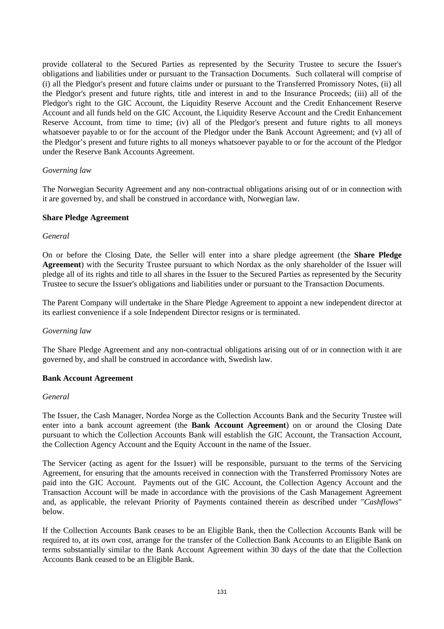provide collateral to the Secured Parties as represented by the Security Trustee to secure the Issuer's obligations and liabilities under or pursuant to the Transaction Documents. Such collateral will comprise of (i) all the Pledgor's present and future claims under or pursuant to the Transferred Promissory Notes, (ii) all the Pledgor's present and future rights, title and interest in and to the Insurance Proceeds; (iii) all of the Pledgor's right to the GIC Account, the Liquidity Reserve Account and the Credit Enhancement Reserve Account and all funds held on the GIC Account, the Liquidity Reserve Account and the Credit Enhancement Reserve Account, from time to time; (iv) all of the Pledgor's present and future rights to all moneys whatsoever payable to or for the account of the Pledgor under the Bank Account Agreement; and (v) all of the Pledgor's present and future rights to all moneys whatsoever payable to or for the account of the Pledgor under the Reserve Bank Accounts Agreement.

## *Governing law*

The Norwegian Security Agreement and any non-contractual obligations arising out of or in connection with it are governed by, and shall be construed in accordance with, Norwegian law.

#### **Share Pledge Agreement**

#### *General*

On or before the Closing Date, the Seller will enter into a share pledge agreement (the **Share Pledge Agreement**) with the Security Trustee pursuant to which Nordax as the only shareholder of the Issuer will pledge all of its rights and title to all shares in the Issuer to the Secured Parties as represented by the Security Trustee to secure the Issuer's obligations and liabilities under or pursuant to the Transaction Documents.

The Parent Company will undertake in the Share Pledge Agreement to appoint a new independent director at its earliest convenience if a sole Independent Director resigns or is terminated.

#### *Governing law*

The Share Pledge Agreement and any non-contractual obligations arising out of or in connection with it are governed by, and shall be construed in accordance with, Swedish law.

#### **Bank Account Agreement**

#### *General*

The Issuer, the Cash Manager, Nordea Norge as the Collection Accounts Bank and the Security Trustee will enter into a bank account agreement (the **Bank Account Agreement**) on or around the Closing Date pursuant to which the Collection Accounts Bank will establish the GIC Account, the Transaction Account, the Collection Agency Account and the Equity Account in the name of the Issuer.

The Servicer (acting as agent for the Issuer) will be responsible, pursuant to the terms of the Servicing Agreement, for ensuring that the amounts received in connection with the Transferred Promissory Notes are paid into the GIC Account. Payments out of the GIC Account, the Collection Agency Account and the Transaction Account will be made in accordance with the provisions of the Cash Management Agreement and, as applicable, the relevant Priority of Payments contained therein as described under "*Cashflows*" below.

If the Collection Accounts Bank ceases to be an Eligible Bank, then the Collection Accounts Bank will be required to, at its own cost, arrange for the transfer of the Collection Bank Accounts to an Eligible Bank on terms substantially similar to the Bank Account Agreement within 30 days of the date that the Collection Accounts Bank ceased to be an Eligible Bank.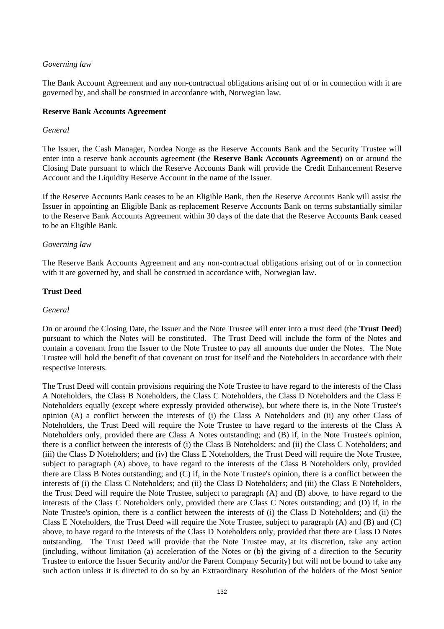## *Governing law*

The Bank Account Agreement and any non-contractual obligations arising out of or in connection with it are governed by, and shall be construed in accordance with, Norwegian law.

## **Reserve Bank Accounts Agreement**

## *General*

The Issuer, the Cash Manager, Nordea Norge as the Reserve Accounts Bank and the Security Trustee will enter into a reserve bank accounts agreement (the **Reserve Bank Accounts Agreement**) on or around the Closing Date pursuant to which the Reserve Accounts Bank will provide the Credit Enhancement Reserve Account and the Liquidity Reserve Account in the name of the Issuer.

If the Reserve Accounts Bank ceases to be an Eligible Bank, then the Reserve Accounts Bank will assist the Issuer in appointing an Eligible Bank as replacement Reserve Accounts Bank on terms substantially similar to the Reserve Bank Accounts Agreement within 30 days of the date that the Reserve Accounts Bank ceased to be an Eligible Bank.

## *Governing law*

The Reserve Bank Accounts Agreement and any non-contractual obligations arising out of or in connection with it are governed by, and shall be construed in accordance with, Norwegian law.

## **Trust Deed**

## *General*

On or around the Closing Date, the Issuer and the Note Trustee will enter into a trust deed (the **Trust Deed**) pursuant to which the Notes will be constituted. The Trust Deed will include the form of the Notes and contain a covenant from the Issuer to the Note Trustee to pay all amounts due under the Notes. The Note Trustee will hold the benefit of that covenant on trust for itself and the Noteholders in accordance with their respective interests.

The Trust Deed will contain provisions requiring the Note Trustee to have regard to the interests of the Class A Noteholders, the Class B Noteholders, the Class C Noteholders, the Class D Noteholders and the Class E Noteholders equally (except where expressly provided otherwise), but where there is, in the Note Trustee's opinion (A) a conflict between the interests of (i) the Class A Noteholders and (ii) any other Class of Noteholders, the Trust Deed will require the Note Trustee to have regard to the interests of the Class A Noteholders only, provided there are Class A Notes outstanding; and (B) if, in the Note Trustee's opinion, there is a conflict between the interests of (i) the Class B Noteholders; and (ii) the Class C Noteholders; and (iii) the Class D Noteholders; and (iv) the Class E Noteholders, the Trust Deed will require the Note Trustee, subject to paragraph (A) above, to have regard to the interests of the Class B Noteholders only, provided there are Class B Notes outstanding; and (C) if, in the Note Trustee's opinion, there is a conflict between the interests of (i) the Class C Noteholders; and (ii) the Class D Noteholders; and (iii) the Class E Noteholders, the Trust Deed will require the Note Trustee, subject to paragraph (A) and (B) above, to have regard to the interests of the Class C Noteholders only, provided there are Class C Notes outstanding; and (D) if, in the Note Trustee's opinion, there is a conflict between the interests of (i) the Class D Noteholders; and (ii) the Class E Noteholders, the Trust Deed will require the Note Trustee, subject to paragraph (A) and (B) and (C) above, to have regard to the interests of the Class D Noteholders only, provided that there are Class D Notes outstanding. The Trust Deed will provide that the Note Trustee may, at its discretion, take any action (including, without limitation (a) acceleration of the Notes or (b) the giving of a direction to the Security Trustee to enforce the Issuer Security and/or the Parent Company Security) but will not be bound to take any such action unless it is directed to do so by an Extraordinary Resolution of the holders of the Most Senior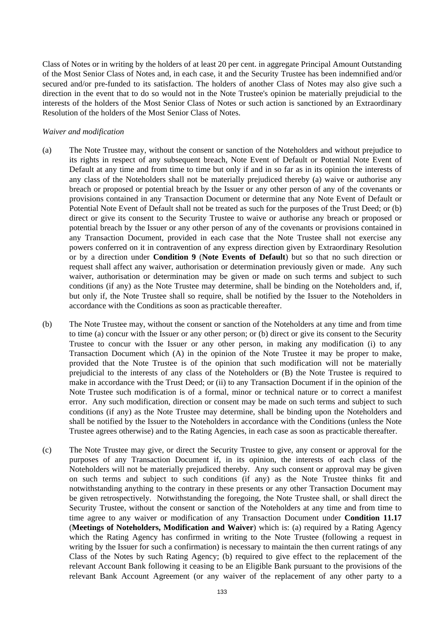Class of Notes or in writing by the holders of at least 20 per cent. in aggregate Principal Amount Outstanding of the Most Senior Class of Notes and, in each case, it and the Security Trustee has been indemnified and/or secured and/or pre-funded to its satisfaction. The holders of another Class of Notes may also give such a direction in the event that to do so would not in the Note Trustee's opinion be materially prejudicial to the interests of the holders of the Most Senior Class of Notes or such action is sanctioned by an Extraordinary Resolution of the holders of the Most Senior Class of Notes.

#### *Waiver and modification*

- (a) The Note Trustee may, without the consent or sanction of the Noteholders and without prejudice to its rights in respect of any subsequent breach, Note Event of Default or Potential Note Event of Default at any time and from time to time but only if and in so far as in its opinion the interests of any class of the Noteholders shall not be materially prejudiced thereby (a) waive or authorise any breach or proposed or potential breach by the Issuer or any other person of any of the covenants or provisions contained in any Transaction Document or determine that any Note Event of Default or Potential Note Event of Default shall not be treated as such for the purposes of the Trust Deed; or (b) direct or give its consent to the Security Trustee to waive or authorise any breach or proposed or potential breach by the Issuer or any other person of any of the covenants or provisions contained in any Transaction Document, provided in each case that the Note Trustee shall not exercise any powers conferred on it in contravention of any express direction given by Extraordinary Resolution or by a direction under **Condition 9** (**Note Events of Default**) but so that no such direction or request shall affect any waiver, authorisation or determination previously given or made. Any such waiver, authorisation or determination may be given or made on such terms and subject to such conditions (if any) as the Note Trustee may determine, shall be binding on the Noteholders and, if, but only if, the Note Trustee shall so require, shall be notified by the Issuer to the Noteholders in accordance with the Conditions as soon as practicable thereafter.
- (b) The Note Trustee may, without the consent or sanction of the Noteholders at any time and from time to time (a) concur with the Issuer or any other person; or (b) direct or give its consent to the Security Trustee to concur with the Issuer or any other person, in making any modification (i) to any Transaction Document which (A) in the opinion of the Note Trustee it may be proper to make, provided that the Note Trustee is of the opinion that such modification will not be materially prejudicial to the interests of any class of the Noteholders or (B) the Note Trustee is required to make in accordance with the Trust Deed; or (ii) to any Transaction Document if in the opinion of the Note Trustee such modification is of a formal, minor or technical nature or to correct a manifest error. Any such modification, direction or consent may be made on such terms and subject to such conditions (if any) as the Note Trustee may determine, shall be binding upon the Noteholders and shall be notified by the Issuer to the Noteholders in accordance with the Conditions (unless the Note Trustee agrees otherwise) and to the Rating Agencies, in each case as soon as practicable thereafter.
- (c) The Note Trustee may give, or direct the Security Trustee to give, any consent or approval for the purposes of any Transaction Document if, in its opinion, the interests of each class of the Noteholders will not be materially prejudiced thereby. Any such consent or approval may be given on such terms and subject to such conditions (if any) as the Note Trustee thinks fit and notwithstanding anything to the contrary in these presents or any other Transaction Document may be given retrospectively. Notwithstanding the foregoing, the Note Trustee shall, or shall direct the Security Trustee, without the consent or sanction of the Noteholders at any time and from time to time agree to any waiver or modification of any Transaction Document under **Condition 11.17** (**Meetings of Noteholders, Modification and Waiver**) which is: (a) required by a Rating Agency which the Rating Agency has confirmed in writing to the Note Trustee (following a request in writing by the Issuer for such a confirmation) is necessary to maintain the then current ratings of any Class of the Notes by such Rating Agency; (b) required to give effect to the replacement of the relevant Account Bank following it ceasing to be an Eligible Bank pursuant to the provisions of the relevant Bank Account Agreement (or any waiver of the replacement of any other party to a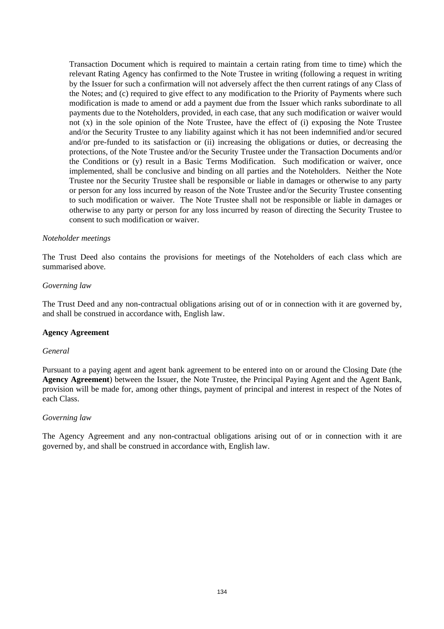Transaction Document which is required to maintain a certain rating from time to time) which the relevant Rating Agency has confirmed to the Note Trustee in writing (following a request in writing by the Issuer for such a confirmation will not adversely affect the then current ratings of any Class of the Notes; and (c) required to give effect to any modification to the Priority of Payments where such modification is made to amend or add a payment due from the Issuer which ranks subordinate to all payments due to the Noteholders, provided, in each case, that any such modification or waiver would not  $(x)$  in the sole opinion of the Note Trustee, have the effect of  $(i)$  exposing the Note Trustee and/or the Security Trustee to any liability against which it has not been indemnified and/or secured and/or pre-funded to its satisfaction or (ii) increasing the obligations or duties, or decreasing the protections, of the Note Trustee and/or the Security Trustee under the Transaction Documents and/or the Conditions or (y) result in a Basic Terms Modification. Such modification or waiver, once implemented, shall be conclusive and binding on all parties and the Noteholders. Neither the Note Trustee nor the Security Trustee shall be responsible or liable in damages or otherwise to any party or person for any loss incurred by reason of the Note Trustee and/or the Security Trustee consenting to such modification or waiver. The Note Trustee shall not be responsible or liable in damages or otherwise to any party or person for any loss incurred by reason of directing the Security Trustee to consent to such modification or waiver.

#### *Noteholder meetings*

The Trust Deed also contains the provisions for meetings of the Noteholders of each class which are summarised above.

#### *Governing law*

The Trust Deed and any non-contractual obligations arising out of or in connection with it are governed by, and shall be construed in accordance with, English law.

## **Agency Agreement**

#### *General*

Pursuant to a paying agent and agent bank agreement to be entered into on or around the Closing Date (the **Agency Agreement**) between the Issuer, the Note Trustee, the Principal Paying Agent and the Agent Bank, provision will be made for, among other things, payment of principal and interest in respect of the Notes of each Class.

#### *Governing law*

The Agency Agreement and any non-contractual obligations arising out of or in connection with it are governed by, and shall be construed in accordance with, English law.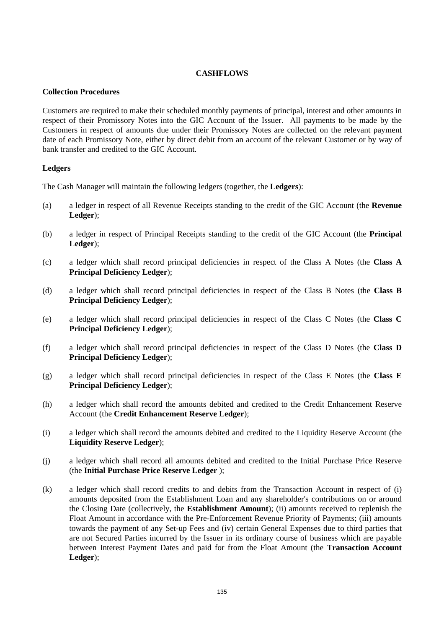## **CASHFLOWS**

## **Collection Procedures**

Customers are required to make their scheduled monthly payments of principal, interest and other amounts in respect of their Promissory Notes into the GIC Account of the Issuer. All payments to be made by the Customers in respect of amounts due under their Promissory Notes are collected on the relevant payment date of each Promissory Note, either by direct debit from an account of the relevant Customer or by way of bank transfer and credited to the GIC Account.

## **Ledgers**

The Cash Manager will maintain the following ledgers (together, the **Ledgers**):

- (a) a ledger in respect of all Revenue Receipts standing to the credit of the GIC Account (the **Revenue Ledger**);
- (b) a ledger in respect of Principal Receipts standing to the credit of the GIC Account (the **Principal Ledger**);
- (c) a ledger which shall record principal deficiencies in respect of the Class A Notes (the **Class A Principal Deficiency Ledger**);
- (d) a ledger which shall record principal deficiencies in respect of the Class B Notes (the **Class B Principal Deficiency Ledger**);
- (e) a ledger which shall record principal deficiencies in respect of the Class C Notes (the **Class C Principal Deficiency Ledger**);
- (f) a ledger which shall record principal deficiencies in respect of the Class D Notes (the **Class D Principal Deficiency Ledger**);
- (g) a ledger which shall record principal deficiencies in respect of the Class E Notes (the **Class E Principal Deficiency Ledger**);
- (h) a ledger which shall record the amounts debited and credited to the Credit Enhancement Reserve Account (the **Credit Enhancement Reserve Ledger**);
- (i) a ledger which shall record the amounts debited and credited to the Liquidity Reserve Account (the **Liquidity Reserve Ledger**);
- (j) a ledger which shall record all amounts debited and credited to the Initial Purchase Price Reserve (the **Initial Purchase Price Reserve Ledger** );
- (k) a ledger which shall record credits to and debits from the Transaction Account in respect of (i) amounts deposited from the Establishment Loan and any shareholder's contributions on or around the Closing Date (collectively, the **Establishment Amount**); (ii) amounts received to replenish the Float Amount in accordance with the Pre-Enforcement Revenue Priority of Payments; (iii) amounts towards the payment of any Set-up Fees and (iv) certain General Expenses due to third parties that are not Secured Parties incurred by the Issuer in its ordinary course of business which are payable between Interest Payment Dates and paid for from the Float Amount (the **Transaction Account Ledger**);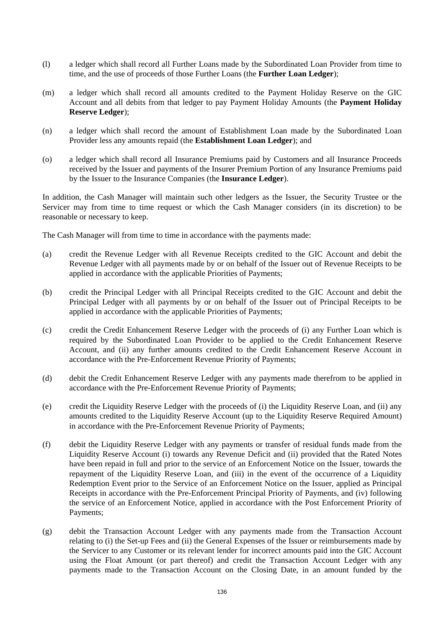- (l) a ledger which shall record all Further Loans made by the Subordinated Loan Provider from time to time, and the use of proceeds of those Further Loans (the **Further Loan Ledger**);
- (m) a ledger which shall record all amounts credited to the Payment Holiday Reserve on the GIC Account and all debits from that ledger to pay Payment Holiday Amounts (the **Payment Holiday Reserve Ledger**);
- (n) a ledger which shall record the amount of Establishment Loan made by the Subordinated Loan Provider less any amounts repaid (the **Establishment Loan Ledger**); and
- (o) a ledger which shall record all Insurance Premiums paid by Customers and all Insurance Proceeds received by the Issuer and payments of the Insurer Premium Portion of any Insurance Premiums paid by the Issuer to the Insurance Companies (the **Insurance Ledger**).

In addition, the Cash Manager will maintain such other ledgers as the Issuer, the Security Trustee or the Servicer may from time to time request or which the Cash Manager considers (in its discretion) to be reasonable or necessary to keep.

The Cash Manager will from time to time in accordance with the payments made:

- (a) credit the Revenue Ledger with all Revenue Receipts credited to the GIC Account and debit the Revenue Ledger with all payments made by or on behalf of the Issuer out of Revenue Receipts to be applied in accordance with the applicable Priorities of Payments;
- (b) credit the Principal Ledger with all Principal Receipts credited to the GIC Account and debit the Principal Ledger with all payments by or on behalf of the Issuer out of Principal Receipts to be applied in accordance with the applicable Priorities of Payments;
- (c) credit the Credit Enhancement Reserve Ledger with the proceeds of (i) any Further Loan which is required by the Subordinated Loan Provider to be applied to the Credit Enhancement Reserve Account, and (ii) any further amounts credited to the Credit Enhancement Reserve Account in accordance with the Pre-Enforcement Revenue Priority of Payments;
- (d) debit the Credit Enhancement Reserve Ledger with any payments made therefrom to be applied in accordance with the Pre-Enforcement Revenue Priority of Payments;
- (e) credit the Liquidity Reserve Ledger with the proceeds of (i) the Liquidity Reserve Loan, and (ii) any amounts credited to the Liquidity Reserve Account (up to the Liquidity Reserve Required Amount) in accordance with the Pre-Enforcement Revenue Priority of Payments;
- (f) debit the Liquidity Reserve Ledger with any payments or transfer of residual funds made from the Liquidity Reserve Account (i) towards any Revenue Deficit and (ii) provided that the Rated Notes have been repaid in full and prior to the service of an Enforcement Notice on the Issuer, towards the repayment of the Liquidity Reserve Loan, and (iii) in the event of the occurrence of a Liquidity Redemption Event prior to the Service of an Enforcement Notice on the Issuer, applied as Principal Receipts in accordance with the Pre-Enforcement Principal Priority of Payments, and (iv) following the service of an Enforcement Notice, applied in accordance with the Post Enforcement Priority of Payments;
- (g) debit the Transaction Account Ledger with any payments made from the Transaction Account relating to (i) the Set-up Fees and (ii) the General Expenses of the Issuer or reimbursements made by the Servicer to any Customer or its relevant lender for incorrect amounts paid into the GIC Account using the Float Amount (or part thereof) and credit the Transaction Account Ledger with any payments made to the Transaction Account on the Closing Date, in an amount funded by the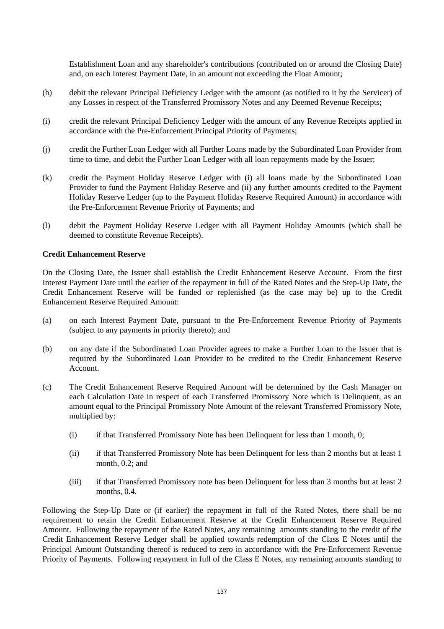Establishment Loan and any shareholder's contributions (contributed on or around the Closing Date) and, on each Interest Payment Date, in an amount not exceeding the Float Amount;

- (h) debit the relevant Principal Deficiency Ledger with the amount (as notified to it by the Servicer) of any Losses in respect of the Transferred Promissory Notes and any Deemed Revenue Receipts;
- (i) credit the relevant Principal Deficiency Ledger with the amount of any Revenue Receipts applied in accordance with the Pre-Enforcement Principal Priority of Payments;
- (j) credit the Further Loan Ledger with all Further Loans made by the Subordinated Loan Provider from time to time, and debit the Further Loan Ledger with all loan repayments made by the Issuer;
- (k) credit the Payment Holiday Reserve Ledger with (i) all loans made by the Subordinated Loan Provider to fund the Payment Holiday Reserve and (ii) any further amounts credited to the Payment Holiday Reserve Ledger (up to the Payment Holiday Reserve Required Amount) in accordance with the Pre-Enforcement Revenue Priority of Payments; and
- (l) debit the Payment Holiday Reserve Ledger with all Payment Holiday Amounts (which shall be deemed to constitute Revenue Receipts).

#### **Credit Enhancement Reserve**

On the Closing Date, the Issuer shall establish the Credit Enhancement Reserve Account. From the first Interest Payment Date until the earlier of the repayment in full of the Rated Notes and the Step-Up Date, the Credit Enhancement Reserve will be funded or replenished (as the case may be) up to the Credit Enhancement Reserve Required Amount:

- (a) on each Interest Payment Date, pursuant to the Pre-Enforcement Revenue Priority of Payments (subject to any payments in priority thereto); and
- (b) on any date if the Subordinated Loan Provider agrees to make a Further Loan to the Issuer that is required by the Subordinated Loan Provider to be credited to the Credit Enhancement Reserve Account.
- (c) The Credit Enhancement Reserve Required Amount will be determined by the Cash Manager on each Calculation Date in respect of each Transferred Promissory Note which is Delinquent, as an amount equal to the Principal Promissory Note Amount of the relevant Transferred Promissory Note, multiplied by:
	- (i) if that Transferred Promissory Note has been Delinquent for less than 1 month, 0;
	- (ii) if that Transferred Promissory Note has been Delinquent for less than 2 months but at least 1 month, 0.2; and
	- (iii) if that Transferred Promissory note has been Delinquent for less than 3 months but at least 2 months, 0.4.

Following the Step-Up Date or (if earlier) the repayment in full of the Rated Notes, there shall be no requirement to retain the Credit Enhancement Reserve at the Credit Enhancement Reserve Required Amount. Following the repayment of the Rated Notes, any remaining amounts standing to the credit of the Credit Enhancement Reserve Ledger shall be applied towards redemption of the Class E Notes until the Principal Amount Outstanding thereof is reduced to zero in accordance with the Pre-Enforcement Revenue Priority of Payments. Following repayment in full of the Class E Notes, any remaining amounts standing to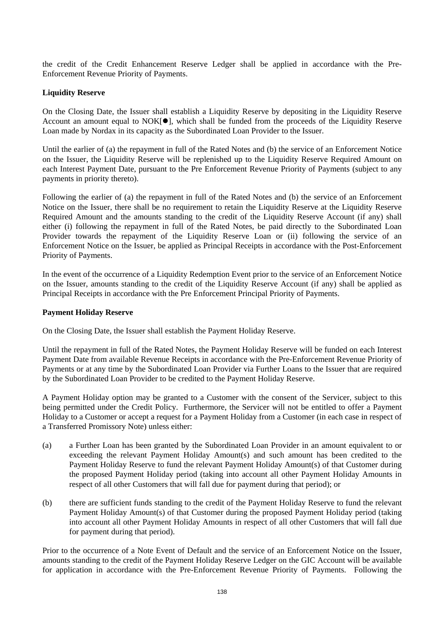the credit of the Credit Enhancement Reserve Ledger shall be applied in accordance with the Pre-Enforcement Revenue Priority of Payments.

## **Liquidity Reserve**

On the Closing Date, the Issuer shall establish a Liquidity Reserve by depositing in the Liquidity Reserve Account an amount equal to  $NOK[\n\bullet]$ , which shall be funded from the proceeds of the Liquidity Reserve Loan made by Nordax in its capacity as the Subordinated Loan Provider to the Issuer.

Until the earlier of (a) the repayment in full of the Rated Notes and (b) the service of an Enforcement Notice on the Issuer, the Liquidity Reserve will be replenished up to the Liquidity Reserve Required Amount on each Interest Payment Date, pursuant to the Pre Enforcement Revenue Priority of Payments (subject to any payments in priority thereto).

Following the earlier of (a) the repayment in full of the Rated Notes and (b) the service of an Enforcement Notice on the Issuer, there shall be no requirement to retain the Liquidity Reserve at the Liquidity Reserve Required Amount and the amounts standing to the credit of the Liquidity Reserve Account (if any) shall either (i) following the repayment in full of the Rated Notes, be paid directly to the Subordinated Loan Provider towards the repayment of the Liquidity Reserve Loan or (ii) following the service of an Enforcement Notice on the Issuer, be applied as Principal Receipts in accordance with the Post-Enforcement Priority of Payments.

In the event of the occurrence of a Liquidity Redemption Event prior to the service of an Enforcement Notice on the Issuer, amounts standing to the credit of the Liquidity Reserve Account (if any) shall be applied as Principal Receipts in accordance with the Pre Enforcement Principal Priority of Payments.

#### **Payment Holiday Reserve**

On the Closing Date, the Issuer shall establish the Payment Holiday Reserve.

Until the repayment in full of the Rated Notes, the Payment Holiday Reserve will be funded on each Interest Payment Date from available Revenue Receipts in accordance with the Pre-Enforcement Revenue Priority of Payments or at any time by the Subordinated Loan Provider via Further Loans to the Issuer that are required by the Subordinated Loan Provider to be credited to the Payment Holiday Reserve.

A Payment Holiday option may be granted to a Customer with the consent of the Servicer, subject to this being permitted under the Credit Policy. Furthermore, the Servicer will not be entitled to offer a Payment Holiday to a Customer or accept a request for a Payment Holiday from a Customer (in each case in respect of a Transferred Promissory Note) unless either:

- (a) a Further Loan has been granted by the Subordinated Loan Provider in an amount equivalent to or exceeding the relevant Payment Holiday Amount(s) and such amount has been credited to the Payment Holiday Reserve to fund the relevant Payment Holiday Amount(s) of that Customer during the proposed Payment Holiday period (taking into account all other Payment Holiday Amounts in respect of all other Customers that will fall due for payment during that period); or
- (b) there are sufficient funds standing to the credit of the Payment Holiday Reserve to fund the relevant Payment Holiday Amount(s) of that Customer during the proposed Payment Holiday period (taking into account all other Payment Holiday Amounts in respect of all other Customers that will fall due for payment during that period).

Prior to the occurrence of a Note Event of Default and the service of an Enforcement Notice on the Issuer, amounts standing to the credit of the Payment Holiday Reserve Ledger on the GIC Account will be available for application in accordance with the Pre-Enforcement Revenue Priority of Payments. Following the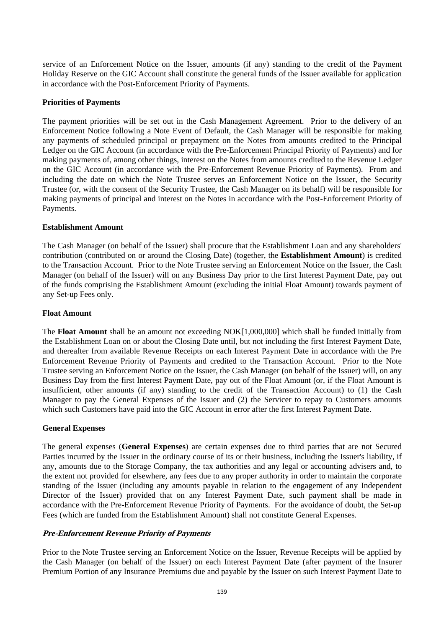service of an Enforcement Notice on the Issuer, amounts (if any) standing to the credit of the Payment Holiday Reserve on the GIC Account shall constitute the general funds of the Issuer available for application in accordance with the Post-Enforcement Priority of Payments.

#### **Priorities of Payments**

The payment priorities will be set out in the Cash Management Agreement. Prior to the delivery of an Enforcement Notice following a Note Event of Default, the Cash Manager will be responsible for making any payments of scheduled principal or prepayment on the Notes from amounts credited to the Principal Ledger on the GIC Account (in accordance with the Pre-Enforcement Principal Priority of Payments) and for making payments of, among other things, interest on the Notes from amounts credited to the Revenue Ledger on the GIC Account (in accordance with the Pre-Enforcement Revenue Priority of Payments). From and including the date on which the Note Trustee serves an Enforcement Notice on the Issuer, the Security Trustee (or, with the consent of the Security Trustee, the Cash Manager on its behalf) will be responsible for making payments of principal and interest on the Notes in accordance with the Post-Enforcement Priority of Payments.

## **Establishment Amount**

The Cash Manager (on behalf of the Issuer) shall procure that the Establishment Loan and any shareholders' contribution (contributed on or around the Closing Date) (together, the **Establishment Amount**) is credited to the Transaction Account. Prior to the Note Trustee serving an Enforcement Notice on the Issuer, the Cash Manager (on behalf of the Issuer) will on any Business Day prior to the first Interest Payment Date, pay out of the funds comprising the Establishment Amount (excluding the initial Float Amount) towards payment of any Set-up Fees only.

#### **Float Amount**

The **Float Amount** shall be an amount not exceeding NOK[1,000,000] which shall be funded initially from the Establishment Loan on or about the Closing Date until, but not including the first Interest Payment Date, and thereafter from available Revenue Receipts on each Interest Payment Date in accordance with the Pre Enforcement Revenue Priority of Payments and credited to the Transaction Account. Prior to the Note Trustee serving an Enforcement Notice on the Issuer, the Cash Manager (on behalf of the Issuer) will, on any Business Day from the first Interest Payment Date, pay out of the Float Amount (or, if the Float Amount is insufficient, other amounts (if any) standing to the credit of the Transaction Account) to (1) the Cash Manager to pay the General Expenses of the Issuer and (2) the Servicer to repay to Customers amounts which such Customers have paid into the GIC Account in error after the first Interest Payment Date.

#### **General Expenses**

The general expenses (**General Expenses**) are certain expenses due to third parties that are not Secured Parties incurred by the Issuer in the ordinary course of its or their business, including the Issuer's liability, if any, amounts due to the Storage Company, the tax authorities and any legal or accounting advisers and, to the extent not provided for elsewhere, any fees due to any proper authority in order to maintain the corporate standing of the Issuer (including any amounts payable in relation to the engagement of any Independent Director of the Issuer) provided that on any Interest Payment Date, such payment shall be made in accordance with the Pre-Enforcement Revenue Priority of Payments. For the avoidance of doubt, the Set-up Fees (which are funded from the Establishment Amount) shall not constitute General Expenses.

## **Pre-Enforcement Revenue Priority of Payments**

Prior to the Note Trustee serving an Enforcement Notice on the Issuer, Revenue Receipts will be applied by the Cash Manager (on behalf of the Issuer) on each Interest Payment Date (after payment of the Insurer Premium Portion of any Insurance Premiums due and payable by the Issuer on such Interest Payment Date to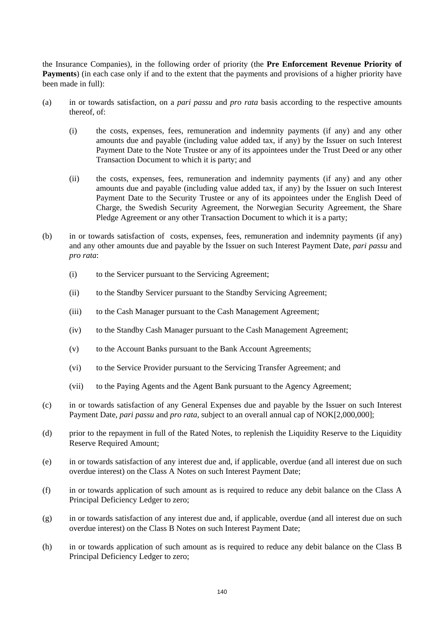the Insurance Companies), in the following order of priority (the **Pre Enforcement Revenue Priority of Payments**) (in each case only if and to the extent that the payments and provisions of a higher priority have been made in full):

- (a) in or towards satisfaction, on a *pari passu* and *pro rata* basis according to the respective amounts thereof, of:
	- (i) the costs, expenses, fees, remuneration and indemnity payments (if any) and any other amounts due and payable (including value added tax, if any) by the Issuer on such Interest Payment Date to the Note Trustee or any of its appointees under the Trust Deed or any other Transaction Document to which it is party; and
	- (ii) the costs, expenses, fees, remuneration and indemnity payments (if any) and any other amounts due and payable (including value added tax, if any) by the Issuer on such Interest Payment Date to the Security Trustee or any of its appointees under the English Deed of Charge, the Swedish Security Agreement, the Norwegian Security Agreement, the Share Pledge Agreement or any other Transaction Document to which it is a party;
- (b) in or towards satisfaction of costs, expenses, fees, remuneration and indemnity payments (if any) and any other amounts due and payable by the Issuer on such Interest Payment Date, *pari passu* and *pro rata*:
	- (i) to the Servicer pursuant to the Servicing Agreement;
	- (ii) to the Standby Servicer pursuant to the Standby Servicing Agreement;
	- (iii) to the Cash Manager pursuant to the Cash Management Agreement;
	- (iv) to the Standby Cash Manager pursuant to the Cash Management Agreement;
	- (v) to the Account Banks pursuant to the Bank Account Agreements;
	- (vi) to the Service Provider pursuant to the Servicing Transfer Agreement; and
	- (vii) to the Paying Agents and the Agent Bank pursuant to the Agency Agreement;
- (c) in or towards satisfaction of any General Expenses due and payable by the Issuer on such Interest Payment Date, *pari passu* and *pro rata*, subject to an overall annual cap of NOK[2,000,000];
- (d) prior to the repayment in full of the Rated Notes, to replenish the Liquidity Reserve to the Liquidity Reserve Required Amount;
- (e) in or towards satisfaction of any interest due and, if applicable, overdue (and all interest due on such overdue interest) on the Class A Notes on such Interest Payment Date;
- (f) in or towards application of such amount as is required to reduce any debit balance on the Class A Principal Deficiency Ledger to zero;
- (g) in or towards satisfaction of any interest due and, if applicable, overdue (and all interest due on such overdue interest) on the Class B Notes on such Interest Payment Date;
- (h) in or towards application of such amount as is required to reduce any debit balance on the Class B Principal Deficiency Ledger to zero;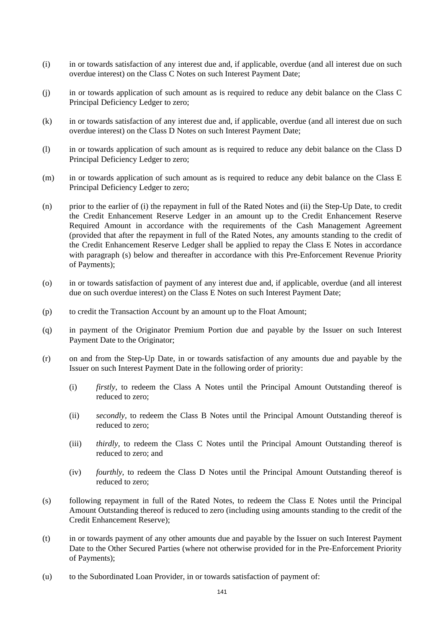- (i) in or towards satisfaction of any interest due and, if applicable, overdue (and all interest due on such overdue interest) on the Class C Notes on such Interest Payment Date;
- (j) in or towards application of such amount as is required to reduce any debit balance on the Class C Principal Deficiency Ledger to zero;
- (k) in or towards satisfaction of any interest due and, if applicable, overdue (and all interest due on such overdue interest) on the Class D Notes on such Interest Payment Date;
- (l) in or towards application of such amount as is required to reduce any debit balance on the Class D Principal Deficiency Ledger to zero;
- (m) in or towards application of such amount as is required to reduce any debit balance on the Class E Principal Deficiency Ledger to zero;
- (n) prior to the earlier of (i) the repayment in full of the Rated Notes and (ii) the Step-Up Date, to credit the Credit Enhancement Reserve Ledger in an amount up to the Credit Enhancement Reserve Required Amount in accordance with the requirements of the Cash Management Agreement (provided that after the repayment in full of the Rated Notes, any amounts standing to the credit of the Credit Enhancement Reserve Ledger shall be applied to repay the Class E Notes in accordance with paragraph (s) below and thereafter in accordance with this Pre-Enforcement Revenue Priority of Payments);
- (o) in or towards satisfaction of payment of any interest due and, if applicable, overdue (and all interest due on such overdue interest) on the Class E Notes on such Interest Payment Date;
- (p) to credit the Transaction Account by an amount up to the Float Amount;
- (q) in payment of the Originator Premium Portion due and payable by the Issuer on such Interest Payment Date to the Originator;
- (r) on and from the Step-Up Date, in or towards satisfaction of any amounts due and payable by the Issuer on such Interest Payment Date in the following order of priority:
	- (i) *firstly,* to redeem the Class A Notes until the Principal Amount Outstanding thereof is reduced to zero;
	- (ii) *secondly,* to redeem the Class B Notes until the Principal Amount Outstanding thereof is reduced to zero;
	- (iii) *thirdly,* to redeem the Class C Notes until the Principal Amount Outstanding thereof is reduced to zero; and
	- (iv) *fourthly,* to redeem the Class D Notes until the Principal Amount Outstanding thereof is reduced to zero;
- (s) following repayment in full of the Rated Notes, to redeem the Class E Notes until the Principal Amount Outstanding thereof is reduced to zero (including using amounts standing to the credit of the Credit Enhancement Reserve);
- (t) in or towards payment of any other amounts due and payable by the Issuer on such Interest Payment Date to the Other Secured Parties (where not otherwise provided for in the Pre-Enforcement Priority of Payments);
- (u) to the Subordinated Loan Provider, in or towards satisfaction of payment of: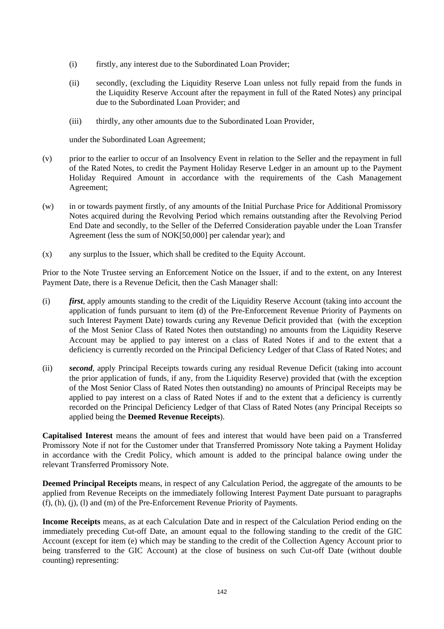- (i) firstly, any interest due to the Subordinated Loan Provider;
- (ii) secondly, (excluding the Liquidity Reserve Loan unless not fully repaid from the funds in the Liquidity Reserve Account after the repayment in full of the Rated Notes) any principal due to the Subordinated Loan Provider; and
- (iii) thirdly, any other amounts due to the Subordinated Loan Provider,

under the Subordinated Loan Agreement;

- (v) prior to the earlier to occur of an Insolvency Event in relation to the Seller and the repayment in full of the Rated Notes, to credit the Payment Holiday Reserve Ledger in an amount up to the Payment Holiday Required Amount in accordance with the requirements of the Cash Management Agreement;
- (w) in or towards payment firstly, of any amounts of the Initial Purchase Price for Additional Promissory Notes acquired during the Revolving Period which remains outstanding after the Revolving Period End Date and secondly, to the Seller of the Deferred Consideration payable under the Loan Transfer Agreement (less the sum of NOK[50,000] per calendar year); and
- $(x)$  any surplus to the Issuer, which shall be credited to the Equity Account.

Prior to the Note Trustee serving an Enforcement Notice on the Issuer, if and to the extent, on any Interest Payment Date, there is a Revenue Deficit, then the Cash Manager shall:

- (i) *first*, apply amounts standing to the credit of the Liquidity Reserve Account (taking into account the application of funds pursuant to item (d) of the Pre-Enforcement Revenue Priority of Payments on such Interest Payment Date) towards curing any Revenue Deficit provided that (with the exception of the Most Senior Class of Rated Notes then outstanding) no amounts from the Liquidity Reserve Account may be applied to pay interest on a class of Rated Notes if and to the extent that a deficiency is currently recorded on the Principal Deficiency Ledger of that Class of Rated Notes; and
- (ii) *second*, apply Principal Receipts towards curing any residual Revenue Deficit (taking into account the prior application of funds, if any, from the Liquidity Reserve) provided that (with the exception of the Most Senior Class of Rated Notes then outstanding) no amounts of Principal Receipts may be applied to pay interest on a class of Rated Notes if and to the extent that a deficiency is currently recorded on the Principal Deficiency Ledger of that Class of Rated Notes (any Principal Receipts so applied being the **Deemed Revenue Receipts**).

**Capitalised Interest** means the amount of fees and interest that would have been paid on a Transferred Promissory Note if not for the Customer under that Transferred Promissory Note taking a Payment Holiday in accordance with the Credit Policy, which amount is added to the principal balance owing under the relevant Transferred Promissory Note.

**Deemed Principal Receipts** means, in respect of any Calculation Period, the aggregate of the amounts to be applied from Revenue Receipts on the immediately following Interest Payment Date pursuant to paragraphs (f), (h), (j), (l) and (m) of the Pre-Enforcement Revenue Priority of Payments.

**Income Receipts** means, as at each Calculation Date and in respect of the Calculation Period ending on the immediately preceding Cut-off Date, an amount equal to the following standing to the credit of the GIC Account (except for item (e) which may be standing to the credit of the Collection Agency Account prior to being transferred to the GIC Account) at the close of business on such Cut-off Date (without double counting) representing: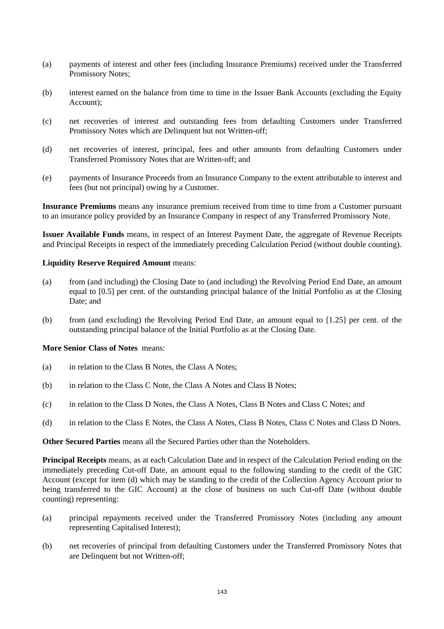- (a) payments of interest and other fees (including Insurance Premiums) received under the Transferred Promissory Notes;
- (b) interest earned on the balance from time to time in the Issuer Bank Accounts (excluding the Equity Account);
- (c) net recoveries of interest and outstanding fees from defaulting Customers under Transferred Promissory Notes which are Delinquent but not Written-off;
- (d) net recoveries of interest, principal, fees and other amounts from defaulting Customers under Transferred Promissory Notes that are Written-off; and
- (e) payments of Insurance Proceeds from an Insurance Company to the extent attributable to interest and fees (but not principal) owing by a Customer.

**Insurance Premiums** means any insurance premium received from time to time from a Customer pursuant to an insurance policy provided by an Insurance Company in respect of any Transferred Promissory Note.

**Issuer Available Funds** means, in respect of an Interest Payment Date, the aggregate of Revenue Receipts and Principal Receipts in respect of the immediately preceding Calculation Period (without double counting).

## **Liquidity Reserve Required Amount** means:

- (a) from (and including) the Closing Date to (and including) the Revolving Period End Date, an amount equal to [0.5] per cent. of the outstanding principal balance of the Initial Portfolio as at the Closing Date; and
- (b) from (and excluding) the Revolving Period End Date, an amount equal to [1.25] per cent. of the outstanding principal balance of the Initial Portfolio as at the Closing Date.

#### **More Senior Class of Notes** means:

- (a) in relation to the Class B Notes, the Class A Notes;
- (b) in relation to the Class C Note, the Class A Notes and Class B Notes;
- (c) in relation to the Class D Notes, the Class A Notes, Class B Notes and Class C Notes; and
- (d) in relation to the Class E Notes, the Class A Notes, Class B Notes, Class C Notes and Class D Notes.

**Other Secured Parties** means all the Secured Parties other than the Noteholders.

**Principal Receipts** means, as at each Calculation Date and in respect of the Calculation Period ending on the immediately preceding Cut-off Date, an amount equal to the following standing to the credit of the GIC Account (except for item (d) which may be standing to the credit of the Collection Agency Account prior to being transferred to the GIC Account) at the close of business on such Cut-off Date (without double counting) representing:

- (a) principal repayments received under the Transferred Promissory Notes (including any amount representing Capitalised Interest);
- (b) net recoveries of principal from defaulting Customers under the Transferred Promissory Notes that are Delinquent but not Written-off;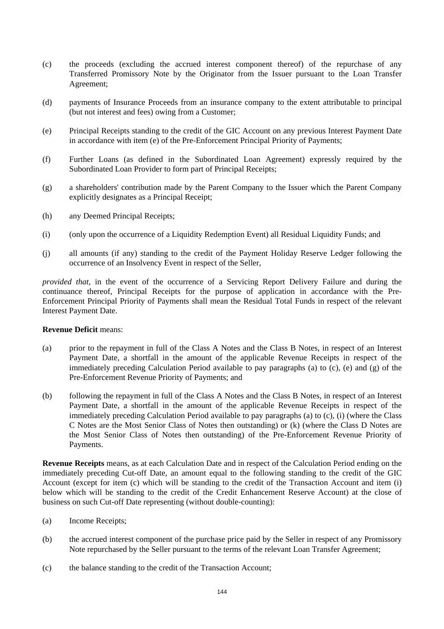- (c) the proceeds (excluding the accrued interest component thereof) of the repurchase of any Transferred Promissory Note by the Originator from the Issuer pursuant to the Loan Transfer Agreement;
- (d) payments of Insurance Proceeds from an insurance company to the extent attributable to principal (but not interest and fees) owing from a Customer;
- (e) Principal Receipts standing to the credit of the GIC Account on any previous Interest Payment Date in accordance with item (e) of the Pre-Enforcement Principal Priority of Payments;
- (f) Further Loans (as defined in the Subordinated Loan Agreement) expressly required by the Subordinated Loan Provider to form part of Principal Receipts;
- (g) a shareholders' contribution made by the Parent Company to the Issuer which the Parent Company explicitly designates as a Principal Receipt;
- (h) any Deemed Principal Receipts;
- (i) (only upon the occurrence of a Liquidity Redemption Event) all Residual Liquidity Funds; and
- (j) all amounts (if any) standing to the credit of the Payment Holiday Reserve Ledger following the occurrence of an Insolvency Event in respect of the Seller,

*provided that*, in the event of the occurrence of a Servicing Report Delivery Failure and during the continuance thereof, Principal Receipts for the purpose of application in accordance with the Pre-Enforcement Principal Priority of Payments shall mean the Residual Total Funds in respect of the relevant Interest Payment Date.

#### **Revenue Deficit** means:

- (a) prior to the repayment in full of the Class A Notes and the Class B Notes, in respect of an Interest Payment Date, a shortfall in the amount of the applicable Revenue Receipts in respect of the immediately preceding Calculation Period available to pay paragraphs (a) to (c), (e) and (g) of the Pre-Enforcement Revenue Priority of Payments; and
- (b) following the repayment in full of the Class A Notes and the Class B Notes, in respect of an Interest Payment Date, a shortfall in the amount of the applicable Revenue Receipts in respect of the immediately preceding Calculation Period available to pay paragraphs (a) to (c), (i) (where the Class C Notes are the Most Senior Class of Notes then outstanding) or (k) (where the Class D Notes are the Most Senior Class of Notes then outstanding) of the Pre-Enforcement Revenue Priority of Payments.

**Revenue Receipts** means, as at each Calculation Date and in respect of the Calculation Period ending on the immediately preceding Cut-off Date, an amount equal to the following standing to the credit of the GIC Account (except for item (c) which will be standing to the credit of the Transaction Account and item (i) below which will be standing to the credit of the Credit Enhancement Reserve Account) at the close of business on such Cut-off Date representing (without double-counting):

- (a) Income Receipts;
- (b) the accrued interest component of the purchase price paid by the Seller in respect of any Promissory Note repurchased by the Seller pursuant to the terms of the relevant Loan Transfer Agreement;
- (c) the balance standing to the credit of the Transaction Account;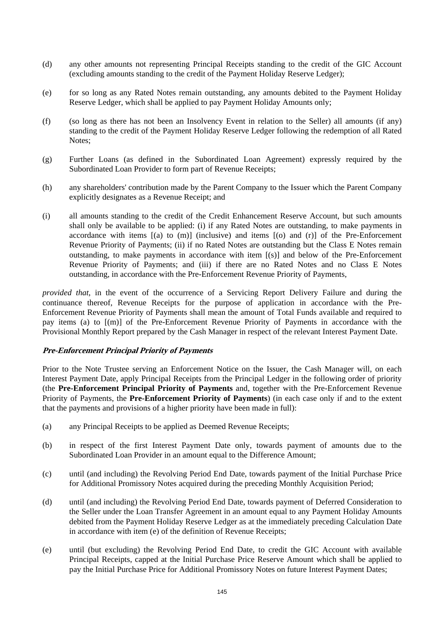- (d) any other amounts not representing Principal Receipts standing to the credit of the GIC Account (excluding amounts standing to the credit of the Payment Holiday Reserve Ledger);
- (e) for so long as any Rated Notes remain outstanding, any amounts debited to the Payment Holiday Reserve Ledger, which shall be applied to pay Payment Holiday Amounts only;
- (f) (so long as there has not been an Insolvency Event in relation to the Seller) all amounts (if any) standing to the credit of the Payment Holiday Reserve Ledger following the redemption of all Rated Notes;
- (g) Further Loans (as defined in the Subordinated Loan Agreement) expressly required by the Subordinated Loan Provider to form part of Revenue Receipts;
- (h) any shareholders' contribution made by the Parent Company to the Issuer which the Parent Company explicitly designates as a Revenue Receipt; and
- (i) all amounts standing to the credit of the Credit Enhancement Reserve Account, but such amounts shall only be available to be applied: (i) if any Rated Notes are outstanding, to make payments in accordance with items  $[(a)$  to  $(m)]$  (inclusive) and items  $[(o)$  and  $(r)]$  of the Pre-Enforcement Revenue Priority of Payments; (ii) if no Rated Notes are outstanding but the Class E Notes remain outstanding, to make payments in accordance with item [(s)] and below of the Pre-Enforcement Revenue Priority of Payments; and (iii) if there are no Rated Notes and no Class E Notes outstanding, in accordance with the Pre-Enforcement Revenue Priority of Payments,

*provided that*, in the event of the occurrence of a Servicing Report Delivery Failure and during the continuance thereof, Revenue Receipts for the purpose of application in accordance with the Pre-Enforcement Revenue Priority of Payments shall mean the amount of Total Funds available and required to pay items (a) to [(m)] of the Pre-Enforcement Revenue Priority of Payments in accordance with the Provisional Monthly Report prepared by the Cash Manager in respect of the relevant Interest Payment Date.

## **Pre-Enforcement Principal Priority of Payments**

Prior to the Note Trustee serving an Enforcement Notice on the Issuer, the Cash Manager will, on each Interest Payment Date, apply Principal Receipts from the Principal Ledger in the following order of priority (the **Pre-Enforcement Principal Priority of Payments** and, together with the Pre-Enforcement Revenue Priority of Payments, the **Pre-Enforcement Priority of Payments**) (in each case only if and to the extent that the payments and provisions of a higher priority have been made in full):

- (a) any Principal Receipts to be applied as Deemed Revenue Receipts;
- (b) in respect of the first Interest Payment Date only, towards payment of amounts due to the Subordinated Loan Provider in an amount equal to the Difference Amount;
- (c) until (and including) the Revolving Period End Date, towards payment of the Initial Purchase Price for Additional Promissory Notes acquired during the preceding Monthly Acquisition Period;
- (d) until (and including) the Revolving Period End Date, towards payment of Deferred Consideration to the Seller under the Loan Transfer Agreement in an amount equal to any Payment Holiday Amounts debited from the Payment Holiday Reserve Ledger as at the immediately preceding Calculation Date in accordance with item (e) of the definition of Revenue Receipts;
- (e) until (but excluding) the Revolving Period End Date, to credit the GIC Account with available Principal Receipts, capped at the Initial Purchase Price Reserve Amount which shall be applied to pay the Initial Purchase Price for Additional Promissory Notes on future Interest Payment Dates;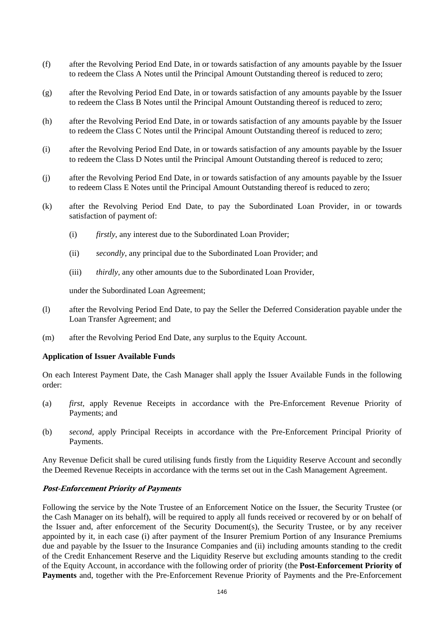- (f) after the Revolving Period End Date, in or towards satisfaction of any amounts payable by the Issuer to redeem the Class A Notes until the Principal Amount Outstanding thereof is reduced to zero;
- (g) after the Revolving Period End Date, in or towards satisfaction of any amounts payable by the Issuer to redeem the Class B Notes until the Principal Amount Outstanding thereof is reduced to zero;
- (h) after the Revolving Period End Date, in or towards satisfaction of any amounts payable by the Issuer to redeem the Class C Notes until the Principal Amount Outstanding thereof is reduced to zero;
- (i) after the Revolving Period End Date, in or towards satisfaction of any amounts payable by the Issuer to redeem the Class D Notes until the Principal Amount Outstanding thereof is reduced to zero;
- (j) after the Revolving Period End Date, in or towards satisfaction of any amounts payable by the Issuer to redeem Class E Notes until the Principal Amount Outstanding thereof is reduced to zero;
- (k) after the Revolving Period End Date, to pay the Subordinated Loan Provider, in or towards satisfaction of payment of:
	- (i) *firstly*, any interest due to the Subordinated Loan Provider;
	- (ii) *secondly*, any principal due to the Subordinated Loan Provider; and
	- (iii) *thirdly,* any other amounts due to the Subordinated Loan Provider,

under the Subordinated Loan Agreement;

- (l) after the Revolving Period End Date, to pay the Seller the Deferred Consideration payable under the Loan Transfer Agreement; and
- (m) after the Revolving Period End Date, any surplus to the Equity Account.

#### **Application of Issuer Available Funds**

On each Interest Payment Date, the Cash Manager shall apply the Issuer Available Funds in the following order:

- (a) *first,* apply Revenue Receipts in accordance with the Pre-Enforcement Revenue Priority of Payments; and
- (b) *second,* apply Principal Receipts in accordance with the Pre-Enforcement Principal Priority of Payments.

Any Revenue Deficit shall be cured utilising funds firstly from the Liquidity Reserve Account and secondly the Deemed Revenue Receipts in accordance with the terms set out in the Cash Management Agreement.

## **Post-Enforcement Priority of Payments**

Following the service by the Note Trustee of an Enforcement Notice on the Issuer, the Security Trustee (or the Cash Manager on its behalf), will be required to apply all funds received or recovered by or on behalf of the Issuer and, after enforcement of the Security Document(s), the Security Trustee, or by any receiver appointed by it, in each case (i) after payment of the Insurer Premium Portion of any Insurance Premiums due and payable by the Issuer to the Insurance Companies and (ii) including amounts standing to the credit of the Credit Enhancement Reserve and the Liquidity Reserve but excluding amounts standing to the credit of the Equity Account, in accordance with the following order of priority (the **Post-Enforcement Priority of Payments** and, together with the Pre-Enforcement Revenue Priority of Payments and the Pre-Enforcement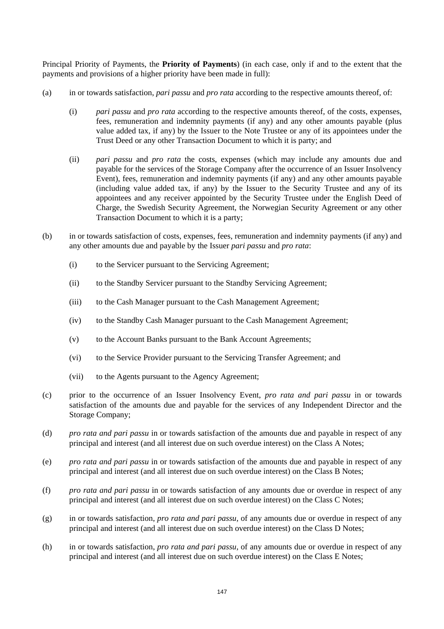Principal Priority of Payments, the **Priority of Payments**) (in each case, only if and to the extent that the payments and provisions of a higher priority have been made in full):

- (a) in or towards satisfaction, *pari passu* and *pro rata* according to the respective amounts thereof*,* of:
	- (i) *pari passu* and *pro rata* according to the respective amounts thereof*,* of the costs, expenses, fees, remuneration and indemnity payments (if any) and any other amounts payable (plus value added tax, if any) by the Issuer to the Note Trustee or any of its appointees under the Trust Deed or any other Transaction Document to which it is party; and
	- (ii) *pari passu* and *pro rata* the costs, expenses (which may include any amounts due and payable for the services of the Storage Company after the occurrence of an Issuer Insolvency Event), fees, remuneration and indemnity payments (if any) and any other amounts payable (including value added tax, if any) by the Issuer to the Security Trustee and any of its appointees and any receiver appointed by the Security Trustee under the English Deed of Charge, the Swedish Security Agreement, the Norwegian Security Agreement or any other Transaction Document to which it is a party;
- (b) in or towards satisfaction of costs, expenses, fees, remuneration and indemnity payments (if any) and any other amounts due and payable by the Issuer *pari passu* and *pro rata*:
	- (i) to the Servicer pursuant to the Servicing Agreement;
	- (ii) to the Standby Servicer pursuant to the Standby Servicing Agreement;
	- (iii) to the Cash Manager pursuant to the Cash Management Agreement;
	- (iv) to the Standby Cash Manager pursuant to the Cash Management Agreement;
	- (v) to the Account Banks pursuant to the Bank Account Agreements;
	- (vi) to the Service Provider pursuant to the Servicing Transfer Agreement; and
	- (vii) to the Agents pursuant to the Agency Agreement;
- (c) prior to the occurrence of an Issuer Insolvency Event, *pro rata and pari passu* in or towards satisfaction of the amounts due and payable for the services of any Independent Director and the Storage Company;
- (d) *pro rata and pari passu* in or towards satisfaction of the amounts due and payable in respect of any principal and interest (and all interest due on such overdue interest) on the Class A Notes;
- (e) *pro rata and pari passu* in or towards satisfaction of the amounts due and payable in respect of any principal and interest (and all interest due on such overdue interest) on the Class B Notes;
- (f) *pro rata and pari passu* in or towards satisfaction of any amounts due or overdue in respect of any principal and interest (and all interest due on such overdue interest) on the Class C Notes;
- (g) in or towards satisfaction, *pro rata and pari passu,* of any amounts due or overdue in respect of any principal and interest (and all interest due on such overdue interest) on the Class D Notes;
- (h) in or towards satisfaction, *pro rata and pari passu,* of any amounts due or overdue in respect of any principal and interest (and all interest due on such overdue interest) on the Class E Notes;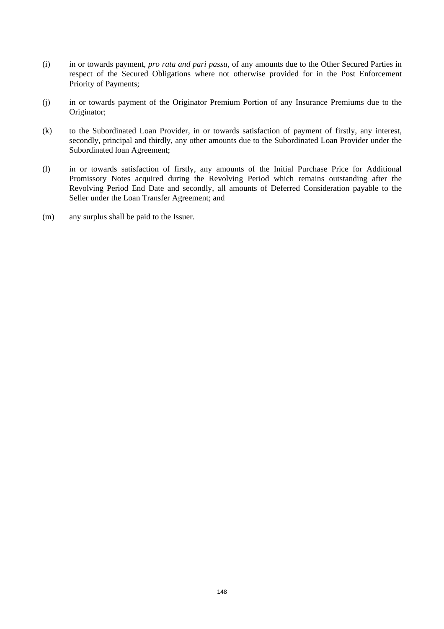- (i) in or towards payment, *pro rata and pari passu,* of any amounts due to the Other Secured Parties in respect of the Secured Obligations where not otherwise provided for in the Post Enforcement Priority of Payments;
- (j) in or towards payment of the Originator Premium Portion of any Insurance Premiums due to the Originator;
- (k) to the Subordinated Loan Provider*,* in or towards satisfaction of payment of firstly, any interest, secondly, principal and thirdly, any other amounts due to the Subordinated Loan Provider under the Subordinated loan Agreement;
- (l) in or towards satisfaction of firstly, any amounts of the Initial Purchase Price for Additional Promissory Notes acquired during the Revolving Period which remains outstanding after the Revolving Period End Date and secondly, all amounts of Deferred Consideration payable to the Seller under the Loan Transfer Agreement; and
- (m) any surplus shall be paid to the Issuer.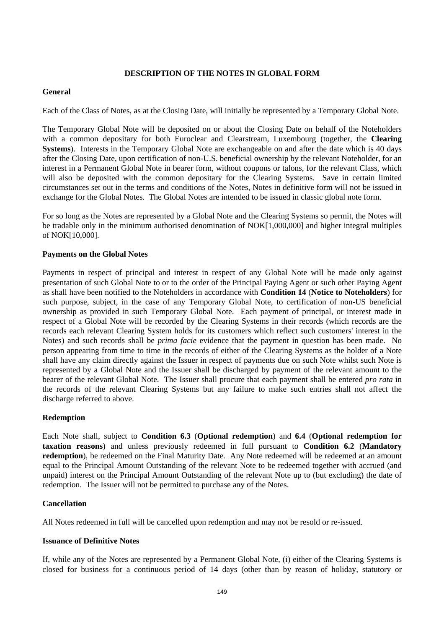## **DESCRIPTION OF THE NOTES IN GLOBAL FORM**

## **General**

Each of the Class of Notes, as at the Closing Date, will initially be represented by a Temporary Global Note.

The Temporary Global Note will be deposited on or about the Closing Date on behalf of the Noteholders with a common depositary for both Euroclear and Clearstream, Luxembourg (together, the **Clearing Systems**). Interests in the Temporary Global Note are exchangeable on and after the date which is 40 days after the Closing Date, upon certification of non-U.S. beneficial ownership by the relevant Noteholder, for an interest in a Permanent Global Note in bearer form, without coupons or talons, for the relevant Class, which will also be deposited with the common depositary for the Clearing Systems. Save in certain limited circumstances set out in the terms and conditions of the Notes, Notes in definitive form will not be issued in exchange for the Global Notes. The Global Notes are intended to be issued in classic global note form.

For so long as the Notes are represented by a Global Note and the Clearing Systems so permit, the Notes will be tradable only in the minimum authorised denomination of NOK[1,000,000] and higher integral multiples of NOK[10,000].

## **Payments on the Global Notes**

Payments in respect of principal and interest in respect of any Global Note will be made only against presentation of such Global Note to or to the order of the Principal Paying Agent or such other Paying Agent as shall have been notified to the Noteholders in accordance with **Condition 14** (**Notice to Noteholders**) for such purpose, subject, in the case of any Temporary Global Note, to certification of non-US beneficial ownership as provided in such Temporary Global Note. Each payment of principal, or interest made in respect of a Global Note will be recorded by the Clearing Systems in their records (which records are the records each relevant Clearing System holds for its customers which reflect such customers' interest in the Notes) and such records shall be *prima facie* evidence that the payment in question has been made. No person appearing from time to time in the records of either of the Clearing Systems as the holder of a Note shall have any claim directly against the Issuer in respect of payments due on such Note whilst such Note is represented by a Global Note and the Issuer shall be discharged by payment of the relevant amount to the bearer of the relevant Global Note. The Issuer shall procure that each payment shall be entered *pro rata* in the records of the relevant Clearing Systems but any failure to make such entries shall not affect the discharge referred to above.

## **Redemption**

Each Note shall, subject to **Condition 6.3** (**Optional redemption**) and **6.4** (**Optional redemption for taxation reasons**) and unless previously redeemed in full pursuant to **Condition 6.2** (**Mandatory redemption**), be redeemed on the Final Maturity Date. Any Note redeemed will be redeemed at an amount equal to the Principal Amount Outstanding of the relevant Note to be redeemed together with accrued (and unpaid) interest on the Principal Amount Outstanding of the relevant Note up to (but excluding) the date of redemption. The Issuer will not be permitted to purchase any of the Notes.

## **Cancellation**

All Notes redeemed in full will be cancelled upon redemption and may not be resold or re-issued.

## **Issuance of Definitive Notes**

If, while any of the Notes are represented by a Permanent Global Note, (i) either of the Clearing Systems is closed for business for a continuous period of 14 days (other than by reason of holiday, statutory or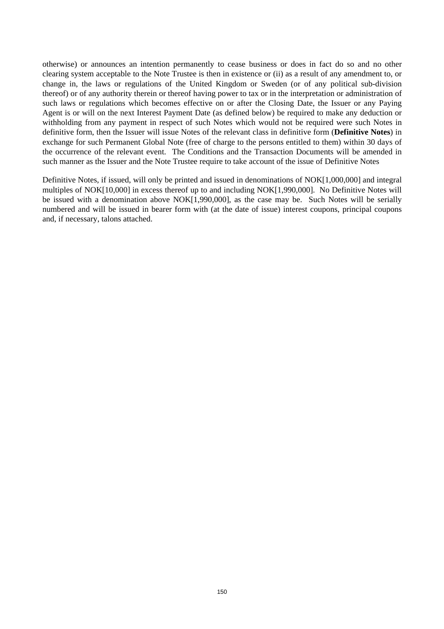otherwise) or announces an intention permanently to cease business or does in fact do so and no other clearing system acceptable to the Note Trustee is then in existence or (ii) as a result of any amendment to, or change in, the laws or regulations of the United Kingdom or Sweden (or of any political sub-division thereof) or of any authority therein or thereof having power to tax or in the interpretation or administration of such laws or regulations which becomes effective on or after the Closing Date, the Issuer or any Paying Agent is or will on the next Interest Payment Date (as defined below) be required to make any deduction or withholding from any payment in respect of such Notes which would not be required were such Notes in definitive form, then the Issuer will issue Notes of the relevant class in definitive form (**Definitive Notes**) in exchange for such Permanent Global Note (free of charge to the persons entitled to them) within 30 days of the occurrence of the relevant event. The Conditions and the Transaction Documents will be amended in such manner as the Issuer and the Note Trustee require to take account of the issue of Definitive Notes

Definitive Notes, if issued, will only be printed and issued in denominations of NOK[1,000,000] and integral multiples of NOK[10,000] in excess thereof up to and including NOK[1,990,000]. No Definitive Notes will be issued with a denomination above NOK[1,990,000], as the case may be. Such Notes will be serially numbered and will be issued in bearer form with (at the date of issue) interest coupons, principal coupons and, if necessary, talons attached.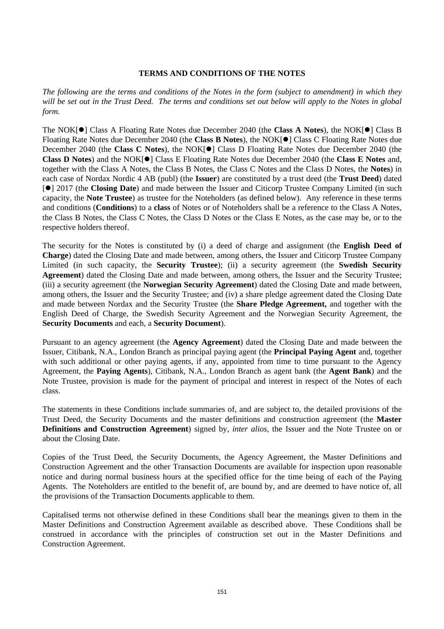#### **TERMS AND CONDITIONS OF THE NOTES**

*The following are the terms and conditions of the Notes in the form (subject to amendment) in which they will be set out in the Trust Deed. The terms and conditions set out below will apply to the Notes in global form.*

The NOK[<sup>•</sup>] Class A Floating Rate Notes due December 2040 (the **Class A Notes**), the NOK[<sup>•</sup>] Class B Floating Rate Notes due December 2040 (the **Class B Notes**), the NOK[ $\bullet$ ] Class C Floating Rate Notes due December 2040 (the **Class C Notes**), the NOK[ $\bullet$ ] Class D Floating Rate Notes due December 2040 (the **Class D Notes**) and the NOK[ $\bullet$ ] Class E Floating Rate Notes due December 2040 (the **Class E Notes** and, together with the Class A Notes, the Class B Notes, the Class C Notes and the Class D Notes, the **Notes**) in each case of Nordax Nordic 4 AB (publ) (the **Issuer**) are constituted by a trust deed (the **Trust Deed**) dated [] 2017 (the **Closing Date**) and made between the Issuer and Citicorp Trustee Company Limited (in such capacity, the **Note Trustee**) as trustee for the Noteholders (as defined below). Any reference in these terms and conditions (**Conditions**) to a **class** of Notes or of Noteholders shall be a reference to the Class A Notes, the Class B Notes, the Class C Notes, the Class D Notes or the Class E Notes, as the case may be, or to the respective holders thereof.

The security for the Notes is constituted by (i) a deed of charge and assignment (the **English Deed of Charge**) dated the Closing Date and made between, among others, the Issuer and Citicorp Trustee Company Limited (in such capacity, the **Security Trustee**); (ii) a security agreement (the **Swedish Security Agreement**) dated the Closing Date and made between, among others, the Issuer and the Security Trustee; (iii) a security agreement (the **Norwegian Security Agreement**) dated the Closing Date and made between, among others, the Issuer and the Security Trustee; and (iv) a share pledge agreement dated the Closing Date and made between Nordax and the Security Trustee (the **Share Pledge Agreement,** and together with the English Deed of Charge, the Swedish Security Agreement and the Norwegian Security Agreement, the **Security Documents** and each, a **Security Document**).

Pursuant to an agency agreement (the **Agency Agreement**) dated the Closing Date and made between the Issuer, Citibank, N.A., London Branch as principal paying agent (the **Principal Paying Agent** and, together with such additional or other paying agents, if any, appointed from time to time pursuant to the Agency Agreement, the **Paying Agents**), Citibank, N.A., London Branch as agent bank (the **Agent Bank**) and the Note Trustee, provision is made for the payment of principal and interest in respect of the Notes of each class.

The statements in these Conditions include summaries of, and are subject to, the detailed provisions of the Trust Deed, the Security Documents and the master definitions and construction agreement (the **Master Definitions and Construction Agreement**) signed by, *inter alios*, the Issuer and the Note Trustee on or about the Closing Date.

Copies of the Trust Deed, the Security Documents, the Agency Agreement, the Master Definitions and Construction Agreement and the other Transaction Documents are available for inspection upon reasonable notice and during normal business hours at the specified office for the time being of each of the Paying Agents. The Noteholders are entitled to the benefit of, are bound by, and are deemed to have notice of, all the provisions of the Transaction Documents applicable to them.

Capitalised terms not otherwise defined in these Conditions shall bear the meanings given to them in the Master Definitions and Construction Agreement available as described above. These Conditions shall be construed in accordance with the principles of construction set out in the Master Definitions and Construction Agreement.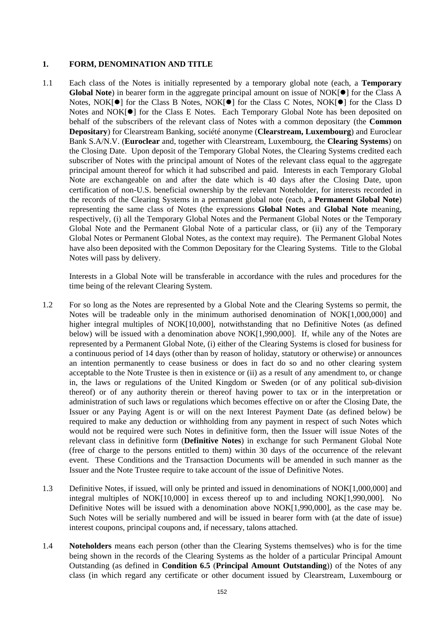## **1. FORM, DENOMINATION AND TITLE**

1.1 Each class of the Notes is initially represented by a temporary global note (each, a **Temporary Global Note**) in bearer form in the aggregate principal amount on issue of NOK[] for the Class A Notes, NOK $[0]$  for the Class B Notes, NOK $[0]$  for the Class C Notes, NOK $[0]$  for the Class D Notes and NOK[ $\bullet$ ] for the Class E Notes. Each Temporary Global Note has been deposited on behalf of the subscribers of the relevant class of Notes with a common depositary (the **Common Depositary**) for Clearstream Banking, société anonyme (**Clearstream, Luxembourg**) and Euroclear Bank S.A/N.V. (**Euroclear** and, together with Clearstream, Luxembourg, the **Clearing Systems**) on the Closing Date. Upon deposit of the Temporary Global Notes, the Clearing Systems credited each subscriber of Notes with the principal amount of Notes of the relevant class equal to the aggregate principal amount thereof for which it had subscribed and paid. Interests in each Temporary Global Note are exchangeable on and after the date which is 40 days after the Closing Date, upon certification of non-U.S. beneficial ownership by the relevant Noteholder, for interests recorded in the records of the Clearing Systems in a permanent global note (each, a **Permanent Global Note**) representing the same class of Notes (the expressions **Global Notes** and **Global Note** meaning, respectively, (i) all the Temporary Global Notes and the Permanent Global Notes or the Temporary Global Note and the Permanent Global Note of a particular class, or (ii) any of the Temporary Global Notes or Permanent Global Notes, as the context may require). The Permanent Global Notes have also been deposited with the Common Depositary for the Clearing Systems. Title to the Global Notes will pass by delivery.

Interests in a Global Note will be transferable in accordance with the rules and procedures for the time being of the relevant Clearing System.

- 1.2 For so long as the Notes are represented by a Global Note and the Clearing Systems so permit, the Notes will be tradeable only in the minimum authorised denomination of NOK[1,000,000] and higher integral multiples of NOK[10,000], notwithstanding that no Definitive Notes (as defined below) will be issued with a denomination above NOK[1,990,000]. If, while any of the Notes are represented by a Permanent Global Note, (i) either of the Clearing Systems is closed for business for a continuous period of 14 days (other than by reason of holiday, statutory or otherwise) or announces an intention permanently to cease business or does in fact do so and no other clearing system acceptable to the Note Trustee is then in existence or (ii) as a result of any amendment to, or change in, the laws or regulations of the United Kingdom or Sweden (or of any political sub-division thereof) or of any authority therein or thereof having power to tax or in the interpretation or administration of such laws or regulations which becomes effective on or after the Closing Date, the Issuer or any Paying Agent is or will on the next Interest Payment Date (as defined below) be required to make any deduction or withholding from any payment in respect of such Notes which would not be required were such Notes in definitive form, then the Issuer will issue Notes of the relevant class in definitive form (**Definitive Notes**) in exchange for such Permanent Global Note (free of charge to the persons entitled to them) within 30 days of the occurrence of the relevant event. These Conditions and the Transaction Documents will be amended in such manner as the Issuer and the Note Trustee require to take account of the issue of Definitive Notes.
- 1.3 Definitive Notes, if issued, will only be printed and issued in denominations of NOK[1,000,000] and integral multiples of NOK[10,000] in excess thereof up to and including NOK[1,990,000]. No Definitive Notes will be issued with a denomination above NOK[1,990,000], as the case may be. Such Notes will be serially numbered and will be issued in bearer form with (at the date of issue) interest coupons, principal coupons and, if necessary, talons attached.
- 1.4 **Noteholders** means each person (other than the Clearing Systems themselves) who is for the time being shown in the records of the Clearing Systems as the holder of a particular Principal Amount Outstanding (as defined in **Condition 6.5** (**Principal Amount Outstanding**)) of the Notes of any class (in which regard any certificate or other document issued by Clearstream, Luxembourg or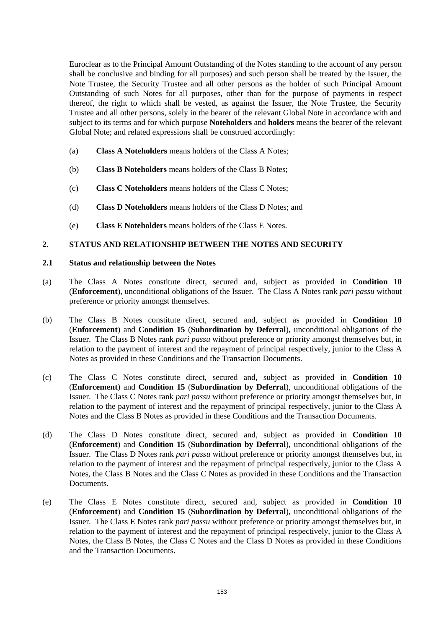Euroclear as to the Principal Amount Outstanding of the Notes standing to the account of any person shall be conclusive and binding for all purposes) and such person shall be treated by the Issuer, the Note Trustee, the Security Trustee and all other persons as the holder of such Principal Amount Outstanding of such Notes for all purposes, other than for the purpose of payments in respect thereof, the right to which shall be vested, as against the Issuer, the Note Trustee, the Security Trustee and all other persons, solely in the bearer of the relevant Global Note in accordance with and subject to its terms and for which purpose **Noteholders** and **holders** means the bearer of the relevant Global Note; and related expressions shall be construed accordingly:

- (a) **Class A Noteholders** means holders of the Class A Notes;
- (b) **Class B Noteholders** means holders of the Class B Notes;
- (c) **Class C Noteholders** means holders of the Class C Notes;
- (d) **Class D Noteholders** means holders of the Class D Notes; and
- (e) **Class E Noteholders** means holders of the Class E Notes.

# **2. STATUS AND RELATIONSHIP BETWEEN THE NOTES AND SECURITY**

## **2.1 Status and relationship between the Notes**

- (a) The Class A Notes constitute direct, secured and, subject as provided in **Condition 10**  (**Enforcement**), unconditional obligations of the Issuer. The Class A Notes rank *pari passu* without preference or priority amongst themselves.
- (b) The Class B Notes constitute direct, secured and, subject as provided in **Condition 10**  (**Enforcement**) and **Condition 15** (**Subordination by Deferral**), unconditional obligations of the Issuer. The Class B Notes rank *pari passu* without preference or priority amongst themselves but, in relation to the payment of interest and the repayment of principal respectively, junior to the Class A Notes as provided in these Conditions and the Transaction Documents.
- (c) The Class C Notes constitute direct, secured and, subject as provided in **Condition 10**  (**Enforcement**) and **Condition 15** (**Subordination by Deferral**), unconditional obligations of the Issuer. The Class C Notes rank *pari passu* without preference or priority amongst themselves but, in relation to the payment of interest and the repayment of principal respectively, junior to the Class A Notes and the Class B Notes as provided in these Conditions and the Transaction Documents.
- (d) The Class D Notes constitute direct, secured and, subject as provided in **Condition 10**  (**Enforcement**) and **Condition 15** (**Subordination by Deferral**), unconditional obligations of the Issuer. The Class D Notes rank *pari passu* without preference or priority amongst themselves but, in relation to the payment of interest and the repayment of principal respectively, junior to the Class A Notes, the Class B Notes and the Class C Notes as provided in these Conditions and the Transaction Documents.
- (e) The Class E Notes constitute direct, secured and, subject as provided in **Condition 10**  (**Enforcement**) and **Condition 15** (**Subordination by Deferral**), unconditional obligations of the Issuer. The Class E Notes rank *pari passu* without preference or priority amongst themselves but, in relation to the payment of interest and the repayment of principal respectively, junior to the Class A Notes, the Class B Notes, the Class C Notes and the Class D Notes as provided in these Conditions and the Transaction Documents.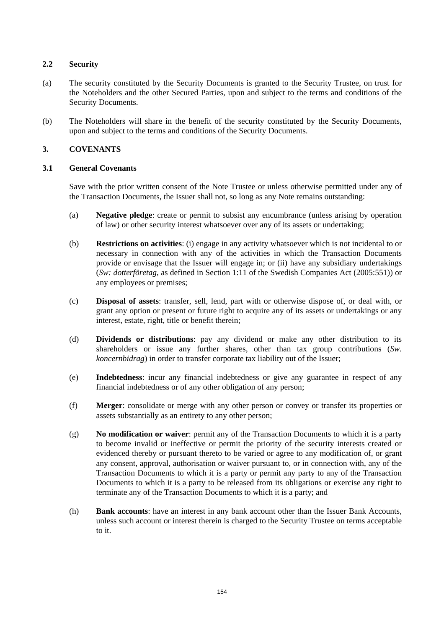## **2.2 Security**

- (a) The security constituted by the Security Documents is granted to the Security Trustee, on trust for the Noteholders and the other Secured Parties, upon and subject to the terms and conditions of the Security Documents.
- (b) The Noteholders will share in the benefit of the security constituted by the Security Documents, upon and subject to the terms and conditions of the Security Documents.

# **3. COVENANTS**

# **3.1 General Covenants**

Save with the prior written consent of the Note Trustee or unless otherwise permitted under any of the Transaction Documents, the Issuer shall not, so long as any Note remains outstanding:

- (a) **Negative pledge**: create or permit to subsist any encumbrance (unless arising by operation of law) or other security interest whatsoever over any of its assets or undertaking;
- (b) **Restrictions on activities**: (i) engage in any activity whatsoever which is not incidental to or necessary in connection with any of the activities in which the Transaction Documents provide or envisage that the Issuer will engage in; or (ii) have any subsidiary undertakings (*Sw: dotterföretag*, as defined in Section 1:11 of the Swedish Companies Act (2005:551)) or any employees or premises;
- (c) **Disposal of assets**: transfer, sell, lend, part with or otherwise dispose of, or deal with, or grant any option or present or future right to acquire any of its assets or undertakings or any interest, estate, right, title or benefit therein;
- (d) **Dividends or distributions**: pay any dividend or make any other distribution to its shareholders or issue any further shares, other than tax group contributions (*Sw. koncernbidrag*) in order to transfer corporate tax liability out of the Issuer;
- (e) **Indebtedness**: incur any financial indebtedness or give any guarantee in respect of any financial indebtedness or of any other obligation of any person;
- (f) **Merger**: consolidate or merge with any other person or convey or transfer its properties or assets substantially as an entirety to any other person;
- (g) **No modification or waiver**: permit any of the Transaction Documents to which it is a party to become invalid or ineffective or permit the priority of the security interests created or evidenced thereby or pursuant thereto to be varied or agree to any modification of, or grant any consent, approval, authorisation or waiver pursuant to, or in connection with, any of the Transaction Documents to which it is a party or permit any party to any of the Transaction Documents to which it is a party to be released from its obligations or exercise any right to terminate any of the Transaction Documents to which it is a party; and
- (h) **Bank accounts**: have an interest in any bank account other than the Issuer Bank Accounts, unless such account or interest therein is charged to the Security Trustee on terms acceptable to it.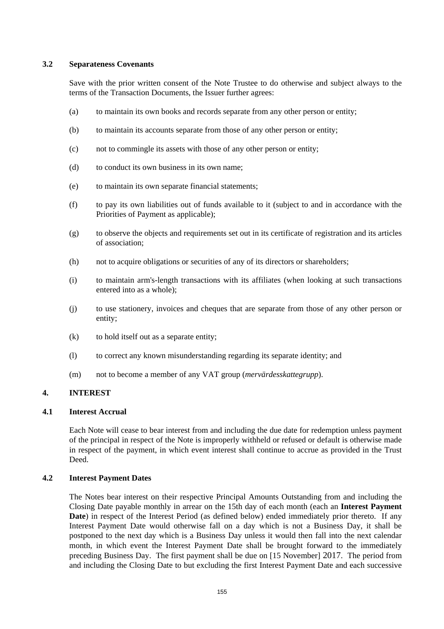## **3.2 Separateness Covenants**

Save with the prior written consent of the Note Trustee to do otherwise and subject always to the terms of the Transaction Documents, the Issuer further agrees:

- (a) to maintain its own books and records separate from any other person or entity;
- (b) to maintain its accounts separate from those of any other person or entity;
- (c) not to commingle its assets with those of any other person or entity;
- (d) to conduct its own business in its own name;
- (e) to maintain its own separate financial statements;
- (f) to pay its own liabilities out of funds available to it (subject to and in accordance with the Priorities of Payment as applicable);
- (g) to observe the objects and requirements set out in its certificate of registration and its articles of association;
- (h) not to acquire obligations or securities of any of its directors or shareholders;
- (i) to maintain arm's-length transactions with its affiliates (when looking at such transactions entered into as a whole);
- (j) to use stationery, invoices and cheques that are separate from those of any other person or entity;
- (k) to hold itself out as a separate entity;
- (l) to correct any known misunderstanding regarding its separate identity; and
- (m) not to become a member of any VAT group (*mervärdesskattegrupp*).

## **4. INTEREST**

#### **4.1 Interest Accrual**

Each Note will cease to bear interest from and including the due date for redemption unless payment of the principal in respect of the Note is improperly withheld or refused or default is otherwise made in respect of the payment, in which event interest shall continue to accrue as provided in the Trust Deed.

#### **4.2 Interest Payment Dates**

The Notes bear interest on their respective Principal Amounts Outstanding from and including the Closing Date payable monthly in arrear on the 15th day of each month (each an **Interest Payment Date**) in respect of the Interest Period (as defined below) ended immediately prior thereto. If any Interest Payment Date would otherwise fall on a day which is not a Business Day, it shall be postponed to the next day which is a Business Day unless it would then fall into the next calendar month, in which event the Interest Payment Date shall be brought forward to the immediately preceding Business Day. The first payment shall be due on [15 November] 2017. The period from and including the Closing Date to but excluding the first Interest Payment Date and each successive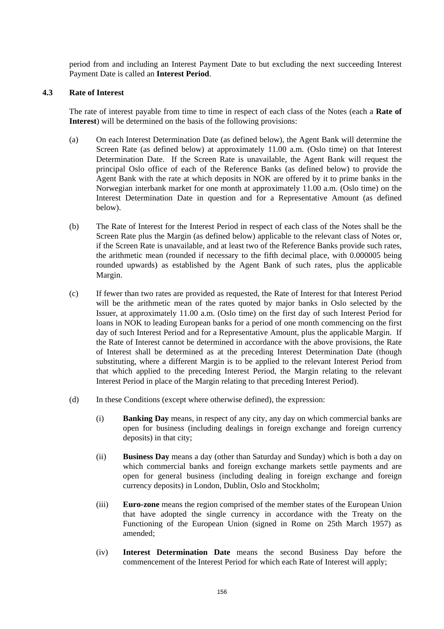period from and including an Interest Payment Date to but excluding the next succeeding Interest Payment Date is called an **Interest Period**.

#### **4.3 Rate of Interest**

The rate of interest payable from time to time in respect of each class of the Notes (each a **Rate of Interest**) will be determined on the basis of the following provisions:

- (a) On each Interest Determination Date (as defined below), the Agent Bank will determine the Screen Rate (as defined below) at approximately 11.00 a.m. (Oslo time) on that Interest Determination Date. If the Screen Rate is unavailable, the Agent Bank will request the principal Oslo office of each of the Reference Banks (as defined below) to provide the Agent Bank with the rate at which deposits in NOK are offered by it to prime banks in the Norwegian interbank market for one month at approximately 11.00 a.m. (Oslo time) on the Interest Determination Date in question and for a Representative Amount (as defined below).
- (b) The Rate of Interest for the Interest Period in respect of each class of the Notes shall be the Screen Rate plus the Margin (as defined below) applicable to the relevant class of Notes or, if the Screen Rate is unavailable, and at least two of the Reference Banks provide such rates, the arithmetic mean (rounded if necessary to the fifth decimal place, with 0.000005 being rounded upwards) as established by the Agent Bank of such rates, plus the applicable Margin.
- (c) If fewer than two rates are provided as requested, the Rate of Interest for that Interest Period will be the arithmetic mean of the rates quoted by major banks in Oslo selected by the Issuer, at approximately 11.00 a.m. (Oslo time) on the first day of such Interest Period for loans in NOK to leading European banks for a period of one month commencing on the first day of such Interest Period and for a Representative Amount, plus the applicable Margin. If the Rate of Interest cannot be determined in accordance with the above provisions, the Rate of Interest shall be determined as at the preceding Interest Determination Date (though substituting, where a different Margin is to be applied to the relevant Interest Period from that which applied to the preceding Interest Period, the Margin relating to the relevant Interest Period in place of the Margin relating to that preceding Interest Period).
- (d) In these Conditions (except where otherwise defined), the expression:
	- (i) **Banking Day** means, in respect of any city, any day on which commercial banks are open for business (including dealings in foreign exchange and foreign currency deposits) in that city;
	- (ii) **Business Day** means a day (other than Saturday and Sunday) which is both a day on which commercial banks and foreign exchange markets settle payments and are open for general business (including dealing in foreign exchange and foreign currency deposits) in London, Dublin, Oslo and Stockholm;
	- (iii) **Euro-zone** means the region comprised of the member states of the European Union that have adopted the single currency in accordance with the Treaty on the Functioning of the European Union (signed in Rome on 25th March 1957) as amended;
	- (iv) **Interest Determination Date** means the second Business Day before the commencement of the Interest Period for which each Rate of Interest will apply;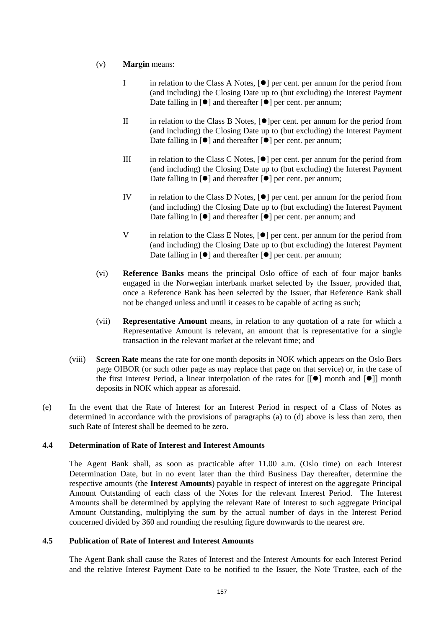- (v) **Margin** means:
	- I in relation to the Class A Notes, [ $\bullet$ ] per cent. per annum for the period from (and including) the Closing Date up to (but excluding) the Interest Payment Date falling in  $[\bullet]$  and thereafter  $[\bullet]$  per cent. per annum;
	- II in relation to the Class B Notes,  $\bullet$  per cent. per annum for the period from (and including) the Closing Date up to (but excluding) the Interest Payment Date falling in  $[\bullet]$  and thereafter  $[\bullet]$  per cent. per annum;
	- III in relation to the Class C Notes,  $\lceil \bullet \rceil$  per cent. per annum for the period from (and including) the Closing Date up to (but excluding) the Interest Payment Date falling in  $[\bullet]$  and thereafter  $[\bullet]$  per cent. per annum;
	- IV in relation to the Class D Notes,  $[\bullet]$  per cent. per annum for the period from (and including) the Closing Date up to (but excluding) the Interest Payment Date falling in  $[\bullet]$  and thereafter  $[\bullet]$  per cent. per annum; and
	- V in relation to the Class E Notes,  $[•]$  per cent. per annum for the period from (and including) the Closing Date up to (but excluding) the Interest Payment Date falling in  $[\bullet]$  and thereafter  $[\bullet]$  per cent. per annum;
- (vi) **Reference Banks** means the principal Oslo office of each of four major banks engaged in the Norwegian interbank market selected by the Issuer, provided that, once a Reference Bank has been selected by the Issuer, that Reference Bank shall not be changed unless and until it ceases to be capable of acting as such;
- (vii) **Representative Amount** means, in relation to any quotation of a rate for which a Representative Amount is relevant, an amount that is representative for a single transaction in the relevant market at the relevant time; and
- (viii) **Screen Rate** means the rate for one month deposits in NOK which appears on the Oslo Børs page OIBOR (or such other page as may replace that page on that service) or, in the case of the first Interest Period, a linear interpolation of the rates for  $[[\bullet]]$  month and  $[\bullet]]$  month deposits in NOK which appear as aforesaid.
- (e) In the event that the Rate of Interest for an Interest Period in respect of a Class of Notes as determined in accordance with the provisions of paragraphs (a) to (d) above is less than zero, then such Rate of Interest shall be deemed to be zero.

## **4.4 Determination of Rate of Interest and Interest Amounts**

The Agent Bank shall, as soon as practicable after 11.00 a.m. (Oslo time) on each Interest Determination Date, but in no event later than the third Business Day thereafter, determine the respective amounts (the **Interest Amounts**) payable in respect of interest on the aggregate Principal Amount Outstanding of each class of the Notes for the relevant Interest Period. The Interest Amounts shall be determined by applying the relevant Rate of Interest to such aggregate Principal Amount Outstanding, multiplying the sum by the actual number of days in the Interest Period concerned divided by 360 and rounding the resulting figure downwards to the nearest øre.

## **4.5 Publication of Rate of Interest and Interest Amounts**

The Agent Bank shall cause the Rates of Interest and the Interest Amounts for each Interest Period and the relative Interest Payment Date to be notified to the Issuer, the Note Trustee, each of the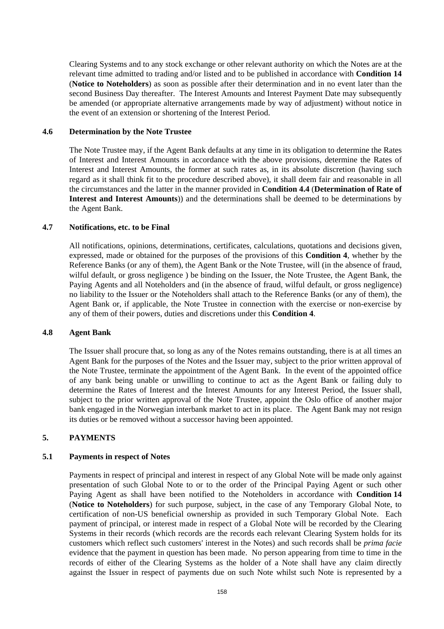Clearing Systems and to any stock exchange or other relevant authority on which the Notes are at the relevant time admitted to trading and/or listed and to be published in accordance with **Condition 14** (**Notice to Noteholders**) as soon as possible after their determination and in no event later than the second Business Day thereafter. The Interest Amounts and Interest Payment Date may subsequently be amended (or appropriate alternative arrangements made by way of adjustment) without notice in the event of an extension or shortening of the Interest Period.

#### **4.6 Determination by the Note Trustee**

The Note Trustee may, if the Agent Bank defaults at any time in its obligation to determine the Rates of Interest and Interest Amounts in accordance with the above provisions, determine the Rates of Interest and Interest Amounts, the former at such rates as, in its absolute discretion (having such regard as it shall think fit to the procedure described above), it shall deem fair and reasonable in all the circumstances and the latter in the manner provided in **Condition 4.4** (**Determination of Rate of Interest and Interest Amounts**)) and the determinations shall be deemed to be determinations by the Agent Bank.

## **4.7 Notifications, etc. to be Final**

All notifications, opinions, determinations, certificates, calculations, quotations and decisions given, expressed, made or obtained for the purposes of the provisions of this **Condition 4**, whether by the Reference Banks (or any of them), the Agent Bank or the Note Trustee, will (in the absence of fraud, wilful default, or gross negligence ) be binding on the Issuer, the Note Trustee, the Agent Bank, the Paying Agents and all Noteholders and (in the absence of fraud, wilful default, or gross negligence) no liability to the Issuer or the Noteholders shall attach to the Reference Banks (or any of them), the Agent Bank or, if applicable, the Note Trustee in connection with the exercise or non-exercise by any of them of their powers, duties and discretions under this **Condition 4**.

#### **4.8 Agent Bank**

The Issuer shall procure that, so long as any of the Notes remains outstanding, there is at all times an Agent Bank for the purposes of the Notes and the Issuer may, subject to the prior written approval of the Note Trustee, terminate the appointment of the Agent Bank. In the event of the appointed office of any bank being unable or unwilling to continue to act as the Agent Bank or failing duly to determine the Rates of Interest and the Interest Amounts for any Interest Period, the Issuer shall, subject to the prior written approval of the Note Trustee, appoint the Oslo office of another major bank engaged in the Norwegian interbank market to act in its place. The Agent Bank may not resign its duties or be removed without a successor having been appointed.

## **5. PAYMENTS**

#### **5.1 Payments in respect of Notes**

Payments in respect of principal and interest in respect of any Global Note will be made only against presentation of such Global Note to or to the order of the Principal Paying Agent or such other Paying Agent as shall have been notified to the Noteholders in accordance with **Condition 14**  (**Notice to Noteholders**) for such purpose, subject, in the case of any Temporary Global Note, to certification of non-US beneficial ownership as provided in such Temporary Global Note. Each payment of principal, or interest made in respect of a Global Note will be recorded by the Clearing Systems in their records (which records are the records each relevant Clearing System holds for its customers which reflect such customers' interest in the Notes) and such records shall be *prima facie* evidence that the payment in question has been made. No person appearing from time to time in the records of either of the Clearing Systems as the holder of a Note shall have any claim directly against the Issuer in respect of payments due on such Note whilst such Note is represented by a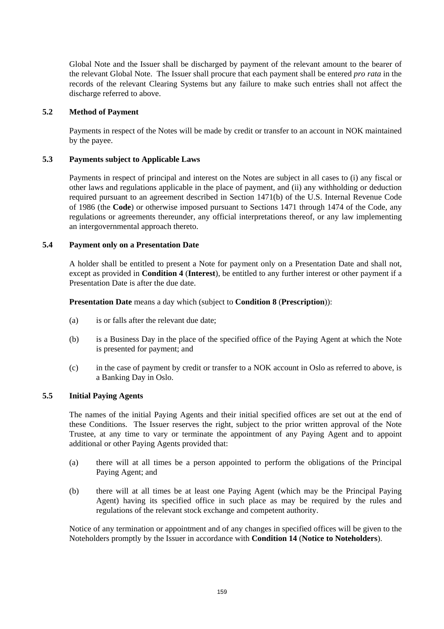Global Note and the Issuer shall be discharged by payment of the relevant amount to the bearer of the relevant Global Note. The Issuer shall procure that each payment shall be entered *pro rata* in the records of the relevant Clearing Systems but any failure to make such entries shall not affect the discharge referred to above.

#### **5.2 Method of Payment**

Payments in respect of the Notes will be made by credit or transfer to an account in NOK maintained by the payee.

#### **5.3 Payments subject to Applicable Laws**

Payments in respect of principal and interest on the Notes are subject in all cases to (i) any fiscal or other laws and regulations applicable in the place of payment, and (ii) any withholding or deduction required pursuant to an agreement described in Section 1471(b) of the U.S. Internal Revenue Code of 1986 (the **Code**) or otherwise imposed pursuant to Sections 1471 through 1474 of the Code, any regulations or agreements thereunder, any official interpretations thereof, or any law implementing an intergovernmental approach thereto.

#### **5.4 Payment only on a Presentation Date**

A holder shall be entitled to present a Note for payment only on a Presentation Date and shall not, except as provided in **Condition 4** (**Interest**), be entitled to any further interest or other payment if a Presentation Date is after the due date.

**Presentation Date** means a day which (subject to **Condition 8** (**Prescription**)):

- (a) is or falls after the relevant due date;
- (b) is a Business Day in the place of the specified office of the Paying Agent at which the Note is presented for payment; and
- (c) in the case of payment by credit or transfer to a NOK account in Oslo as referred to above, is a Banking Day in Oslo.

## **5.5 Initial Paying Agents**

The names of the initial Paying Agents and their initial specified offices are set out at the end of these Conditions. The Issuer reserves the right, subject to the prior written approval of the Note Trustee, at any time to vary or terminate the appointment of any Paying Agent and to appoint additional or other Paying Agents provided that:

- (a) there will at all times be a person appointed to perform the obligations of the Principal Paying Agent; and
- (b) there will at all times be at least one Paying Agent (which may be the Principal Paying Agent) having its specified office in such place as may be required by the rules and regulations of the relevant stock exchange and competent authority.

Notice of any termination or appointment and of any changes in specified offices will be given to the Noteholders promptly by the Issuer in accordance with **Condition 14** (**Notice to Noteholders**).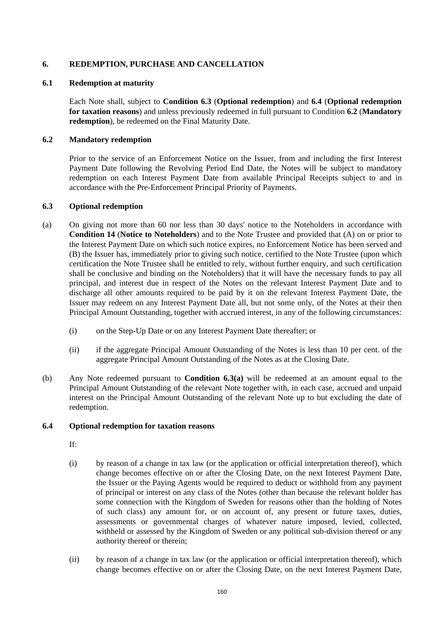## **6. REDEMPTION, PURCHASE AND CANCELLATION**

## **6.1 Redemption at maturity**

Each Note shall, subject to **Condition 6.3** (**Optional redemption**) and **6.4** (**Optional redemption for taxation reasons**) and unless previously redeemed in full pursuant to Condition **6.2** (**Mandatory redemption**), be redeemed on the Final Maturity Date.

## **6.2 Mandatory redemption**

Prior to the service of an Enforcement Notice on the Issuer, from and including the first Interest Payment Date following the Revolving Period End Date, the Notes will be subject to mandatory redemption on each Interest Payment Date from available Principal Receipts subject to and in accordance with the Pre-Enforcement Principal Priority of Payments.

## **6.3 Optional redemption**

- (a) On giving not more than 60 nor less than 30 days' notice to the Noteholders in accordance with **Condition 14** (**Notice to Noteholders**) and to the Note Trustee and provided that (A) on or prior to the Interest Payment Date on which such notice expires, no Enforcement Notice has been served and (B) the Issuer has, immediately prior to giving such notice, certified to the Note Trustee (upon which certification the Note Trustee shall be entitled to rely, without further enquiry, and such certification shall be conclusive and binding on the Noteholders) that it will have the necessary funds to pay all principal, and interest due in respect of the Notes on the relevant Interest Payment Date and to discharge all other amounts required to be paid by it on the relevant Interest Payment Date, the Issuer may redeem on any Interest Payment Date all, but not some only, of the Notes at their then Principal Amount Outstanding, together with accrued interest, in any of the following circumstances:
	- (i) on the Step-Up Date or on any Interest Payment Date thereafter; or
	- (ii) if the aggregate Principal Amount Outstanding of the Notes is less than 10 per cent. of the aggregate Principal Amount Outstanding of the Notes as at the Closing Date.
- (b) Any Note redeemed pursuant to **Condition 6.3(a)** will be redeemed at an amount equal to the Principal Amount Outstanding of the relevant Note together with, in each case, accrued and unpaid interest on the Principal Amount Outstanding of the relevant Note up to but excluding the date of redemption.

## **6.4 Optional redemption for taxation reasons**

- If:
- (i) by reason of a change in tax law (or the application or official interpretation thereof), which change becomes effective on or after the Closing Date, on the next Interest Payment Date, the Issuer or the Paying Agents would be required to deduct or withhold from any payment of principal or interest on any class of the Notes (other than because the relevant holder has some connection with the Kingdom of Sweden for reasons other than the holding of Notes of such class) any amount for, or on account of, any present or future taxes, duties, assessments or governmental charges of whatever nature imposed, levied, collected, withheld or assessed by the Kingdom of Sweden or any political sub-division thereof or any authority thereof or therein;
- (ii) by reason of a change in tax law (or the application or official interpretation thereof), which change becomes effective on or after the Closing Date, on the next Interest Payment Date,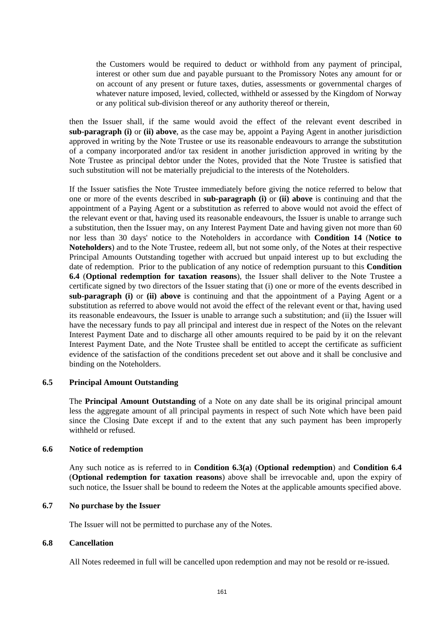the Customers would be required to deduct or withhold from any payment of principal, interest or other sum due and payable pursuant to the Promissory Notes any amount for or on account of any present or future taxes, duties, assessments or governmental charges of whatever nature imposed, levied, collected, withheld or assessed by the Kingdom of Norway or any political sub-division thereof or any authority thereof or therein,

then the Issuer shall, if the same would avoid the effect of the relevant event described in **sub-paragraph (i)** or **(ii) above**, as the case may be, appoint a Paying Agent in another jurisdiction approved in writing by the Note Trustee or use its reasonable endeavours to arrange the substitution of a company incorporated and/or tax resident in another jurisdiction approved in writing by the Note Trustee as principal debtor under the Notes, provided that the Note Trustee is satisfied that such substitution will not be materially prejudicial to the interests of the Noteholders.

If the Issuer satisfies the Note Trustee immediately before giving the notice referred to below that one or more of the events described in **sub-paragraph (i)** or **(ii) above** is continuing and that the appointment of a Paying Agent or a substitution as referred to above would not avoid the effect of the relevant event or that, having used its reasonable endeavours, the Issuer is unable to arrange such a substitution, then the Issuer may, on any Interest Payment Date and having given not more than 60 nor less than 30 days' notice to the Noteholders in accordance with **Condition 14** (**Notice to Noteholders**) and to the Note Trustee, redeem all, but not some only, of the Notes at their respective Principal Amounts Outstanding together with accrued but unpaid interest up to but excluding the date of redemption. Prior to the publication of any notice of redemption pursuant to this **Condition 6.4** (**Optional redemption for taxation reasons**), the Issuer shall deliver to the Note Trustee a certificate signed by two directors of the Issuer stating that (i) one or more of the events described in **sub-paragraph (i)** or **(ii) above** is continuing and that the appointment of a Paying Agent or a substitution as referred to above would not avoid the effect of the relevant event or that, having used its reasonable endeavours, the Issuer is unable to arrange such a substitution; and (ii) the Issuer will have the necessary funds to pay all principal and interest due in respect of the Notes on the relevant Interest Payment Date and to discharge all other amounts required to be paid by it on the relevant Interest Payment Date, and the Note Trustee shall be entitled to accept the certificate as sufficient evidence of the satisfaction of the conditions precedent set out above and it shall be conclusive and binding on the Noteholders.

## **6.5 Principal Amount Outstanding**

The **Principal Amount Outstanding** of a Note on any date shall be its original principal amount less the aggregate amount of all principal payments in respect of such Note which have been paid since the Closing Date except if and to the extent that any such payment has been improperly withheld or refused.

#### **6.6 Notice of redemption**

Any such notice as is referred to in **Condition 6.3(a)** (**Optional redemption**) and **Condition 6.4** (**Optional redemption for taxation reasons**) above shall be irrevocable and, upon the expiry of such notice, the Issuer shall be bound to redeem the Notes at the applicable amounts specified above.

## **6.7 No purchase by the Issuer**

The Issuer will not be permitted to purchase any of the Notes.

## **6.8 Cancellation**

All Notes redeemed in full will be cancelled upon redemption and may not be resold or re-issued.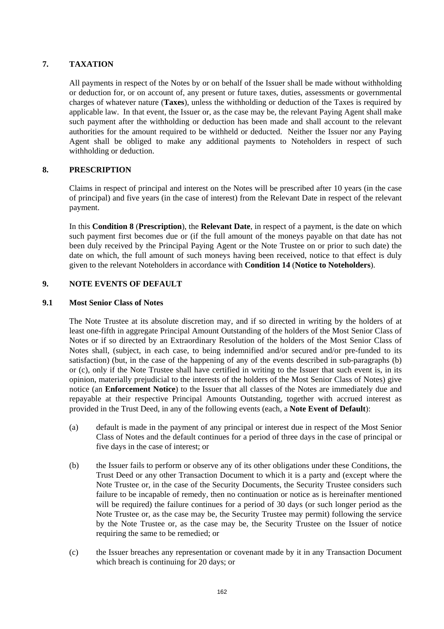# **7. TAXATION**

All payments in respect of the Notes by or on behalf of the Issuer shall be made without withholding or deduction for, or on account of, any present or future taxes, duties, assessments or governmental charges of whatever nature (**Taxes**), unless the withholding or deduction of the Taxes is required by applicable law. In that event, the Issuer or, as the case may be, the relevant Paying Agent shall make such payment after the withholding or deduction has been made and shall account to the relevant authorities for the amount required to be withheld or deducted. Neither the Issuer nor any Paying Agent shall be obliged to make any additional payments to Noteholders in respect of such withholding or deduction.

# **8. PRESCRIPTION**

Claims in respect of principal and interest on the Notes will be prescribed after 10 years (in the case of principal) and five years (in the case of interest) from the Relevant Date in respect of the relevant payment.

In this **Condition 8** (**Prescription**), the **Relevant Date**, in respect of a payment, is the date on which such payment first becomes due or (if the full amount of the moneys payable on that date has not been duly received by the Principal Paying Agent or the Note Trustee on or prior to such date) the date on which, the full amount of such moneys having been received, notice to that effect is duly given to the relevant Noteholders in accordance with **Condition 14** (**Notice to Noteholders**).

## **9. NOTE EVENTS OF DEFAULT**

## **9.1 Most Senior Class of Notes**

The Note Trustee at its absolute discretion may, and if so directed in writing by the holders of at least one-fifth in aggregate Principal Amount Outstanding of the holders of the Most Senior Class of Notes or if so directed by an Extraordinary Resolution of the holders of the Most Senior Class of Notes shall, (subject, in each case, to being indemnified and/or secured and/or pre-funded to its satisfaction) (but, in the case of the happening of any of the events described in sub-paragraphs (b) or (c), only if the Note Trustee shall have certified in writing to the Issuer that such event is, in its opinion, materially prejudicial to the interests of the holders of the Most Senior Class of Notes) give notice (an **Enforcement Notice**) to the Issuer that all classes of the Notes are immediately due and repayable at their respective Principal Amounts Outstanding, together with accrued interest as provided in the Trust Deed, in any of the following events (each, a **Note Event of Default**):

- (a) default is made in the payment of any principal or interest due in respect of the Most Senior Class of Notes and the default continues for a period of three days in the case of principal or five days in the case of interest; or
- (b) the Issuer fails to perform or observe any of its other obligations under these Conditions, the Trust Deed or any other Transaction Document to which it is a party and (except where the Note Trustee or, in the case of the Security Documents, the Security Trustee considers such failure to be incapable of remedy, then no continuation or notice as is hereinafter mentioned will be required) the failure continues for a period of 30 days (or such longer period as the Note Trustee or, as the case may be, the Security Trustee may permit) following the service by the Note Trustee or, as the case may be, the Security Trustee on the Issuer of notice requiring the same to be remedied; or
- (c) the Issuer breaches any representation or covenant made by it in any Transaction Document which breach is continuing for 20 days; or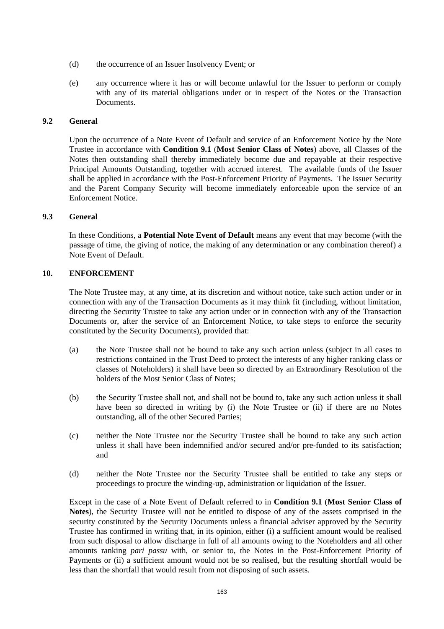- (d) the occurrence of an Issuer Insolvency Event; or
- (e) any occurrence where it has or will become unlawful for the Issuer to perform or comply with any of its material obligations under or in respect of the Notes or the Transaction Documents.

# **9.2 General**

Upon the occurrence of a Note Event of Default and service of an Enforcement Notice by the Note Trustee in accordance with **Condition 9.1** (**Most Senior Class of Notes**) above, all Classes of the Notes then outstanding shall thereby immediately become due and repayable at their respective Principal Amounts Outstanding, together with accrued interest. The available funds of the Issuer shall be applied in accordance with the Post-Enforcement Priority of Payments. The Issuer Security and the Parent Company Security will become immediately enforceable upon the service of an Enforcement Notice.

## **9.3 General**

In these Conditions, a **Potential Note Event of Default** means any event that may become (with the passage of time, the giving of notice, the making of any determination or any combination thereof) a Note Event of Default.

## **10. ENFORCEMENT**

The Note Trustee may, at any time, at its discretion and without notice, take such action under or in connection with any of the Transaction Documents as it may think fit (including, without limitation, directing the Security Trustee to take any action under or in connection with any of the Transaction Documents or, after the service of an Enforcement Notice, to take steps to enforce the security constituted by the Security Documents), provided that:

- (a) the Note Trustee shall not be bound to take any such action unless (subject in all cases to restrictions contained in the Trust Deed to protect the interests of any higher ranking class or classes of Noteholders) it shall have been so directed by an Extraordinary Resolution of the holders of the Most Senior Class of Notes;
- (b) the Security Trustee shall not, and shall not be bound to, take any such action unless it shall have been so directed in writing by (i) the Note Trustee or (ii) if there are no Notes outstanding, all of the other Secured Parties;
- (c) neither the Note Trustee nor the Security Trustee shall be bound to take any such action unless it shall have been indemnified and/or secured and/or pre-funded to its satisfaction; and
- (d) neither the Note Trustee nor the Security Trustee shall be entitled to take any steps or proceedings to procure the winding-up, administration or liquidation of the Issuer.

Except in the case of a Note Event of Default referred to in **Condition 9.1** (**Most Senior Class of Notes**), the Security Trustee will not be entitled to dispose of any of the assets comprised in the security constituted by the Security Documents unless a financial adviser approved by the Security Trustee has confirmed in writing that, in its opinion, either (i) a sufficient amount would be realised from such disposal to allow discharge in full of all amounts owing to the Noteholders and all other amounts ranking *pari passu* with, or senior to, the Notes in the Post-Enforcement Priority of Payments or (ii) a sufficient amount would not be so realised, but the resulting shortfall would be less than the shortfall that would result from not disposing of such assets.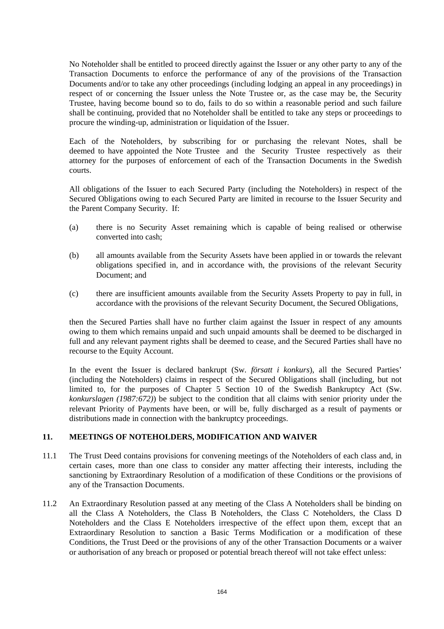No Noteholder shall be entitled to proceed directly against the Issuer or any other party to any of the Transaction Documents to enforce the performance of any of the provisions of the Transaction Documents and/or to take any other proceedings (including lodging an appeal in any proceedings) in respect of or concerning the Issuer unless the Note Trustee or, as the case may be, the Security Trustee, having become bound so to do, fails to do so within a reasonable period and such failure shall be continuing, provided that no Noteholder shall be entitled to take any steps or proceedings to procure the winding-up, administration or liquidation of the Issuer.

Each of the Noteholders, by subscribing for or purchasing the relevant Notes, shall be deemed to have appointed the Note Trustee and the Security Trustee respectively as their attorney for the purposes of enforcement of each of the Transaction Documents in the Swedish courts.

All obligations of the Issuer to each Secured Party (including the Noteholders) in respect of the Secured Obligations owing to each Secured Party are limited in recourse to the Issuer Security and the Parent Company Security. If:

- (a) there is no Security Asset remaining which is capable of being realised or otherwise converted into cash;
- (b) all amounts available from the Security Assets have been applied in or towards the relevant obligations specified in, and in accordance with, the provisions of the relevant Security Document; and
- (c) there are insufficient amounts available from the Security Assets Property to pay in full, in accordance with the provisions of the relevant Security Document, the Secured Obligations,

then the Secured Parties shall have no further claim against the Issuer in respect of any amounts owing to them which remains unpaid and such unpaid amounts shall be deemed to be discharged in full and any relevant payment rights shall be deemed to cease, and the Secured Parties shall have no recourse to the Equity Account.

In the event the Issuer is declared bankrupt (Sw*. försatt i konkurs*), all the Secured Parties' (including the Noteholders) claims in respect of the Secured Obligations shall (including, but not limited to, for the purposes of Chapter 5 Section 10 of the Swedish Bankruptcy Act (Sw. *konkurslagen (1987:672)*) be subject to the condition that all claims with senior priority under the relevant Priority of Payments have been, or will be, fully discharged as a result of payments or distributions made in connection with the bankruptcy proceedings.

## **11. MEETINGS OF NOTEHOLDERS, MODIFICATION AND WAIVER**

- 11.1 The Trust Deed contains provisions for convening meetings of the Noteholders of each class and, in certain cases, more than one class to consider any matter affecting their interests, including the sanctioning by Extraordinary Resolution of a modification of these Conditions or the provisions of any of the Transaction Documents.
- 11.2 An Extraordinary Resolution passed at any meeting of the Class A Noteholders shall be binding on all the Class A Noteholders, the Class B Noteholders, the Class C Noteholders, the Class D Noteholders and the Class E Noteholders irrespective of the effect upon them, except that an Extraordinary Resolution to sanction a Basic Terms Modification or a modification of these Conditions, the Trust Deed or the provisions of any of the other Transaction Documents or a waiver or authorisation of any breach or proposed or potential breach thereof will not take effect unless: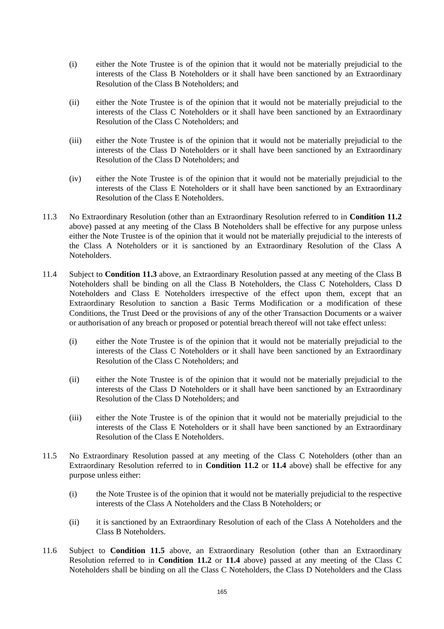- (i) either the Note Trustee is of the opinion that it would not be materially prejudicial to the interests of the Class B Noteholders or it shall have been sanctioned by an Extraordinary Resolution of the Class B Noteholders; and
- (ii) either the Note Trustee is of the opinion that it would not be materially prejudicial to the interests of the Class C Noteholders or it shall have been sanctioned by an Extraordinary Resolution of the Class C Noteholders; and
- (iii) either the Note Trustee is of the opinion that it would not be materially prejudicial to the interests of the Class D Noteholders or it shall have been sanctioned by an Extraordinary Resolution of the Class D Noteholders; and
- (iv) either the Note Trustee is of the opinion that it would not be materially prejudicial to the interests of the Class E Noteholders or it shall have been sanctioned by an Extraordinary Resolution of the Class E Noteholders.
- 11.3 No Extraordinary Resolution (other than an Extraordinary Resolution referred to in **Condition 11.2**  above) passed at any meeting of the Class B Noteholders shall be effective for any purpose unless either the Note Trustee is of the opinion that it would not be materially prejudicial to the interests of the Class A Noteholders or it is sanctioned by an Extraordinary Resolution of the Class A Noteholders.
- 11.4 Subject to **Condition 11.3** above, an Extraordinary Resolution passed at any meeting of the Class B Noteholders shall be binding on all the Class B Noteholders, the Class C Noteholders, Class D Noteholders and Class E Noteholders irrespective of the effect upon them, except that an Extraordinary Resolution to sanction a Basic Terms Modification or a modification of these Conditions, the Trust Deed or the provisions of any of the other Transaction Documents or a waiver or authorisation of any breach or proposed or potential breach thereof will not take effect unless:
	- (i) either the Note Trustee is of the opinion that it would not be materially prejudicial to the interests of the Class C Noteholders or it shall have been sanctioned by an Extraordinary Resolution of the Class C Noteholders; and
	- (ii) either the Note Trustee is of the opinion that it would not be materially prejudicial to the interests of the Class D Noteholders or it shall have been sanctioned by an Extraordinary Resolution of the Class D Noteholders; and
	- (iii) either the Note Trustee is of the opinion that it would not be materially prejudicial to the interests of the Class E Noteholders or it shall have been sanctioned by an Extraordinary Resolution of the Class E Noteholders.
- 11.5 No Extraordinary Resolution passed at any meeting of the Class C Noteholders (other than an Extraordinary Resolution referred to in **Condition 11.2** or **11.4** above) shall be effective for any purpose unless either:
	- (i) the Note Trustee is of the opinion that it would not be materially prejudicial to the respective interests of the Class A Noteholders and the Class B Noteholders; or
	- (ii) it is sanctioned by an Extraordinary Resolution of each of the Class A Noteholders and the Class B Noteholders.
- 11.6 Subject to **Condition 11.5** above, an Extraordinary Resolution (other than an Extraordinary Resolution referred to in **Condition 11.2** or **11.4** above) passed at any meeting of the Class C Noteholders shall be binding on all the Class C Noteholders, the Class D Noteholders and the Class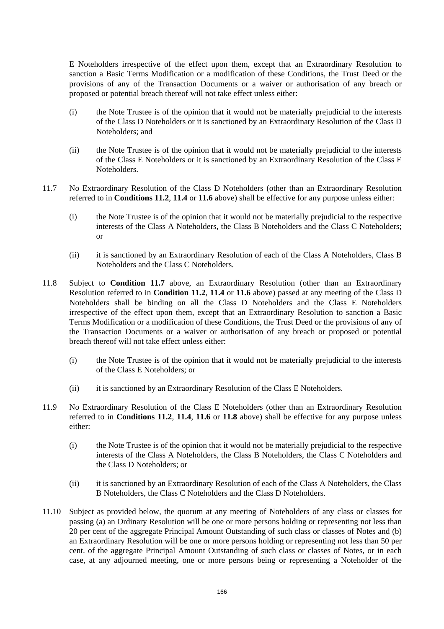E Noteholders irrespective of the effect upon them, except that an Extraordinary Resolution to sanction a Basic Terms Modification or a modification of these Conditions, the Trust Deed or the provisions of any of the Transaction Documents or a waiver or authorisation of any breach or proposed or potential breach thereof will not take effect unless either:

- (i) the Note Trustee is of the opinion that it would not be materially prejudicial to the interests of the Class D Noteholders or it is sanctioned by an Extraordinary Resolution of the Class D Noteholders; and
- (ii) the Note Trustee is of the opinion that it would not be materially prejudicial to the interests of the Class E Noteholders or it is sanctioned by an Extraordinary Resolution of the Class E Noteholders.
- 11.7 No Extraordinary Resolution of the Class D Noteholders (other than an Extraordinary Resolution referred to in **Conditions 11.2**, **11.4** or **11.6** above) shall be effective for any purpose unless either:
	- (i) the Note Trustee is of the opinion that it would not be materially prejudicial to the respective interests of the Class A Noteholders, the Class B Noteholders and the Class C Noteholders; or
	- (ii) it is sanctioned by an Extraordinary Resolution of each of the Class A Noteholders, Class B Noteholders and the Class C Noteholders.
- 11.8 Subject to **Condition 11.7** above, an Extraordinary Resolution (other than an Extraordinary Resolution referred to in **Condition 11.2**, **11.4** or **11.6** above) passed at any meeting of the Class D Noteholders shall be binding on all the Class D Noteholders and the Class E Noteholders irrespective of the effect upon them, except that an Extraordinary Resolution to sanction a Basic Terms Modification or a modification of these Conditions, the Trust Deed or the provisions of any of the Transaction Documents or a waiver or authorisation of any breach or proposed or potential breach thereof will not take effect unless either:
	- (i) the Note Trustee is of the opinion that it would not be materially prejudicial to the interests of the Class E Noteholders; or
	- (ii) it is sanctioned by an Extraordinary Resolution of the Class E Noteholders.
- 11.9 No Extraordinary Resolution of the Class E Noteholders (other than an Extraordinary Resolution referred to in **Conditions 11.2**, **11.4**, **11.6** or **11.8** above) shall be effective for any purpose unless either:
	- (i) the Note Trustee is of the opinion that it would not be materially prejudicial to the respective interests of the Class A Noteholders, the Class B Noteholders, the Class C Noteholders and the Class D Noteholders; or
	- (ii) it is sanctioned by an Extraordinary Resolution of each of the Class A Noteholders, the Class B Noteholders, the Class C Noteholders and the Class D Noteholders.
- 11.10 Subject as provided below, the quorum at any meeting of Noteholders of any class or classes for passing (a) an Ordinary Resolution will be one or more persons holding or representing not less than 20 per cent of the aggregate Principal Amount Outstanding of such class or classes of Notes and (b) an Extraordinary Resolution will be one or more persons holding or representing not less than 50 per cent. of the aggregate Principal Amount Outstanding of such class or classes of Notes, or in each case, at any adjourned meeting, one or more persons being or representing a Noteholder of the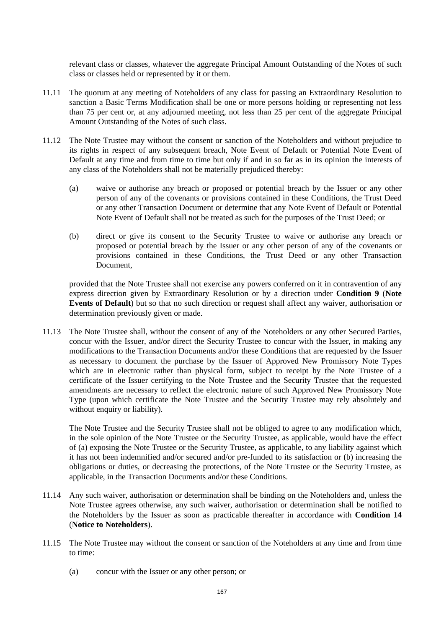relevant class or classes, whatever the aggregate Principal Amount Outstanding of the Notes of such class or classes held or represented by it or them.

- 11.11 The quorum at any meeting of Noteholders of any class for passing an Extraordinary Resolution to sanction a Basic Terms Modification shall be one or more persons holding or representing not less than 75 per cent or, at any adjourned meeting, not less than 25 per cent of the aggregate Principal Amount Outstanding of the Notes of such class.
- 11.12 The Note Trustee may without the consent or sanction of the Noteholders and without prejudice to its rights in respect of any subsequent breach, Note Event of Default or Potential Note Event of Default at any time and from time to time but only if and in so far as in its opinion the interests of any class of the Noteholders shall not be materially prejudiced thereby:
	- (a) waive or authorise any breach or proposed or potential breach by the Issuer or any other person of any of the covenants or provisions contained in these Conditions, the Trust Deed or any other Transaction Document or determine that any Note Event of Default or Potential Note Event of Default shall not be treated as such for the purposes of the Trust Deed; or
	- (b) direct or give its consent to the Security Trustee to waive or authorise any breach or proposed or potential breach by the Issuer or any other person of any of the covenants or provisions contained in these Conditions, the Trust Deed or any other Transaction Document,

provided that the Note Trustee shall not exercise any powers conferred on it in contravention of any express direction given by Extraordinary Resolution or by a direction under **Condition 9** (**Note Events of Default**) but so that no such direction or request shall affect any waiver, authorisation or determination previously given or made.

11.13 The Note Trustee shall, without the consent of any of the Noteholders or any other Secured Parties, concur with the Issuer, and/or direct the Security Trustee to concur with the Issuer, in making any modifications to the Transaction Documents and/or these Conditions that are requested by the Issuer as necessary to document the purchase by the Issuer of Approved New Promissory Note Types which are in electronic rather than physical form, subject to receipt by the Note Trustee of a certificate of the Issuer certifying to the Note Trustee and the Security Trustee that the requested amendments are necessary to reflect the electronic nature of such Approved New Promissory Note Type (upon which certificate the Note Trustee and the Security Trustee may rely absolutely and without enquiry or liability).

The Note Trustee and the Security Trustee shall not be obliged to agree to any modification which, in the sole opinion of the Note Trustee or the Security Trustee, as applicable, would have the effect of (a) exposing the Note Trustee or the Security Trustee, as applicable, to any liability against which it has not been indemnified and/or secured and/or pre-funded to its satisfaction or (b) increasing the obligations or duties, or decreasing the protections, of the Note Trustee or the Security Trustee, as applicable, in the Transaction Documents and/or these Conditions.

- 11.14 Any such waiver, authorisation or determination shall be binding on the Noteholders and, unless the Note Trustee agrees otherwise, any such waiver, authorisation or determination shall be notified to the Noteholders by the Issuer as soon as practicable thereafter in accordance with **Condition 14** (**Notice to Noteholders**).
- 11.15 The Note Trustee may without the consent or sanction of the Noteholders at any time and from time to time:
	- (a) concur with the Issuer or any other person; or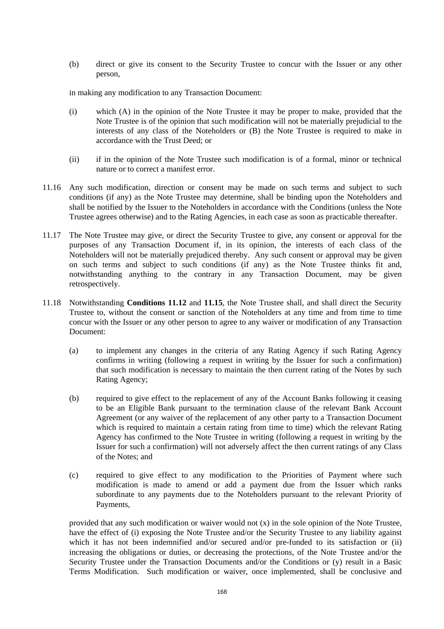(b) direct or give its consent to the Security Trustee to concur with the Issuer or any other person,

in making any modification to any Transaction Document:

- (i) which (A) in the opinion of the Note Trustee it may be proper to make, provided that the Note Trustee is of the opinion that such modification will not be materially prejudicial to the interests of any class of the Noteholders or (B) the Note Trustee is required to make in accordance with the Trust Deed; or
- (ii) if in the opinion of the Note Trustee such modification is of a formal, minor or technical nature or to correct a manifest error.
- 11.16 Any such modification, direction or consent may be made on such terms and subject to such conditions (if any) as the Note Trustee may determine, shall be binding upon the Noteholders and shall be notified by the Issuer to the Noteholders in accordance with the Conditions (unless the Note Trustee agrees otherwise) and to the Rating Agencies, in each case as soon as practicable thereafter.
- 11.17 The Note Trustee may give, or direct the Security Trustee to give, any consent or approval for the purposes of any Transaction Document if, in its opinion, the interests of each class of the Noteholders will not be materially prejudiced thereby. Any such consent or approval may be given on such terms and subject to such conditions (if any) as the Note Trustee thinks fit and, notwithstanding anything to the contrary in any Transaction Document, may be given retrospectively.
- 11.18 Notwithstanding **Conditions 11.12** and **11.15**, the Note Trustee shall, and shall direct the Security Trustee to, without the consent or sanction of the Noteholders at any time and from time to time concur with the Issuer or any other person to agree to any waiver or modification of any Transaction Document:
	- (a) to implement any changes in the criteria of any Rating Agency if such Rating Agency confirms in writing (following a request in writing by the Issuer for such a confirmation) that such modification is necessary to maintain the then current rating of the Notes by such Rating Agency;
	- (b) required to give effect to the replacement of any of the Account Banks following it ceasing to be an Eligible Bank pursuant to the termination clause of the relevant Bank Account Agreement (or any waiver of the replacement of any other party to a Transaction Document which is required to maintain a certain rating from time to time) which the relevant Rating Agency has confirmed to the Note Trustee in writing (following a request in writing by the Issuer for such a confirmation) will not adversely affect the then current ratings of any Class of the Notes; and
	- (c) required to give effect to any modification to the Priorities of Payment where such modification is made to amend or add a payment due from the Issuer which ranks subordinate to any payments due to the Noteholders pursuant to the relevant Priority of Payments,

provided that any such modification or waiver would not (x) in the sole opinion of the Note Trustee, have the effect of (i) exposing the Note Trustee and/or the Security Trustee to any liability against which it has not been indemnified and/or secured and/or pre-funded to its satisfaction or (ii) increasing the obligations or duties, or decreasing the protections, of the Note Trustee and/or the Security Trustee under the Transaction Documents and/or the Conditions or (y) result in a Basic Terms Modification. Such modification or waiver, once implemented, shall be conclusive and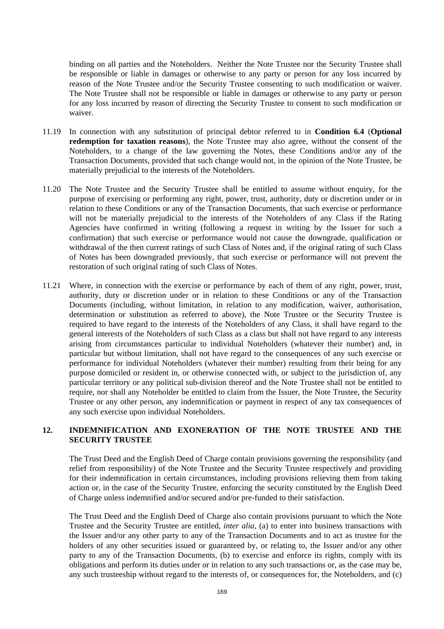binding on all parties and the Noteholders. Neither the Note Trustee nor the Security Trustee shall be responsible or liable in damages or otherwise to any party or person for any loss incurred by reason of the Note Trustee and/or the Security Trustee consenting to such modification or waiver. The Note Trustee shall not be responsible or liable in damages or otherwise to any party or person for any loss incurred by reason of directing the Security Trustee to consent to such modification or waiver.

- 11.19 In connection with any substitution of principal debtor referred to in **Condition 6.4** (**Optional redemption for taxation reasons**), the Note Trustee may also agree, without the consent of the Noteholders, to a change of the law governing the Notes, these Conditions and/or any of the Transaction Documents, provided that such change would not, in the opinion of the Note Trustee, be materially prejudicial to the interests of the Noteholders.
- 11.20 The Note Trustee and the Security Trustee shall be entitled to assume without enquiry, for the purpose of exercising or performing any right, power, trust, authority, duty or discretion under or in relation to these Conditions or any of the Transaction Documents, that such exercise or performance will not be materially prejudicial to the interests of the Noteholders of any Class if the Rating Agencies have confirmed in writing (following a request in writing by the Issuer for such a confirmation) that such exercise or performance would not cause the downgrade, qualification or withdrawal of the then current ratings of such Class of Notes and, if the original rating of such Class of Notes has been downgraded previously, that such exercise or performance will not prevent the restoration of such original rating of such Class of Notes.
- 11.21 Where, in connection with the exercise or performance by each of them of any right, power, trust, authority, duty or discretion under or in relation to these Conditions or any of the Transaction Documents (including, without limitation, in relation to any modification, waiver, authorisation, determination or substitution as referred to above), the Note Trustee or the Security Trustee is required to have regard to the interests of the Noteholders of any Class, it shall have regard to the general interests of the Noteholders of such Class as a class but shall not have regard to any interests arising from circumstances particular to individual Noteholders (whatever their number) and, in particular but without limitation, shall not have regard to the consequences of any such exercise or performance for individual Noteholders (whatever their number) resulting from their being for any purpose domiciled or resident in, or otherwise connected with, or subject to the jurisdiction of, any particular territory or any political sub-division thereof and the Note Trustee shall not be entitled to require, nor shall any Noteholder be entitled to claim from the Issuer, the Note Trustee, the Security Trustee or any other person, any indemnification or payment in respect of any tax consequences of any such exercise upon individual Noteholders.

## **12. INDEMNIFICATION AND EXONERATION OF THE NOTE TRUSTEE AND THE SECURITY TRUSTEE**

The Trust Deed and the English Deed of Charge contain provisions governing the responsibility (and relief from responsibility) of the Note Trustee and the Security Trustee respectively and providing for their indemnification in certain circumstances, including provisions relieving them from taking action or, in the case of the Security Trustee, enforcing the security constituted by the English Deed of Charge unless indemnified and/or secured and/or pre-funded to their satisfaction.

The Trust Deed and the English Deed of Charge also contain provisions pursuant to which the Note Trustee and the Security Trustee are entitled, *inter alia*, (a) to enter into business transactions with the Issuer and/or any other party to any of the Transaction Documents and to act as trustee for the holders of any other securities issued or guaranteed by, or relating to, the Issuer and/or any other party to any of the Transaction Documents, (b) to exercise and enforce its rights, comply with its obligations and perform its duties under or in relation to any such transactions or, as the case may be, any such trusteeship without regard to the interests of, or consequences for, the Noteholders, and (c)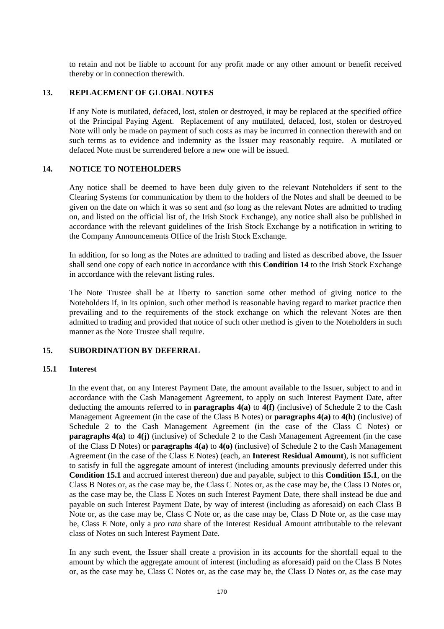to retain and not be liable to account for any profit made or any other amount or benefit received thereby or in connection therewith.

#### **13. REPLACEMENT OF GLOBAL NOTES**

If any Note is mutilated, defaced, lost, stolen or destroyed, it may be replaced at the specified office of the Principal Paying Agent. Replacement of any mutilated, defaced, lost, stolen or destroyed Note will only be made on payment of such costs as may be incurred in connection therewith and on such terms as to evidence and indemnity as the Issuer may reasonably require. A mutilated or defaced Note must be surrendered before a new one will be issued.

#### **14. NOTICE TO NOTEHOLDERS**

Any notice shall be deemed to have been duly given to the relevant Noteholders if sent to the Clearing Systems for communication by them to the holders of the Notes and shall be deemed to be given on the date on which it was so sent and (so long as the relevant Notes are admitted to trading on, and listed on the official list of, the Irish Stock Exchange), any notice shall also be published in accordance with the relevant guidelines of the Irish Stock Exchange by a notification in writing to the Company Announcements Office of the Irish Stock Exchange.

In addition, for so long as the Notes are admitted to trading and listed as described above, the Issuer shall send one copy of each notice in accordance with this **Condition 14** to the Irish Stock Exchange in accordance with the relevant listing rules.

The Note Trustee shall be at liberty to sanction some other method of giving notice to the Noteholders if, in its opinion, such other method is reasonable having regard to market practice then prevailing and to the requirements of the stock exchange on which the relevant Notes are then admitted to trading and provided that notice of such other method is given to the Noteholders in such manner as the Note Trustee shall require.

## **15. SUBORDINATION BY DEFERRAL**

#### **15.1 Interest**

In the event that, on any Interest Payment Date, the amount available to the Issuer, subject to and in accordance with the Cash Management Agreement, to apply on such Interest Payment Date, after deducting the amounts referred to in **paragraphs 4(a)** to **4(f)** (inclusive) of Schedule 2 to the Cash Management Agreement (in the case of the Class B Notes) or **paragraphs 4(a)** to **4(h)** (inclusive) of Schedule 2 to the Cash Management Agreement (in the case of the Class C Notes) or **paragraphs 4(a)** to **4(j)** (inclusive) of Schedule 2 to the Cash Management Agreement (in the case of the Class D Notes) or **paragraphs 4(a)** to **4(o)** (inclusive) of Schedule 2 to the Cash Management Agreement (in the case of the Class E Notes) (each, an **Interest Residual Amount**), is not sufficient to satisfy in full the aggregate amount of interest (including amounts previously deferred under this **Condition 15.1** and accrued interest thereon) due and payable, subject to this **Condition 15.1**, on the Class B Notes or, as the case may be, the Class C Notes or, as the case may be, the Class D Notes or, as the case may be, the Class E Notes on such Interest Payment Date, there shall instead be due and payable on such Interest Payment Date, by way of interest (including as aforesaid) on each Class B Note or, as the case may be, Class C Note or, as the case may be, Class D Note or, as the case may be, Class E Note, only a *pro rata* share of the Interest Residual Amount attributable to the relevant class of Notes on such Interest Payment Date.

In any such event, the Issuer shall create a provision in its accounts for the shortfall equal to the amount by which the aggregate amount of interest (including as aforesaid) paid on the Class B Notes or, as the case may be, Class C Notes or, as the case may be, the Class D Notes or, as the case may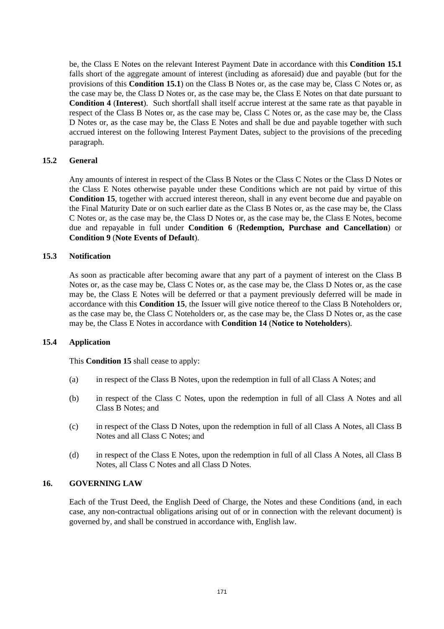be, the Class E Notes on the relevant Interest Payment Date in accordance with this **Condition 15.1** falls short of the aggregate amount of interest (including as aforesaid) due and payable (but for the provisions of this **Condition 15.1**) on the Class B Notes or, as the case may be, Class C Notes or, as the case may be, the Class D Notes or, as the case may be, the Class E Notes on that date pursuant to **Condition 4** (**Interest**). Such shortfall shall itself accrue interest at the same rate as that payable in respect of the Class B Notes or, as the case may be, Class C Notes or, as the case may be, the Class D Notes or, as the case may be, the Class E Notes and shall be due and payable together with such accrued interest on the following Interest Payment Dates, subject to the provisions of the preceding paragraph.

## **15.2 General**

Any amounts of interest in respect of the Class B Notes or the Class C Notes or the Class D Notes or the Class E Notes otherwise payable under these Conditions which are not paid by virtue of this **Condition 15**, together with accrued interest thereon, shall in any event become due and payable on the Final Maturity Date or on such earlier date as the Class B Notes or, as the case may be, the Class C Notes or, as the case may be, the Class D Notes or, as the case may be, the Class E Notes, become due and repayable in full under **Condition 6** (**Redemption, Purchase and Cancellation**) or **Condition 9** (**Note Events of Default**).

#### **15.3 Notification**

As soon as practicable after becoming aware that any part of a payment of interest on the Class B Notes or, as the case may be, Class C Notes or, as the case may be, the Class D Notes or, as the case may be, the Class E Notes will be deferred or that a payment previously deferred will be made in accordance with this **Condition 15**, the Issuer will give notice thereof to the Class B Noteholders or, as the case may be, the Class C Noteholders or, as the case may be, the Class D Notes or, as the case may be, the Class E Notes in accordance with **Condition 14** (**Notice to Noteholders**).

#### **15.4 Application**

This **Condition 15** shall cease to apply:

- (a) in respect of the Class B Notes, upon the redemption in full of all Class A Notes; and
- (b) in respect of the Class C Notes, upon the redemption in full of all Class A Notes and all Class B Notes; and
- (c) in respect of the Class D Notes, upon the redemption in full of all Class A Notes, all Class B Notes and all Class C Notes; and
- (d) in respect of the Class E Notes, upon the redemption in full of all Class A Notes, all Class B Notes, all Class C Notes and all Class D Notes.

## **16. GOVERNING LAW**

Each of the Trust Deed, the English Deed of Charge, the Notes and these Conditions (and, in each case, any non-contractual obligations arising out of or in connection with the relevant document) is governed by, and shall be construed in accordance with, English law.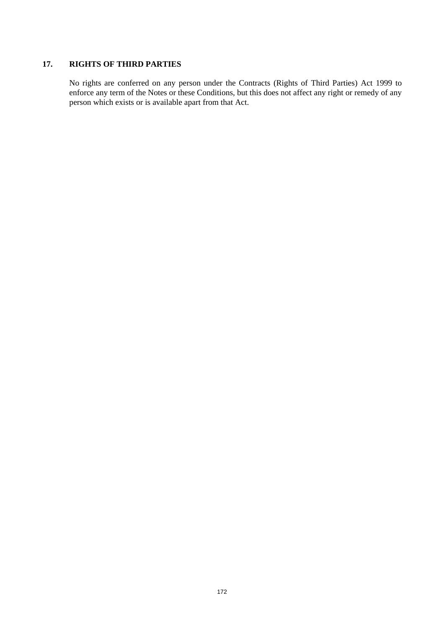# **17. RIGHTS OF THIRD PARTIES**

No rights are conferred on any person under the Contracts (Rights of Third Parties) Act 1999 to enforce any term of the Notes or these Conditions, but this does not affect any right or remedy of any person which exists or is available apart from that Act.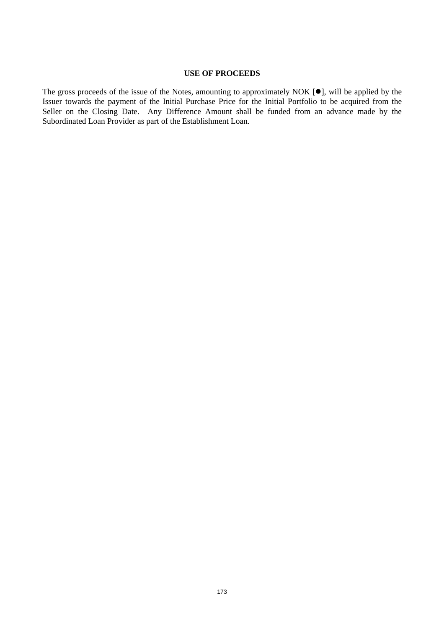## **USE OF PROCEEDS**

The gross proceeds of the issue of the Notes, amounting to approximately NOK  $[•]$ , will be applied by the Issuer towards the payment of the Initial Purchase Price for the Initial Portfolio to be acquired from the Seller on the Closing Date. Any Difference Amount shall be funded from an advance made by the Subordinated Loan Provider as part of the Establishment Loan.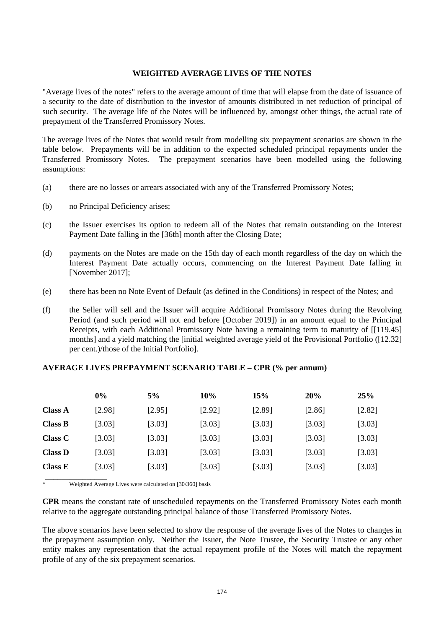## **WEIGHTED AVERAGE LIVES OF THE NOTES**

"Average lives of the notes" refers to the average amount of time that will elapse from the date of issuance of a security to the date of distribution to the investor of amounts distributed in net reduction of principal of such security. The average life of the Notes will be influenced by, amongst other things, the actual rate of prepayment of the Transferred Promissory Notes.

The average lives of the Notes that would result from modelling six prepayment scenarios are shown in the table below. Prepayments will be in addition to the expected scheduled principal repayments under the Transferred Promissory Notes. The prepayment scenarios have been modelled using the following assumptions:

- (a) there are no losses or arrears associated with any of the Transferred Promissory Notes;
- (b) no Principal Deficiency arises;
- (c) the Issuer exercises its option to redeem all of the Notes that remain outstanding on the Interest Payment Date falling in the [36th] month after the Closing Date;
- (d) payments on the Notes are made on the 15th day of each month regardless of the day on which the Interest Payment Date actually occurs, commencing on the Interest Payment Date falling in [November 2017];
- (e) there has been no Note Event of Default (as defined in the Conditions) in respect of the Notes; and
- (f) the Seller will sell and the Issuer will acquire Additional Promissory Notes during the Revolving Period (and such period will not end before [October 2019]) in an amount equal to the Principal Receipts, with each Additional Promissory Note having a remaining term to maturity of [[119.45] months] and a yield matching the [initial weighted average yield of the Provisional Portfolio ([12.32] per cent.)/those of the Initial Portfolio].

# **AVERAGE LIVES PREPAYMENT SCENARIO TABLE – CPR (% per annum)**

|                | $0\%$  | 5%     | 10%    | 15%    | 20%    | 25%    |
|----------------|--------|--------|--------|--------|--------|--------|
| <b>Class A</b> | [2.98] | [2.95] | [2.92] | [2.89] | [2.86] | [2.82] |
| <b>Class B</b> | [3.03] | [3.03] | [3.03] | [3.03] | [3.03] | [3.03] |
| <b>Class C</b> | [3.03] | [3.03] | [3.03] | [3.03] | [3.03] | [3.03] |
| <b>Class D</b> | [3.03] | [3.03] | [3.03] | [3.03] | [3.03] | [3.03] |
| <b>Class E</b> | [3.03] | [3.03] | [3.03] | [3.03] | [3.03] | [3.03] |
|                |        |        |        |        |        |        |

Weighted Average Lives were calculated on [30/360] basis

**CPR** means the constant rate of unscheduled repayments on the Transferred Promissory Notes each month relative to the aggregate outstanding principal balance of those Transferred Promissory Notes.

The above scenarios have been selected to show the response of the average lives of the Notes to changes in the prepayment assumption only. Neither the Issuer, the Note Trustee, the Security Trustee or any other entity makes any representation that the actual repayment profile of the Notes will match the repayment profile of any of the six prepayment scenarios.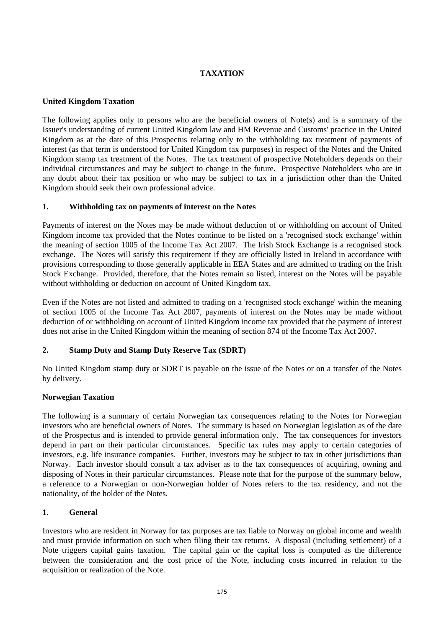# **TAXATION**

# **United Kingdom Taxation**

The following applies only to persons who are the beneficial owners of Note(s) and is a summary of the Issuer's understanding of current United Kingdom law and HM Revenue and Customs' practice in the United Kingdom as at the date of this Prospectus relating only to the withholding tax treatment of payments of interest (as that term is understood for United Kingdom tax purposes) in respect of the Notes and the United Kingdom stamp tax treatment of the Notes. The tax treatment of prospective Noteholders depends on their individual circumstances and may be subject to change in the future. Prospective Noteholders who are in any doubt about their tax position or who may be subject to tax in a jurisdiction other than the United Kingdom should seek their own professional advice.

## **1. Withholding tax on payments of interest on the Notes**

Payments of interest on the Notes may be made without deduction of or withholding on account of United Kingdom income tax provided that the Notes continue to be listed on a 'recognised stock exchange' within the meaning of section 1005 of the Income Tax Act 2007. The Irish Stock Exchange is a recognised stock exchange. The Notes will satisfy this requirement if they are officially listed in Ireland in accordance with provisions corresponding to those generally applicable in EEA States and are admitted to trading on the Irish Stock Exchange. Provided, therefore, that the Notes remain so listed, interest on the Notes will be payable without withholding or deduction on account of United Kingdom tax.

Even if the Notes are not listed and admitted to trading on a 'recognised stock exchange' within the meaning of section 1005 of the Income Tax Act 2007, payments of interest on the Notes may be made without deduction of or withholding on account of United Kingdom income tax provided that the payment of interest does not arise in the United Kingdom within the meaning of section 874 of the Income Tax Act 2007.

# **2. Stamp Duty and Stamp Duty Reserve Tax (SDRT)**

No United Kingdom stamp duty or SDRT is payable on the issue of the Notes or on a transfer of the Notes by delivery.

## **Norwegian Taxation**

The following is a summary of certain Norwegian tax consequences relating to the Notes for Norwegian investors who are beneficial owners of Notes. The summary is based on Norwegian legislation as of the date of the Prospectus and is intended to provide general information only. The tax consequences for investors depend in part on their particular circumstances. Specific tax rules may apply to certain categories of investors, e.g. life insurance companies. Further, investors may be subject to tax in other jurisdictions than Norway. Each investor should consult a tax adviser as to the tax consequences of acquiring, owning and disposing of Notes in their particular circumstances. Please note that for the purpose of the summary below, a reference to a Norwegian or non-Norwegian holder of Notes refers to the tax residency, and not the nationality, of the holder of the Notes.

# **1. General**

Investors who are resident in Norway for tax purposes are tax liable to Norway on global income and wealth and must provide information on such when filing their tax returns. A disposal (including settlement) of a Note triggers capital gains taxation. The capital gain or the capital loss is computed as the difference between the consideration and the cost price of the Note, including costs incurred in relation to the acquisition or realization of the Note.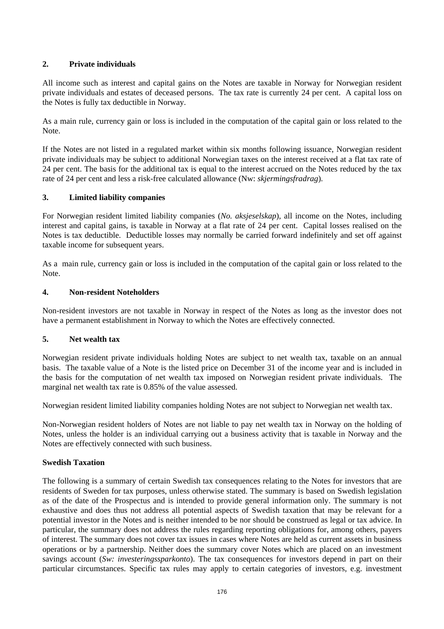# **2. Private individuals**

All income such as interest and capital gains on the Notes are taxable in Norway for Norwegian resident private individuals and estates of deceased persons. The tax rate is currently 24 per cent. A capital loss on the Notes is fully tax deductible in Norway.

As a main rule, currency gain or loss is included in the computation of the capital gain or loss related to the Note.

If the Notes are not listed in a regulated market within six months following issuance, Norwegian resident private individuals may be subject to additional Norwegian taxes on the interest received at a flat tax rate of 24 per cent. The basis for the additional tax is equal to the interest accrued on the Notes reduced by the tax rate of 24 per cent and less a risk-free calculated allowance (Nw: *skjermingsfradrag*).

# **3. Limited liability companies**

For Norwegian resident limited liability companies (*No. aksjeselskap*), all income on the Notes, including interest and capital gains, is taxable in Norway at a flat rate of 24 per cent. Capital losses realised on the Notes is tax deductible. Deductible losses may normally be carried forward indefinitely and set off against taxable income for subsequent years.

As a main rule, currency gain or loss is included in the computation of the capital gain or loss related to the Note.

## **4. Non-resident Noteholders**

Non-resident investors are not taxable in Norway in respect of the Notes as long as the investor does not have a permanent establishment in Norway to which the Notes are effectively connected.

# **5. Net wealth tax**

Norwegian resident private individuals holding Notes are subject to net wealth tax, taxable on an annual basis. The taxable value of a Note is the listed price on December 31 of the income year and is included in the basis for the computation of net wealth tax imposed on Norwegian resident private individuals. The marginal net wealth tax rate is 0.85% of the value assessed.

Norwegian resident limited liability companies holding Notes are not subject to Norwegian net wealth tax.

Non-Norwegian resident holders of Notes are not liable to pay net wealth tax in Norway on the holding of Notes, unless the holder is an individual carrying out a business activity that is taxable in Norway and the Notes are effectively connected with such business.

# **Swedish Taxation**

The following is a summary of certain Swedish tax consequences relating to the Notes for investors that are residents of Sweden for tax purposes, unless otherwise stated. The summary is based on Swedish legislation as of the date of the Prospectus and is intended to provide general information only. The summary is not exhaustive and does thus not address all potential aspects of Swedish taxation that may be relevant for a potential investor in the Notes and is neither intended to be nor should be construed as legal or tax advice. In particular, the summary does not address the rules regarding reporting obligations for, among others, payers of interest. The summary does not cover tax issues in cases where Notes are held as current assets in business operations or by a partnership. Neither does the summary cover Notes which are placed on an investment savings account (*Sw: investeringssparkonto*). The tax consequences for investors depend in part on their particular circumstances. Specific tax rules may apply to certain categories of investors, e.g. investment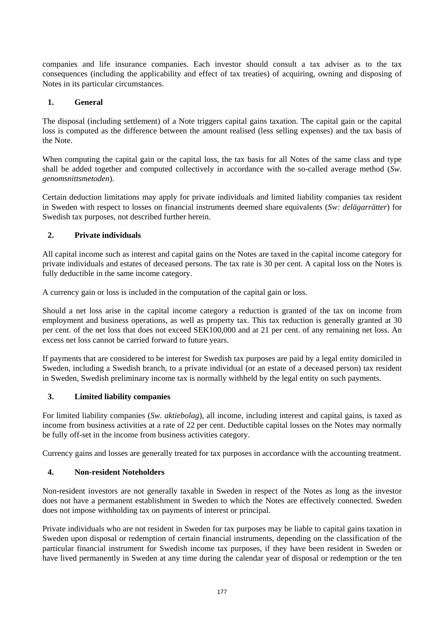companies and life insurance companies. Each investor should consult a tax adviser as to the tax consequences (including the applicability and effect of tax treaties) of acquiring, owning and disposing of Notes in its particular circumstances.

# **1. General**

The disposal (including settlement) of a Note triggers capital gains taxation. The capital gain or the capital loss is computed as the difference between the amount realised (less selling expenses) and the tax basis of the Note.

When computing the capital gain or the capital loss, the tax basis for all Notes of the same class and type shall be added together and computed collectively in accordance with the so-called average method (*Sw. genomsnittsmetoden*).

Certain deduction limitations may apply for private individuals and limited liability companies tax resident in Sweden with respect to losses on financial instruments deemed share equivalents (*Sw: delägarrätter*) for Swedish tax purposes, not described further herein.

## **2. Private individuals**

All capital income such as interest and capital gains on the Notes are taxed in the capital income category for private individuals and estates of deceased persons. The tax rate is 30 per cent. A capital loss on the Notes is fully deductible in the same income category.

A currency gain or loss is included in the computation of the capital gain or loss.

Should a net loss arise in the capital income category a reduction is granted of the tax on income from employment and business operations, as well as property tax. This tax reduction is generally granted at 30 per cent. of the net loss that does not exceed SEK100,000 and at 21 per cent. of any remaining net loss. An excess net loss cannot be carried forward to future years.

If payments that are considered to be interest for Swedish tax purposes are paid by a legal entity domiciled in Sweden, including a Swedish branch, to a private individual (or an estate of a deceased person) tax resident in Sweden, Swedish preliminary income tax is normally withheld by the legal entity on such payments.

## **3. Limited liability companies**

For limited liability companies (*Sw. aktiebolag*), all income, including interest and capital gains, is taxed as income from business activities at a rate of 22 per cent. Deductible capital losses on the Notes may normally be fully off-set in the income from business activities category.

Currency gains and losses are generally treated for tax purposes in accordance with the accounting treatment.

## **4. Non-resident Noteholders**

Non-resident investors are not generally taxable in Sweden in respect of the Notes as long as the investor does not have a permanent establishment in Sweden to which the Notes are effectively connected. Sweden does not impose withholding tax on payments of interest or principal.

Private individuals who are not resident in Sweden for tax purposes may be liable to capital gains taxation in Sweden upon disposal or redemption of certain financial instruments, depending on the classification of the particular financial instrument for Swedish income tax purposes, if they have been resident in Sweden or have lived permanently in Sweden at any time during the calendar year of disposal or redemption or the ten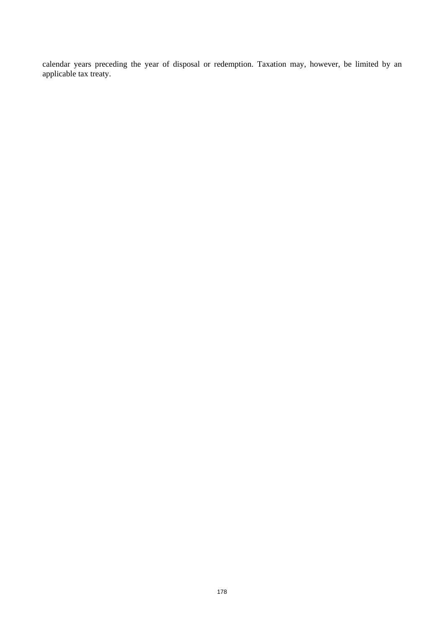calendar years preceding the year of disposal or redemption. Taxation may, however, be limited by an applicable tax treaty.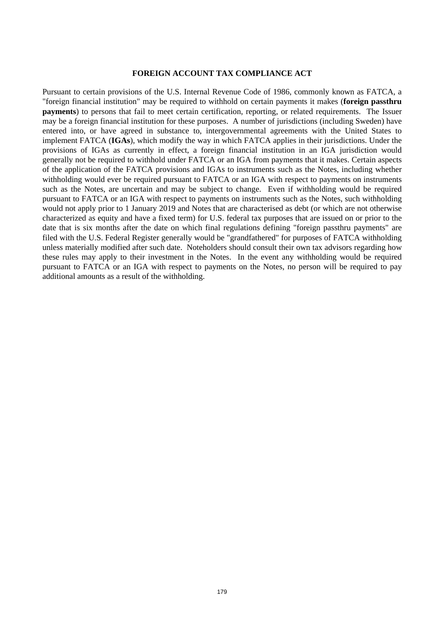#### **FOREIGN ACCOUNT TAX COMPLIANCE ACT**

Pursuant to certain provisions of the U.S. Internal Revenue Code of 1986, commonly known as FATCA, a "foreign financial institution" may be required to withhold on certain payments it makes (**foreign passthru payments**) to persons that fail to meet certain certification, reporting, or related requirements. The Issuer may be a foreign financial institution for these purposes. A number of jurisdictions (including Sweden) have entered into, or have agreed in substance to, intergovernmental agreements with the United States to implement FATCA (**IGAs**), which modify the way in which FATCA applies in their jurisdictions. Under the provisions of IGAs as currently in effect, a foreign financial institution in an IGA jurisdiction would generally not be required to withhold under FATCA or an IGA from payments that it makes. Certain aspects of the application of the FATCA provisions and IGAs to instruments such as the Notes, including whether withholding would ever be required pursuant to FATCA or an IGA with respect to payments on instruments such as the Notes, are uncertain and may be subject to change. Even if withholding would be required pursuant to FATCA or an IGA with respect to payments on instruments such as the Notes, such withholding would not apply prior to 1 January 2019 and Notes that are characterised as debt (or which are not otherwise characterized as equity and have a fixed term) for U.S. federal tax purposes that are issued on or prior to the date that is six months after the date on which final regulations defining "foreign passthru payments" are filed with the U.S. Federal Register generally would be "grandfathered" for purposes of FATCA withholding unless materially modified after such date. Noteholders should consult their own tax advisors regarding how these rules may apply to their investment in the Notes. In the event any withholding would be required pursuant to FATCA or an IGA with respect to payments on the Notes, no person will be required to pay additional amounts as a result of the withholding.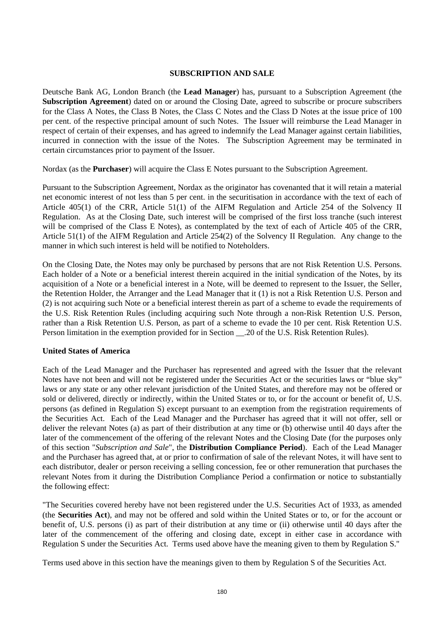#### **SUBSCRIPTION AND SALE**

Deutsche Bank AG, London Branch (the **Lead Manager**) has, pursuant to a Subscription Agreement (the **Subscription Agreement**) dated on or around the Closing Date, agreed to subscribe or procure subscribers for the Class A Notes, the Class B Notes, the Class C Notes and the Class D Notes at the issue price of 100 per cent. of the respective principal amount of such Notes. The Issuer will reimburse the Lead Manager in respect of certain of their expenses, and has agreed to indemnify the Lead Manager against certain liabilities, incurred in connection with the issue of the Notes. The Subscription Agreement may be terminated in certain circumstances prior to payment of the Issuer.

Nordax (as the **Purchaser**) will acquire the Class E Notes pursuant to the Subscription Agreement.

Pursuant to the Subscription Agreement, Nordax as the originator has covenanted that it will retain a material net economic interest of not less than 5 per cent. in the securitisation in accordance with the text of each of Article 405(1) of the CRR, Article 51(1) of the AIFM Regulation and Article 254 of the Solvency II Regulation. As at the Closing Date, such interest will be comprised of the first loss tranche (such interest will be comprised of the Class E Notes), as contemplated by the text of each of Article 405 of the CRR, Article 51(1) of the AIFM Regulation and Article 254(2) of the Solvency II Regulation. Any change to the manner in which such interest is held will be notified to Noteholders.

On the Closing Date, the Notes may only be purchased by persons that are not Risk Retention U.S. Persons. Each holder of a Note or a beneficial interest therein acquired in the initial syndication of the Notes, by its acquisition of a Note or a beneficial interest in a Note, will be deemed to represent to the Issuer, the Seller, the Retention Holder, the Arranger and the Lead Manager that it (1) is not a Risk Retention U.S. Person and (2) is not acquiring such Note or a beneficial interest therein as part of a scheme to evade the requirements of the U.S. Risk Retention Rules (including acquiring such Note through a non-Risk Retention U.S. Person, rather than a Risk Retention U.S. Person, as part of a scheme to evade the 10 per cent. Risk Retention U.S. Person limitation in the exemption provided for in Section .20 of the U.S. Risk Retention Rules).

## **United States of America**

Each of the Lead Manager and the Purchaser has represented and agreed with the Issuer that the relevant Notes have not been and will not be registered under the Securities Act or the securities laws or "blue sky" laws or any state or any other relevant jurisdiction of the United States, and therefore may not be offered or sold or delivered, directly or indirectly, within the United States or to, or for the account or benefit of, U.S. persons (as defined in Regulation S) except pursuant to an exemption from the registration requirements of the Securities Act. Each of the Lead Manager and the Purchaser has agreed that it will not offer, sell or deliver the relevant Notes (a) as part of their distribution at any time or (b) otherwise until 40 days after the later of the commencement of the offering of the relevant Notes and the Closing Date (for the purposes only of this section "*Subscription and Sale*", the **Distribution Compliance Period**). Each of the Lead Manager and the Purchaser has agreed that, at or prior to confirmation of sale of the relevant Notes, it will have sent to each distributor, dealer or person receiving a selling concession, fee or other remuneration that purchases the relevant Notes from it during the Distribution Compliance Period a confirmation or notice to substantially the following effect:

"The Securities covered hereby have not been registered under the U.S. Securities Act of 1933, as amended (the **Securities Act**), and may not be offered and sold within the United States or to, or for the account or benefit of, U.S. persons (i) as part of their distribution at any time or (ii) otherwise until 40 days after the later of the commencement of the offering and closing date, except in either case in accordance with Regulation S under the Securities Act. Terms used above have the meaning given to them by Regulation S."

Terms used above in this section have the meanings given to them by Regulation S of the Securities Act.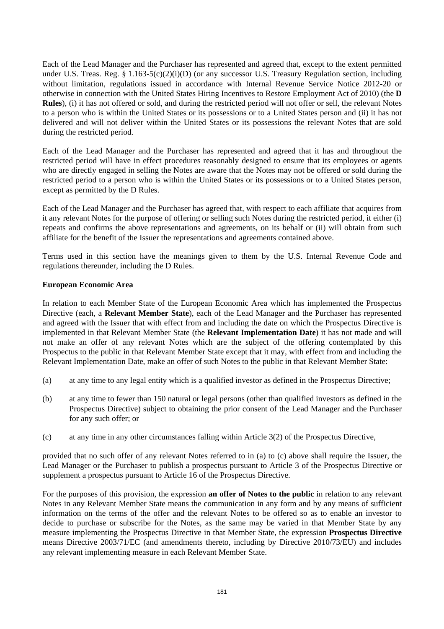Each of the Lead Manager and the Purchaser has represented and agreed that, except to the extent permitted under U.S. Treas. Reg. § 1.163-5(c)(2)(i)(D) (or any successor U.S. Treasury Regulation section, including without limitation, regulations issued in accordance with Internal Revenue Service Notice 2012-20 or otherwise in connection with the United States Hiring Incentives to Restore Employment Act of 2010) (the **D Rules**), (i) it has not offered or sold, and during the restricted period will not offer or sell, the relevant Notes to a person who is within the United States or its possessions or to a United States person and (ii) it has not delivered and will not deliver within the United States or its possessions the relevant Notes that are sold during the restricted period.

Each of the Lead Manager and the Purchaser has represented and agreed that it has and throughout the restricted period will have in effect procedures reasonably designed to ensure that its employees or agents who are directly engaged in selling the Notes are aware that the Notes may not be offered or sold during the restricted period to a person who is within the United States or its possessions or to a United States person, except as permitted by the D Rules.

Each of the Lead Manager and the Purchaser has agreed that, with respect to each affiliate that acquires from it any relevant Notes for the purpose of offering or selling such Notes during the restricted period, it either (i) repeats and confirms the above representations and agreements, on its behalf or (ii) will obtain from such affiliate for the benefit of the Issuer the representations and agreements contained above.

Terms used in this section have the meanings given to them by the U.S. Internal Revenue Code and regulations thereunder, including the D Rules.

#### **European Economic Area**

In relation to each Member State of the European Economic Area which has implemented the Prospectus Directive (each, a **Relevant Member State**), each of the Lead Manager and the Purchaser has represented and agreed with the Issuer that with effect from and including the date on which the Prospectus Directive is implemented in that Relevant Member State (the **Relevant Implementation Date**) it has not made and will not make an offer of any relevant Notes which are the subject of the offering contemplated by this Prospectus to the public in that Relevant Member State except that it may, with effect from and including the Relevant Implementation Date, make an offer of such Notes to the public in that Relevant Member State:

- (a) at any time to any legal entity which is a qualified investor as defined in the Prospectus Directive;
- (b) at any time to fewer than 150 natural or legal persons (other than qualified investors as defined in the Prospectus Directive) subject to obtaining the prior consent of the Lead Manager and the Purchaser for any such offer; or
- (c) at any time in any other circumstances falling within Article 3(2) of the Prospectus Directive,

provided that no such offer of any relevant Notes referred to in (a) to (c) above shall require the Issuer, the Lead Manager or the Purchaser to publish a prospectus pursuant to Article 3 of the Prospectus Directive or supplement a prospectus pursuant to Article 16 of the Prospectus Directive.

For the purposes of this provision, the expression **an offer of Notes to the public** in relation to any relevant Notes in any Relevant Member State means the communication in any form and by any means of sufficient information on the terms of the offer and the relevant Notes to be offered so as to enable an investor to decide to purchase or subscribe for the Notes, as the same may be varied in that Member State by any measure implementing the Prospectus Directive in that Member State, the expression **Prospectus Directive** means Directive 2003/71/EC (and amendments thereto, including by Directive 2010/73/EU) and includes any relevant implementing measure in each Relevant Member State.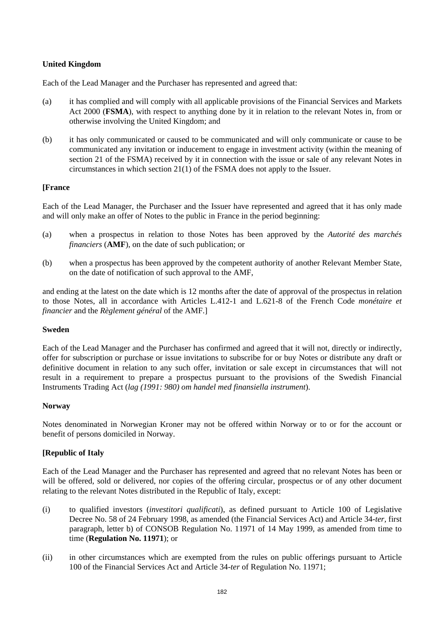## **United Kingdom**

Each of the Lead Manager and the Purchaser has represented and agreed that:

- (a) it has complied and will comply with all applicable provisions of the Financial Services and Markets Act 2000 (**FSMA**), with respect to anything done by it in relation to the relevant Notes in, from or otherwise involving the United Kingdom; and
- (b) it has only communicated or caused to be communicated and will only communicate or cause to be communicated any invitation or inducement to engage in investment activity (within the meaning of section 21 of the FSMA) received by it in connection with the issue or sale of any relevant Notes in circumstances in which section 21(1) of the FSMA does not apply to the Issuer.

## **[France**

Each of the Lead Manager, the Purchaser and the Issuer have represented and agreed that it has only made and will only make an offer of Notes to the public in France in the period beginning:

- (a) when a prospectus in relation to those Notes has been approved by the *Autorité des marchés financiers* (**AMF**), on the date of such publication; or
- (b) when a prospectus has been approved by the competent authority of another Relevant Member State, on the date of notification of such approval to the AMF,

and ending at the latest on the date which is 12 months after the date of approval of the prospectus in relation to those Notes, all in accordance with Articles L.412-1 and L.621-8 of the French Code *monétaire et financier* and the *Règlement général* of the AMF.]

#### **Sweden**

Each of the Lead Manager and the Purchaser has confirmed and agreed that it will not, directly or indirectly, offer for subscription or purchase or issue invitations to subscribe for or buy Notes or distribute any draft or definitive document in relation to any such offer, invitation or sale except in circumstances that will not result in a requirement to prepare a prospectus pursuant to the provisions of the Swedish Financial Instruments Trading Act (*lag (1991: 980) om handel med finansiella instrument*).

#### **Norway**

Notes denominated in Norwegian Kroner may not be offered within Norway or to or for the account or benefit of persons domiciled in Norway.

## **[Republic of Italy**

Each of the Lead Manager and the Purchaser has represented and agreed that no relevant Notes has been or will be offered, sold or delivered, nor copies of the offering circular, prospectus or of any other document relating to the relevant Notes distributed in the Republic of Italy, except:

- (i) to qualified investors (*investitori qualificati*), as defined pursuant to Article 100 of Legislative Decree No. 58 of 24 February 1998, as amended (the Financial Services Act) and Article 34-*ter,* first paragraph, letter b) of CONSOB Regulation No. 11971 of 14 May 1999, as amended from time to time (**Regulation No. 11971**); or
- (ii) in other circumstances which are exempted from the rules on public offerings pursuant to Article 100 of the Financial Services Act and Article 34-*ter* of Regulation No. 11971;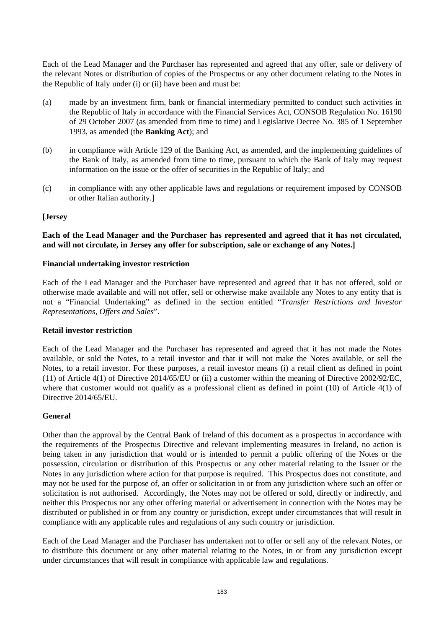Each of the Lead Manager and the Purchaser has represented and agreed that any offer, sale or delivery of the relevant Notes or distribution of copies of the Prospectus or any other document relating to the Notes in the Republic of Italy under (i) or (ii) have been and must be:

- (a) made by an investment firm, bank or financial intermediary permitted to conduct such activities in the Republic of Italy in accordance with the Financial Services Act, CONSOB Regulation No. 16190 of 29 October 2007 (as amended from time to time) and Legislative Decree No. 385 of 1 September 1993, as amended (the **Banking Act**); and
- (b) in compliance with Article 129 of the Banking Act, as amended, and the implementing guidelines of the Bank of Italy, as amended from time to time, pursuant to which the Bank of Italy may request information on the issue or the offer of securities in the Republic of Italy; and
- (c) in compliance with any other applicable laws and regulations or requirement imposed by CONSOB or other Italian authority.]

#### **[Jersey**

### **Each of the Lead Manager and the Purchaser has represented and agreed that it has not circulated, and will not circulate, in Jersey any offer for subscription, sale or exchange of any Notes.]**

#### **Financial undertaking investor restriction**

Each of the Lead Manager and the Purchaser have represented and agreed that it has not offered, sold or otherwise made available and will not offer, sell or otherwise make available any Notes to any entity that is not a "Financial Undertaking" as defined in the section entitled "*Transfer Restrictions and Investor Representations, Offers and Sales*".

#### **Retail investor restriction**

Each of the Lead Manager and the Purchaser has represented and agreed that it has not made the Notes available, or sold the Notes, to a retail investor and that it will not make the Notes available, or sell the Notes, to a retail investor. For these purposes, a retail investor means (i) a retail client as defined in point (11) of Article 4(1) of Directive 2014/65/EU or (ii) a customer within the meaning of Directive 2002/92/EC, where that customer would not qualify as a professional client as defined in point (10) of Article 4(1) of Directive 2014/65/EU.

#### **General**

Other than the approval by the Central Bank of Ireland of this document as a prospectus in accordance with the requirements of the Prospectus Directive and relevant implementing measures in Ireland, no action is being taken in any jurisdiction that would or is intended to permit a public offering of the Notes or the possession, circulation or distribution of this Prospectus or any other material relating to the Issuer or the Notes in any jurisdiction where action for that purpose is required. This Prospectus does not constitute, and may not be used for the purpose of, an offer or solicitation in or from any jurisdiction where such an offer or solicitation is not authorised. Accordingly, the Notes may not be offered or sold, directly or indirectly, and neither this Prospectus nor any other offering material or advertisement in connection with the Notes may be distributed or published in or from any country or jurisdiction, except under circumstances that will result in compliance with any applicable rules and regulations of any such country or jurisdiction.

Each of the Lead Manager and the Purchaser has undertaken not to offer or sell any of the relevant Notes, or to distribute this document or any other material relating to the Notes, in or from any jurisdiction except under circumstances that will result in compliance with applicable law and regulations.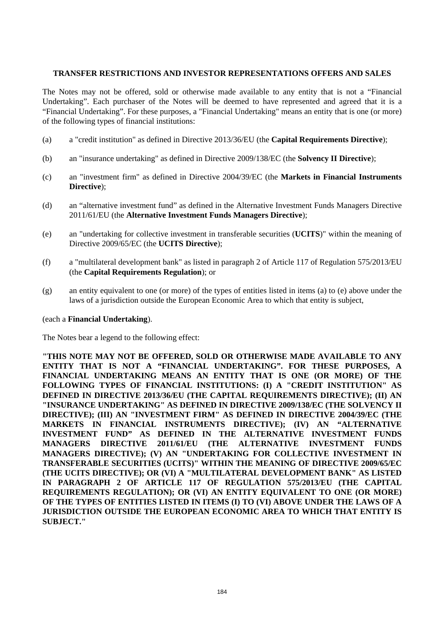### **TRANSFER RESTRICTIONS AND INVESTOR REPRESENTATIONS OFFERS AND SALES**

The Notes may not be offered, sold or otherwise made available to any entity that is not a "Financial Undertaking". Each purchaser of the Notes will be deemed to have represented and agreed that it is a "Financial Undertaking". For these purposes, a "Financial Undertaking" means an entity that is one (or more) of the following types of financial institutions:

- (a) a "credit institution" as defined in Directive 2013/36/EU (the **Capital Requirements Directive**);
- (b) an "insurance undertaking" as defined in Directive 2009/138/EC (the **Solvency II Directive**);
- (c) an "investment firm" as defined in Directive 2004/39/EC (the **Markets in Financial Instruments Directive**);
- (d) an "alternative investment fund" as defined in the Alternative Investment Funds Managers Directive 2011/61/EU (the **Alternative Investment Funds Managers Directive**);
- (e) an "undertaking for collective investment in transferable securities (**UCITS**)" within the meaning of Directive 2009/65/EC (the **UCITS Directive**);
- (f) a "multilateral development bank" as listed in paragraph 2 of Article 117 of Regulation 575/2013/EU (the **Capital Requirements Regulation**); or
- (g) an entity equivalent to one (or more) of the types of entities listed in items (a) to (e) above under the laws of a jurisdiction outside the European Economic Area to which that entity is subject,

#### (each a **Financial Undertaking**).

The Notes bear a legend to the following effect:

**"THIS NOTE MAY NOT BE OFFERED, SOLD OR OTHERWISE MADE AVAILABLE TO ANY ENTITY THAT IS NOT A "FINANCIAL UNDERTAKING". FOR THESE PURPOSES, A FINANCIAL UNDERTAKING MEANS AN ENTITY THAT IS ONE (OR MORE) OF THE FOLLOWING TYPES OF FINANCIAL INSTITUTIONS: (I) A "CREDIT INSTITUTION" AS DEFINED IN DIRECTIVE 2013/36/EU (THE CAPITAL REQUIREMENTS DIRECTIVE); (II) AN "INSURANCE UNDERTAKING" AS DEFINED IN DIRECTIVE 2009/138/EC (THE SOLVENCY II DIRECTIVE); (III) AN "INVESTMENT FIRM" AS DEFINED IN DIRECTIVE 2004/39/EC (THE MARKETS IN FINANCIAL INSTRUMENTS DIRECTIVE); (IV) AN "ALTERNATIVE INVESTMENT FUND" AS DEFINED IN THE ALTERNATIVE INVESTMENT FUNDS MANAGERS DIRECTIVE 2011/61/EU (THE ALTERNATIVE INVESTMENT FUNDS MANAGERS DIRECTIVE); (V) AN "UNDERTAKING FOR COLLECTIVE INVESTMENT IN TRANSFERABLE SECURITIES (UCITS)" WITHIN THE MEANING OF DIRECTIVE 2009/65/EC (THE UCITS DIRECTIVE); OR (VI) A "MULTILATERAL DEVELOPMENT BANK" AS LISTED IN PARAGRAPH 2 OF ARTICLE 117 OF REGULATION 575/2013/EU (THE CAPITAL REQUIREMENTS REGULATION); OR (VI) AN ENTITY EQUIVALENT TO ONE (OR MORE) OF THE TYPES OF ENTITIES LISTED IN ITEMS (I) TO (VI) ABOVE UNDER THE LAWS OF A JURISDICTION OUTSIDE THE EUROPEAN ECONOMIC AREA TO WHICH THAT ENTITY IS SUBJECT."**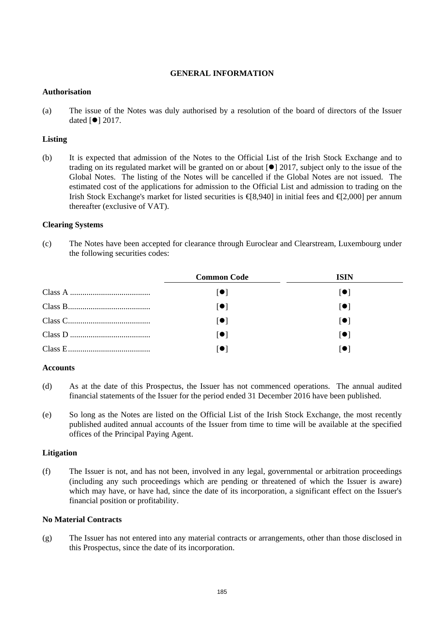### **GENERAL INFORMATION**

### **Authorisation**

(a) The issue of the Notes was duly authorised by a resolution of the board of directors of the Issuer dated  $[①]$  2017.

## **Listing**

(b) It is expected that admission of the Notes to the Official List of the Irish Stock Exchange and to trading on its regulated market will be granted on or about  $\lceil \bullet \rceil$  2017, subject only to the issue of the Global Notes. The listing of the Notes will be cancelled if the Global Notes are not issued. The estimated cost of the applications for admission to the Official List and admission to trading on the Irish Stock Exchange's market for listed securities is  $\{\text{8,940}\}$  in initial fees and  $\{\text{42,000}\}$  per annum thereafter (exclusive of VAT).

## **Clearing Systems**

(c) The Notes have been accepted for clearance through Euroclear and Clearstream, Luxembourg under the following securities codes:

| <b>Common Code</b> | <b>ISIN</b> |
|--------------------|-------------|
| 101                | 101         |
| ∣●∣                | l ● l       |
| 1 O I              | l ● I       |
| $\blacksquare$     | 1 O I       |
|                    |             |

#### **Accounts**

- (d) As at the date of this Prospectus, the Issuer has not commenced operations. The annual audited financial statements of the Issuer for the period ended 31 December 2016 have been published.
- (e) So long as the Notes are listed on the Official List of the Irish Stock Exchange, the most recently published audited annual accounts of the Issuer from time to time will be available at the specified offices of the Principal Paying Agent.

#### **Litigation**

(f) The Issuer is not, and has not been, involved in any legal, governmental or arbitration proceedings (including any such proceedings which are pending or threatened of which the Issuer is aware) which may have, or have had, since the date of its incorporation, a significant effect on the Issuer's financial position or profitability.

## **No Material Contracts**

(g) The Issuer has not entered into any material contracts or arrangements, other than those disclosed in this Prospectus, since the date of its incorporation.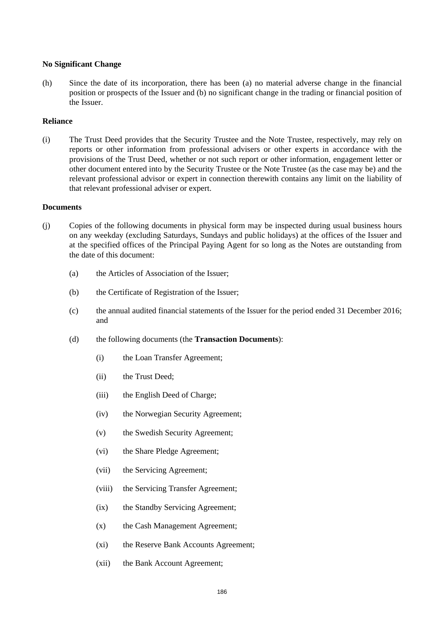#### **No Significant Change**

(h) Since the date of its incorporation, there has been (a) no material adverse change in the financial position or prospects of the Issuer and (b) no significant change in the trading or financial position of the Issuer.

#### **Reliance**

(i) The Trust Deed provides that the Security Trustee and the Note Trustee, respectively, may rely on reports or other information from professional advisers or other experts in accordance with the provisions of the Trust Deed, whether or not such report or other information, engagement letter or other document entered into by the Security Trustee or the Note Trustee (as the case may be) and the relevant professional advisor or expert in connection therewith contains any limit on the liability of that relevant professional adviser or expert.

#### **Documents**

- (j) Copies of the following documents in physical form may be inspected during usual business hours on any weekday (excluding Saturdays, Sundays and public holidays) at the offices of the Issuer and at the specified offices of the Principal Paying Agent for so long as the Notes are outstanding from the date of this document:
	- (a) the Articles of Association of the Issuer;
	- (b) the Certificate of Registration of the Issuer;
	- (c) the annual audited financial statements of the Issuer for the period ended 31 December 2016; and
	- (d) the following documents (the **Transaction Documents**):
		- (i) the Loan Transfer Agreement;
		- (ii) the Trust Deed;
		- (iii) the English Deed of Charge;
		- (iv) the Norwegian Security Agreement;
		- (v) the Swedish Security Agreement;
		- (vi) the Share Pledge Agreement;
		- (vii) the Servicing Agreement;
		- (viii) the Servicing Transfer Agreement;
		- (ix) the Standby Servicing Agreement;
		- (x) the Cash Management Agreement;
		- (xi) the Reserve Bank Accounts Agreement;
		- (xii) the Bank Account Agreement;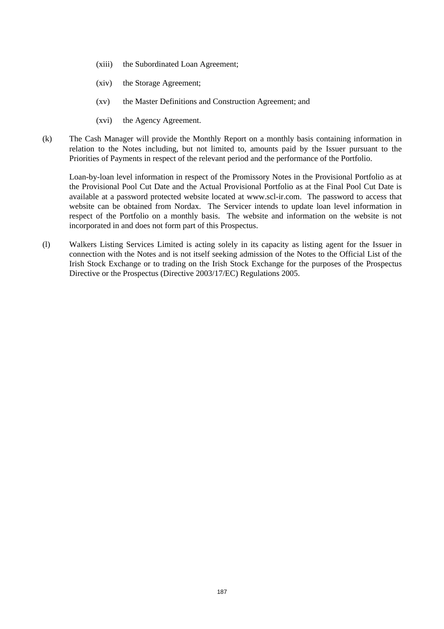- (xiii) the Subordinated Loan Agreement;
- (xiv) the Storage Agreement;
- (xv) the Master Definitions and Construction Agreement; and
- (xvi) the Agency Agreement.
- (k) The Cash Manager will provide the Monthly Report on a monthly basis containing information in relation to the Notes including, but not limited to, amounts paid by the Issuer pursuant to the Priorities of Payments in respect of the relevant period and the performance of the Portfolio.

Loan-by-loan level information in respect of the Promissory Notes in the Provisional Portfolio as at the Provisional Pool Cut Date and the Actual Provisional Portfolio as at the Final Pool Cut Date is available at a password protected website located at www.scl-ir.com. The password to access that website can be obtained from Nordax. The Servicer intends to update loan level information in respect of the Portfolio on a monthly basis. The website and information on the website is not incorporated in and does not form part of this Prospectus.

(l) Walkers Listing Services Limited is acting solely in its capacity as listing agent for the Issuer in connection with the Notes and is not itself seeking admission of the Notes to the Official List of the Irish Stock Exchange or to trading on the Irish Stock Exchange for the purposes of the Prospectus Directive or the Prospectus (Directive 2003/17/EC) Regulations 2005.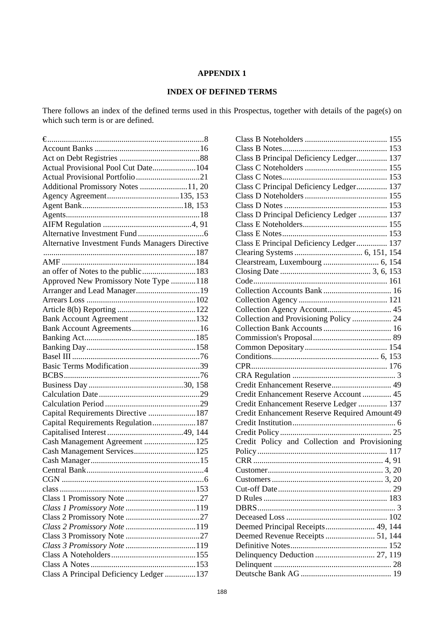# **APPENDIX 1**

# **INDEX OF DEFINED TERMS**

There follows an index of the defined terms used in this Prospectus, together with details of the page(s) on which such term is or are defined.

| Actual Provisional Pool Cut Date104             |  |
|-------------------------------------------------|--|
|                                                 |  |
| Additional Promissory Notes 11, 20              |  |
|                                                 |  |
|                                                 |  |
|                                                 |  |
|                                                 |  |
|                                                 |  |
| Alternative Investment Funds Managers Directive |  |
|                                                 |  |
|                                                 |  |
|                                                 |  |
| Approved New Promissory Note Type 118           |  |
|                                                 |  |
|                                                 |  |
|                                                 |  |
|                                                 |  |
|                                                 |  |
|                                                 |  |
|                                                 |  |
|                                                 |  |
|                                                 |  |
|                                                 |  |
|                                                 |  |
|                                                 |  |
|                                                 |  |
| Capital Requirements Directive 187              |  |
| Capital Requirements Regulation187              |  |
|                                                 |  |
| Cash Management Agreement 125                   |  |
|                                                 |  |
|                                                 |  |
|                                                 |  |
|                                                 |  |
|                                                 |  |
|                                                 |  |
| Class 1 Promissory Note 119                     |  |
|                                                 |  |
|                                                 |  |
|                                                 |  |
| Class 3 Promissory Note 119                     |  |
|                                                 |  |
|                                                 |  |
| Class A Principal Deficiency Ledger 137         |  |
|                                                 |  |

| Class B Principal Deficiency Ledger 137       |
|-----------------------------------------------|
|                                               |
|                                               |
| Class C Principal Deficiency Ledger 137       |
|                                               |
|                                               |
| Class D Principal Deficiency Ledger  137      |
|                                               |
|                                               |
| Class E Principal Deficiency Ledger 137       |
|                                               |
|                                               |
|                                               |
|                                               |
|                                               |
|                                               |
|                                               |
| Collection and Provisioning Policy  24        |
|                                               |
|                                               |
|                                               |
|                                               |
|                                               |
|                                               |
|                                               |
|                                               |
| Credit Enhancement Reserve 49                 |
| Credit Enhancement Reserve Account 45         |
| Credit Enhancement Reserve Ledger  137        |
| Credit Enhancement Reserve Required Amount 49 |
|                                               |
|                                               |
| Credit Policy and Collection and Provisioning |
|                                               |
|                                               |
|                                               |
|                                               |
|                                               |
|                                               |
|                                               |
|                                               |
| Deemed Principal Receipts 49, 144             |
| Deemed Revenue Receipts  51, 144              |
| 152                                           |
|                                               |
|                                               |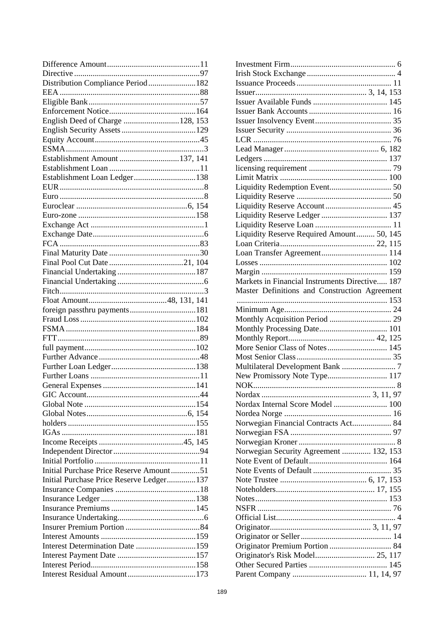| Distribution Compliance Period182        |  |
|------------------------------------------|--|
|                                          |  |
|                                          |  |
|                                          |  |
| English Deed of Charge 128, 153          |  |
|                                          |  |
|                                          |  |
|                                          |  |
| Establishment Amount 137, 141            |  |
|                                          |  |
| Establishment Loan Ledger138             |  |
|                                          |  |
|                                          |  |
|                                          |  |
|                                          |  |
|                                          |  |
|                                          |  |
|                                          |  |
|                                          |  |
|                                          |  |
|                                          |  |
|                                          |  |
|                                          |  |
|                                          |  |
|                                          |  |
| foreign passthru payments181             |  |
|                                          |  |
|                                          |  |
|                                          |  |
|                                          |  |
|                                          |  |
|                                          |  |
|                                          |  |
|                                          |  |
|                                          |  |
|                                          |  |
|                                          |  |
|                                          |  |
|                                          |  |
|                                          |  |
|                                          |  |
|                                          |  |
|                                          |  |
| Initial Purchase Price Reserve Amount51  |  |
| Initial Purchase Price Reserve Ledger137 |  |
|                                          |  |
|                                          |  |
|                                          |  |
|                                          |  |
|                                          |  |
|                                          |  |
| Interest Determination Date 159          |  |
|                                          |  |
|                                          |  |

| Liquidity Redemption Event 50                  |
|------------------------------------------------|
|                                                |
|                                                |
| Liquidity Reserve Ledger  137                  |
|                                                |
| Liquidity Reserve Required Amount 50, 145      |
|                                                |
|                                                |
|                                                |
|                                                |
| Markets in Financial Instruments Directive 187 |
| Master Definitions and Construction Agreement  |
|                                                |
|                                                |
|                                                |
| Monthly Acquisition Period  29                 |
|                                                |
|                                                |
|                                                |
| More Senior Class of Notes 145                 |
|                                                |
|                                                |
| New Promissory Note Type 117                   |
|                                                |
|                                                |
| Nordax Internal Score Model  100               |
|                                                |
| Norwegian Financial Contracts Act 84           |
|                                                |
|                                                |
| Norwegian Security Agreement  132, 153         |
|                                                |
|                                                |
|                                                |
|                                                |
|                                                |
|                                                |
|                                                |
|                                                |
|                                                |
|                                                |
|                                                |
| Originator's Risk Model 25, 117                |
|                                                |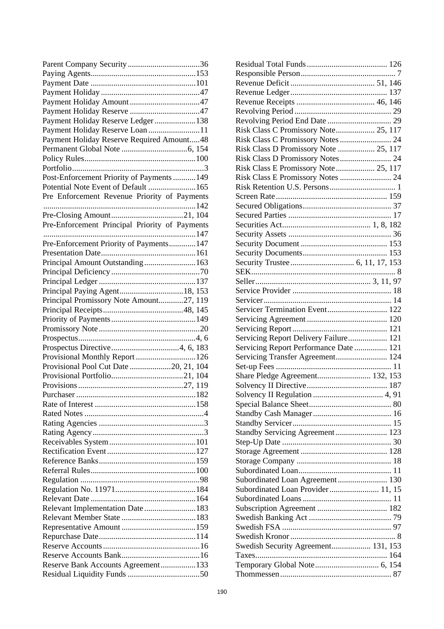| Payment Holiday Reserve Ledger138              |
|------------------------------------------------|
| Payment Holiday Reserve Loan 11                |
| Payment Holiday Reserve Required Amount48      |
|                                                |
|                                                |
|                                                |
| Post-Enforcement Priority of Payments  149     |
| Potential Note Event of Default 165            |
| Pre Enforcement Revenue Priority of Payments   |
|                                                |
|                                                |
| Pre-Enforcement Principal Priority of Payments |
|                                                |
| Pre-Enforcement Priority of Payments147        |
|                                                |
| Principal Amount Outstanding163                |
|                                                |
|                                                |
|                                                |
| Principal Paying Agent 18, 153                 |
| Principal Promissory Note Amount27, 119        |
|                                                |
|                                                |
|                                                |
|                                                |
|                                                |
| Provisional Monthly Report 126                 |
| Provisional Pool Cut Date 20, 21, 104          |
|                                                |
|                                                |
|                                                |
|                                                |
|                                                |
|                                                |
|                                                |
|                                                |
|                                                |
|                                                |
|                                                |
|                                                |
|                                                |
|                                                |
| Relevant Implementation Date183                |
|                                                |
|                                                |
|                                                |
|                                                |
|                                                |
| Reserve Bank Accounts Agreement133             |
|                                                |
|                                                |

| Risk Class C Promissory Note 25, 117   |
|----------------------------------------|
| Risk Class C Promissory Notes  24      |
| Risk Class D Promissory Note  25, 117  |
|                                        |
| Risk Class E Promissory Note 25, 117   |
| Risk Class E Promissory Notes  24      |
|                                        |
|                                        |
|                                        |
|                                        |
|                                        |
|                                        |
|                                        |
|                                        |
|                                        |
|                                        |
|                                        |
|                                        |
|                                        |
| Servicer Termination Event 122         |
|                                        |
|                                        |
| Servicing Report Delivery Failure 121  |
| Servicing Report Performance Date  121 |
| Servicing Transfer Agreement 124       |
|                                        |
| Share Pledge Agreement 132, 153        |
|                                        |
|                                        |
|                                        |
|                                        |
|                                        |
| Standby Servicing Agreement  123       |
|                                        |
|                                        |
|                                        |
|                                        |
| Subordinated Loan Agreement 130        |
| Subordinated Loan Provider 11, 15      |
|                                        |
|                                        |
|                                        |
|                                        |
|                                        |
| Swedish Security Agreement 131, 153    |
|                                        |
|                                        |
|                                        |
|                                        |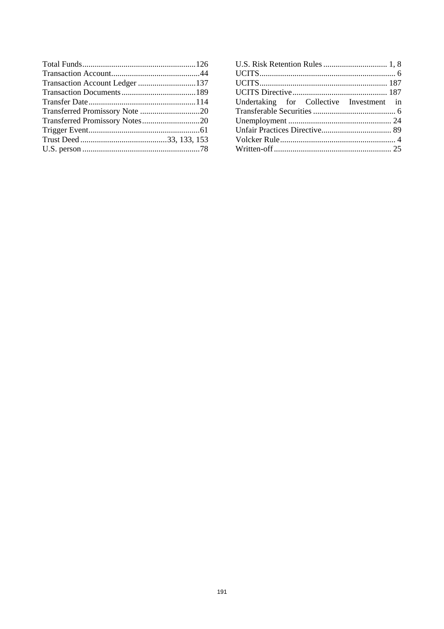| Undertaking for Collective Investment in |  |
|------------------------------------------|--|
|                                          |  |
|                                          |  |
|                                          |  |
|                                          |  |
|                                          |  |
|                                          |  |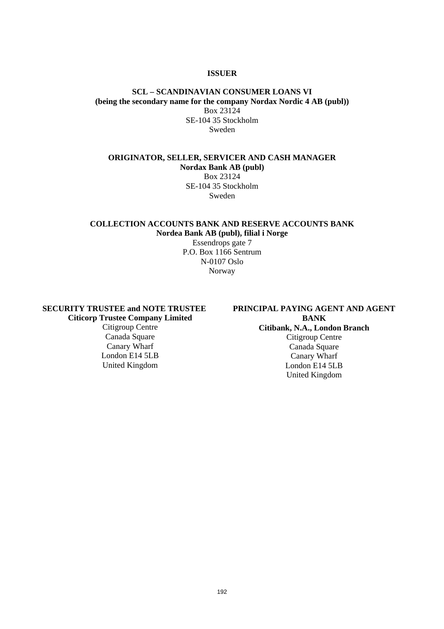#### **ISSUER**

### **SCL** *–* **SCANDINAVIAN CONSUMER LOANS VI (being the secondary name for the company Nordax Nordic 4 AB (publ))**  Box 23124 SE-104 35 Stockholm Sweden

## **ORIGINATOR, SELLER, SERVICER AND CASH MANAGER Nordax Bank AB (publ)**  Box 23124

SE-104 35 Stockholm Sweden

## **COLLECTION ACCOUNTS BANK AND RESERVE ACCOUNTS BANK Nordea Bank AB (publ), filial i Norge**

Essendrops gate 7 P.O. Box 1166 Sentrum N-0107 Oslo Norway

**SECURITY TRUSTEE and NOTE TRUSTEE Citicorp Trustee Company Limited** 

Citigroup Centre Canada Square Canary Wharf London E14 5LB United Kingdom

### **PRINCIPAL PAYING AGENT AND AGENT BANK Citibank, N.A., London Branch**  Citigroup Centre

Canada Square Canary Wharf London E14 5LB United Kingdom